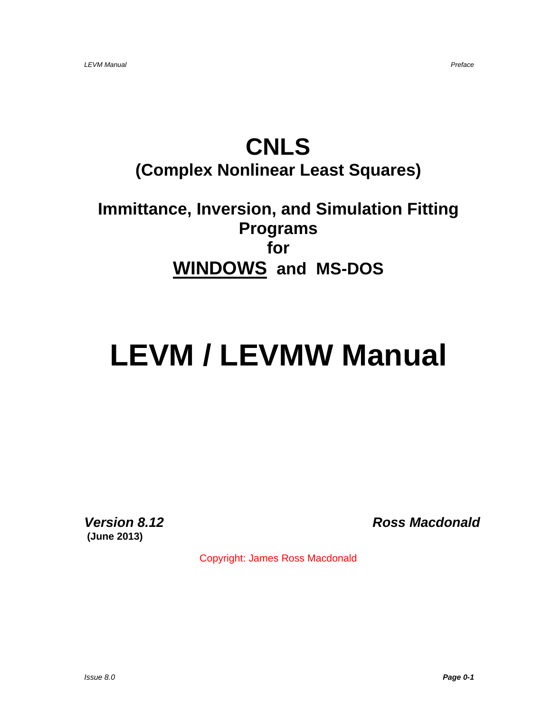# **CNLS**

# **(Complex Nonlinear Least Squares)**

**Immittance, Inversion, and Simulation Fitting Programs for WINDOWS and MS-DOS** 

# **LEVM / LEVMW Manual**

 **(June 2013)** 

**Version 8.12** Ross Macdonald

Copyright: James Ross Macdonald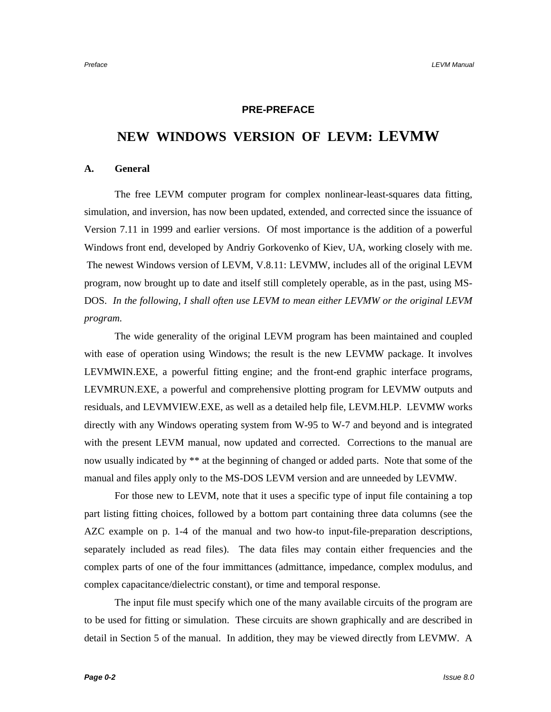### **PRE-PREFACE**

# **NEW WINDOWS VERSION OF LEVM: LEVMW**

# **A. General**

The free LEVM computer program for complex nonlinear-least-squares data fitting, simulation, and inversion, has now been updated, extended, and corrected since the issuance of Version 7.11 in 1999 and earlier versions. Of most importance is the addition of a powerful Windows front end, developed by Andriy Gorkovenko of Kiev, UA, working closely with me. The newest Windows version of LEVM, V.8.11: LEVMW, includes all of the original LEVM program, now brought up to date and itself still completely operable, as in the past, using MS-DOS. *In the following, I shall often use LEVM to mean either LEVMW or the original LEVM program.* 

The wide generality of the original LEVM program has been maintained and coupled with ease of operation using Windows; the result is the new LEVMW package. It involves LEVMWIN.EXE, a powerful fitting engine; and the front-end graphic interface programs, LEVMRUN.EXE, a powerful and comprehensive plotting program for LEVMW outputs and residuals, and LEVMVIEW.EXE, as well as a detailed help file, LEVM.HLP. LEVMW works directly with any Windows operating system from W-95 to W-7 and beyond and is integrated with the present LEVM manual, now updated and corrected. Corrections to the manual are now usually indicated by \*\* at the beginning of changed or added parts. Note that some of the manual and files apply only to the MS-DOS LEVM version and are unneeded by LEVMW.

For those new to LEVM, note that it uses a specific type of input file containing a top part listing fitting choices, followed by a bottom part containing three data columns (see the AZC example on p. 1-4 of the manual and two how-to input-file-preparation descriptions, separately included as read files). The data files may contain either frequencies and the complex parts of one of the four immittances (admittance, impedance, complex modulus, and complex capacitance/dielectric constant), or time and temporal response.

The input file must specify which one of the many available circuits of the program are to be used for fitting or simulation. These circuits are shown graphically and are described in detail in Section 5 of the manual. In addition, they may be viewed directly from LEVMW. A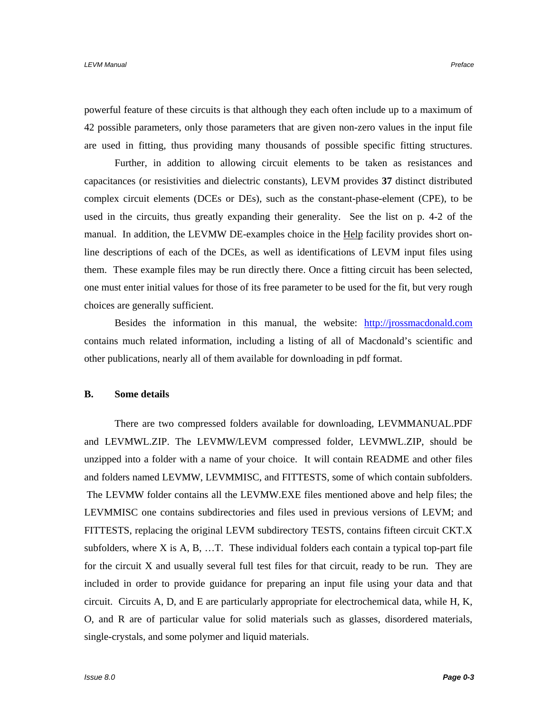#### *LEVM Manual Preface*

powerful feature of these circuits is that although they each often include up to a maximum of 42 possible parameters, only those parameters that are given non-zero values in the input file are used in fitting, thus providing many thousands of possible specific fitting structures.

 Further, in addition to allowing circuit elements to be taken as resistances and capacitances (or resistivities and dielectric constants), LEVM provides **37** distinct distributed complex circuit elements (DCEs or DEs), such as the constant-phase-element (CPE), to be used in the circuits, thus greatly expanding their generality. See the list on p. 4-2 of the manual. In addition, the LEVMW DE-examples choice in the Help facility provides short online descriptions of each of the DCEs, as well as identifications of LEVM input files using them. These example files may be run directly there. Once a fitting circuit has been selected, one must enter initial values for those of its free parameter to be used for the fit, but very rough choices are generally sufficient.

Besides the information in this manual, the website: http://jrossmacdonald.com contains much related information, including a listing of all of Macdonald's scientific and other publications, nearly all of them available for downloading in pdf format.

#### **B. Some details**

There are two compressed folders available for downloading, LEVMMANUAL.PDF and LEVMWL.ZIP. The LEVMW/LEVM compressed folder, LEVMWL.ZIP, should be unzipped into a folder with a name of your choice. It will contain README and other files and folders named LEVMW, LEVMMISC, and FITTESTS, some of which contain subfolders. The LEVMW folder contains all the LEVMW.EXE files mentioned above and help files; the LEVMMISC one contains subdirectories and files used in previous versions of LEVM; and FITTESTS, replacing the original LEVM subdirectory TESTS, contains fifteen circuit CKT.X subfolders, where  $X$  is  $A, B, \ldots$ . These individual folders each contain a typical top-part file for the circuit X and usually several full test files for that circuit, ready to be run. They are included in order to provide guidance for preparing an input file using your data and that circuit. Circuits A, D, and E are particularly appropriate for electrochemical data, while H, K, O, and R are of particular value for solid materials such as glasses, disordered materials, single-crystals, and some polymer and liquid materials.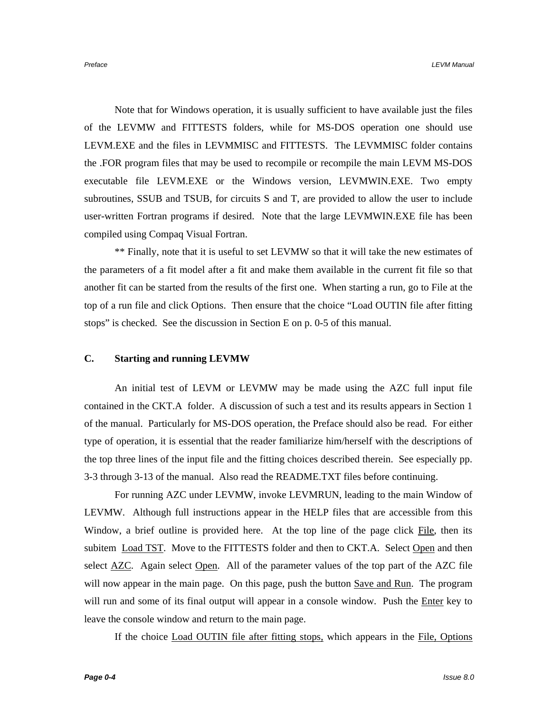Note that for Windows operation, it is usually sufficient to have available just the files of the LEVMW and FITTESTS folders, while for MS-DOS operation one should use LEVM.EXE and the files in LEVMMISC and FITTESTS. The LEVMMISC folder contains the .FOR program files that may be used to recompile or recompile the main LEVM MS-DOS executable file LEVM.EXE or the Windows version, LEVMWIN.EXE. Two empty subroutines, SSUB and TSUB, for circuits S and T, are provided to allow the user to include user-written Fortran programs if desired. Note that the large LEVMWIN.EXE file has been compiled using Compaq Visual Fortran.

\*\* Finally, note that it is useful to set LEVMW so that it will take the new estimates of the parameters of a fit model after a fit and make them available in the current fit file so that another fit can be started from the results of the first one. When starting a run, go to File at the top of a run file and click Options. Then ensure that the choice "Load OUTIN file after fitting stops" is checked. See the discussion in Section E on p. 0-5 of this manual.

# **C. Starting and running LEVMW**

 An initial test of LEVM or LEVMW may be made using the AZC full input file contained in the CKT.A folder. A discussion of such a test and its results appears in Section 1 of the manual. Particularly for MS-DOS operation, the Preface should also be read. For either type of operation, it is essential that the reader familiarize him/herself with the descriptions of the top three lines of the input file and the fitting choices described therein. See especially pp. 3-3 through 3-13 of the manual. Also read the README.TXT files before continuing.

For running AZC under LEVMW, invoke LEVMRUN, leading to the main Window of LEVMW. Although full instructions appear in the HELP files that are accessible from this Window, a brief outline is provided here. At the top line of the page click File, then its subitem Load TST. Move to the FITTESTS folder and then to CKT.A. Select Open and then select AZC. Again select Open. All of the parameter values of the top part of the AZC file will now appear in the main page. On this page, push the button Save and Run. The program will run and some of its final output will appear in a console window. Push the Enter key to leave the console window and return to the main page.

If the choice Load OUTIN file after fitting stops, which appears in the File, Options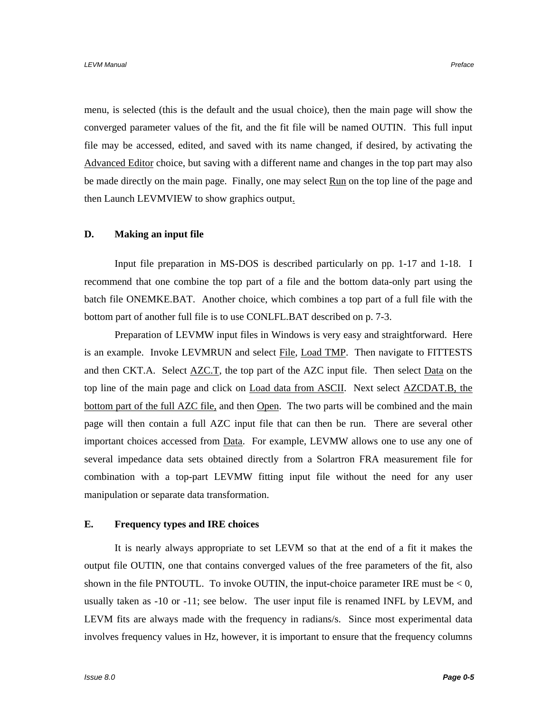menu, is selected (this is the default and the usual choice), then the main page will show the

converged parameter values of the fit, and the fit file will be named OUTIN. This full input file may be accessed, edited, and saved with its name changed, if desired, by activating the Advanced Editor choice, but saving with a different name and changes in the top part may also be made directly on the main page. Finally, one may select Run on the top line of the page and then Launch LEVMVIEW to show graphics output.

# **D. Making an input file**

Input file preparation in MS-DOS is described particularly on pp. 1-17 and 1-18. I recommend that one combine the top part of a file and the bottom data-only part using the batch file ONEMKE.BAT. Another choice, which combines a top part of a full file with the bottom part of another full file is to use CONLFL.BAT described on p. 7-3.

Preparation of LEVMW input files in Windows is very easy and straightforward. Here is an example. Invoke LEVMRUN and select File, Load TMP. Then navigate to FITTESTS and then CKT.A. Select AZC.T, the top part of the AZC input file. Then select Data on the top line of the main page and click on Load data from ASCII. Next select AZCDAT.B, the bottom part of the full AZC file, and then Open. The two parts will be combined and the main page will then contain a full AZC input file that can then be run. There are several other important choices accessed from Data. For example, LEVMW allows one to use any one of several impedance data sets obtained directly from a Solartron FRA measurement file for combination with a top-part LEVMW fitting input file without the need for any user manipulation or separate data transformation.

#### **E. Frequency types and IRE choices**

 It is nearly always appropriate to set LEVM so that at the end of a fit it makes the output file OUTIN, one that contains converged values of the free parameters of the fit, also shown in the file PNTOUTL. To invoke OUTIN, the input-choice parameter IRE must be  $< 0$ , usually taken as -10 or -11; see below. The user input file is renamed INFL by LEVM, and LEVM fits are always made with the frequency in radians/s. Since most experimental data involves frequency values in Hz, however, it is important to ensure that the frequency columns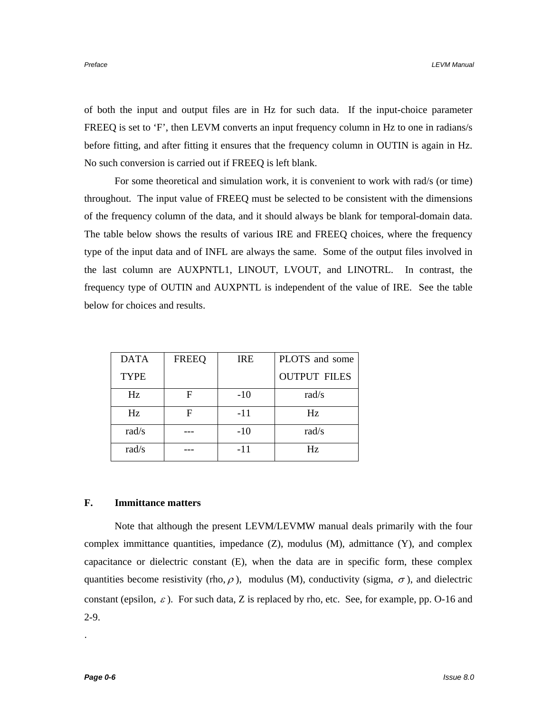of both the input and output files are in Hz for such data. If the input-choice parameter FREEQ is set to 'F', then LEVM converts an input frequency column in Hz to one in radians/s before fitting, and after fitting it ensures that the frequency column in OUTIN is again in Hz. No such conversion is carried out if FREEQ is left blank.

 For some theoretical and simulation work, it is convenient to work with rad/s (or time) throughout. The input value of FREEQ must be selected to be consistent with the dimensions of the frequency column of the data, and it should always be blank for temporal-domain data. The table below shows the results of various IRE and FREEQ choices, where the frequency type of the input data and of INFL are always the same. Some of the output files involved in the last column are AUXPNTL1, LINOUT, LVOUT, and LINOTRL. In contrast, the frequency type of OUTIN and AUXPNTL is independent of the value of IRE. See the table below for choices and results.

| <b>DATA</b> | <b>FREEQ</b> | <b>IRE</b> | PLOTS and some      |
|-------------|--------------|------------|---------------------|
| <b>TYPE</b> |              |            | <b>OUTPUT FILES</b> |
| Hz          | F            | $-10$      | rad/s               |
| Hz          | F            | $-11$      | Hz                  |
| rad/s       |              | $-10$      | rad/s               |
| rad/s       |              | $-11$      | Hz                  |

# **F. Immittance matters**

 Note that although the present LEVM/LEVMW manual deals primarily with the four complex immittance quantities, impedance (Z), modulus (M), admittance (Y), and complex capacitance or dielectric constant (E), when the data are in specific form, these complex quantities become resistivity (rho,  $\rho$ ), modulus (M), conductivity (sigma,  $\sigma$ ), and dielectric constant (epsilon,  $\varepsilon$ ). For such data, Z is replaced by rho, etc. See, for example, pp. O-16 and 2-9.

.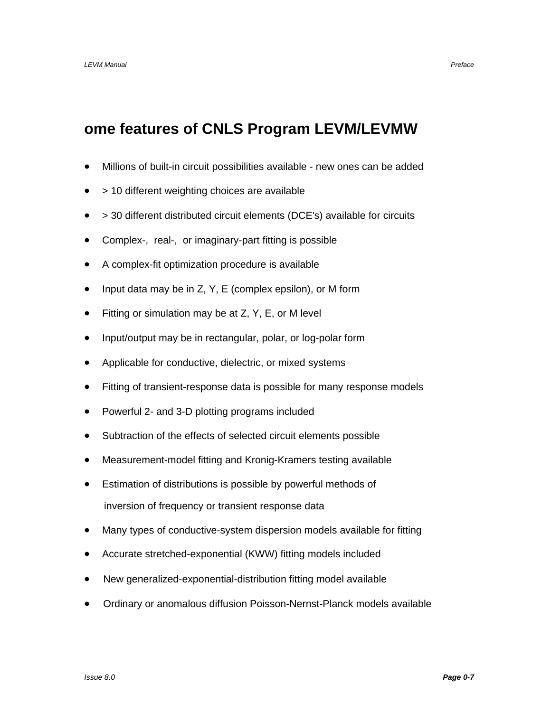# **ome features of CNLS Program LEVM/LEVMW**

- Millions of built-in circuit possibilities available new ones can be added
- > 10 different weighting choices are available
- > 30 different distributed circuit elements (DCE's) available for circuits
- Complex-, real-, or imaginary-part fitting is possible
- A complex-fit optimization procedure is available
- Input data may be in  $Z$ ,  $Y$ ,  $E$  (complex epsilon), or M form
- Fitting or simulation may be at Z, Y, E, or M level
- Input/output may be in rectangular, polar, or log-polar form
- Applicable for conductive, dielectric, or mixed systems
- Fitting of transient-response data is possible for many response models
- Powerful 2- and 3-D plotting programs included
- Subtraction of the effects of selected circuit elements possible
- Measurement-model fitting and Kronig-Kramers testing available
- Estimation of distributions is possible by powerful methods of inversion of frequency or transient response data
- Many types of conductive-system dispersion models available for fitting
- Accurate stretched-exponential (KWW) fitting models included
- New generalized-exponential-distribution fitting model available
- Ordinary or anomalous diffusion Poisson-Nernst-Planck models available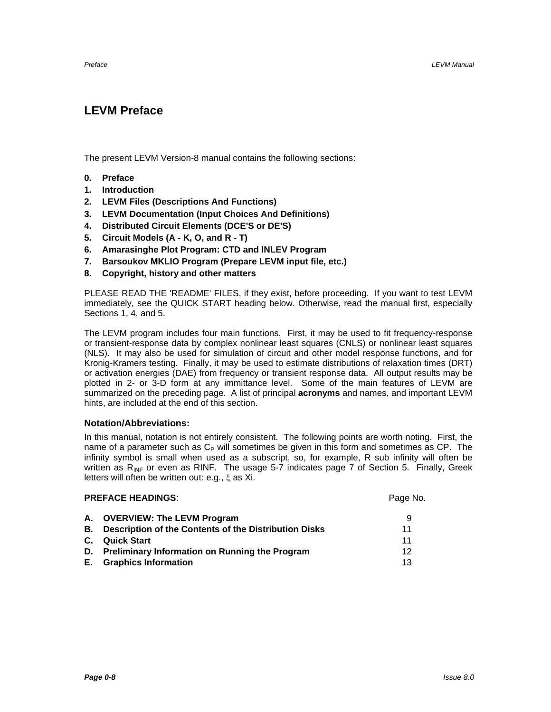# **LEVM Preface**

The present LEVM Version-8 manual contains the following sections:

- **0. Preface**
- **1. Introduction**
- **2. LEVM Files (Descriptions And Functions)**
- **3. LEVM Documentation (Input Choices And Definitions)**
- **4. Distributed Circuit Elements (DCE'S or DE'S)**
- **5. Circuit Models (A K, O, and R T)**
- **6. Amarasinghe Plot Program: CTD and INLEV Program**
- **7. Barsoukov MKLIO Program (Prepare LEVM input file, etc.)**
- **8. Copyright, history and other matters**

PLEASE READ THE 'README' FILES, if they exist, before proceeding. If you want to test LEVM immediately, see the QUICK START heading below. Otherwise, read the manual first, especially Sections 1, 4, and 5.

The LEVM program includes four main functions. First, it may be used to fit frequency-response or transient-response data by complex nonlinear least squares (CNLS) or nonlinear least squares (NLS). It may also be used for simulation of circuit and other model response functions, and for Kronig-Kramers testing. Finally, it may be used to estimate distributions of relaxation times (DRT) or activation energies (DAE) from frequency or transient response data. All output results may be plotted in 2- or 3-D form at any immittance level. Some of the main features of LEVM are summarized on the preceding page. A list of principal **acronyms** and names, and important LEVM hints, are included at the end of this section.

# **Notation/Abbreviations:**

In this manual, notation is not entirely consistent. The following points are worth noting. First, the name of a parameter such as  $C_P$  will sometimes be given in this form and sometimes as CP. The infinity symbol is small when used as a subscript, so, for example, R sub infinity will often be written as  $R_{\text{INF}}$  or even as RINF. The usage 5-7 indicates page 7 of Section 5. Finally, Greek letters will often be written out: e.g.,  $\xi$  as Xi.

|     | <b>PREFACE HEADINGS:</b>                              | Page No. |
|-----|-------------------------------------------------------|----------|
| А.  | <b>OVERVIEW: The LEVM Program</b>                     | 9        |
| В.  | Description of the Contents of the Distribution Disks | 11       |
| C.  | <b>Quick Start</b>                                    | 11       |
| D.  | <b>Preliminary Information on Running the Program</b> | 12       |
| E., | <b>Graphics Information</b>                           | 13       |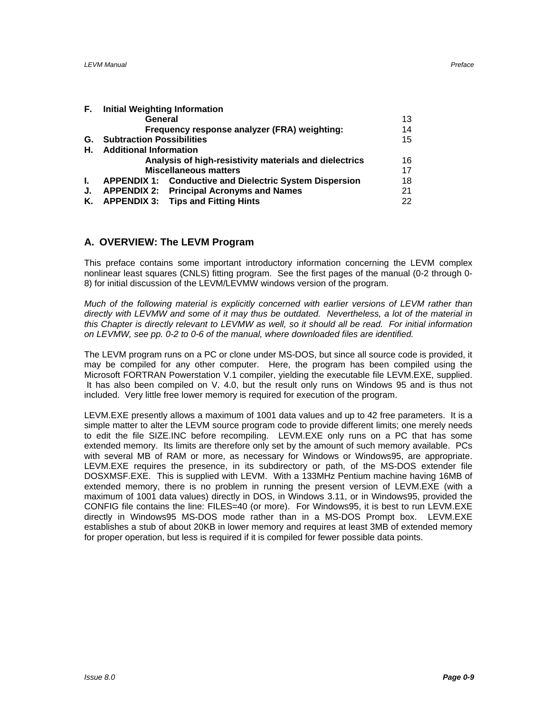| F. | <b>Initial Weighting Information</b> |                                                                |    |
|----|--------------------------------------|----------------------------------------------------------------|----|
|    | General                              |                                                                | 13 |
|    |                                      | Frequency response analyzer (FRA) weighting:                   | 14 |
| G. | <b>Subtraction Possibilities</b>     |                                                                | 15 |
| Н. | <b>Additional Information</b>        |                                                                |    |
|    |                                      | Analysis of high-resistivity materials and dielectrics         | 16 |
|    |                                      | <b>Miscellaneous matters</b>                                   | 17 |
|    |                                      | <b>APPENDIX 1: Conductive and Dielectric System Dispersion</b> | 18 |
| J. |                                      | <b>APPENDIX 2: Principal Acronyms and Names</b>                | 21 |
| Κ. |                                      | <b>APPENDIX 3: Tips and Fitting Hints</b>                      | 22 |

# **A. OVERVIEW: The LEVM Program**

This preface contains some important introductory information concerning the LEVM complex nonlinear least squares (CNLS) fitting program. See the first pages of the manual (0-2 through 0- 8) for initial discussion of the LEVM/LEVMW windows version of the program.

*Much of the following material is explicitly concerned with earlier versions of LEVM rather than directly with LEVMW and some of it may thus be outdated. Nevertheless, a lot of the material in this Chapter is directly relevant to LEVMW as well, so it should all be read. For initial information on LEVMW, see pp. 0-2 to 0-6 of the manual, where downloaded files are identified.* 

The LEVM program runs on a PC or clone under MS-DOS, but since all source code is provided, it may be compiled for any other computer. Here, the program has been compiled using the Microsoft FORTRAN Powerstation V.1 compiler, yielding the executable file LEVM.EXE, supplied. It has also been compiled on V. 4.0, but the result only runs on Windows 95 and is thus not included. Very little free lower memory is required for execution of the program.

LEVM.EXE presently allows a maximum of 1001 data values and up to 42 free parameters. It is a simple matter to alter the LEVM source program code to provide different limits; one merely needs to edit the file SIZE.INC before recompiling. LEVM.EXE only runs on a PC that has some extended memory. Its limits are therefore only set by the amount of such memory available. PCs with several MB of RAM or more, as necessary for Windows or Windows95, are appropriate. LEVM.EXE requires the presence, in its subdirectory or path, of the MS-DOS extender file DOSXMSF.EXE. This is supplied with LEVM. With a 133MHz Pentium machine having 16MB of extended memory, there is no problem in running the present version of LEVM.EXE (with a maximum of 1001 data values) directly in DOS, in Windows 3.11, or in Windows95, provided the CONFIG file contains the line: FILES=40 (or more). For Windows95, it is best to run LEVM.EXE directly in Windows95 MS-DOS mode rather than in a MS-DOS Prompt box. LEVM.EXE establishes a stub of about 20KB in lower memory and requires at least 3MB of extended memory for proper operation, but less is required if it is compiled for fewer possible data points.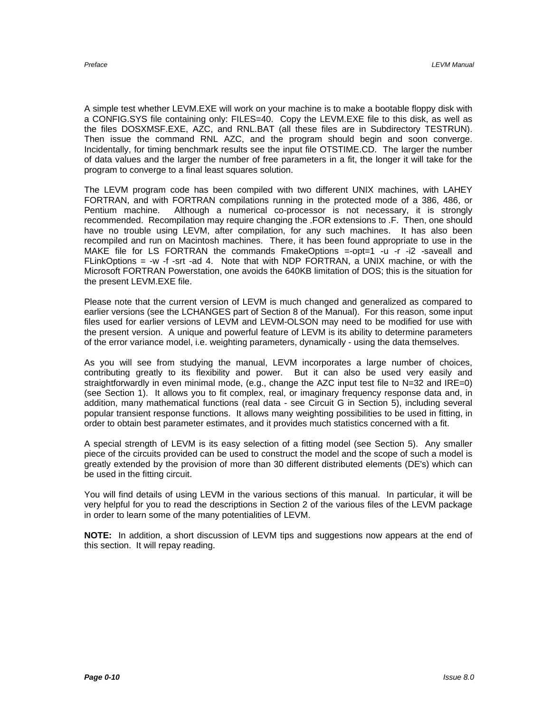A simple test whether LEVM.EXE will work on your machine is to make a bootable floppy disk with a CONFIG.SYS file containing only: FILES=40. Copy the LEVM.EXE file to this disk, as well as the files DOSXMSF.EXE, AZC, and RNL.BAT (all these files are in Subdirectory TESTRUN). Then issue the command RNL AZC, and the program should begin and soon converge. Incidentally, for timing benchmark results see the input file OTSTIME.CD. The larger the number of data values and the larger the number of free parameters in a fit, the longer it will take for the program to converge to a final least squares solution.

The LEVM program code has been compiled with two different UNIX machines, with LAHEY FORTRAN, and with FORTRAN compilations running in the protected mode of a 386, 486, or Pentium machine. Although a numerical co-processor is not necessary, it is strongly recommended. Recompilation may require changing the .FOR extensions to .F. Then, one should have no trouble using LEVM, after compilation, for any such machines. It has also been recompiled and run on Macintosh machines. There, it has been found appropriate to use in the MAKE file for LS FORTRAN the commands FmakeOptions =-opt=1 -u -r -i2 -saveall and FLinkOptions = -w -f -srt -ad 4. Note that with NDP FORTRAN, a UNIX machine, or with the Microsoft FORTRAN Powerstation, one avoids the 640KB limitation of DOS; this is the situation for the present LEVM.EXE file.

Please note that the current version of LEVM is much changed and generalized as compared to earlier versions (see the LCHANGES part of Section 8 of the Manual). For this reason, some input files used for earlier versions of LEVM and LEVM-OLSON may need to be modified for use with the present version. A unique and powerful feature of LEVM is its ability to determine parameters of the error variance model, i.e. weighting parameters, dynamically - using the data themselves.

As you will see from studying the manual, LEVM incorporates a large number of choices, contributing greatly to its flexibility and power. But it can also be used very easily and straightforwardly in even minimal mode, (e.g., change the AZC input test file to N=32 and IRE=0) (see Section 1). It allows you to fit complex, real, or imaginary frequency response data and, in addition, many mathematical functions (real data - see Circuit G in Section 5), including several popular transient response functions. It allows many weighting possibilities to be used in fitting, in order to obtain best parameter estimates, and it provides much statistics concerned with a fit.

A special strength of LEVM is its easy selection of a fitting model (see Section 5). Any smaller piece of the circuits provided can be used to construct the model and the scope of such a model is greatly extended by the provision of more than 30 different distributed elements (DE's) which can be used in the fitting circuit.

You will find details of using LEVM in the various sections of this manual. In particular, it will be very helpful for you to read the descriptions in Section 2 of the various files of the LEVM package in order to learn some of the many potentialities of LEVM.

**NOTE:** In addition, a short discussion of LEVM tips and suggestions now appears at the end of this section. It will repay reading.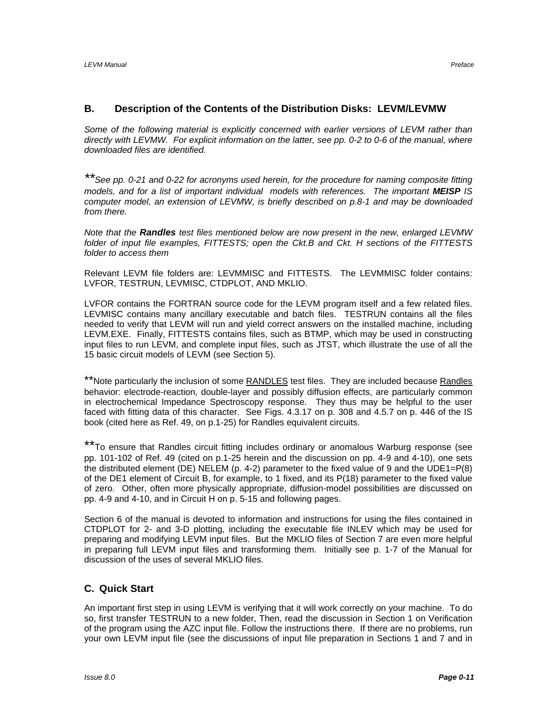# **B. Description of the Contents of the Distribution Disks: LEVM/LEVMW**

*Some of the following material is explicitly concerned with earlier versions of LEVM rather than directly with LEVMW. For explicit information on the latter, see pp. 0-2 to 0-6 of the manual, where downloaded files are identified.* 

*\*\*See pp. 0-21 and 0-22 for acronyms used herein, for the procedure for naming composite fitting models, and for a list of important individual models with references. The important MEISP IS computer model, an extension of LEVMW, is briefly described on p.8-1 and may be downloaded from there.* 

*Note that the Randles test files mentioned below are now present in the new, enlarged LEVMW folder of input file examples, FITTESTS; open the Ckt.B and Ckt. H sections of the FITTESTS folder to access them* 

Relevant LEVM file folders are: LEVMMISC and FITTESTS. The LEVMMISC folder contains: LVFOR, TESTRUN, LEVMISC, CTDPLOT, AND MKLIO.

LVFOR contains the FORTRAN source code for the LEVM program itself and a few related files. LEVMISC contains many ancillary executable and batch files. TESTRUN contains all the files needed to verify that LEVM will run and yield correct answers on the installed machine, including LEVM.EXE. Finally, FITTESTS contains files, such as BTMP, which may be used in constructing input files to run LEVM, and complete input files, such as JTST, which illustrate the use of all the 15 basic circuit models of LEVM (see Section 5).

\*\*Note particularly the inclusion of some **RANDLES** test files. They are included because Randles behavior: electrode-reaction, double-layer and possibly diffusion effects, are particularly common in electrochemical Impedance Spectroscopy response. They thus may be helpful to the user faced with fitting data of this character. See Figs. 4.3.17 on p. 308 and 4.5.7 on p. 446 of the IS book (cited here as Ref. 49, on p.1-25) for Randles equivalent circuits.

\*\*To ensure that Randles circuit fitting includes ordinary or anomalous Warburg response (see pp. 101-102 of Ref. 49 (cited on p.1-25 herein and the discussion on pp. 4-9 and 4-10), one sets the distributed element (DE) NELEM (p. 4-2) parameter to the fixed value of 9 and the UDE1=P(8) of the DE1 element of Circuit B, for example, to 1 fixed, and its P(18) parameter to the fixed value of zero. Other, often more physically appropriate, diffusion-model possibilities are discussed on pp. 4-9 and 4-10, and in Circuit H on p. 5-15 and following pages.

Section 6 of the manual is devoted to information and instructions for using the files contained in CTDPLOT for 2- and 3-D plotting, including the executable file INLEV which may be used for preparing and modifying LEVM input files. But the MKLIO files of Section 7 are even more helpful in preparing full LEVM input files and transforming them. Initially see p. 1-7 of the Manual for discussion of the uses of several MKLIO files.

# **C. Quick Start**

An important first step in using LEVM is verifying that it will work correctly on your machine. To do so, first transfer TESTRUN to a new folder, Then, read the discussion in Section 1 on Verification of the program using the AZC input file. Follow the instructions there. If there are no problems, run your own LEVM input file (see the discussions of input file preparation in Sections 1 and 7 and in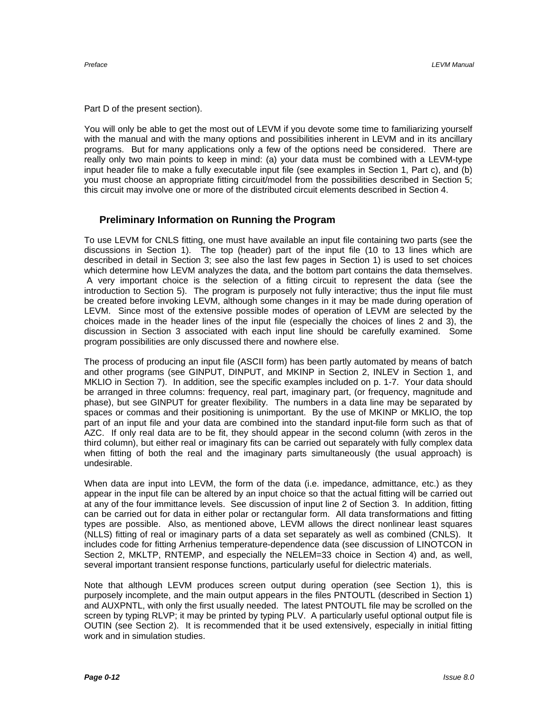Part D of the present section).

You will only be able to get the most out of LEVM if you devote some time to familiarizing yourself with the manual and with the many options and possibilities inherent in LEVM and in its ancillary programs. But for many applications only a few of the options need be considered. There are really only two main points to keep in mind: (a) your data must be combined with a LEVM-type input header file to make a fully executable input file (see examples in Section 1, Part c), and (b) you must choose an appropriate fitting circuit/model from the possibilities described in Section 5; this circuit may involve one or more of the distributed circuit elements described in Section 4.

# **Preliminary Information on Running the Program**

To use LEVM for CNLS fitting, one must have available an input file containing two parts (see the discussions in Section 1). The top (header) part of the input file (10 to 13 lines which are described in detail in Section 3; see also the last few pages in Section 1) is used to set choices which determine how LEVM analyzes the data, and the bottom part contains the data themselves. A very important choice is the selection of a fitting circuit to represent the data (see the introduction to Section 5). The program is purposely not fully interactive; thus the input file must be created before invoking LEVM, although some changes in it may be made during operation of LEVM. Since most of the extensive possible modes of operation of LEVM are selected by the choices made in the header lines of the input file (especially the choices of lines 2 and 3), the discussion in Section 3 associated with each input line should be carefully examined. Some program possibilities are only discussed there and nowhere else.

The process of producing an input file (ASCII form) has been partly automated by means of batch and other programs (see GINPUT, DINPUT, and MKINP in Section 2, INLEV in Section 1, and MKLIO in Section 7). In addition, see the specific examples included on p. 1-7. Your data should be arranged in three columns: frequency, real part, imaginary part, (or frequency, magnitude and phase), but see GINPUT for greater flexibility. The numbers in a data line may be separated by spaces or commas and their positioning is unimportant. By the use of MKINP or MKLIO, the top part of an input file and your data are combined into the standard input-file form such as that of AZC. If only real data are to be fit, they should appear in the second column (with zeros in the third column), but either real or imaginary fits can be carried out separately with fully complex data when fitting of both the real and the imaginary parts simultaneously (the usual approach) is undesirable.

When data are input into LEVM, the form of the data (i.e. impedance, admittance, etc.) as they appear in the input file can be altered by an input choice so that the actual fitting will be carried out at any of the four immittance levels. See discussion of input line 2 of Section 3. In addition, fitting can be carried out for data in either polar or rectangular form. All data transformations and fitting types are possible. Also, as mentioned above, LEVM allows the direct nonlinear least squares (NLLS) fitting of real or imaginary parts of a data set separately as well as combined (CNLS). It includes code for fitting Arrhenius temperature-dependence data (see discussion of LINOTCON in Section 2, MKLTP, RNTEMP, and especially the NELEM=33 choice in Section 4) and, as well, several important transient response functions, particularly useful for dielectric materials.

Note that although LEVM produces screen output during operation (see Section 1), this is purposely incomplete, and the main output appears in the files PNTOUTL (described in Section 1) and AUXPNTL, with only the first usually needed. The latest PNTOUTL file may be scrolled on the screen by typing RLVP; it may be printed by typing PLV. A particularly useful optional output file is OUTIN (see Section 2). It is recommended that it be used extensively, especially in initial fitting work and in simulation studies.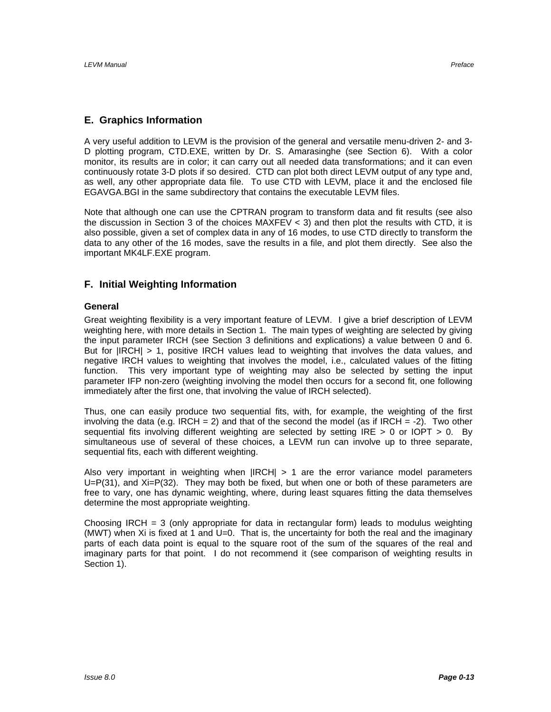# **E. Graphics Information**

A very useful addition to LEVM is the provision of the general and versatile menu-driven 2- and 3- D plotting program, CTD.EXE, written by Dr. S. Amarasinghe (see Section 6). With a color monitor, its results are in color; it can carry out all needed data transformations; and it can even continuously rotate 3-D plots if so desired. CTD can plot both direct LEVM output of any type and, as well, any other appropriate data file. To use CTD with LEVM, place it and the enclosed file EGAVGA.BGI in the same subdirectory that contains the executable LEVM files.

Note that although one can use the CPTRAN program to transform data and fit results (see also the discussion in Section 3 of the choices  $MAXFEV < 3$ ) and then plot the results with CTD, it is also possible, given a set of complex data in any of 16 modes, to use CTD directly to transform the data to any other of the 16 modes, save the results in a file, and plot them directly. See also the important MK4LF.EXE program.

# **F. Initial Weighting Information**

# **General**

Great weighting flexibility is a very important feature of LEVM. I give a brief description of LEVM weighting here, with more details in Section 1. The main types of weighting are selected by giving the input parameter IRCH (see Section 3 definitions and explications) a value between 0 and 6. But for |IRCH| > 1, positive IRCH values lead to weighting that involves the data values, and negative IRCH values to weighting that involves the model, i.e., calculated values of the fitting function. This very important type of weighting may also be selected by setting the input parameter IFP non-zero (weighting involving the model then occurs for a second fit, one following immediately after the first one, that involving the value of IRCH selected).

Thus, one can easily produce two sequential fits, with, for example, the weighting of the first involving the data (e.g. IRCH = 2) and that of the second the model (as if IRCH = -2). Two other sequential fits involving different weighting are selected by setting IRE  $> 0$  or IOPT  $> 0$ . By simultaneous use of several of these choices, a LEVM run can involve up to three separate, sequential fits, each with different weighting.

Also very important in weighting when  $|{\sf IRCH}| > 1$  are the error variance model parameters  $U=P(31)$ , and  $Xi=P(32)$ . They may both be fixed, but when one or both of these parameters are free to vary, one has dynamic weighting, where, during least squares fitting the data themselves determine the most appropriate weighting.

Choosing IRCH = 3 (only appropriate for data in rectangular form) leads to modulus weighting (MWT) when Xi is fixed at 1 and U=0. That is, the uncertainty for both the real and the imaginary parts of each data point is equal to the square root of the sum of the squares of the real and imaginary parts for that point. I do not recommend it (see comparison of weighting results in Section 1).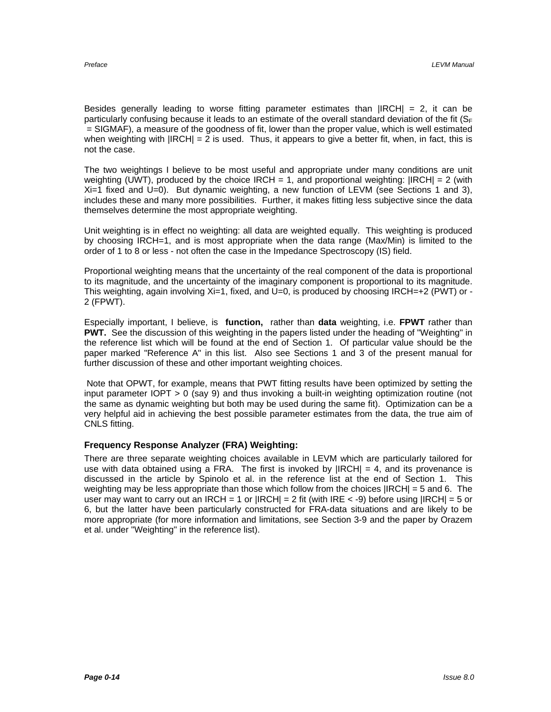Besides generally leading to worse fitting parameter estimates than  $|IRCH| = 2$ , it can be particularly confusing because it leads to an estimate of the overall standard deviation of the fit ( $S_F$  = SIGMAF), a measure of the goodness of fit, lower than the proper value, which is well estimated when weighting with  $|{\rm RCH}| = 2$  is used. Thus, it appears to give a better fit, when, in fact, this is not the case.

The two weightings I believe to be most useful and appropriate under many conditions are unit weighting (UWT), produced by the choice  $IRCH = 1$ , and proportional weighting:  $|IRCH| = 2$  (with  $Xi=1$  fixed and  $U=0$ ). But dynamic weighting, a new function of LEVM (see Sections 1 and 3), includes these and many more possibilities. Further, it makes fitting less subjective since the data themselves determine the most appropriate weighting.

Unit weighting is in effect no weighting: all data are weighted equally. This weighting is produced by choosing IRCH=1, and is most appropriate when the data range (Max/Min) is limited to the order of 1 to 8 or less - not often the case in the Impedance Spectroscopy (IS) field.

Proportional weighting means that the uncertainty of the real component of the data is proportional to its magnitude, and the uncertainty of the imaginary component is proportional to its magnitude. This weighting, again involving  $Xi=1$ , fixed, and  $U=0$ , is produced by choosing IRCH=+2 (PWT) or -2 (FPWT).

Especially important, I believe, is **function,** rather than **data** weighting, i.e. **FPWT** rather than **PWT.** See the discussion of this weighting in the papers listed under the heading of "Weighting" in the reference list which will be found at the end of Section 1. Of particular value should be the paper marked "Reference A" in this list. Also see Sections 1 and 3 of the present manual for further discussion of these and other important weighting choices.

 Note that OPWT, for example, means that PWT fitting results have been optimized by setting the input parameter IOPT > 0 (say 9) and thus invoking a built-in weighting optimization routine (not the same as dynamic weighting but both may be used during the same fit). Optimization can be a very helpful aid in achieving the best possible parameter estimates from the data, the true aim of CNLS fitting.

# **Frequency Response Analyzer (FRA) Weighting:**

There are three separate weighting choices available in LEVM which are particularly tailored for use with data obtained using a FRA. The first is invoked by  $|{\rm RCH}| = 4$ , and its provenance is discussed in the article by Spinolo et al. in the reference list at the end of Section 1. This weighting may be less appropriate than those which follow from the choices |IRCH| = 5 and 6. The user may want to carry out an IRCH = 1 or  $|{\rm IRCH}| = 2$  fit (with IRE < -9) before using  $|{\rm IRCH}| = 5$  or 6, but the latter have been particularly constructed for FRA-data situations and are likely to be more appropriate (for more information and limitations, see Section 3-9 and the paper by Orazem et al. under "Weighting" in the reference list).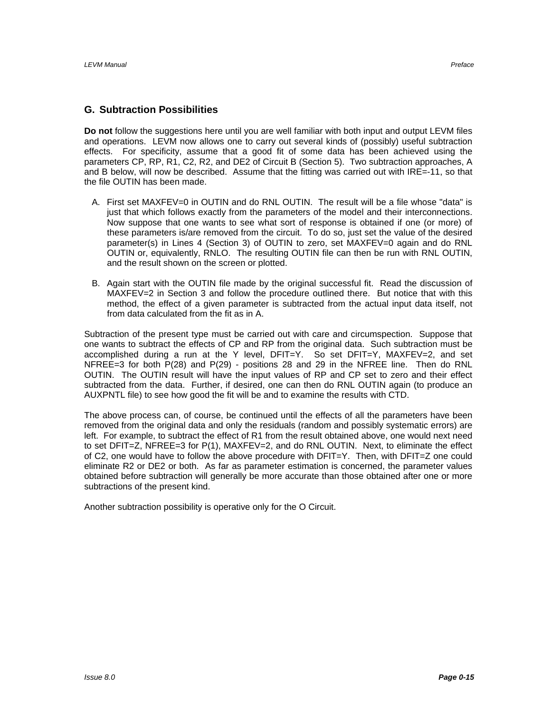# **G. Subtraction Possibilities**

**Do not** follow the suggestions here until you are well familiar with both input and output LEVM files and operations. LEVM now allows one to carry out several kinds of (possibly) useful subtraction effects. For specificity, assume that a good fit of some data has been achieved using the parameters CP, RP, R1, C2, R2, and DE2 of Circuit B (Section 5). Two subtraction approaches, A and B below, will now be described. Assume that the fitting was carried out with IRE=-11, so that the file OUTIN has been made.

- A. First set MAXFEV=0 in OUTIN and do RNL OUTIN. The result will be a file whose "data" is just that which follows exactly from the parameters of the model and their interconnections. Now suppose that one wants to see what sort of response is obtained if one (or more) of these parameters is/are removed from the circuit. To do so, just set the value of the desired parameter(s) in Lines 4 (Section 3) of OUTIN to zero, set MAXFEV=0 again and do RNL OUTIN or, equivalently, RNLO. The resulting OUTIN file can then be run with RNL OUTIN, and the result shown on the screen or plotted.
- B. Again start with the OUTIN file made by the original successful fit. Read the discussion of MAXFEV=2 in Section 3 and follow the procedure outlined there. But notice that with this method, the effect of a given parameter is subtracted from the actual input data itself, not from data calculated from the fit as in A.

Subtraction of the present type must be carried out with care and circumspection. Suppose that one wants to subtract the effects of CP and RP from the original data. Such subtraction must be accomplished during a run at the Y level, DFIT=Y. So set DFIT=Y, MAXFEV=2, and set NFREE=3 for both P(28) and P(29) - positions 28 and 29 in the NFREE line. Then do RNL OUTIN. The OUTIN result will have the input values of RP and CP set to zero and their effect subtracted from the data. Further, if desired, one can then do RNL OUTIN again (to produce an AUXPNTL file) to see how good the fit will be and to examine the results with CTD.

The above process can, of course, be continued until the effects of all the parameters have been removed from the original data and only the residuals (random and possibly systematic errors) are left. For example, to subtract the effect of R1 from the result obtained above, one would next need to set DFIT=Z, NFREE=3 for  $P(1)$ , MAXFEV=2, and do RNL OUTIN. Next, to eliminate the effect of C2, one would have to follow the above procedure with DFIT=Y. Then, with DFIT=Z one could eliminate R2 or DE2 or both. As far as parameter estimation is concerned, the parameter values obtained before subtraction will generally be more accurate than those obtained after one or more subtractions of the present kind.

Another subtraction possibility is operative only for the O Circuit.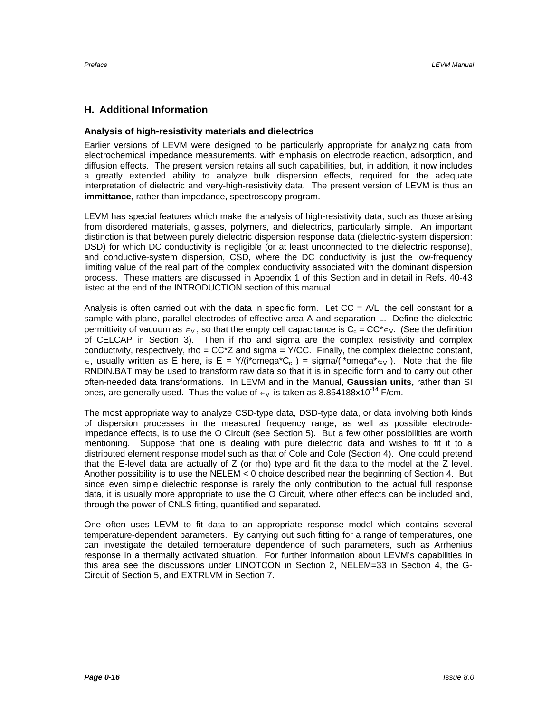# **H. Additional Information**

# **Analysis of high-resistivity materials and dielectrics**

Earlier versions of LEVM were designed to be particularly appropriate for analyzing data from electrochemical impedance measurements, with emphasis on electrode reaction, adsorption, and diffusion effects. The present version retains all such capabilities, but, in addition, it now includes a greatly extended ability to analyze bulk dispersion effects, required for the adequate interpretation of dielectric and very-high-resistivity data. The present version of LEVM is thus an **immittance**, rather than impedance, spectroscopy program.

LEVM has special features which make the analysis of high-resistivity data, such as those arising from disordered materials, glasses, polymers, and dielectrics, particularly simple. An important distinction is that between purely dielectric dispersion response data (dielectric-system dispersion: DSD) for which DC conductivity is negligible (or at least unconnected to the dielectric response), and conductive-system dispersion, CSD, where the DC conductivity is just the low-frequency limiting value of the real part of the complex conductivity associated with the dominant dispersion process. These matters are discussed in Appendix 1 of this Section and in detail in Refs. 40-43 listed at the end of the INTRODUCTION section of this manual.

Analysis is often carried out with the data in specific form. Let  $CC = A/L$ , the cell constant for a sample with plane, parallel electrodes of effective area A and separation L. Define the dielectric permittivity of vacuum as  $\epsilon_V$ , so that the empty cell capacitance is  $C_c = CC^* \epsilon_V$ . (See the definition of CELCAP in Section 3). Then if rho and sigma are the complex resistivity and complex conductivity, respectively, rho =  $CC^*Z$  and sigma =  $Y/CC$ . Finally, the complex dielectric constant,  $\epsilon$ , usually written as E here, is E = Y/(i\*omega\*C<sub>c</sub>) = sigma/(i\*omega\* $\epsilon$ <sub>V</sub>). Note that the file RNDIN.BAT may be used to transform raw data so that it is in specific form and to carry out other often-needed data transformations. In LEVM and in the Manual, **Gaussian units,** rather than SI ones, are generally used. Thus the value of  $\epsilon$  is taken as 8.854188x10<sup>-14</sup> F/cm.

The most appropriate way to analyze CSD-type data, DSD-type data, or data involving both kinds of dispersion processes in the measured frequency range, as well as possible electrodeimpedance effects, is to use the O Circuit (see Section 5). But a few other possibilities are worth mentioning. Suppose that one is dealing with pure dielectric data and wishes to fit it to a distributed element response model such as that of Cole and Cole (Section 4). One could pretend that the E-level data are actually of Z (or rho) type and fit the data to the model at the Z level. Another possibility is to use the NELEM < 0 choice described near the beginning of Section 4. But since even simple dielectric response is rarely the only contribution to the actual full response data, it is usually more appropriate to use the O Circuit, where other effects can be included and, through the power of CNLS fitting, quantified and separated.

One often uses LEVM to fit data to an appropriate response model which contains several temperature-dependent parameters. By carrying out such fitting for a range of temperatures, one can investigate the detailed temperature dependence of such parameters, such as Arrhenius response in a thermally activated situation. For further information about LEVM's capabilities in this area see the discussions under LINOTCON in Section 2, NELEM=33 in Section 4, the G-Circuit of Section 5, and EXTRLVM in Section 7.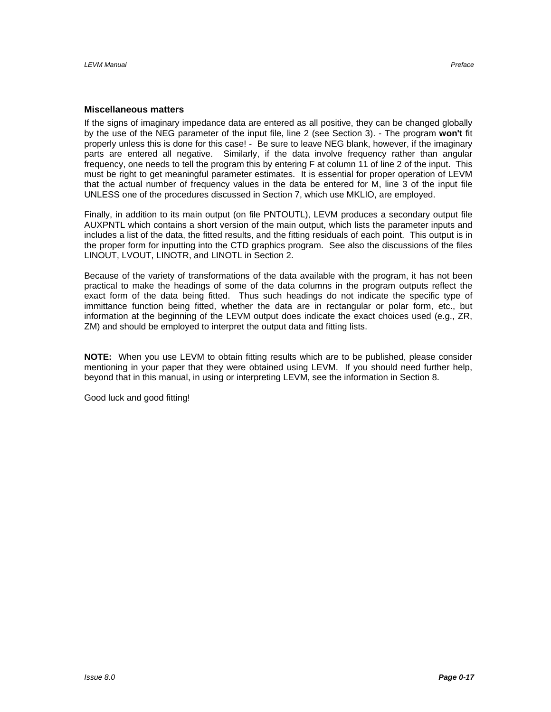#### **Miscellaneous matters**

If the signs of imaginary impedance data are entered as all positive, they can be changed globally by the use of the NEG parameter of the input file, line 2 (see Section 3). - The program **won't** fit properly unless this is done for this case! - Be sure to leave NEG blank, however, if the imaginary parts are entered all negative. Similarly, if the data involve frequency rather than angular frequency, one needs to tell the program this by entering F at column 11 of line 2 of the input. This must be right to get meaningful parameter estimates. It is essential for proper operation of LEVM that the actual number of frequency values in the data be entered for M, line 3 of the input file UNLESS one of the procedures discussed in Section 7, which use MKLIO, are employed.

Finally, in addition to its main output (on file PNTOUTL), LEVM produces a secondary output file AUXPNTL which contains a short version of the main output, which lists the parameter inputs and includes a list of the data, the fitted results, and the fitting residuals of each point. This output is in the proper form for inputting into the CTD graphics program. See also the discussions of the files LINOUT, LVOUT, LINOTR, and LINOTL in Section 2.

Because of the variety of transformations of the data available with the program, it has not been practical to make the headings of some of the data columns in the program outputs reflect the exact form of the data being fitted. Thus such headings do not indicate the specific type of immittance function being fitted, whether the data are in rectangular or polar form, etc., but information at the beginning of the LEVM output does indicate the exact choices used (e.g., ZR, ZM) and should be employed to interpret the output data and fitting lists.

**NOTE:** When you use LEVM to obtain fitting results which are to be published, please consider mentioning in your paper that they were obtained using LEVM. If you should need further help, beyond that in this manual, in using or interpreting LEVM, see the information in Section 8.

Good luck and good fitting!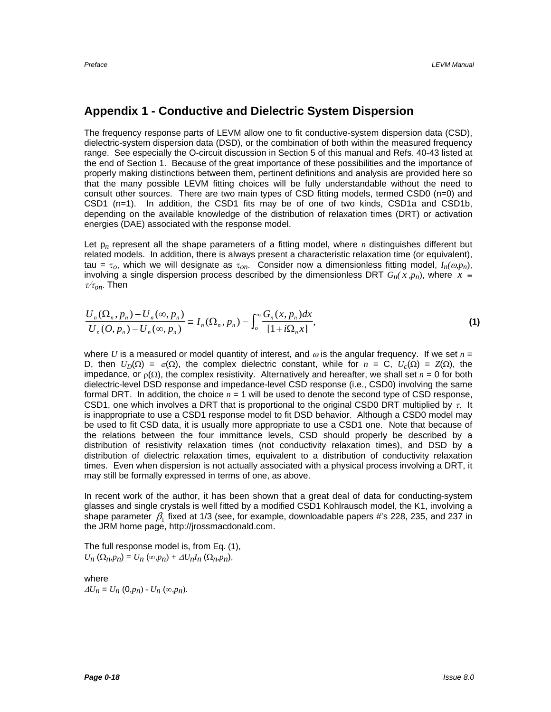# **Appendix 1 - Conductive and Dielectric System Dispersion**

The frequency response parts of LEVM allow one to fit conductive-system dispersion data (CSD), dielectric-system dispersion data (DSD), or the combination of both within the measured frequency range. See especially the O-circuit discussion in Section 5 of this manual and Refs. 40-43 listed at the end of Section 1. Because of the great importance of these possibilities and the importance of properly making distinctions between them, pertinent definitions and analysis are provided here so that the many possible LEVM fitting choices will be fully understandable without the need to consult other sources. There are two main types of CSD fitting models, termed CSD0 (n=0) and CSD1 (n=1). In addition, the CSD1 fits may be of one of two kinds, CSD1a and CSD1b, depending on the available knowledge of the distribution of relaxation times (DRT) or activation energies (DAE) associated with the response model.

Let p*n* represent all the shape parameters of a fitting model, where *n* distinguishes different but related models. In addition, there is always present a characteristic relaxation time (or equivalent), tau =  $\tau_o$ , which we will designate as  $\tau_{on}$ . Consider now a dimensionless fitting model,  $I_n(\omega p_n)$ , involving a single dispersion process described by the dimensionless DRT  $G_n(x, p_n)$ , where  $x =$  $\tau/\tau_{on}$ . Then

$$
\frac{U_n(\Omega_n, p_n) - U_n(\infty, p_n)}{U_n(O, p_n) - U_n(\infty, p_n)} \equiv I_n(\Omega_n, p_n) = \int_0^\infty \frac{G_n(x, p_n) dx}{[1 + i\Omega_n x]},
$$
\n(1)

where U is a measured or model quantity of interest, and  $\omega$  is the angular frequency. If we set  $n =$ D, then  $U_D(\Omega) = \epsilon(\Omega)$ , the complex dielectric constant, while for  $n = C$ ,  $U_C(\Omega) = Z(\Omega)$ , the impedance, or  $\rho(\Omega)$ , the complex resistivity. Alternatively and hereafter, we shall set  $n = 0$  for both dielectric-level DSD response and impedance-level CSD response (i.e., CSD0) involving the same formal DRT. In addition, the choice  $n = 1$  will be used to denote the second type of CSD response, CSD1, one which involves a DRT that is proportional to the original CSD0 DRT multiplied by  $\tau$ . It is inappropriate to use a CSD1 response model to fit DSD behavior. Although a CSD0 model may be used to fit CSD data, it is usually more appropriate to use a CSD1 one. Note that because of the relations between the four immittance levels, CSD should properly be described by a distribution of resistivity relaxation times (not conductivity relaxation times), and DSD by a distribution of dielectric relaxation times, equivalent to a distribution of conductivity relaxation times. Even when dispersion is not actually associated with a physical process involving a DRT, it may still be formally expressed in terms of one, as above.

In recent work of the author, it has been shown that a great deal of data for conducting-system glasses and single crystals is well fitted by a modified CSD1 Kohlrausch model, the K1, involving a shape parameter  $\beta_1$  fixed at 1/3 (see, for example, downloadable papers #'s 228, 235, and 237 in the JRM home page, http://jrossmacdonald.com.

The full response model is, from Eq. (1),  $U_n(\Omega_n, p_n) = U_n(\infty, p_n) + \Delta U_n I_n(\Omega_n, p_n),$ 

where  $\Delta U_n = U_n (0, p_n) - U_n (\infty, p_n).$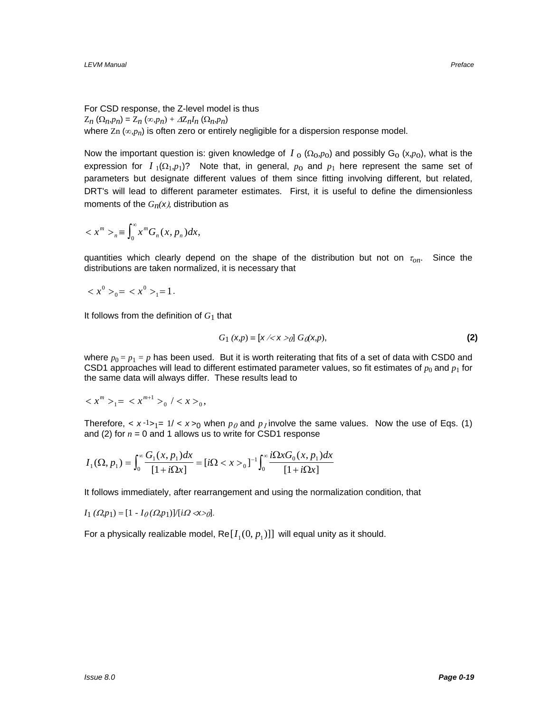For CSD response, the Z-level model is thus  $Z_n$  ( $\Omega_n, p_n$ ) =  $Z_n$  ( $\infty, p_n$ ) +  $\Delta Z_n I_n$  ( $\Omega_n, p_n$ ) where  $\text{Zn}$  ( $\infty$ , $p_n$ ) is often zero or entirely negligible for a dispersion response model.

Now the important question is: given knowledge of  $I_0$  ( $\Omega_0$ ,  $p_0$ ) and possibly  $G_0$  (x,  $p_0$ ), what is the expression for  $I_1(\Omega_1,p_1)$ ? Note that, in general,  $p_0$  and  $p_1$  here represent the same set of parameters but designate different values of them since fitting involving different, but related, DRT's will lead to different parameter estimates. First, it is useful to define the dimensionless moments of the  $G_n(x)$ , distribution as

$$
\langle x^m\rangle_n \equiv \int_0^\infty x^m G_n(x, p_n) dx,
$$

quantities which clearly depend on the shape of the distribution but not on  $\tau_{on}$ . Since the distributions are taken normalized, it is necessary that

 $\langle x^0 \rangle_0 = \langle x^0 \rangle_1 = 1.$ 

It follows from the definition of *G*1 that

$$
G_1(x,p) \equiv [x \angle x >_0] G_0(x,p), \tag{2}
$$

where  $p_0 = p_1 = p$  has been used. But it is worth reiterating that fits of a set of data with CSD0 and CSD1 approaches will lead to different estimated parameter values, so fit estimates of  $p_0$  and  $p_1$  for the same data will always differ. These results lead to

$$
\langle x^m \rangle_1 = \langle x^{m+1} \rangle_0 / \langle x \rangle_0,
$$

Therefore,  $\langle x^1 \rangle = 1 / \langle x \rangle$  when  $p_\theta$  and  $p_i$  involve the same values. Now the use of Eqs. (1) and (2) for  $n = 0$  and 1 allows us to write for CSD1 response

$$
I_1(\Omega, p_1) = \int_0^\infty \frac{G_1(x, p_1)dx}{[1 + i\Omega x]} = [i\Omega < x >_0]^{-1} \int_0^\infty \frac{i\Omega x G_0(x, p_1)dx}{[1 + i\Omega x]}
$$

It follows immediately, after rearrangement and using the normalization condition, that

$$
I_1 (\Omega p_1) = [1 - I_0 (\Omega p_1)] / [i\Omega \ll \gg_0].
$$

For a physically realizable model,  $\text{Re}[I_1(0, p_1)]$  will equal unity as it should.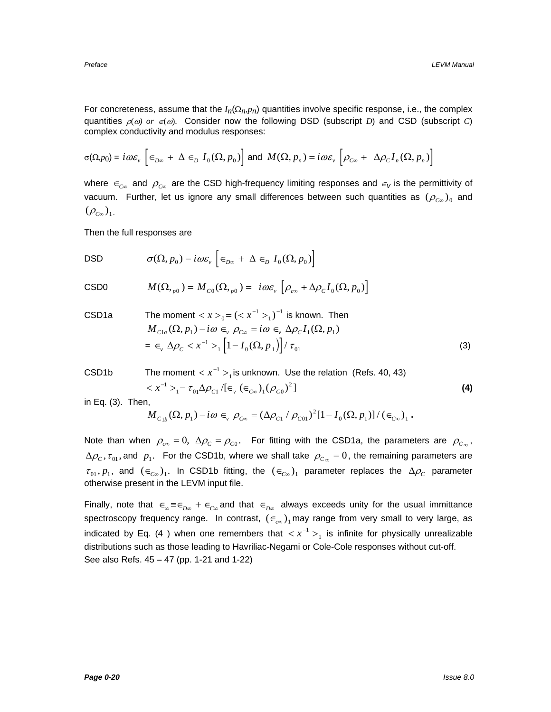For concreteness, assume that the  $I_n(\Omega_n, p_n)$  quantities involve specific response, i.e., the complex quantities  $\rho(\omega)$  or  $\epsilon(\omega)$ . Consider now the following DSD (subscript *D*) and CSD (subscript *C*) complex conductivity and modulus responses:

$$
\sigma(\Omega, p_0) = i\omega \varepsilon_v \left[ \varepsilon_{D\infty} + \Delta \varepsilon_D I_0(\Omega, p_0) \right] \text{ and } M(\Omega, p_n) = i\omega \varepsilon_v \left[ \rho_{C\infty} + \Delta \rho_C I_n(\Omega, p_n) \right]
$$

where  $\epsilon_{c_{\infty}}$  and  $\rho_{c_{\infty}}$  are the CSD high-frequency limiting responses and  $\epsilon_{V}$  is the permittivity of vacuum. Further, let us ignore any small differences between such quantities as  $(\rho_{C\infty})_0$  and  $(\rho_{C\infty})$ <sub>1</sub>.

Then the full responses are

$$
\text{PSD} \qquad \sigma(\Omega, p_0) = i\omega \varepsilon_{v} \left[ \varepsilon_{D\infty} + \Delta \varepsilon_{D} I_0(\Omega, p_0) \right]
$$

CSD0 
$$
M(\Omega_{p0}) = M_{C0}(\Omega_{p0}) = i\omega \varepsilon_{v} \left[ \rho_{c\infty} + \Delta \rho_{C} I_{0}(\Omega, p_{0}) \right]
$$

CSD1a The moment 
$$
\langle x \rangle_0 = (\langle x^{-1} \rangle_1)^{-1}
$$
 is known. Then  
\n
$$
M_{C1a}(\Omega, p_1) - i\omega \in_{\mathcal{V}} \rho_{C\infty} = i\omega \in_{\mathcal{V}} \Delta \rho_c I_1(\Omega, p_1)
$$
\n
$$
= \epsilon_{\mathcal{V}} \Delta \rho_c \langle x^{-1} \rangle_1 \left[1 - I_0(\Omega, p_1)\right] / \tau_{01} \tag{3}
$$

CSD1b The moment 
$$
\langle x^{-1} \rangle_1
$$
 is unknown. Use the relation (Refs. 40, 43)  
 $\langle x^{-1} \rangle_1 = \tau_{01} \Delta \rho_{C1} / [\epsilon_{v} (\epsilon_{C\infty})_1 (\rho_{C0})^2]$  (4)

in Eq. (3). Then,

$$
M_{C_{1b}}(\Omega, p_1) - i\omega \in_{\nu} \rho_{C_{\infty}} = (\Delta \rho_{C1} / \rho_{C01})^2 [1 - I_0(\Omega, p_1)] / (\epsilon_{C_{\infty}})_1.
$$

Note than when  $\rho_{\text{co}} = 0$ ,  $\Delta \rho_{\text{C}} = \rho_{\text{co}}$ . For fitting with the CSD1a, the parameters are  $\rho_{\text{Co}}$ ,  $\Delta \rho_c$ ,  $\tau_{01}$ , and  $p_1$ . For the CSD1b, where we shall take  $\rho_{c_{\infty}} = 0$ , the remaining parameters are  $\tau_{01}, p_1$ , and  $(\epsilon_{\text{C}_\infty})_1$ . In CSD1b fitting, the  $(\epsilon_{\text{C}_\infty})_1$  parameter replaces the  $\Delta \rho_c$  parameter otherwise present in the LEVM input file.

Finally, note that  $\epsilon_{\infty} = \epsilon_{D\infty} + \epsilon_{C\infty}$  and that  $\epsilon_{D\infty}$  always exceeds unity for the usual immittance spectroscopy frequency range. In contrast,  $(\epsilon_{\infty})_1$  may range from very small to very large, as indicated by Eq. (4) when one remembers that  $x^{-1}$   $>1$  is infinite for physically unrealizable distributions such as those leading to Havriliac-Negami or Cole-Cole responses without cut-off. See also Refs. 45 – 47 (pp. 1-21 and 1-22)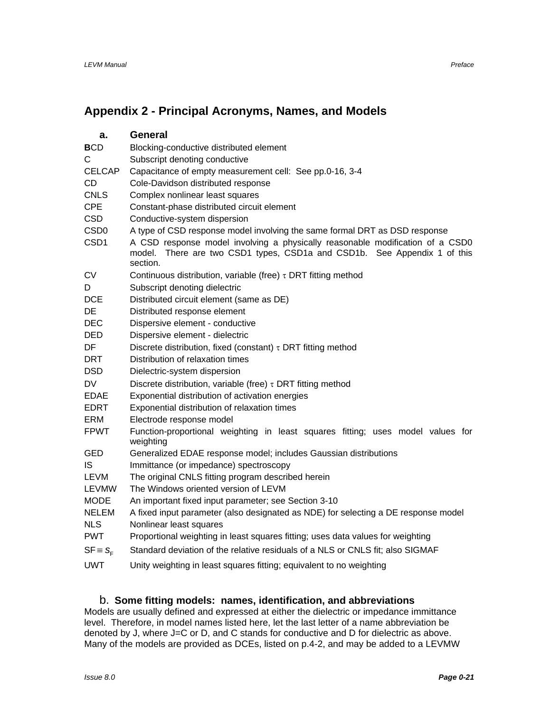# **Appendix 2 - Principal Acronyms, Names, and Models**

| a.               | <b>General</b>                                                                                                                                                           |  |  |  |  |
|------------------|--------------------------------------------------------------------------------------------------------------------------------------------------------------------------|--|--|--|--|
| <b>BCD</b>       | Blocking-conductive distributed element                                                                                                                                  |  |  |  |  |
| С                | Subscript denoting conductive                                                                                                                                            |  |  |  |  |
| <b>CELCAP</b>    | Capacitance of empty measurement cell: See pp.0-16, 3-4                                                                                                                  |  |  |  |  |
| CD               | Cole-Davidson distributed response                                                                                                                                       |  |  |  |  |
| <b>CNLS</b>      | Complex nonlinear least squares                                                                                                                                          |  |  |  |  |
| <b>CPE</b>       | Constant-phase distributed circuit element                                                                                                                               |  |  |  |  |
| <b>CSD</b>       | Conductive-system dispersion                                                                                                                                             |  |  |  |  |
| CSD <sub>0</sub> | A type of CSD response model involving the same formal DRT as DSD response                                                                                               |  |  |  |  |
| CSD1             | A CSD response model involving a physically reasonable modification of a CSD0<br>There are two CSD1 types, CSD1a and CSD1b. See Appendix 1 of this<br>model.<br>section. |  |  |  |  |
| <b>CV</b>        | Continuous distribution, variable (free) $\tau$ DRT fitting method                                                                                                       |  |  |  |  |
| D                | Subscript denoting dielectric                                                                                                                                            |  |  |  |  |
| <b>DCE</b>       | Distributed circuit element (same as DE)                                                                                                                                 |  |  |  |  |
| DE               | Distributed response element                                                                                                                                             |  |  |  |  |
| <b>DEC</b>       | Dispersive element - conductive                                                                                                                                          |  |  |  |  |
| <b>DED</b>       | Dispersive element - dielectric                                                                                                                                          |  |  |  |  |
| DF               | Discrete distribution, fixed (constant) $\tau$ DRT fitting method                                                                                                        |  |  |  |  |
| DRT              | Distribution of relaxation times                                                                                                                                         |  |  |  |  |
| <b>DSD</b>       | Dielectric-system dispersion                                                                                                                                             |  |  |  |  |
| DV               | Discrete distribution, variable (free) $\tau$ DRT fitting method                                                                                                         |  |  |  |  |
| EDAE             | Exponential distribution of activation energies                                                                                                                          |  |  |  |  |
| EDRT             | Exponential distribution of relaxation times                                                                                                                             |  |  |  |  |
| ERM              | Electrode response model                                                                                                                                                 |  |  |  |  |
| <b>FPWT</b>      | Function-proportional weighting in least squares fitting; uses model values for<br>weighting                                                                             |  |  |  |  |
| GED              | Generalized EDAE response model; includes Gaussian distributions                                                                                                         |  |  |  |  |
| IS               | Immittance (or impedance) spectroscopy                                                                                                                                   |  |  |  |  |
| <b>LEVM</b>      | The original CNLS fitting program described herein                                                                                                                       |  |  |  |  |
| <b>LEVMW</b>     | The Windows oriented version of LEVM                                                                                                                                     |  |  |  |  |
| <b>MODE</b>      | An important fixed input parameter; see Section 3-10                                                                                                                     |  |  |  |  |
| <b>NELEM</b>     | A fixed input parameter (also designated as NDE) for selecting a DE response model                                                                                       |  |  |  |  |
| <b>NLS</b>       | Nonlinear least squares                                                                                                                                                  |  |  |  |  |
| <b>PWT</b>       | Proportional weighting in least squares fitting; uses data values for weighting                                                                                          |  |  |  |  |
| $SF \equiv S_F$  | Standard deviation of the relative residuals of a NLS or CNLS fit; also SIGMAF                                                                                           |  |  |  |  |
| <b>UWT</b>       | Unity weighting in least squares fitting; equivalent to no weighting                                                                                                     |  |  |  |  |

# b. **Some fitting models: names, identification, and abbreviations**

Models are usually defined and expressed at either the dielectric or impedance immittance level. Therefore, in model names listed here, let the last letter of a name abbreviation be denoted by J, where J=C or D, and C stands for conductive and D for dielectric as above. Many of the models are provided as DCEs, listed on p.4-2, and may be added to a LEVMW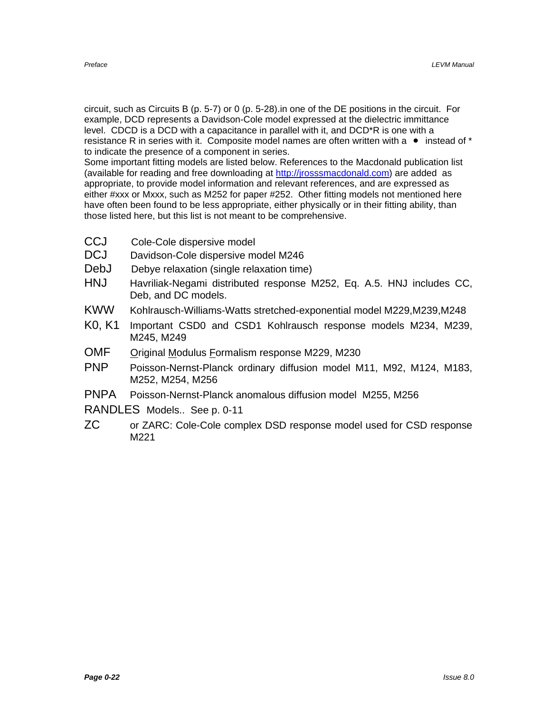circuit, such as Circuits B (p. 5-7) or 0 (p. 5-28).in one of the DE positions in the circuit. For example, DCD represents a Davidson-Cole model expressed at the dielectric immittance level. CDCD is a DCD with a capacitance in parallel with it, and DCD\*R is one with a resistance R in series with it. Composite model names are often written with a  $\bullet$  instead of  $^*$ to indicate the presence of a component in series.

Some important fitting models are listed below. References to the Macdonald publication list (available for reading and free downloading at http://jrosssmacdonald.com) are added as appropriate, to provide model information and relevant references, and are expressed as either #xxx or Mxxx, such as M252 for paper #252. Other fitting models not mentioned here have often been found to be less appropriate, either physically or in their fitting ability, than those listed here, but this list is not meant to be comprehensive.

- CCJ Cole-Cole dispersive model
- DCJ Davidson-Cole dispersive model M246
- DebJ Debye relaxation (single relaxation time)
- HNJ Havriliak-Negami distributed response M252, Eq. A.5. HNJ includes CC, Deb, and DC models.
- KWW Kohlrausch-Williams-Watts stretched-exponential model M229,M239,M248
- K0, K1 Important CSD0 and CSD1 Kohlrausch response models M234, M239, M245, M249
- OMF Original Modulus Formalism response M229, M230
- PNP Poisson-Nernst-Planck ordinary diffusion model M11, M92, M124, M183, M252, M254, M256
- PNPA Poisson-Nernst-Planck anomalous diffusion model M255, M256

RANDLES Models.. See p. 0-11

ZC or ZARC: Cole-Cole complex DSD response model used for CSD response M221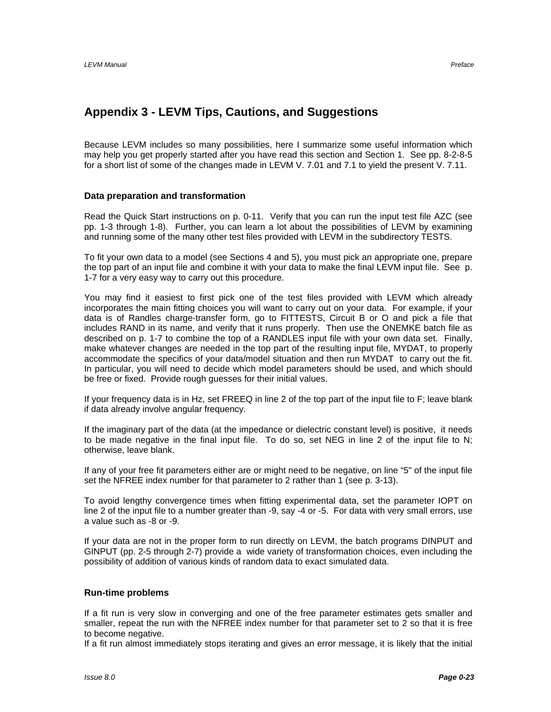# **Appendix 3 - LEVM Tips, Cautions, and Suggestions**

Because LEVM includes so many possibilities, here I summarize some useful information which may help you get properly started after you have read this section and Section 1. See pp. 8-2-8-5 for a short list of some of the changes made in LEVM V. 7.01 and 7.1 to yield the present V. 7.11.

### **Data preparation and transformation**

Read the Quick Start instructions on p. 0-11. Verify that you can run the input test file AZC (see pp. 1-3 through 1-8). Further, you can learn a lot about the possibilities of LEVM by examining and running some of the many other test files provided with LEVM in the subdirectory TESTS.

To fit your own data to a model (see Sections 4 and 5), you must pick an appropriate one, prepare the top part of an input file and combine it with your data to make the final LEVM input file. See p. 1-7 for a very easy way to carry out this procedure.

You may find it easiest to first pick one of the test files provided with LEVM which already incorporates the main fitting choices you will want to carry out on your data. For example, if your data is of Randles charge-transfer form, go to FITTESTS, Circuit B or O and pick a file that includes RAND in its name, and verify that it runs properly. Then use the ONEMKE batch file as described on p. 1-7 to combine the top of a RANDLES input file with your own data set. Finally, make whatever changes are needed in the top part of the resulting input file, MYDAT, to properly accommodate the specifics of your data/model situation and then run MYDAT to carry out the fit. In particular, you will need to decide which model parameters should be used, and which should be free or fixed. Provide rough guesses for their initial values.

If your frequency data is in Hz, set FREEQ in line 2 of the top part of the input file to F; leave blank if data already involve angular frequency.

If the imaginary part of the data (at the impedance or dielectric constant level) is positive, it needs to be made negative in the final input file. To do so, set NEG in line 2 of the input file to N; otherwise, leave blank.

If any of your free fit parameters either are or might need to be negative, on line "5" of the input file set the NFREE index number for that parameter to 2 rather than 1 (see p. 3-13).

To avoid lengthy convergence times when fitting experimental data, set the parameter IOPT on line 2 of the input file to a number greater than -9, say -4 or -5. For data with very small errors, use a value such as -8 or -9.

If your data are not in the proper form to run directly on LEVM, the batch programs DINPUT and GINPUT (pp. 2-5 through 2-7) provide a wide variety of transformation choices, even including the possibility of addition of various kinds of random data to exact simulated data.

#### **Run-time problems**

If a fit run is very slow in converging and one of the free parameter estimates gets smaller and smaller, repeat the run with the NFREE index number for that parameter set to 2 so that it is free to become negative.

If a fit run almost immediately stops iterating and gives an error message, it is likely that the initial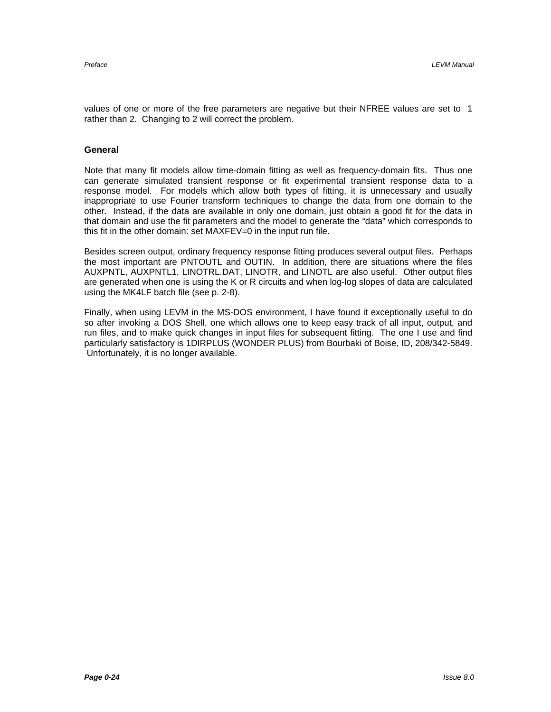values of one or more of the free parameters are negative but their NFREE values are set to 1 rather than 2. Changing to 2 will correct the problem.

#### **General**

Note that many fit models allow time-domain fitting as well as frequency-domain fits. Thus one can generate simulated transient response or fit experimental transient response data to a response model. For models which allow both types of fitting, it is unnecessary and usually inappropriate to use Fourier transform techniques to change the data from one domain to the other. Instead, if the data are available in only one domain, just obtain a good fit for the data in that domain and use the fit parameters and the model to generate the "data" which corresponds to this fit in the other domain: set MAXFEV=0 in the input run file.

Besides screen output, ordinary frequency response fitting produces several output files. Perhaps the most important are PNTOUTL and OUTIN. In addition, there are situations where the files AUXPNTL, AUXPNTL1, LINOTRL.DAT, LINOTR, and LINOTL are also useful. Other output files are generated when one is using the K or R circuits and when log-log slopes of data are calculated using the MK4LF batch file (see p. 2-8).

Finally, when using LEVM in the MS-DOS environment, I have found it exceptionally useful to do so after invoking a DOS Shell, one which allows one to keep easy track of all input, output, and run files, and to make quick changes in input files for subsequent fitting. The one I use and find particularly satisfactory is 1DIRPLUS (WONDER PLUS) from Bourbaki of Boise, ID, 208/342-5849. Unfortunately, it is no longer available.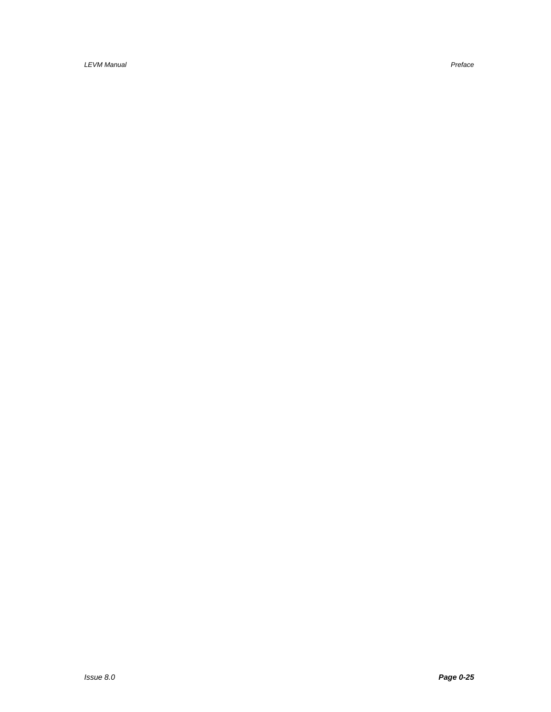*LEVM Manual Preface*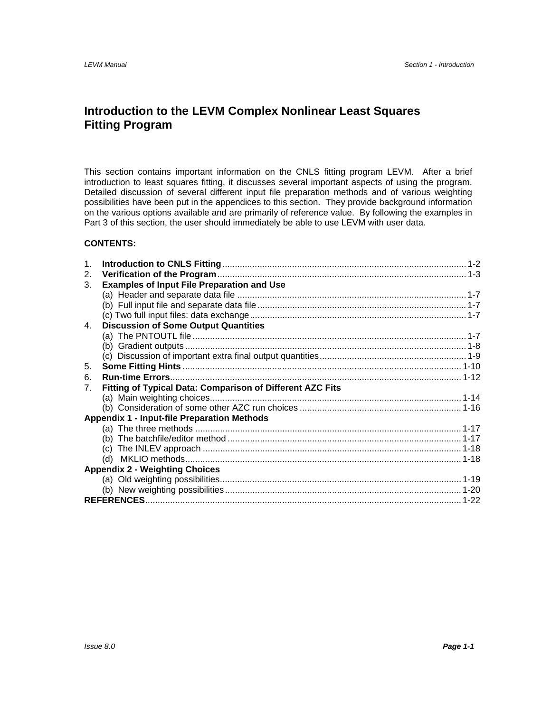# **Introduction to the LEVM Complex Nonlinear Least Squares Fitting Program**

This section contains important information on the CNLS fitting program LEVM. After a brief introduction to least squares fitting, it discusses several important aspects of using the program. Detailed discussion of several different input file preparation methods and of various weighting possibilities have been put in the appendices to this section. They provide background information on the various options available and are primarily of reference value. By following the examples in Part 3 of this section, the user should immediately be able to use LEVM with user data.

# **CONTENTS:**

| 1 <sub>1</sub> |                                                                  |  |
|----------------|------------------------------------------------------------------|--|
| 2.             |                                                                  |  |
| 3.             | <b>Examples of Input File Preparation and Use</b>                |  |
|                |                                                                  |  |
|                |                                                                  |  |
|                |                                                                  |  |
| 4.             | <b>Discussion of Some Output Quantities</b>                      |  |
|                |                                                                  |  |
|                |                                                                  |  |
|                |                                                                  |  |
| 5.             |                                                                  |  |
| 6.             |                                                                  |  |
| 7.             | <b>Fitting of Typical Data: Comparison of Different AZC Fits</b> |  |
|                |                                                                  |  |
|                |                                                                  |  |
|                |                                                                  |  |
|                | <b>Appendix 1 - Input-file Preparation Methods</b>               |  |
|                |                                                                  |  |
|                |                                                                  |  |
|                |                                                                  |  |
|                |                                                                  |  |
|                | <b>Appendix 2 - Weighting Choices</b>                            |  |
|                |                                                                  |  |
|                |                                                                  |  |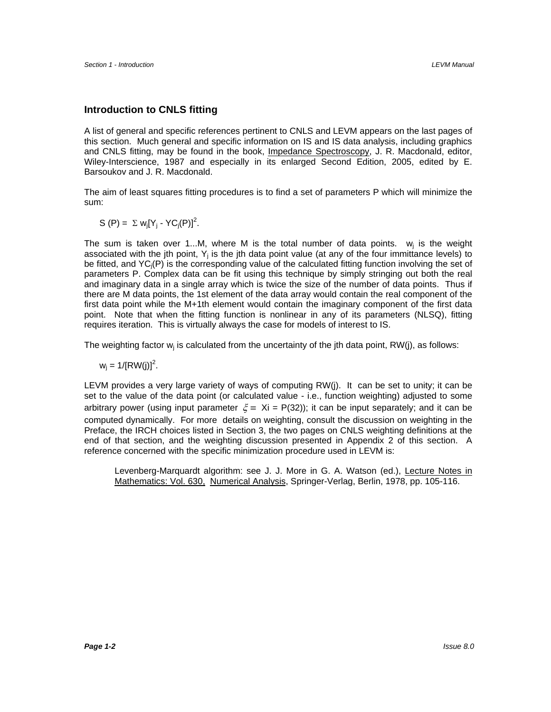# **Introduction to CNLS fitting**

A list of general and specific references pertinent to CNLS and LEVM appears on the last pages of this section. Much general and specific information on IS and IS data analysis, including graphics and CNLS fitting, may be found in the book, Impedance Spectroscopy, J. R. Macdonald, editor, Wiley-Interscience, 1987 and especially in its enlarged Second Edition, 2005, edited by E. Barsoukov and J. R. Macdonald.

The aim of least squares fitting procedures is to find a set of parameters P which will minimize the sum:

S (P) =  $\Sigma$  w<sub>j</sub>[Y<sub>j</sub> - YC<sub>j</sub>(P)]<sup>2</sup>.

The sum is taken over 1...M, where M is the total number of data points.  $w_i$  is the weight associated with the jth point,  $Y_i$  is the jth data point value (at any of the four immittance levels) to be fitted, and  $YC_i(P)$  is the corresponding value of the calculated fitting function involving the set of parameters P. Complex data can be fit using this technique by simply stringing out both the real and imaginary data in a single array which is twice the size of the number of data points. Thus if there are M data points, the 1st element of the data array would contain the real component of the first data point while the M+1th element would contain the imaginary component of the first data point. Note that when the fitting function is nonlinear in any of its parameters (NLSQ), fitting requires iteration. This is virtually always the case for models of interest to IS.

The weighting factor  $w_i$  is calculated from the uncertainty of the jth data point, RW(j), as follows:

 $w_i = 1/[RW(j)]^2$ .

LEVM provides a very large variety of ways of computing RW(j). It can be set to unity; it can be set to the value of the data point (or calculated value - i.e., function weighting) adjusted to some arbitrary power (using input parameter  $\zeta = Xi = P(32)$ ); it can be input separately; and it can be computed dynamically. For more details on weighting, consult the discussion on weighting in the Preface, the IRCH choices listed in Section 3, the two pages on CNLS weighting definitions at the end of that section, and the weighting discussion presented in Appendix 2 of this section. A reference concerned with the specific minimization procedure used in LEVM is:

Levenberg-Marquardt algorithm: see J. J. More in G. A. Watson (ed.), Lecture Notes in Mathematics: Vol. 630, Numerical Analysis, Springer-Verlag, Berlin, 1978, pp. 105-116.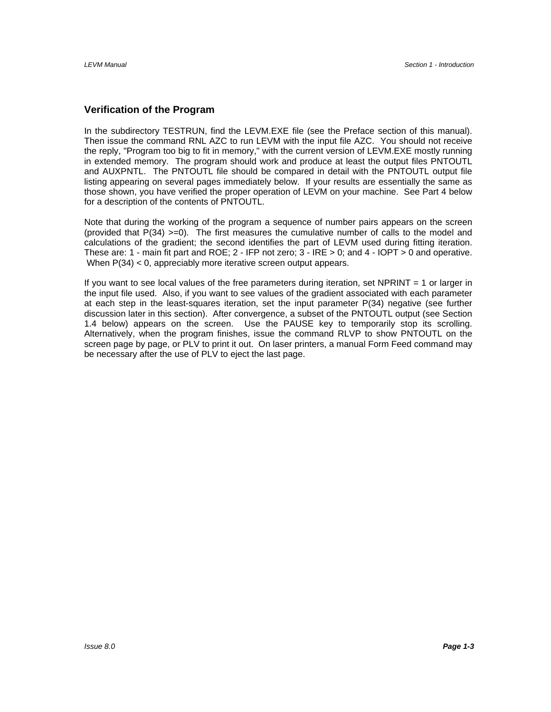# **Verification of the Program**

In the subdirectory TESTRUN, find the LEVM.EXE file (see the Preface section of this manual). Then issue the command RNL AZC to run LEVM with the input file AZC. You should not receive the reply, "Program too big to fit in memory," with the current version of LEVM.EXE mostly running in extended memory. The program should work and produce at least the output files PNTOUTL and AUXPNTL. The PNTOUTL file should be compared in detail with the PNTOUTL output file listing appearing on several pages immediately below. If your results are essentially the same as those shown, you have verified the proper operation of LEVM on your machine. See Part 4 below for a description of the contents of PNTOUTL.

Note that during the working of the program a sequence of number pairs appears on the screen (provided that  $P(34)$   $>=$ 0). The first measures the cumulative number of calls to the model and calculations of the gradient; the second identifies the part of LEVM used during fitting iteration. These are: 1 - main fit part and ROE; 2 - IFP not zero; 3 - IRE > 0; and 4 - IOPT > 0 and operative. When P(34) < 0, appreciably more iterative screen output appears.

If you want to see local values of the free parameters during iteration, set NPRINT = 1 or larger in the input file used. Also, if you want to see values of the gradient associated with each parameter at each step in the least-squares iteration, set the input parameter P(34) negative (see further discussion later in this section). After convergence, a subset of the PNTOUTL output (see Section 1.4 below) appears on the screen. Use the PAUSE key to temporarily stop its scrolling. Alternatively, when the program finishes, issue the command RLVP to show PNTOUTL on the screen page by page, or PLV to print it out. On laser printers, a manual Form Feed command may be necessary after the use of PLV to eject the last page.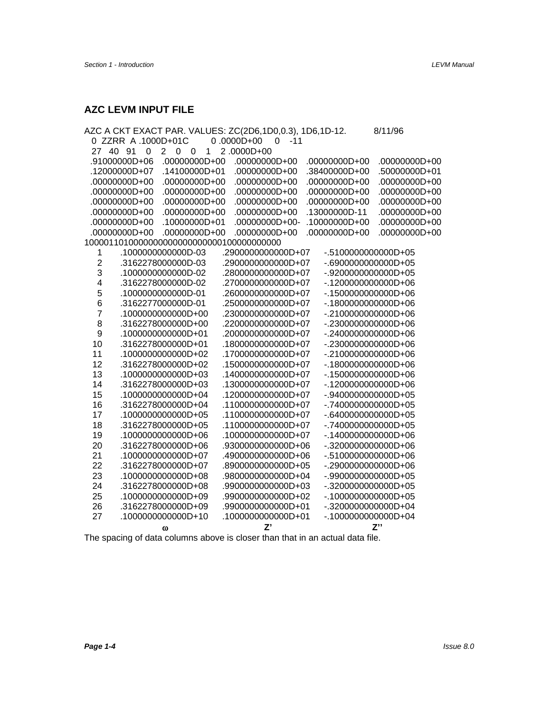# **AZC LEVM INPUT FILE**

|                    |                                                                                                                                                                                                                                                                                                                                                                                                                                                                                                                                                                                                                    |                                                                                                                                                                                                                                                                                                               | 8/11/96                                                                                                                                                                                                                                                                                                                                                                                                                                                                                                                                                                                                                                                                                                                                                                                                                                                                                                                                                                                                                                                                                                                                                                                                                                                                                                                                                                                                                                                   |
|--------------------|--------------------------------------------------------------------------------------------------------------------------------------------------------------------------------------------------------------------------------------------------------------------------------------------------------------------------------------------------------------------------------------------------------------------------------------------------------------------------------------------------------------------------------------------------------------------------------------------------------------------|---------------------------------------------------------------------------------------------------------------------------------------------------------------------------------------------------------------------------------------------------------------------------------------------------------------|-----------------------------------------------------------------------------------------------------------------------------------------------------------------------------------------------------------------------------------------------------------------------------------------------------------------------------------------------------------------------------------------------------------------------------------------------------------------------------------------------------------------------------------------------------------------------------------------------------------------------------------------------------------------------------------------------------------------------------------------------------------------------------------------------------------------------------------------------------------------------------------------------------------------------------------------------------------------------------------------------------------------------------------------------------------------------------------------------------------------------------------------------------------------------------------------------------------------------------------------------------------------------------------------------------------------------------------------------------------------------------------------------------------------------------------------------------------|
|                    | 0<br>$-11$                                                                                                                                                                                                                                                                                                                                                                                                                                                                                                                                                                                                         |                                                                                                                                                                                                                                                                                                               |                                                                                                                                                                                                                                                                                                                                                                                                                                                                                                                                                                                                                                                                                                                                                                                                                                                                                                                                                                                                                                                                                                                                                                                                                                                                                                                                                                                                                                                           |
|                    |                                                                                                                                                                                                                                                                                                                                                                                                                                                                                                                                                                                                                    |                                                                                                                                                                                                                                                                                                               |                                                                                                                                                                                                                                                                                                                                                                                                                                                                                                                                                                                                                                                                                                                                                                                                                                                                                                                                                                                                                                                                                                                                                                                                                                                                                                                                                                                                                                                           |
|                    |                                                                                                                                                                                                                                                                                                                                                                                                                                                                                                                                                                                                                    |                                                                                                                                                                                                                                                                                                               | .00000000D+00                                                                                                                                                                                                                                                                                                                                                                                                                                                                                                                                                                                                                                                                                                                                                                                                                                                                                                                                                                                                                                                                                                                                                                                                                                                                                                                                                                                                                                             |
|                    |                                                                                                                                                                                                                                                                                                                                                                                                                                                                                                                                                                                                                    |                                                                                                                                                                                                                                                                                                               | .50000000D+01                                                                                                                                                                                                                                                                                                                                                                                                                                                                                                                                                                                                                                                                                                                                                                                                                                                                                                                                                                                                                                                                                                                                                                                                                                                                                                                                                                                                                                             |
|                    |                                                                                                                                                                                                                                                                                                                                                                                                                                                                                                                                                                                                                    |                                                                                                                                                                                                                                                                                                               | .00000000D+00                                                                                                                                                                                                                                                                                                                                                                                                                                                                                                                                                                                                                                                                                                                                                                                                                                                                                                                                                                                                                                                                                                                                                                                                                                                                                                                                                                                                                                             |
|                    |                                                                                                                                                                                                                                                                                                                                                                                                                                                                                                                                                                                                                    |                                                                                                                                                                                                                                                                                                               | .00000000D+00                                                                                                                                                                                                                                                                                                                                                                                                                                                                                                                                                                                                                                                                                                                                                                                                                                                                                                                                                                                                                                                                                                                                                                                                                                                                                                                                                                                                                                             |
|                    |                                                                                                                                                                                                                                                                                                                                                                                                                                                                                                                                                                                                                    |                                                                                                                                                                                                                                                                                                               | .00000000D+00                                                                                                                                                                                                                                                                                                                                                                                                                                                                                                                                                                                                                                                                                                                                                                                                                                                                                                                                                                                                                                                                                                                                                                                                                                                                                                                                                                                                                                             |
|                    |                                                                                                                                                                                                                                                                                                                                                                                                                                                                                                                                                                                                                    |                                                                                                                                                                                                                                                                                                               | .00000000D+00                                                                                                                                                                                                                                                                                                                                                                                                                                                                                                                                                                                                                                                                                                                                                                                                                                                                                                                                                                                                                                                                                                                                                                                                                                                                                                                                                                                                                                             |
|                    |                                                                                                                                                                                                                                                                                                                                                                                                                                                                                                                                                                                                                    |                                                                                                                                                                                                                                                                                                               | .00000000D+00                                                                                                                                                                                                                                                                                                                                                                                                                                                                                                                                                                                                                                                                                                                                                                                                                                                                                                                                                                                                                                                                                                                                                                                                                                                                                                                                                                                                                                             |
|                    |                                                                                                                                                                                                                                                                                                                                                                                                                                                                                                                                                                                                                    |                                                                                                                                                                                                                                                                                                               | .00000000D+00                                                                                                                                                                                                                                                                                                                                                                                                                                                                                                                                                                                                                                                                                                                                                                                                                                                                                                                                                                                                                                                                                                                                                                                                                                                                                                                                                                                                                                             |
|                    |                                                                                                                                                                                                                                                                                                                                                                                                                                                                                                                                                                                                                    |                                                                                                                                                                                                                                                                                                               |                                                                                                                                                                                                                                                                                                                                                                                                                                                                                                                                                                                                                                                                                                                                                                                                                                                                                                                                                                                                                                                                                                                                                                                                                                                                                                                                                                                                                                                           |
|                    |                                                                                                                                                                                                                                                                                                                                                                                                                                                                                                                                                                                                                    |                                                                                                                                                                                                                                                                                                               |                                                                                                                                                                                                                                                                                                                                                                                                                                                                                                                                                                                                                                                                                                                                                                                                                                                                                                                                                                                                                                                                                                                                                                                                                                                                                                                                                                                                                                                           |
|                    |                                                                                                                                                                                                                                                                                                                                                                                                                                                                                                                                                                                                                    |                                                                                                                                                                                                                                                                                                               |                                                                                                                                                                                                                                                                                                                                                                                                                                                                                                                                                                                                                                                                                                                                                                                                                                                                                                                                                                                                                                                                                                                                                                                                                                                                                                                                                                                                                                                           |
|                    |                                                                                                                                                                                                                                                                                                                                                                                                                                                                                                                                                                                                                    |                                                                                                                                                                                                                                                                                                               |                                                                                                                                                                                                                                                                                                                                                                                                                                                                                                                                                                                                                                                                                                                                                                                                                                                                                                                                                                                                                                                                                                                                                                                                                                                                                                                                                                                                                                                           |
|                    |                                                                                                                                                                                                                                                                                                                                                                                                                                                                                                                                                                                                                    |                                                                                                                                                                                                                                                                                                               |                                                                                                                                                                                                                                                                                                                                                                                                                                                                                                                                                                                                                                                                                                                                                                                                                                                                                                                                                                                                                                                                                                                                                                                                                                                                                                                                                                                                                                                           |
|                    |                                                                                                                                                                                                                                                                                                                                                                                                                                                                                                                                                                                                                    |                                                                                                                                                                                                                                                                                                               |                                                                                                                                                                                                                                                                                                                                                                                                                                                                                                                                                                                                                                                                                                                                                                                                                                                                                                                                                                                                                                                                                                                                                                                                                                                                                                                                                                                                                                                           |
|                    |                                                                                                                                                                                                                                                                                                                                                                                                                                                                                                                                                                                                                    |                                                                                                                                                                                                                                                                                                               |                                                                                                                                                                                                                                                                                                                                                                                                                                                                                                                                                                                                                                                                                                                                                                                                                                                                                                                                                                                                                                                                                                                                                                                                                                                                                                                                                                                                                                                           |
|                    |                                                                                                                                                                                                                                                                                                                                                                                                                                                                                                                                                                                                                    |                                                                                                                                                                                                                                                                                                               |                                                                                                                                                                                                                                                                                                                                                                                                                                                                                                                                                                                                                                                                                                                                                                                                                                                                                                                                                                                                                                                                                                                                                                                                                                                                                                                                                                                                                                                           |
|                    |                                                                                                                                                                                                                                                                                                                                                                                                                                                                                                                                                                                                                    |                                                                                                                                                                                                                                                                                                               |                                                                                                                                                                                                                                                                                                                                                                                                                                                                                                                                                                                                                                                                                                                                                                                                                                                                                                                                                                                                                                                                                                                                                                                                                                                                                                                                                                                                                                                           |
|                    |                                                                                                                                                                                                                                                                                                                                                                                                                                                                                                                                                                                                                    |                                                                                                                                                                                                                                                                                                               |                                                                                                                                                                                                                                                                                                                                                                                                                                                                                                                                                                                                                                                                                                                                                                                                                                                                                                                                                                                                                                                                                                                                                                                                                                                                                                                                                                                                                                                           |
|                    |                                                                                                                                                                                                                                                                                                                                                                                                                                                                                                                                                                                                                    |                                                                                                                                                                                                                                                                                                               |                                                                                                                                                                                                                                                                                                                                                                                                                                                                                                                                                                                                                                                                                                                                                                                                                                                                                                                                                                                                                                                                                                                                                                                                                                                                                                                                                                                                                                                           |
|                    |                                                                                                                                                                                                                                                                                                                                                                                                                                                                                                                                                                                                                    |                                                                                                                                                                                                                                                                                                               |                                                                                                                                                                                                                                                                                                                                                                                                                                                                                                                                                                                                                                                                                                                                                                                                                                                                                                                                                                                                                                                                                                                                                                                                                                                                                                                                                                                                                                                           |
|                    |                                                                                                                                                                                                                                                                                                                                                                                                                                                                                                                                                                                                                    |                                                                                                                                                                                                                                                                                                               |                                                                                                                                                                                                                                                                                                                                                                                                                                                                                                                                                                                                                                                                                                                                                                                                                                                                                                                                                                                                                                                                                                                                                                                                                                                                                                                                                                                                                                                           |
|                    |                                                                                                                                                                                                                                                                                                                                                                                                                                                                                                                                                                                                                    |                                                                                                                                                                                                                                                                                                               |                                                                                                                                                                                                                                                                                                                                                                                                                                                                                                                                                                                                                                                                                                                                                                                                                                                                                                                                                                                                                                                                                                                                                                                                                                                                                                                                                                                                                                                           |
|                    |                                                                                                                                                                                                                                                                                                                                                                                                                                                                                                                                                                                                                    |                                                                                                                                                                                                                                                                                                               |                                                                                                                                                                                                                                                                                                                                                                                                                                                                                                                                                                                                                                                                                                                                                                                                                                                                                                                                                                                                                                                                                                                                                                                                                                                                                                                                                                                                                                                           |
|                    |                                                                                                                                                                                                                                                                                                                                                                                                                                                                                                                                                                                                                    |                                                                                                                                                                                                                                                                                                               |                                                                                                                                                                                                                                                                                                                                                                                                                                                                                                                                                                                                                                                                                                                                                                                                                                                                                                                                                                                                                                                                                                                                                                                                                                                                                                                                                                                                                                                           |
|                    |                                                                                                                                                                                                                                                                                                                                                                                                                                                                                                                                                                                                                    |                                                                                                                                                                                                                                                                                                               |                                                                                                                                                                                                                                                                                                                                                                                                                                                                                                                                                                                                                                                                                                                                                                                                                                                                                                                                                                                                                                                                                                                                                                                                                                                                                                                                                                                                                                                           |
|                    |                                                                                                                                                                                                                                                                                                                                                                                                                                                                                                                                                                                                                    |                                                                                                                                                                                                                                                                                                               |                                                                                                                                                                                                                                                                                                                                                                                                                                                                                                                                                                                                                                                                                                                                                                                                                                                                                                                                                                                                                                                                                                                                                                                                                                                                                                                                                                                                                                                           |
|                    |                                                                                                                                                                                                                                                                                                                                                                                                                                                                                                                                                                                                                    |                                                                                                                                                                                                                                                                                                               |                                                                                                                                                                                                                                                                                                                                                                                                                                                                                                                                                                                                                                                                                                                                                                                                                                                                                                                                                                                                                                                                                                                                                                                                                                                                                                                                                                                                                                                           |
|                    |                                                                                                                                                                                                                                                                                                                                                                                                                                                                                                                                                                                                                    |                                                                                                                                                                                                                                                                                                               |                                                                                                                                                                                                                                                                                                                                                                                                                                                                                                                                                                                                                                                                                                                                                                                                                                                                                                                                                                                                                                                                                                                                                                                                                                                                                                                                                                                                                                                           |
|                    |                                                                                                                                                                                                                                                                                                                                                                                                                                                                                                                                                                                                                    |                                                                                                                                                                                                                                                                                                               |                                                                                                                                                                                                                                                                                                                                                                                                                                                                                                                                                                                                                                                                                                                                                                                                                                                                                                                                                                                                                                                                                                                                                                                                                                                                                                                                                                                                                                                           |
|                    |                                                                                                                                                                                                                                                                                                                                                                                                                                                                                                                                                                                                                    |                                                                                                                                                                                                                                                                                                               |                                                                                                                                                                                                                                                                                                                                                                                                                                                                                                                                                                                                                                                                                                                                                                                                                                                                                                                                                                                                                                                                                                                                                                                                                                                                                                                                                                                                                                                           |
|                    |                                                                                                                                                                                                                                                                                                                                                                                                                                                                                                                                                                                                                    |                                                                                                                                                                                                                                                                                                               |                                                                                                                                                                                                                                                                                                                                                                                                                                                                                                                                                                                                                                                                                                                                                                                                                                                                                                                                                                                                                                                                                                                                                                                                                                                                                                                                                                                                                                                           |
|                    |                                                                                                                                                                                                                                                                                                                                                                                                                                                                                                                                                                                                                    |                                                                                                                                                                                                                                                                                                               |                                                                                                                                                                                                                                                                                                                                                                                                                                                                                                                                                                                                                                                                                                                                                                                                                                                                                                                                                                                                                                                                                                                                                                                                                                                                                                                                                                                                                                                           |
|                    |                                                                                                                                                                                                                                                                                                                                                                                                                                                                                                                                                                                                                    |                                                                                                                                                                                                                                                                                                               |                                                                                                                                                                                                                                                                                                                                                                                                                                                                                                                                                                                                                                                                                                                                                                                                                                                                                                                                                                                                                                                                                                                                                                                                                                                                                                                                                                                                                                                           |
| .3162278000000D+09 |                                                                                                                                                                                                                                                                                                                                                                                                                                                                                                                                                                                                                    |                                                                                                                                                                                                                                                                                                               |                                                                                                                                                                                                                                                                                                                                                                                                                                                                                                                                                                                                                                                                                                                                                                                                                                                                                                                                                                                                                                                                                                                                                                                                                                                                                                                                                                                                                                                           |
| .100000000000D+10  |                                                                                                                                                                                                                                                                                                                                                                                                                                                                                                                                                                                                                    | $-0.100000000000000 + 04$                                                                                                                                                                                                                                                                                     |                                                                                                                                                                                                                                                                                                                                                                                                                                                                                                                                                                                                                                                                                                                                                                                                                                                                                                                                                                                                                                                                                                                                                                                                                                                                                                                                                                                                                                                           |
| ω                  | Z'                                                                                                                                                                                                                                                                                                                                                                                                                                                                                                                                                                                                                 |                                                                                                                                                                                                                                                                                                               | Z''                                                                                                                                                                                                                                                                                                                                                                                                                                                                                                                                                                                                                                                                                                                                                                                                                                                                                                                                                                                                                                                                                                                                                                                                                                                                                                                                                                                                                                                       |
|                    | 0 ZZRR A.1000D+01C<br>$2\quad 0$<br>$\overline{\phantom{0}}$<br>1<br>.10000000000D-03<br>.3162278000000D-03<br>.100000000000D-02<br>.3162278000000D-02<br>.10000000000D-01<br>.3162277000000D-01<br>.10000000000D+00<br>.3162278000000D+00<br>.10000000000D+01<br>.3162278000000D+01<br>.100000000000D+02<br>.3162278000000D+02<br>.100000000000D+03<br>.3162278000000D+03<br>.10000000000D+04<br>.3162278000000D+04<br>.100000000000D+05<br>.3162278000000D+05<br>.100000000000D+06<br>.3162278000000D+06<br>.10000000000D+07<br>.3162278000000D+07<br>.10000000000D+08<br>.3162278000000D+08<br>.10000000000D+09 | $0.0000D + 00$<br>2.0000D+00<br>.00000000D+00<br>.00000000D+00<br>.14100000D+01<br>.00000000D+00<br>.00000000D+00<br>.00000000D+00<br>.00000000D+00<br>.00000000D+00<br>.00000000D+00<br>.00000000D+00<br>.00000000D+00<br>.00000000D+00<br>.10000000D+01<br>.00000000D+00-<br>.00000000D+00<br>.00000000D+00 | AZC A CKT EXACT PAR. VALUES: ZC(2D6,1D0,0.3), 1D6,1D-12.<br>.00000000D+00<br>.38400000D+00<br>.00000000D+00<br>.00000000D+00<br>.00000000D+00<br>.13000000D-11<br>.10000000D+00<br>.00000000D+00<br>.290000000000D+07<br>$-0.510000000000000 + 05$<br>.290000000000D+07<br>-.690000000000D+05<br>.280000000000D+07<br>-.920000000000D+05<br>.270000000000D+07<br>$-1200000000000D+06$<br>.260000000000D+07<br>$-0.150000000000000 + 06$<br>.250000000000D+07<br>$-0.180000000000000+06$<br>.230000000000D+07<br>$-0.210000000000000 + 06$<br>.220000000000D+07<br>$-0.230000000000000 + 06$<br>.20000000000D+07<br>-.240000000000D+06<br>.180000000000D+07<br>-.230000000000D+06<br>.17000000000D+07<br>-.210000000000D+06<br>.150000000000D+07<br>$-1800000000000D+06$<br>.14000000000D+07<br>$-0.150000000000000 + 06$<br>.13000000000D+07<br>$-1200000000000D+06$<br>.12000000000D+07<br>-.940000000000D+05<br>.110000000000D+07<br>-.740000000000D+05<br>.110000000000D+07<br>-.640000000000D+05<br>.110000000000D+07<br>-.740000000000D+05<br>.100000000000D+07<br>$-1400000000000D+06$<br>.930000000000D+06<br>$-0.320000000000000 + 06$<br>$-0.510000000000000+06$<br>.49000000000D+06<br>.890000000000D+05<br>$-0.290000000000000 + 06$<br>.980000000000D+04<br>-.990000000000D+05<br>.990000000000D+03<br>$-0.320000000000000 + 05$<br>.990000000000D+02<br>$-1000000000000D+05$<br>.990000000000D+01<br>-.320000000000D+04<br>.100000000000D+01 |

The spacing of data columns above is closer than that in an actual data file.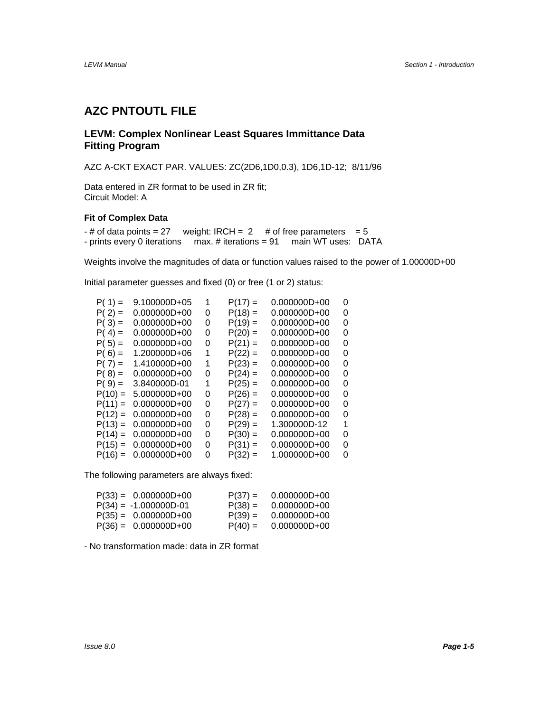# **AZC PNTOUTL FILE**

# **LEVM: Complex Nonlinear Least Squares Immittance Data Fitting Program**

AZC A-CKT EXACT PAR. VALUES: ZC(2D6,1D0,0.3), 1D6,1D-12; 8/11/96

Data entered in ZR format to be used in ZR fit; Circuit Model: A

### **Fit of Complex Data**

 $-$  # of data points = 27 weight: IRCH = 2 # of free parameters = 5 - prints every 0 iterations max. # iterations = 91 main WT uses: DATA

Weights involve the magnitudes of data or function values raised to the power of 1.00000D+00

Initial parameter guesses and fixed (0) or free (1 or 2) status:

| $P(1) =$  | 9.100000D+05     | 1 | $P(17) =$ | $0.000000D + 00$ | 0 |
|-----------|------------------|---|-----------|------------------|---|
| $P(2) =$  | $0.000000D + 00$ | 0 | $P(18) =$ | $0.000000D + 00$ | 0 |
| $P(3) =$  | $0.000000D + 00$ | 0 | $P(19) =$ | $0.000000D + 00$ | 0 |
| $P(4) =$  | $0.000000D + 00$ | 0 | $P(20) =$ | $0.000000D + 00$ | 0 |
| $P(5) =$  | $0.000000D + 00$ | 0 | $P(21) =$ | $0.000000D + 00$ | 0 |
| $P(6) =$  | 1.200000D+06     | 1 | $P(22) =$ | $0.000000D + 00$ | 0 |
| $P(7) =$  | 1.410000D+00     | 1 | $P(23) =$ | $0.000000D + 00$ | 0 |
| $P(8) =$  | $0.000000D + 00$ | 0 | $P(24) =$ | $0.000000D + 00$ | 0 |
| $P(9) =$  | 3.840000D-01     | 1 | $P(25) =$ | $0.000000D + 00$ | 0 |
| $P(10) =$ | 5.000000D+00     | 0 | $P(26) =$ | $0.000000D + 00$ | 0 |
| $P(11) =$ | $0.000000D + 00$ | 0 | $P(27) =$ | $0.000000D + 00$ | 0 |
| $P(12) =$ | $0.000000D + 00$ | 0 | $P(28) =$ | $0.000000D + 00$ | 0 |
| $P(13) =$ | $0.000000D + 00$ | 0 | $P(29) =$ | 1.300000D-12     | 1 |
| $P(14) =$ | $0.000000D + 00$ | 0 | $P(30) =$ | $0.000000D + 00$ | 0 |
| $P(15) =$ | $0.000000D + 00$ | 0 | $P(31) =$ | $0.000000D + 00$ | 0 |
| $P(16) =$ | $0.000000D + 00$ | 0 | $P(32) =$ | 1.000000D+00     | 0 |

The following parameters are always fixed:

| $P(33) = 0.000000D + 00$ | $P(37) =$ | $0.000000D + 00$ |
|--------------------------|-----------|------------------|
| $P(34) = -1.000000D-01$  | $P(38) =$ | $0.000000D + 00$ |
| $P(35) = 0.000000D + 00$ | $P(39) =$ | $0.000000D + 00$ |
| $P(36) = 0.000000D+00$   | $P(40) =$ | $0.000000D + 00$ |

- No transformation made: data in ZR format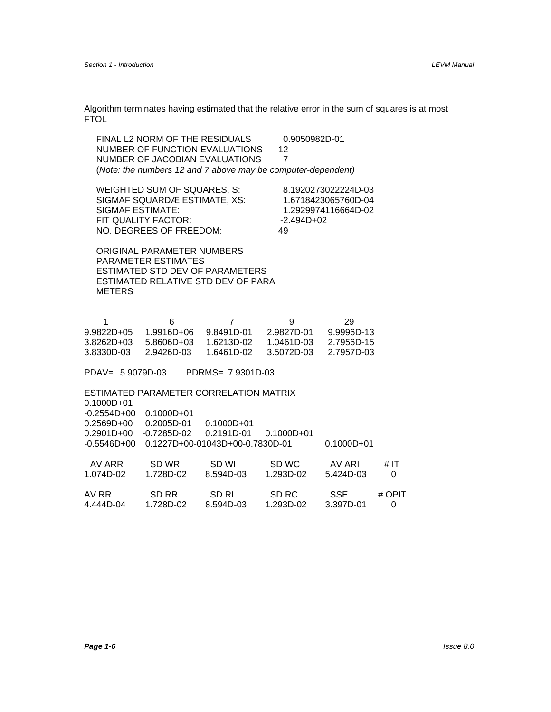Algorithm terminates having estimated that the relative error in the sum of squares is at most FTOL

FINAL L2 NORM OF THE RESIDUALS 0.9050982D-01 NUMBER OF FUNCTION EVALUATIONS 12 NUMBER OF JACOBIAN EVALUATIONS 7 (*Note: the numbers 12 and 7 above may be computer-dependent)* WEIGHTED SUM OF SQUARES, S: 8.1920273022224D-03 SIGMAF SQUARDÆ ESTIMATE, XS: 1.6718423065760D-04 SIGMAF ESTIMATE: 1.2929974116664D-02 FIT QUALITY FACTOR:  $-2.494D+02$ NO. DEGREES OF FREEDOM: 49 ORIGINAL PARAMETER NUMBERS PARAMETER ESTIMATES ESTIMATED STD DEV OF PARAMETERS ESTIMATED RELATIVE STD DEV OF PARA METERS 1 6 7 9 29 9.9822D+05 1.9916D+06 9.8491D-01 2.9827D-01 9.9996D-13 3.8262D+03 5.8606D+03 1.6213D-02 1.0461D-03 2.7956D-15 3.8330D-03 2.9426D-03 1.6461D-02 3.5072D-03 2.7957D-03 PDAV= 5.9079D-03 PDRMS= 7.9301D-03 ESTIMATED PARAMETER CORRELATION MATRIX 0.1000D+01 -0.2554D+00 0.1000D+01 0.2569D+00 0.2005D-01 0.1000D+01 0.2901D+00 -0.7285D-02 0.2191D-01 0.1000D+01 -0.5546D+00 0.1227D+00-01043D+00-0.7830D-01 0.1000D+01 AV ARR SD WR SD WI SD WC AV ARI # IT 1.074D-02 1.728D-02 8.594D-03 1.293D-02 5.424D-03 0 AV RR SD RR SD RI SD RC SSE # OPIT 4.444D-04 1.728D-02 8.594D-03 1.293D-02 3.397D-01 0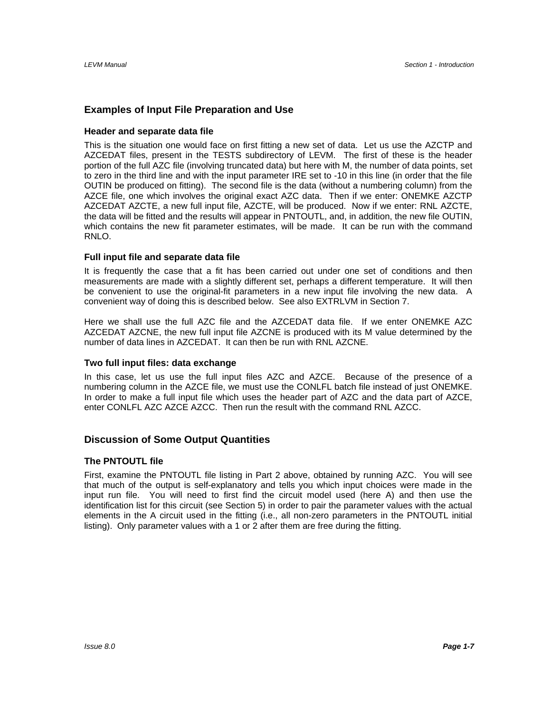# **Examples of Input File Preparation and Use**

# **Header and separate data file**

This is the situation one would face on first fitting a new set of data. Let us use the AZCTP and AZCEDAT files, present in the TESTS subdirectory of LEVM. The first of these is the header portion of the full AZC file (involving truncated data) but here with M, the number of data points, set to zero in the third line and with the input parameter IRE set to -10 in this line (in order that the file OUTIN be produced on fitting). The second file is the data (without a numbering column) from the AZCE file, one which involves the original exact AZC data. Then if we enter: ONEMKE AZCTP AZCEDAT AZCTE, a new full input file, AZCTE, will be produced. Now if we enter: RNL AZCTE, the data will be fitted and the results will appear in PNTOUTL, and, in addition, the new file OUTIN, which contains the new fit parameter estimates, will be made. It can be run with the command RNLO.

# **Full input file and separate data file**

It is frequently the case that a fit has been carried out under one set of conditions and then measurements are made with a slightly different set, perhaps a different temperature. It will then be convenient to use the original-fit parameters in a new input file involving the new data. A convenient way of doing this is described below. See also EXTRLVM in Section 7.

Here we shall use the full AZC file and the AZCEDAT data file. If we enter ONEMKE AZC AZCEDAT AZCNE, the new full input file AZCNE is produced with its M value determined by the number of data lines in AZCEDAT. It can then be run with RNL AZCNE.

# **Two full input files: data exchange**

In this case, let us use the full input files AZC and AZCE. Because of the presence of a numbering column in the AZCE file, we must use the CONLFL batch file instead of just ONEMKE. In order to make a full input file which uses the header part of AZC and the data part of AZCE, enter CONLFL AZC AZCE AZCC. Then run the result with the command RNL AZCC.

# **Discussion of Some Output Quantities**

# **The PNTOUTL file**

First, examine the PNTOUTL file listing in Part 2 above, obtained by running AZC. You will see that much of the output is self-explanatory and tells you which input choices were made in the input run file. You will need to first find the circuit model used (here A) and then use the identification list for this circuit (see Section 5) in order to pair the parameter values with the actual elements in the A circuit used in the fitting (i.e., all non-zero parameters in the PNTOUTL initial listing). Only parameter values with a 1 or 2 after them are free during the fitting.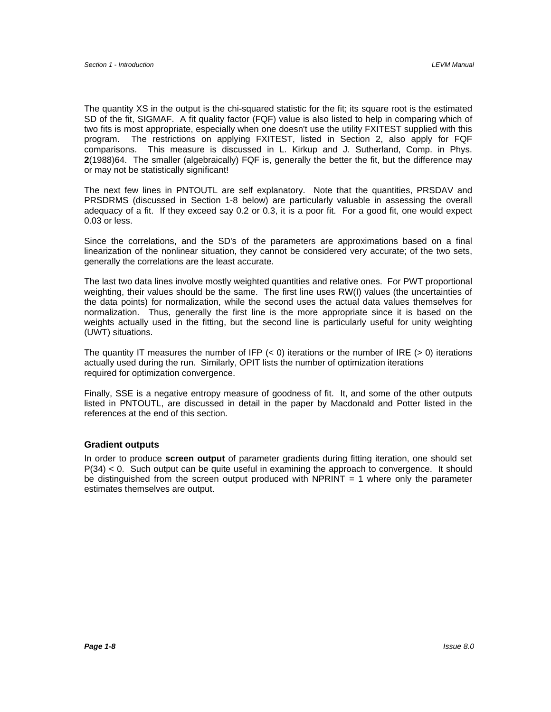The quantity XS in the output is the chi-squared statistic for the fit; its square root is the estimated SD of the fit, SIGMAF. A fit quality factor (FQF) value is also listed to help in comparing which of two fits is most appropriate, especially when one doesn't use the utility FXITEST supplied with this program. The restrictions on applying FXITEST, listed in Section 2, also apply for FQF comparisons. This measure is discussed in L. Kirkup and J. Sutherland, Comp. in Phys. **2**(1988)64. The smaller (algebraically) FQF is, generally the better the fit, but the difference may or may not be statistically significant!

The next few lines in PNTOUTL are self explanatory. Note that the quantities, PRSDAV and PRSDRMS (discussed in Section 1-8 below) are particularly valuable in assessing the overall adequacy of a fit. If they exceed say 0.2 or 0.3, it is a poor fit. For a good fit, one would expect 0.03 or less.

Since the correlations, and the SD's of the parameters are approximations based on a final linearization of the nonlinear situation, they cannot be considered very accurate; of the two sets, generally the correlations are the least accurate.

The last two data lines involve mostly weighted quantities and relative ones. For PWT proportional weighting, their values should be the same. The first line uses RW(I) values (the uncertainties of the data points) for normalization, while the second uses the actual data values themselves for normalization. Thus, generally the first line is the more appropriate since it is based on the weights actually used in the fitting, but the second line is particularly useful for unity weighting (UWT) situations.

The quantity IT measures the number of IFP  $(< 0)$  iterations or the number of IRE  $(> 0)$  iterations actually used during the run. Similarly, OPIT lists the number of optimization iterations required for optimization convergence.

Finally, SSE is a negative entropy measure of goodness of fit. It, and some of the other outputs listed in PNTOUTL, are discussed in detail in the paper by Macdonald and Potter listed in the references at the end of this section.

#### **Gradient outputs**

In order to produce **screen output** of parameter gradients during fitting iteration, one should set  $P(34) < 0$ . Such output can be quite useful in examining the approach to convergence. It should be distinguished from the screen output produced with  $NPRINT = 1$  where only the parameter estimates themselves are output.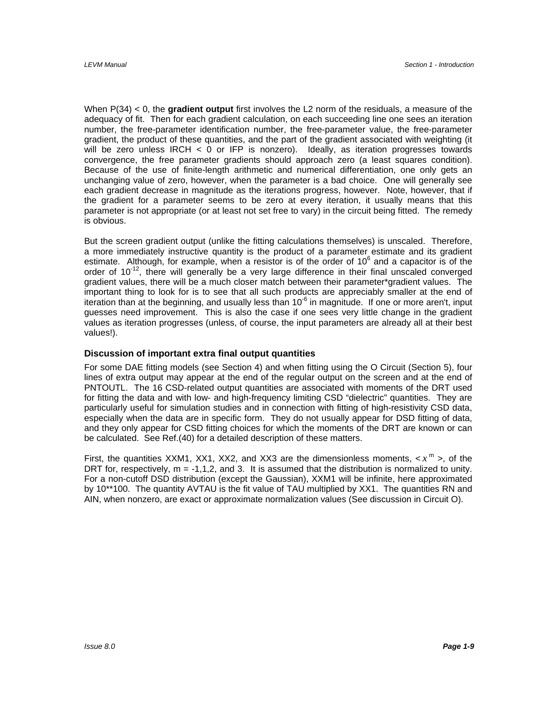When P(34) < 0, the **gradient output** first involves the L2 norm of the residuals, a measure of the adequacy of fit. Then for each gradient calculation, on each succeeding line one sees an iteration number, the free-parameter identification number, the free-parameter value, the free-parameter gradient, the product of these quantities, and the part of the gradient associated with weighting (it will be zero unless IRCH < 0 or IFP is nonzero). Ideally, as iteration progresses towards convergence, the free parameter gradients should approach zero (a least squares condition). Because of the use of finite-length arithmetic and numerical differentiation, one only gets an unchanging value of zero, however, when the parameter is a bad choice. One will generally see each gradient decrease in magnitude as the iterations progress, however. Note, however, that if the gradient for a parameter seems to be zero at every iteration, it usually means that this parameter is not appropriate (or at least not set free to vary) in the circuit being fitted. The remedy is obvious.

But the screen gradient output (unlike the fitting calculations themselves) is unscaled. Therefore, a more immediately instructive quantity is the product of a parameter estimate and its gradient estimate. Although, for example, when a resistor is of the order of  $10^6$  and a capacitor is of the order of  $10^{-12}$ , there will generally be a very large difference in their final unscaled converged gradient values, there will be a much closer match between their parameter\*gradient values. The important thing to look for is to see that all such products are appreciably smaller at the end of iteration than at the beginning, and usually less than  $10^{-6}$  in magnitude. If one or more aren't, input guesses need improvement. This is also the case if one sees very little change in the gradient values as iteration progresses (unless, of course, the input parameters are already all at their best values!).

# **Discussion of important extra final output quantities**

For some DAE fitting models (see Section 4) and when fitting using the O Circuit (Section 5), four lines of extra output may appear at the end of the regular output on the screen and at the end of PNTOUTL. The 16 CSD-related output quantities are associated with moments of the DRT used for fitting the data and with low- and high-frequency limiting CSD "dielectric" quantities. They are particularly useful for simulation studies and in connection with fitting of high-resistivity CSD data, especially when the data are in specific form. They do not usually appear for DSD fitting of data, and they only appear for CSD fitting choices for which the moments of the DRT are known or can be calculated. See Ref.(40) for a detailed description of these matters.

First, the quantities XXM1, XX1, XX2, and XX3 are the dimensionless moments,  $\langle x^m \rangle$ , of the DRT for, respectively,  $m = -1, 1, 2,$  and 3. It is assumed that the distribution is normalized to unity. For a non-cutoff DSD distribution (except the Gaussian), XXM1 will be infinite, here approximated by 10\*\*100. The quantity AVTAU is the fit value of TAU multiplied by XX1. The quantities RN and AIN, when nonzero, are exact or approximate normalization values (See discussion in Circuit O).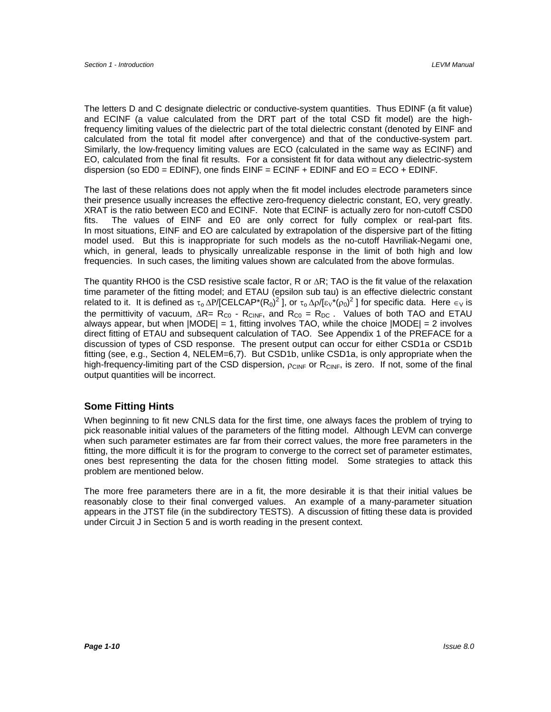The letters D and C designate dielectric or conductive-system quantities. Thus EDINF (a fit value) and ECINF (a value calculated from the DRT part of the total CSD fit model) are the highfrequency limiting values of the dielectric part of the total dielectric constant (denoted by EINF and calculated from the total fit model after convergence) and that of the conductive-system part. Similarly, the low-frequency limiting values are ECO (calculated in the same way as ECINF) and EO, calculated from the final fit results. For a consistent fit for data without any dielectric-system dispersion (so  $ED0 = EDINF$ ), one finds  $EINF = ECINF + EDINF$  and  $EO = ECO + EDINF$ .

The last of these relations does not apply when the fit model includes electrode parameters since their presence usually increases the effective zero-frequency dielectric constant, EO, very greatly. XRAT is the ratio between EC0 and ECINF. Note that ECINF is actually zero for non-cutoff CSD0 fits. The values of EINF and E0 are only correct for fully complex or real-part fits. In most situations, EINF and EO are calculated by extrapolation of the dispersive part of the fitting model used. But this is inappropriate for such models as the no-cutoff Havriliak-Negami one, which, in general, leads to physically unrealizable response in the limit of both high and low frequencies. In such cases, the limiting values shown are calculated from the above formulas.

The quantity RHO0 is the CSD resistive scale factor, R or  $\Delta R$ ; TAO is the fit value of the relaxation time parameter of the fitting model; and ETAU (epsilon sub tau) is an effective dielectric constant related to it. It is defined as  $\tau_0 \Delta P/[CELCAP^*(R_0)^2]$ , or  $\tau_0 \Delta \rho/[ \epsilon_V^*(\rho_0)^2]$  for specific data. Here  $\epsilon_V$  is the permittivity of vacuum,  $\Delta R = R_{CO} - R_{CINF}$ , and  $R_{CO} = R_{DC}$ . Values of both TAO and ETAU always appear, but when  $|MODE| = 1$ , fitting involves TAO, while the choice  $|MODE| = 2$  involves direct fitting of ETAU and subsequent calculation of TAO. See Appendix 1 of the PREFACE for a discussion of types of CSD response. The present output can occur for either CSD1a or CSD1b fitting (see, e.g., Section 4, NELEM=6,7). But CSD1b, unlike CSD1a, is only appropriate when the high-frequency-limiting part of the CSD dispersion,  $\rho_{CINF}$  or  $R_{CINF}$ , is zero. If not, some of the final output quantities will be incorrect.

# **Some Fitting Hints**

When beginning to fit new CNLS data for the first time, one always faces the problem of trying to pick reasonable initial values of the parameters of the fitting model. Although LEVM can converge when such parameter estimates are far from their correct values, the more free parameters in the fitting, the more difficult it is for the program to converge to the correct set of parameter estimates, ones best representing the data for the chosen fitting model. Some strategies to attack this problem are mentioned below.

The more free parameters there are in a fit, the more desirable it is that their initial values be reasonably close to their final converged values. An example of a many-parameter situation appears in the JTST file (in the subdirectory TESTS). A discussion of fitting these data is provided under Circuit J in Section 5 and is worth reading in the present context.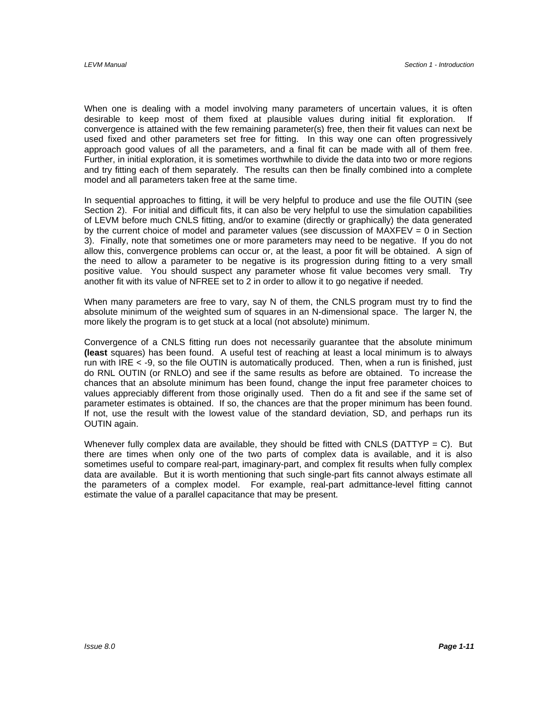When one is dealing with a model involving many parameters of uncertain values, it is often desirable to keep most of them fixed at plausible values during initial fit exploration. If convergence is attained with the few remaining parameter(s) free, then their fit values can next be used fixed and other parameters set free for fitting. In this way one can often progressively approach good values of all the parameters, and a final fit can be made with all of them free. Further, in initial exploration, it is sometimes worthwhile to divide the data into two or more regions and try fitting each of them separately. The results can then be finally combined into a complete model and all parameters taken free at the same time.

In sequential approaches to fitting, it will be very helpful to produce and use the file OUTIN (see Section 2). For initial and difficult fits, it can also be very helpful to use the simulation capabilities of LEVM before much CNLS fitting, and/or to examine (directly or graphically) the data generated by the current choice of model and parameter values (see discussion of  $MAXFEV = 0$  in Section 3). Finally, note that sometimes one or more parameters may need to be negative. If you do not allow this, convergence problems can occur or, at the least, a poor fit will be obtained. A sign of the need to allow a parameter to be negative is its progression during fitting to a very small positive value. You should suspect any parameter whose fit value becomes very small. Try another fit with its value of NFREE set to 2 in order to allow it to go negative if needed.

When many parameters are free to vary, say N of them, the CNLS program must try to find the absolute minimum of the weighted sum of squares in an N-dimensional space. The larger N, the more likely the program is to get stuck at a local (not absolute) minimum.

Convergence of a CNLS fitting run does not necessarily guarantee that the absolute minimum **(least** squares) has been found. A useful test of reaching at least a local minimum is to always run with IRE  $\lt$  -9, so the file OUTIN is automatically produced. Then, when a run is finished, just do RNL OUTIN (or RNLO) and see if the same results as before are obtained. To increase the chances that an absolute minimum has been found, change the input free parameter choices to values appreciably different from those originally used. Then do a fit and see if the same set of parameter estimates is obtained. If so, the chances are that the proper minimum has been found. If not, use the result with the lowest value of the standard deviation, SD, and perhaps run its OUTIN again.

Whenever fully complex data are available, they should be fitted with CNLS (DATTYP  $= C$ ). But there are times when only one of the two parts of complex data is available, and it is also sometimes useful to compare real-part, imaginary-part, and complex fit results when fully complex data are available. But it is worth mentioning that such single-part fits cannot always estimate all the parameters of a complex model. For example, real-part admittance-level fitting cannot estimate the value of a parallel capacitance that may be present.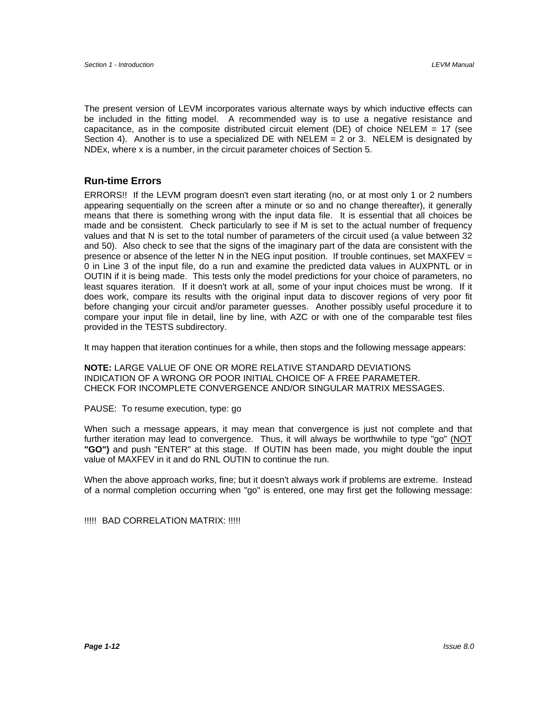The present version of LEVM incorporates various alternate ways by which inductive effects can be included in the fitting model. A recommended way is to use a negative resistance and capacitance, as in the composite distributed circuit element (DE) of choice  $NELEM = 17$  (see Section 4). Another is to use a specialized DE with  $NELEM = 2$  or 3. NELEM is designated by NDEx, where x is a number, in the circuit parameter choices of Section 5.

# **Run-time Errors**

ERRORS!! If the LEVM program doesn't even start iterating (no, or at most only 1 or 2 numbers appearing sequentially on the screen after a minute or so and no change thereafter), it generally means that there is something wrong with the input data file. It is essential that all choices be made and be consistent. Check particularly to see if M is set to the actual number of frequency values and that N is set to the total number of parameters of the circuit used (a value between 32 and 50). Also check to see that the signs of the imaginary part of the data are consistent with the presence or absence of the letter N in the NEG input position. If trouble continues, set MAXFEV = 0 in Line 3 of the input file, do a run and examine the predicted data values in AUXPNTL or in OUTIN if it is being made. This tests only the model predictions for your choice of parameters, no least squares iteration. If it doesn't work at all, some of your input choices must be wrong. If it does work, compare its results with the original input data to discover regions of very poor fit before changing your circuit and/or parameter guesses. Another possibly useful procedure it to compare your input file in detail, line by line, with AZC or with one of the comparable test files provided in the TESTS subdirectory.

It may happen that iteration continues for a while, then stops and the following message appears:

**NOTE:** LARGE VALUE OF ONE OR MORE RELATIVE STANDARD DEVIATIONS INDICATION OF A WRONG OR POOR INITIAL CHOICE OF A FREE PARAMETER. CHECK FOR INCOMPLETE CONVERGENCE AND/OR SINGULAR MATRIX MESSAGES.

PAUSE: To resume execution, type: go

When such a message appears, it may mean that convergence is just not complete and that further iteration may lead to convergence. Thus, it will always be worthwhile to type "go" (NOT **"GO")** and push "ENTER" at this stage. If OUTIN has been made, you might double the input value of MAXFEV in it and do RNL OUTIN to continue the run.

When the above approach works, fine; but it doesn't always work if problems are extreme. Instead of a normal completion occurring when "go" is entered, one may first get the following message:

!!!!! BAD CORRELATION MATRIX: !!!!!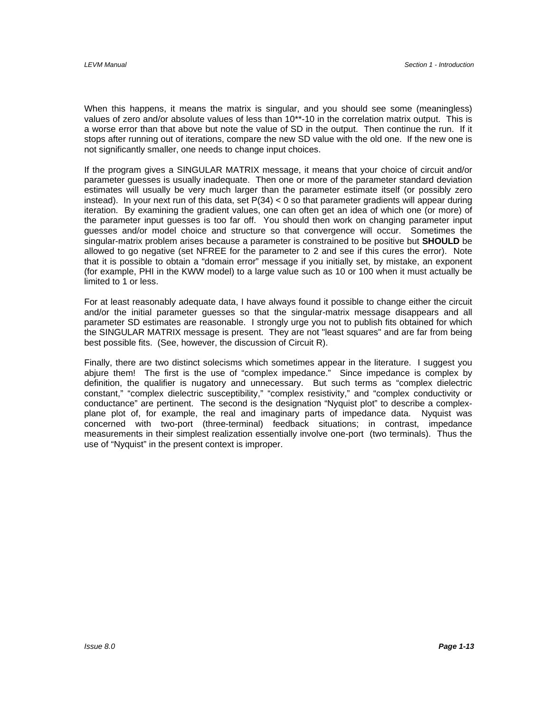When this happens, it means the matrix is singular, and you should see some (meaningless) values of zero and/or absolute values of less than 10\*\*-10 in the correlation matrix output. This is a worse error than that above but note the value of SD in the output. Then continue the run. If it stops after running out of iterations, compare the new SD value with the old one. If the new one is not significantly smaller, one needs to change input choices.

If the program gives a SINGULAR MATRIX message, it means that your choice of circuit and/or parameter guesses is usually inadequate. Then one or more of the parameter standard deviation estimates will usually be very much larger than the parameter estimate itself (or possibly zero instead). In your next run of this data, set  $P(34) < 0$  so that parameter gradients will appear during iteration. By examining the gradient values, one can often get an idea of which one (or more) of the parameter input guesses is too far off. You should then work on changing parameter input guesses and/or model choice and structure so that convergence will occur. Sometimes the singular-matrix problem arises because a parameter is constrained to be positive but **SHOULD** be allowed to go negative (set NFREE for the parameter to 2 and see if this cures the error). Note that it is possible to obtain a "domain error" message if you initially set, by mistake, an exponent (for example, PHI in the KWW model) to a large value such as 10 or 100 when it must actually be limited to 1 or less.

For at least reasonably adequate data, I have always found it possible to change either the circuit and/or the initial parameter guesses so that the singular-matrix message disappears and all parameter SD estimates are reasonable. I strongly urge you not to publish fits obtained for which the SINGULAR MATRIX message is present. They are not "least squares" and are far from being best possible fits. (See, however, the discussion of Circuit R).

Finally, there are two distinct solecisms which sometimes appear in the literature. I suggest you abjure them! The first is the use of "complex impedance." Since impedance is complex by definition, the qualifier is nugatory and unnecessary. But such terms as "complex dielectric constant," "complex dielectric susceptibility," "complex resistivity," and "complex conductivity or conductance" are pertinent. The second is the designation "Nyquist plot" to describe a complexplane plot of, for example, the real and imaginary parts of impedance data. Nyquist was concerned with two-port (three-terminal) feedback situations; in contrast, impedance measurements in their simplest realization essentially involve one-port (two terminals). Thus the use of "Nyquist" in the present context is improper.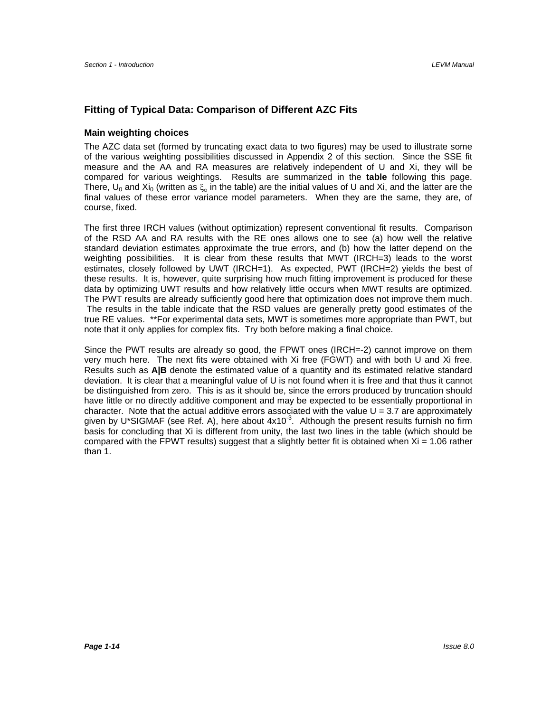# **Fitting of Typical Data: Comparison of Different AZC Fits**

#### **Main weighting choices**

The AZC data set (formed by truncating exact data to two figures) may be used to illustrate some of the various weighting possibilities discussed in Appendix 2 of this section. Since the SSE fit measure and the AA and RA measures are relatively independent of U and Xi, they will be compared for various weightings. Results are summarized in the **table** following this page. There,  $U_0$  and  $Xi_0$  (written as  $\xi_0$  in the table) are the initial values of U and Xi, and the latter are the final values of these error variance model parameters. When they are the same, they are, of course, fixed.

The first three IRCH values (without optimization) represent conventional fit results. Comparison of the RSD AA and RA results with the RE ones allows one to see (a) how well the relative standard deviation estimates approximate the true errors, and (b) how the latter depend on the weighting possibilities. It is clear from these results that MWT (IRCH=3) leads to the worst estimates, closely followed by UWT (IRCH=1). As expected, PWT (IRCH=2) yields the best of these results. It is, however, quite surprising how much fitting improvement is produced for these data by optimizing UWT results and how relatively little occurs when MWT results are optimized. The PWT results are already sufficiently good here that optimization does not improve them much. The results in the table indicate that the RSD values are generally pretty good estimates of the true RE values. \*\*For experimental data sets, MWT is sometimes more appropriate than PWT, but note that it only applies for complex fits. Try both before making a final choice.

Since the PWT results are already so good, the FPWT ones (IRCH=-2) cannot improve on them very much here. The next fits were obtained with Xi free (FGWT) and with both U and Xi free. Results such as **A|B** denote the estimated value of a quantity and its estimated relative standard deviation. It is clear that a meaningful value of U is not found when it is free and that thus it cannot be distinguished from zero. This is as it should be, since the errors produced by truncation should have little or no directly additive component and may be expected to be essentially proportional in character. Note that the actual additive errors associated with the value  $U = 3.7$  are approximately given by U\*SIGMAF (see Ref. A), here about  $4x10^{-3}$ . Although the present results furnish no firm basis for concluding that Xi is different from unity, the last two lines in the table (which should be compared with the FPWT results) suggest that a slightly better fit is obtained when  $Xi = 1.06$  rather than 1.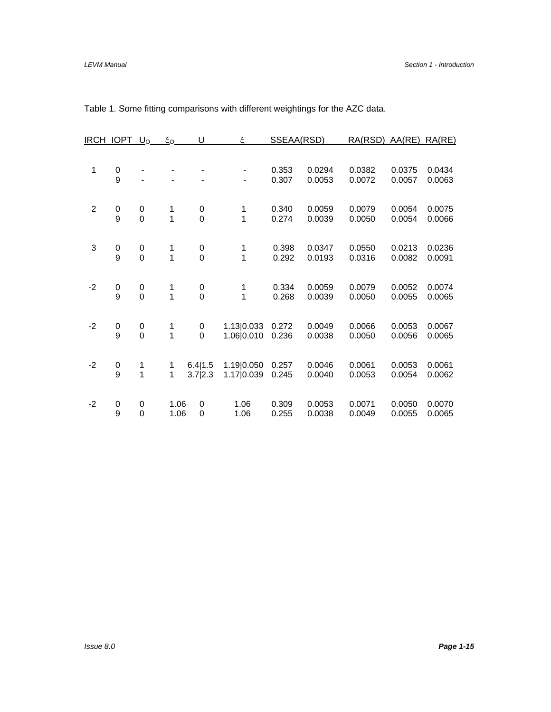|                | <b>IRCH IOPT</b> | $\underline{\mathsf{U}}_{\mathsf{O}}$ | <u>ξο</u>           | U                                    | ع                   | SSEAA(RSD)     |                  | RA(RSD)          | AA(RE)           | RA(RE)           |
|----------------|------------------|---------------------------------------|---------------------|--------------------------------------|---------------------|----------------|------------------|------------------|------------------|------------------|
| 1              | $\pmb{0}$<br>9   |                                       |                     |                                      |                     | 0.353<br>0.307 | 0.0294<br>0.0053 | 0.0382<br>0.0072 | 0.0375<br>0.0057 | 0.0434<br>0.0063 |
| $\overline{c}$ | 0                | 0                                     | 1                   | 0                                    | 1                   | 0.340          | 0.0059           | 0.0079           | 0.0054           | 0.0075           |
|                | 9                | $\overline{0}$                        | $\overline{1}$      | $\mathbf 0$                          | 1                   | 0.274          | 0.0039           | 0.0050           | 0.0054           | 0.0066           |
| 3              | 0<br>9           | $\pmb{0}$<br>$\overline{0}$           | 1<br>$\overline{1}$ | $\begin{matrix} 0 \\ 0 \end{matrix}$ | 1<br>$\overline{1}$ | 0.398<br>0.292 | 0.0347<br>0.0193 | 0.0550<br>0.0316 | 0.0213<br>0.0082 | 0.0236<br>0.0091 |
| $-2$           | 0<br>9           | $\mathbf 0$<br>$\overline{0}$         | 1<br>$\overline{1}$ | $\begin{matrix} 0 \\ 0 \end{matrix}$ | 1<br>$\overline{1}$ | 0.334<br>0.268 | 0.0059<br>0.0039 | 0.0079<br>0.0050 | 0.0052<br>0.0055 | 0.0074<br>0.0065 |
| $-2$           | 0                | $\mathbf 0$                           | 1                   | 0                                    | 1.13 0.033          | 0.272          | 0.0049           | 0.0066           | 0.0053           | 0.0067           |
|                | 9                | $\overline{0}$                        | $\overline{1}$      | $\mathbf 0$                          | 1.06 0.010          | 0.236          | 0.0038           | 0.0050           | 0.0056           | 0.0065           |
| $-2$           | 0                | 1                                     | 1                   | 6.4 1.5                              | 1.19 0.050          | 0.257          | 0.0046           | 0.0061           | 0.0053           | 0.0061           |
|                | 9                | $\overline{1}$                        | 1                   | 3.7 2.3                              | 1.17 0.039          | 0.245          | 0.0040           | 0.0053           | 0.0054           | 0.0062           |
| $-2$           | 0                | 0                                     | 1.06                | 0                                    | 1.06                | 0.309          | 0.0053           | 0.0071           | 0.0050           | 0.0070           |
|                | 9                | $\Omega$                              | 1.06                | 0                                    | 1.06                | 0.255          | 0.0038           | 0.0049           | 0.0055           | 0.0065           |

Table 1. Some fitting comparisons with different weightings for the AZC data.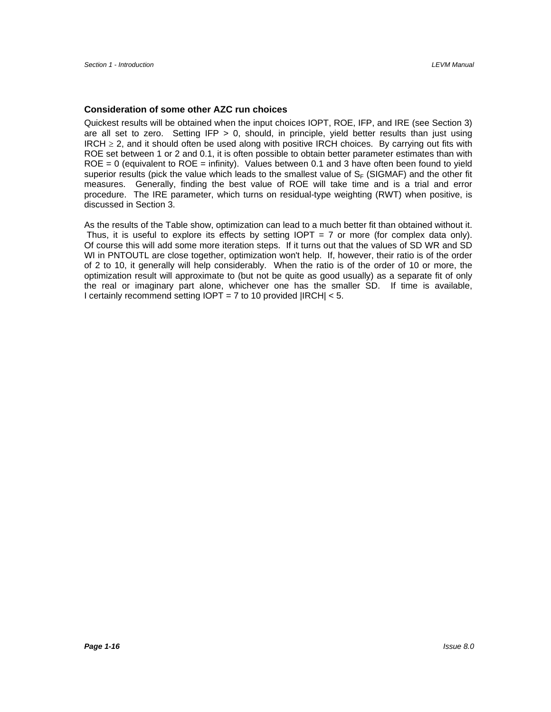#### **Consideration of some other AZC run choices**

Quickest results will be obtained when the input choices IOPT, ROE, IFP, and IRE (see Section 3) are all set to zero. Setting IFP  $> 0$ , should, in principle, yield better results than just using  $IRCH \geq 2$ , and it should often be used along with positive IRCH choices. By carrying out fits with ROE set between 1 or 2 and 0.1, it is often possible to obtain better parameter estimates than with  $ROE = 0$  (equivalent to  $ROE =$  infinity). Values between 0.1 and 3 have often been found to yield superior results (pick the value which leads to the smallest value of  $S_F$  (SIGMAF) and the other fit measures. Generally, finding the best value of ROE will take time and is a trial and error procedure. The IRE parameter, which turns on residual-type weighting (RWT) when positive, is discussed in Section 3.

As the results of the Table show, optimization can lead to a much better fit than obtained without it. Thus, it is useful to explore its effects by setting  $IOPT = 7$  or more (for complex data only). Of course this will add some more iteration steps. If it turns out that the values of SD WR and SD WI in PNTOUTL are close together, optimization won't help. If, however, their ratio is of the order of 2 to 10, it generally will help considerably. When the ratio is of the order of 10 or more, the optimization result will approximate to (but not be quite as good usually) as a separate fit of only the real or imaginary part alone, whichever one has the smaller SD. If time is available, I certainly recommend setting IOPT = 7 to 10 provided |IRCH| < 5.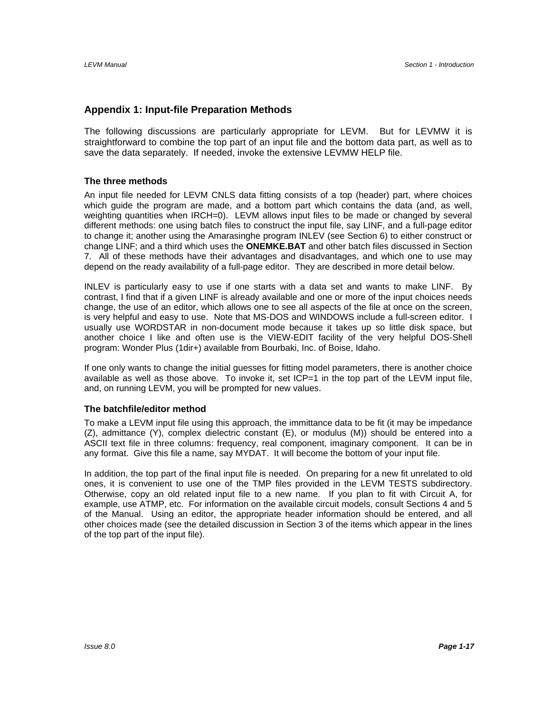# **Appendix 1: Input-file Preparation Methods**

The following discussions are particularly appropriate for LEVM. But for LEVMW it is straightforward to combine the top part of an input file and the bottom data part, as well as to save the data separately. If needed, invoke the extensive LEVMW HELP file.

# **The three methods**

An input file needed for LEVM CNLS data fitting consists of a top (header) part, where choices which guide the program are made, and a bottom part which contains the data (and, as well, weighting quantities when IRCH=0). LEVM allows input files to be made or changed by several different methods: one using batch files to construct the input file, say LINF, and a full-page editor to change it; another using the Amarasinghe program INLEV (see Section 6) to either construct or change LINF; and a third which uses the **ONEMKE.BAT** and other batch files discussed in Section 7. All of these methods have their advantages and disadvantages, and which one to use may depend on the ready availability of a full-page editor. They are described in more detail below.

INLEV is particularly easy to use if one starts with a data set and wants to make LINF. By contrast, I find that if a given LINF is already available and one or more of the input choices needs change, the use of an editor, which allows one to see all aspects of the file at once on the screen, is very helpful and easy to use. Note that MS-DOS and WINDOWS include a full-screen editor. I usually use WORDSTAR in non-document mode because it takes up so little disk space, but another choice I like and often use is the VIEW-EDIT facility of the very helpful DOS-Shell program: Wonder Plus (1dir+) available from Bourbaki, Inc. of Boise, Idaho.

If one only wants to change the initial guesses for fitting model parameters, there is another choice available as well as those above. To invoke it, set ICP=1 in the top part of the LEVM input file, and, on running LEVM, you will be prompted for new values.

# **The batchfile/editor method**

To make a LEVM input file using this approach, the immittance data to be fit (it may be impedance (Z), admittance (Y), complex dielectric constant (E), or modulus (M)) should be entered into a ASCII text file in three columns: frequency, real component, imaginary component. It can be in any format. Give this file a name, say MYDAT. It will become the bottom of your input file.

In addition, the top part of the final input file is needed. On preparing for a new fit unrelated to old ones, it is convenient to use one of the TMP files provided in the LEVM TESTS subdirectory. Otherwise, copy an old related input file to a new name. If you plan to fit with Circuit A, for example, use ATMP, etc. For information on the available circuit models, consult Sections 4 and 5 of the Manual. Using an editor, the appropriate header information should be entered, and all other choices made (see the detailed discussion in Section 3 of the items which appear in the lines of the top part of the input file).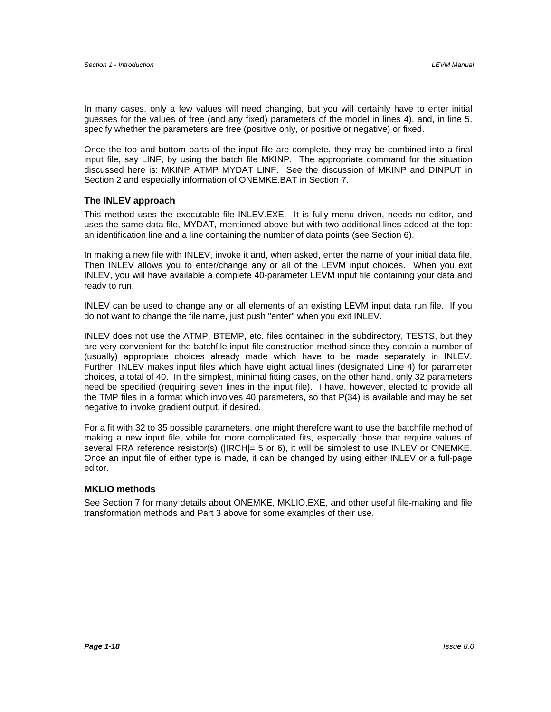In many cases, only a few values will need changing, but you will certainly have to enter initial guesses for the values of free (and any fixed) parameters of the model in lines 4), and, in line 5, specify whether the parameters are free (positive only, or positive or negative) or fixed.

Once the top and bottom parts of the input file are complete, they may be combined into a final input file, say LINF, by using the batch file MKINP. The appropriate command for the situation discussed here is: MKINP ATMP MYDAT LINF. See the discussion of MKINP and DINPUT in Section 2 and especially information of ONEMKE.BAT in Section 7.

# **The INLEV approach**

This method uses the executable file INLEV.EXE. It is fully menu driven, needs no editor, and uses the same data file, MYDAT, mentioned above but with two additional lines added at the top: an identification line and a line containing the number of data points (see Section 6).

In making a new file with INLEV, invoke it and, when asked, enter the name of your initial data file. Then INLEV allows you to enter/change any or all of the LEVM input choices. When you exit INLEV, you will have available a complete 40-parameter LEVM input file containing your data and ready to run.

INLEV can be used to change any or all elements of an existing LEVM input data run file. If you do not want to change the file name, just push "enter" when you exit INLEV.

INLEV does not use the ATMP, BTEMP, etc. files contained in the subdirectory, TESTS, but they are very convenient for the batchfile input file construction method since they contain a number of (usually) appropriate choices already made which have to be made separately in INLEV. Further, INLEV makes input files which have eight actual lines (designated Line 4) for parameter choices, a total of 40. In the simplest, minimal fitting cases, on the other hand, only 32 parameters need be specified (requiring seven lines in the input file). I have, however, elected to provide all the TMP files in a format which involves 40 parameters, so that P(34) is available and may be set negative to invoke gradient output, if desired.

For a fit with 32 to 35 possible parameters, one might therefore want to use the batchfile method of making a new input file, while for more complicated fits, especially those that require values of several FRA reference resistor(s) (IRCH|= 5 or 6), it will be simplest to use INLEV or ONEMKE. Once an input file of either type is made, it can be changed by using either INLEV or a full-page editor.

#### **MKLIO methods**

See Section 7 for many details about ONEMKE, MKLIO.EXE, and other useful file-making and file transformation methods and Part 3 above for some examples of their use.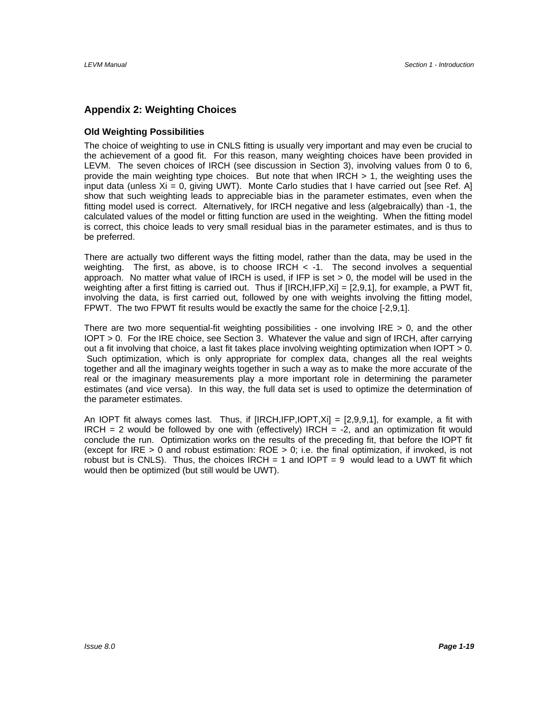# **Appendix 2: Weighting Choices**

# **Old Weighting Possibilities**

The choice of weighting to use in CNLS fitting is usually very important and may even be crucial to the achievement of a good fit. For this reason, many weighting choices have been provided in LEVM. The seven choices of IRCH (see discussion in Section 3), involving values from 0 to 6, provide the main weighting type choices. But note that when IRCH > 1, the weighting uses the input data (unless  $Xi = 0$ , giving UWT). Monte Carlo studies that I have carried out [see Ref. A] show that such weighting leads to appreciable bias in the parameter estimates, even when the fitting model used is correct. Alternatively, for IRCH negative and less (algebraically) than -1, the calculated values of the model or fitting function are used in the weighting. When the fitting model is correct, this choice leads to very small residual bias in the parameter estimates, and is thus to be preferred.

There are actually two different ways the fitting model, rather than the data, may be used in the weighting. The first, as above, is to choose IRCH < -1. The second involves a sequential approach. No matter what value of IRCH is used, if IFP is set  $> 0$ , the model will be used in the weighting after a first fitting is carried out. Thus if  $[IRCH,IFP,Xi] = [2,9,1]$ , for example, a PWT fit, involving the data, is first carried out, followed by one with weights involving the fitting model, FPWT. The two FPWT fit results would be exactly the same for the choice [-2,9,1].

There are two more sequential-fit weighting possibilities - one involving IRE > 0, and the other IOPT > 0. For the IRE choice, see Section 3. Whatever the value and sign of IRCH, after carrying out a fit involving that choice, a last fit takes place involving weighting optimization when IOPT > 0. Such optimization, which is only appropriate for complex data, changes all the real weights together and all the imaginary weights together in such a way as to make the more accurate of the real or the imaginary measurements play a more important role in determining the parameter estimates (and vice versa). In this way, the full data set is used to optimize the determination of the parameter estimates.

An IOPT fit always comes last. Thus, if  $[IRCH,IFP,IOPT,Xi] = [2,9,9,1]$ , for example, a fit with  $IRCH = 2$  would be followed by one with (effectively)  $IRCH = -2$ , and an optimization fit would conclude the run. Optimization works on the results of the preceding fit, that before the IOPT fit (except for IRE  $> 0$  and robust estimation: ROE  $> 0$ ; i.e. the final optimization, if invoked, is not robust but is CNLS). Thus, the choices  $IRCH = 1$  and  $IOPT = 9$  would lead to a UWT fit which would then be optimized (but still would be UWT).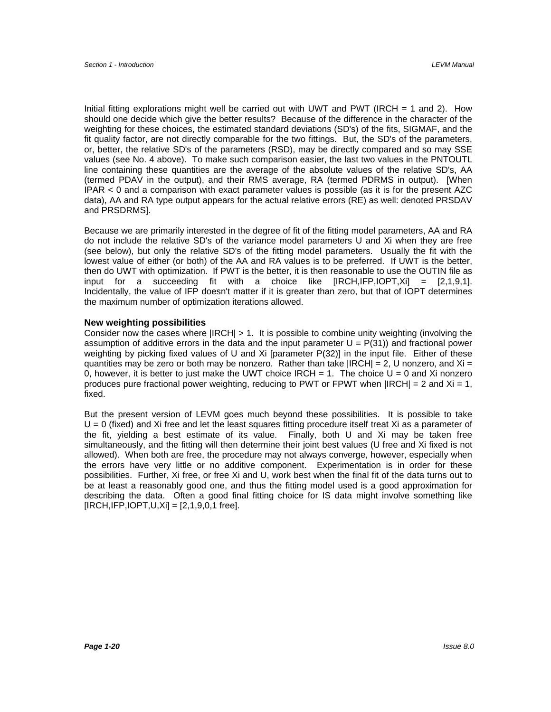Initial fitting explorations might well be carried out with UWT and PWT (IRCH  $=$  1 and 2). How should one decide which give the better results? Because of the difference in the character of the weighting for these choices, the estimated standard deviations (SD's) of the fits, SIGMAF, and the fit quality factor, are not directly comparable for the two fittings. But, the SD's of the parameters, or, better, the relative SD's of the parameters (RSD), may be directly compared and so may SSE values (see No. 4 above). To make such comparison easier, the last two values in the PNTOUTL line containing these quantities are the average of the absolute values of the relative SD's, AA (termed PDAV in the output), and their RMS average, RA (termed PDRMS in output). [When  $IPAR < 0$  and a comparison with exact parameter values is possible (as it is for the present AZC data), AA and RA type output appears for the actual relative errors (RE) as well: denoted PRSDAV and PRSDRMS].

Because we are primarily interested in the degree of fit of the fitting model parameters, AA and RA do not include the relative SD's of the variance model parameters U and Xi when they are free (see below), but only the relative SD's of the fitting model parameters. Usually the fit with the lowest value of either (or both) of the AA and RA values is to be preferred. If UWT is the better, then do UWT with optimization. If PWT is the better, it is then reasonable to use the OUTIN file as input for a succeeding fit with a choice like  $[IRCH,IFP,IOPT,Xi] = [2,1,9,1].$ Incidentally, the value of IFP doesn't matter if it is greater than zero, but that of IOPT determines the maximum number of optimization iterations allowed.

#### **New weighting possibilities**

Consider now the cases where  $|IRCH| > 1$ . It is possible to combine unity weighting (involving the assumption of additive errors in the data and the input parameter  $U = P(31)$  and fractional power weighting by picking fixed values of U and Xi [parameter P(32)] in the input file. Either of these quantities may be zero or both may be nonzero. Rather than take  $|{\rm IRCH}| = 2$ , U nonzero, and Xi = 0, however, it is better to just make the UWT choice IRCH = 1. The choice  $U = 0$  and Xi nonzero produces pure fractional power weighting, reducing to PWT or FPWT when  $|IRCH| = 2$  and  $Xi = 1$ , fixed.

But the present version of LEVM goes much beyond these possibilities. It is possible to take  $U = 0$  (fixed) and Xi free and let the least squares fitting procedure itself treat Xi as a parameter of the fit, yielding a best estimate of its value. Finally, both U and Xi may be taken free simultaneously, and the fitting will then determine their joint best values (U free and Xi fixed is not allowed). When both are free, the procedure may not always converge, however, especially when the errors have very little or no additive component. Experimentation is in order for these possibilities. Further, Xi free, or free Xi and U, work best when the final fit of the data turns out to be at least a reasonably good one, and thus the fitting model used is a good approximation for describing the data. Often a good final fitting choice for IS data might involve something like  $[IRCH,IFP,IOPT, U, Xi] = [2,1,9,0,1$  free].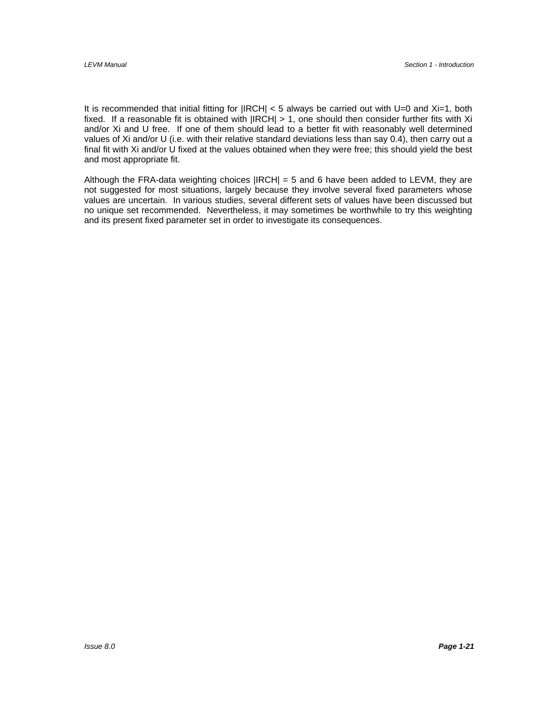It is recommended that initial fitting for  $|IRCH| < 5$  always be carried out with U=0 and Xi=1, both fixed. If a reasonable fit is obtained with |IRCH| > 1, one should then consider further fits with Xi and/or Xi and U free. If one of them should lead to a better fit with reasonably well determined values of Xi and/or U (i.e. with their relative standard deviations less than say 0.4), then carry out a final fit with Xi and/or U fixed at the values obtained when they were free; this should yield the best and most appropriate fit.

Although the FRA-data weighting choices  $|{\rm IRCH}| = 5$  and 6 have been added to LEVM, they are not suggested for most situations, largely because they involve several fixed parameters whose values are uncertain. In various studies, several different sets of values have been discussed but no unique set recommended. Nevertheless, it may sometimes be worthwhile to try this weighting and its present fixed parameter set in order to investigate its consequences.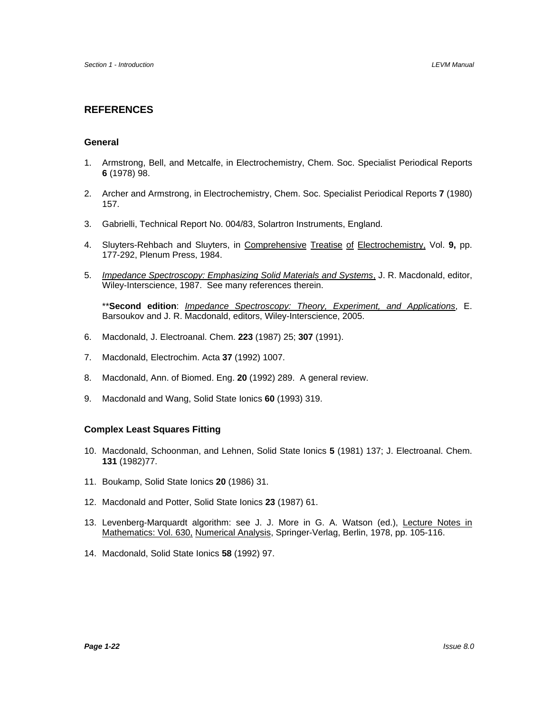# **REFERENCES**

#### **General**

- 1. Armstrong, Bell, and Metcalfe, in Electrochemistry, Chem. Soc. Specialist Periodical Reports **6** (1978) 98.
- 2. Archer and Armstrong, in Electrochemistry, Chem. Soc. Specialist Periodical Reports **7** (1980) 157.
- 3. Gabrielli, Technical Report No. 004/83, Solartron Instruments, England.
- 4. Sluyters-Rehbach and Sluyters, in Comprehensive Treatise of Electrochemistry, Vol. **9,** pp. 177-292, Plenum Press, 1984.
- 5. *Impedance Spectroscopy: Emphasizing Solid Materials and Systems*, J. R. Macdonald, editor, Wiley-Interscience, 1987. See many references therein.

 \*\***Second edition**: *Impedance Spectroscopy: Theory, Experiment, and Applications*, E. Barsoukov and J. R. Macdonald, editors, Wiley-Interscience, 2005.

- 6. Macdonald, J. Electroanal. Chem. **223** (1987) 25; **307** (1991).
- 7. Macdonald, Electrochim. Acta **37** (1992) 1007.
- 8. Macdonald, Ann. of Biomed. Eng. **20** (1992) 289. A general review.
- 9. Macdonald and Wang, Solid State Ionics **60** (1993) 319.

#### **Complex Least Squares Fitting**

- 10. Macdonald, Schoonman, and Lehnen, Solid State Ionics **5** (1981) 137; J. Electroanal. Chem. **131** (1982)77.
- 11. Boukamp, Solid State Ionics **20** (1986) 31.
- 12. Macdonald and Potter, Solid State Ionics **23** (1987) 61.
- 13. Levenberg-Marquardt algorithm: see J. J. More in G. A. Watson (ed.), Lecture Notes in Mathematics: Vol. 630, Numerical Analysis, Springer-Verlag, Berlin, 1978, pp. 105-116.
- 14. Macdonald, Solid State Ionics **58** (1992) 97.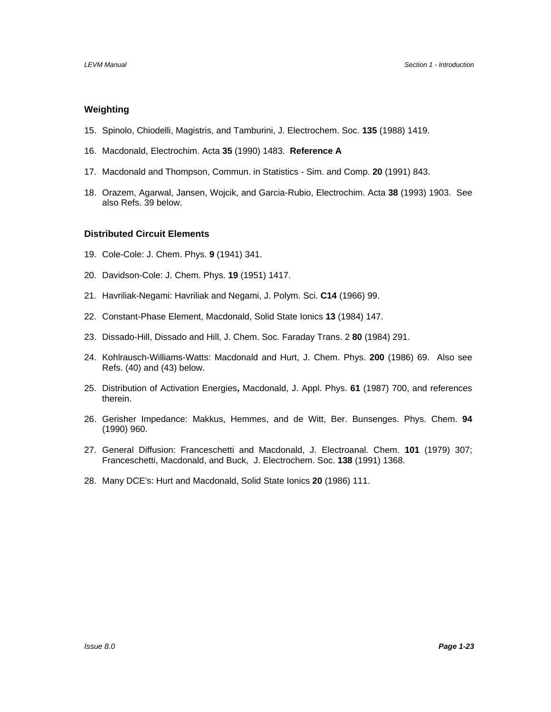# **Weighting**

- 15. Spinolo, Chiodelli, Magistris, and Tamburini, J. Electrochem. Soc. **135** (1988) 1419.
- 16. Macdonald, Electrochim. Acta **35** (1990) 1483. **Reference A**
- 17. Macdonald and Thompson, Commun. in Statistics Sim. and Comp. **20** (1991) 843.
- 18. Orazem, Agarwal, Jansen, Wojcik, and Garcia-Rubio, Electrochim. Acta **38** (1993) 1903. See also Refs. 39 below.

# **Distributed Circuit Elements**

- 19. Cole-Cole: J. Chem. Phys. **9** (1941) 341.
- 20. Davidson-Cole: J. Chem. Phys. **19** (1951) 1417.
- 21. Havriliak-Negami: Havriliak and Negami, J. Polym. Sci. **C14** (1966) 99.
- 22. Constant-Phase Element, Macdonald, Solid State Ionics **13** (1984) 147.
- 23. Dissado-Hill, Dissado and Hill, J. Chem. Soc. Faraday Trans. 2 **80** (1984) 291.
- 24. Kohlrausch-Williams-Watts: Macdonald and Hurt, J. Chem. Phys. **200** (1986) 69. Also see Refs. (40) and (43) below.
- 25. Distribution of Activation Energies**,** Macdonald, J. Appl. Phys. **61** (1987) 700, and references therein.
- 26. Gerisher Impedance: Makkus, Hemmes, and de Witt, Ber. Bunsenges. Phys. Chem. **94** (1990) 960.
- 27. General Diffusion: Franceschetti and Macdonald, J. Electroanal. Chem. **101** (1979) 307; Franceschetti, Macdonald, and Buck, J. Electrochem. Soc. **138** (1991) 1368.
- 28. Many DCE's: Hurt and Macdonald, Solid State Ionics **20** (1986) 111.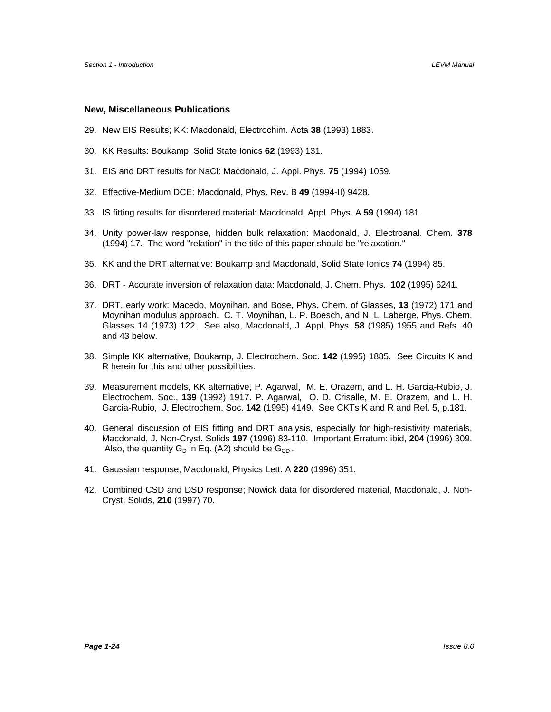#### **New, Miscellaneous Publications**

- 29. New EIS Results; KK: Macdonald, Electrochim. Acta **38** (1993) 1883.
- 30. KK Results: Boukamp, Solid State Ionics **62** (1993) 131.
- 31. EIS and DRT results for NaCl: Macdonald, J. Appl. Phys. **75** (1994) 1059.
- 32. Effective-Medium DCE: Macdonald, Phys. Rev. B **49** (1994-II) 9428.
- 33. IS fitting results for disordered material: Macdonald, Appl. Phys. A **59** (1994) 181.
- 34. Unity power-law response, hidden bulk relaxation: Macdonald, J. Electroanal. Chem. **378**  (1994) 17. The word "relation" in the title of this paper should be "relaxation."
- 35. KK and the DRT alternative: Boukamp and Macdonald, Solid State Ionics **74** (1994) 85.
- 36. DRT Accurate inversion of relaxation data: Macdonald, J. Chem. Phys. **102** (1995) 6241.
- 37. DRT, early work: Macedo, Moynihan, and Bose, Phys. Chem. of Glasses, **13** (1972) 171 and Moynihan modulus approach. C. T. Moynihan, L. P. Boesch, and N. L. Laberge, Phys. Chem. Glasses 14 (1973) 122. See also, Macdonald, J. Appl. Phys. **58** (1985) 1955 and Refs. 40 and 43 below.
- 38. Simple KK alternative, Boukamp, J. Electrochem. Soc. **142** (1995) 1885. See Circuits K and R herein for this and other possibilities.
- 39. Measurement models, KK alternative, P. Agarwal, M. E. Orazem, and L. H. Garcia-Rubio, J. Electrochem. Soc., **139** (1992) 1917. P. Agarwal, O. D. Crisalle, M. E. Orazem, and L. H. Garcia-Rubio, J. Electrochem. Soc. **142** (1995) 4149. See CKTs K and R and Ref. 5, p.181.
- 40. General discussion of EIS fitting and DRT analysis, especially for high-resistivity materials, Macdonald, J. Non-Cryst. Solids **197** (1996) 83-110. Important Erratum: ibid, **204** (1996) 309. Also, the quantity  $G_D$  in Eq. (A2) should be  $G_{CD}$ .
- 41. Gaussian response, Macdonald, Physics Lett. A **220** (1996) 351.
- 42. Combined CSD and DSD response; Nowick data for disordered material, Macdonald, J. Non-Cryst. Solids, **210** (1997) 70.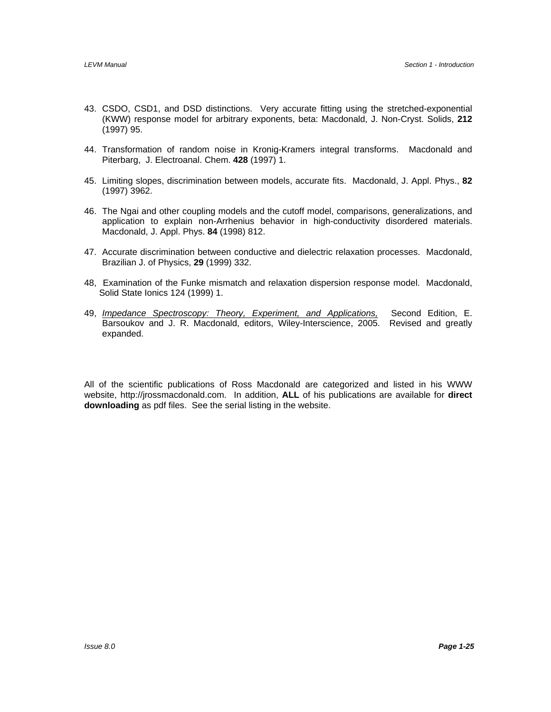- 43. CSDO, CSD1, and DSD distinctions. Very accurate fitting using the stretched-exponential (KWW) response model for arbitrary exponents, beta: Macdonald, J. Non-Cryst. Solids, **212** (1997) 95.
- 44. Transformation of random noise in Kronig-Kramers integral transforms. Macdonald and Piterbarg, J. Electroanal. Chem. **428** (1997) 1.
- 45. Limiting slopes, discrimination between models, accurate fits. Macdonald, J. Appl. Phys., **82**  (1997) 3962.
- 46. The Ngai and other coupling models and the cutoff model, comparisons, generalizations, and application to explain non-Arrhenius behavior in high-conductivity disordered materials. Macdonald, J. Appl. Phys. **84** (1998) 812.
- 47. Accurate discrimination between conductive and dielectric relaxation processes. Macdonald, Brazilian J. of Physics, **29** (1999) 332.
- 48, Examination of the Funke mismatch and relaxation dispersion response model. Macdonald, Solid State Ionics 124 (1999) 1.
- 49, *Impedance Spectroscopy: Theory, Experiment, and Applications,* Second Edition, E. Barsoukov and J. R. Macdonald, editors, Wiley-Interscience, 2005. Revised and greatly expanded.

All of the scientific publications of Ross Macdonald are categorized and listed in his WWW website, http://jrossmacdonald.com. In addition, **ALL** of his publications are available for **direct downloading** as pdf files. See the serial listing in the website.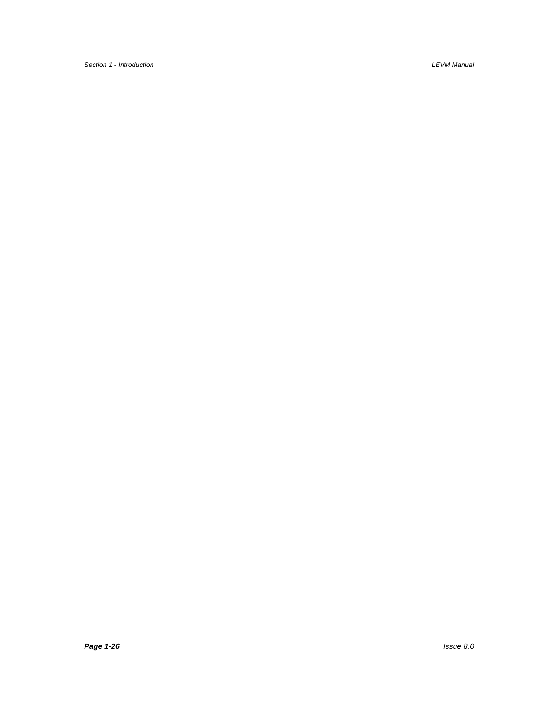*Section 1 - Introduction LEVM Manual*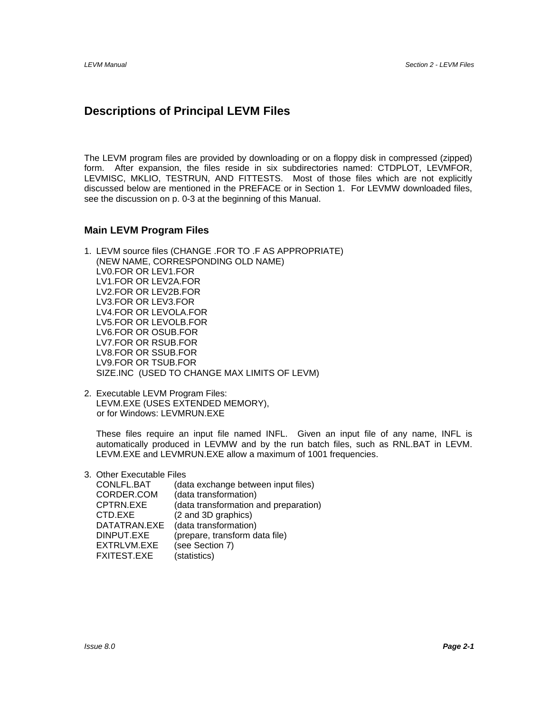# **Descriptions of Principal LEVM Files**

The LEVM program files are provided by downloading or on a floppy disk in compressed (zipped) form. After expansion, the files reside in six subdirectories named: CTDPLOT, LEVMFOR, LEVMISC, MKLIO, TESTRUN, AND FITTESTS. Most of those files which are not explicitly discussed below are mentioned in the PREFACE or in Section 1. For LEVMW downloaded files, see the discussion on p. 0-3 at the beginning of this Manual.

# **Main LEVM Program Files**

- 1. LEVM source files (CHANGE .FOR TO .F AS APPROPRIATE) (NEW NAME, CORRESPONDING OLD NAME) LV0.FOR OR LEV1.FOR LV1.FOR OR LEV2A.FOR LV2.FOR OR LEV2B.FOR LV3.FOR OR LEV3.FOR LV4.FOR OR LEVOLA.FOR LV5.FOR OR LEVOLB.FOR LV6.FOR OR OSUB.FOR LV7.FOR OR RSUB.FOR LV8.FOR OR SSUB.FOR LV9.FOR OR TSUB.FOR SIZE.INC (USED TO CHANGE MAX LIMITS OF LEVM)
- 2. Executable LEVM Program Files: LEVM.EXE (USES EXTENDED MEMORY), or for Windows: LEVMRUN.EXE

These files require an input file named INFL. Given an input file of any name, INFL is automatically produced in LEVMW and by the run batch files, such as RNL.BAT in LEVM. LEVM.EXE and LEVMRUN.EXE allow a maximum of 1001 frequencies.

3. Other Executable Files

| CONLFL.BAT         | (data exchange between input files)   |
|--------------------|---------------------------------------|
| CORDER.COM         | (data transformation)                 |
| CPTRN.EXE          | (data transformation and preparation) |
| CTD.EXE            | (2 and 3D graphics)                   |
| DATATRAN.EXE       | (data transformation)                 |
| DINPUT.EXE         | (prepare, transform data file)        |
| EXTRLVM.EXE        | (see Section 7)                       |
| <b>FXITEST.EXE</b> | (statistics)                          |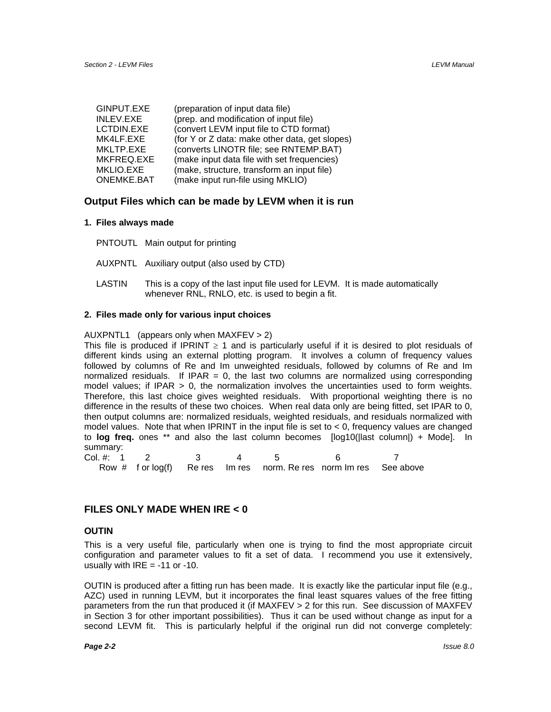| GINPUT.EXE        | (preparation of input data file)               |
|-------------------|------------------------------------------------|
| <b>INLEV.EXE</b>  | (prep. and modification of input file)         |
| <b>LCTDIN.EXE</b> | (convert LEVM input file to CTD format)        |
| MK4LF.EXE         | (for Y or Z data: make other data, get slopes) |
| MKLTP.EXE         | (converts LINOTR file; see RNTEMP.BAT)         |
| MKFREQ.EXE        | (make input data file with set frequencies)    |
| MKLIO.EXE         | (make, structure, transform an input file)     |
| ONEMKE.BAT        | (make input run-file using MKLIO)              |

# **Output Files which can be made by LEVM when it is run**

#### **1. Files always made**

PNTOUTL Main output for printing

- AUXPNTL Auxiliary output (also used by CTD)
- LASTIN This is a copy of the last input file used for LEVM. It is made automatically whenever RNL, RNLO, etc. is used to begin a fit.

#### **2. Files made only for various input choices**

#### AUXPNTL1 (appears only when MAXFEV > 2)

This file is produced if IPRINT  $\geq 1$  and is particularly useful if it is desired to plot residuals of different kinds using an external plotting program. It involves a column of frequency values followed by columns of Re and Im unweighted residuals, followed by columns of Re and Im normalized residuals. If IPAR =  $0$ , the last two columns are normalized using corresponding model values; if IPAR > 0, the normalization involves the uncertainties used to form weights. Therefore, this last choice gives weighted residuals. With proportional weighting there is no difference in the results of these two choices. When real data only are being fitted, set IPAR to 0, then output columns are: normalized residuals, weighted residuals, and residuals normalized with model values. Note that when IPRINT in the input file is set to < 0, frequency values are changed to **log freq.** ones \*\* and also the last column becomes [log10(|last column|) + Mode]. In summary:

Col. #: 1 2 3 4 5 6 7 Row # f or log(f) Re res Im res norm. Re res norm Im res See above

# **FILES ONLY MADE WHEN IRE < 0**

# **OUTIN**

This is a very useful file, particularly when one is trying to find the most appropriate circuit configuration and parameter values to fit a set of data. I recommend you use it extensively, usually with  $IRE = -11$  or  $-10$ .

OUTIN is produced after a fitting run has been made. It is exactly like the particular input file (e.g., AZC) used in running LEVM, but it incorporates the final least squares values of the free fitting parameters from the run that produced it (if MAXFEV > 2 for this run. See discussion of MAXFEV in Section 3 for other important possibilities). Thus it can be used without change as input for a second LEVM fit. This is particularly helpful if the original run did not converge completely: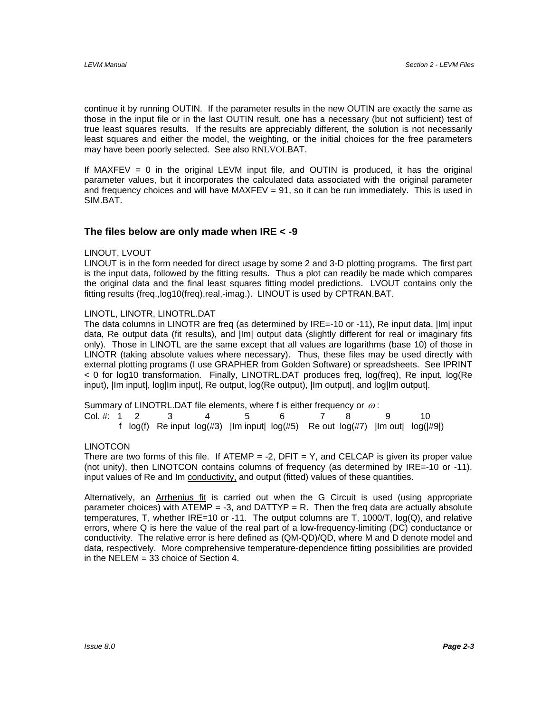continue it by running OUTIN. If the parameter results in the new OUTIN are exactly the same as those in the input file or in the last OUTIN result, one has a necessary (but not sufficient) test of true least squares results. If the results are appreciably different, the solution is not necessarily least squares and either the model, the weighting, or the initial choices for the free parameters may have been poorly selected. See also RNLVOI.BAT.

If MAXFEV  $= 0$  in the original LEVM input file, and OUTIN is produced, it has the original parameter values, but it incorporates the calculated data associated with the original parameter and frequency choices and will have  $MAXFEV = 91$ , so it can be run immediately. This is used in SIM.BAT.

# **The files below are only made when IRE < -9**

#### LINOUT, LVOUT

LINOUT is in the form needed for direct usage by some 2 and 3-D plotting programs. The first part is the input data, followed by the fitting results. Thus a plot can readily be made which compares the original data and the final least squares fitting model predictions. LVOUT contains only the fitting results (freq.,log10(freq),real,-imag.). LINOUT is used by CPTRAN.BAT.

#### LINOTL, LINOTR, LINOTRL.DAT

The data columns in LINOTR are freq (as determined by IRE=-10 or -11), Re input data, |Im| input data, Re output data (fit results), and |Im| output data (slightly different for real or imaginary fits only). Those in LINOTL are the same except that all values are logarithms (base 10) of those in LINOTR (taking absolute values where necessary). Thus, these files may be used directly with external plotting programs (I use GRAPHER from Golden Software) or spreadsheets. See IPRINT < 0 for log10 transformation. Finally, LINOTRL.DAT produces freq, log(freq), Re input, log(Re input), |Im input|, log|Im input|, Re output, log(Re output), |Im output|, and log|Im output|.

| Summary of LINOTRL.DAT file elements, where f is either frequency or $\omega$ : |  |  |  |  |                                                                                               |  |  |  |  |                 |
|---------------------------------------------------------------------------------|--|--|--|--|-----------------------------------------------------------------------------------------------|--|--|--|--|-----------------|
|                                                                                 |  |  |  |  | Col. #: 1 2 3 4 5 6 7 8 9                                                                     |  |  |  |  | $\overline{10}$ |
|                                                                                 |  |  |  |  | f $log(f)$ Re input $log(f/43)$  Im input  $log(f/45)$ Re out $log(f/7)$  Im out  $log(f/49)$ |  |  |  |  |                 |

# LINOTCON

There are two forms of this file. If  $ATEMP = -2$ ,  $DFIT = Y$ , and  $CELCAP$  is given its proper value (not unity), then LINOTCON contains columns of frequency (as determined by IRE=-10 or -11), input values of Re and Im conductivity, and output (fitted) values of these quantities.

Alternatively, an Arrhenius fit is carried out when the G Circuit is used (using appropriate parameter choices) with  $ATEMP = -3$ , and  $DATTYP = R$ . Then the freq data are actually absolute temperatures, T, whether IRE=10 or -11. The output columns are T, 1000/T,  $log(Q)$ , and relative errors, where Q is here the value of the real part of a low-frequency-limiting (DC) conductance or conductivity. The relative error is here defined as (QM-QD)/QD, where M and D denote model and data, respectively. More comprehensive temperature-dependence fitting possibilities are provided in the NELEM = 33 choice of Section 4.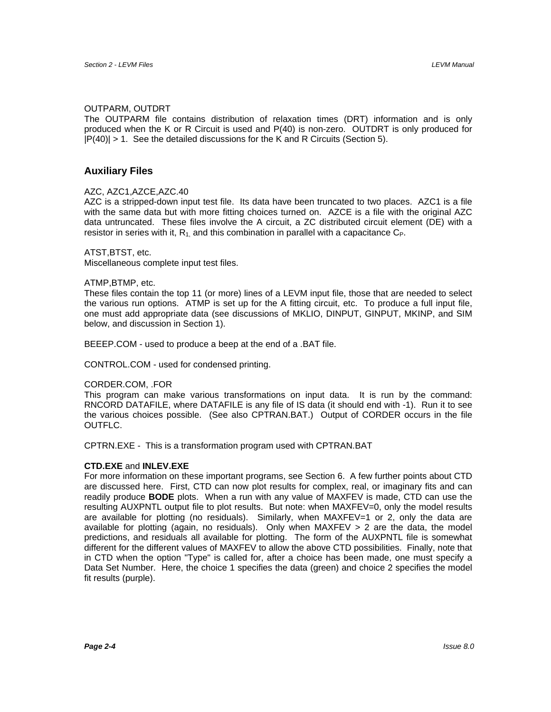#### OUTPARM, OUTDRT

The OUTPARM file contains distribution of relaxation times (DRT) information and is only produced when the K or R Circuit is used and P(40) is non-zero. OUTDRT is only produced for  $|P(40)| > 1$ . See the detailed discussions for the K and R Circuits (Section 5).

# **Auxiliary Files**

#### AZC, AZC1,AZCE,AZC.40

AZC is a stripped-down input test file. Its data have been truncated to two places. AZC1 is a file with the same data but with more fitting choices turned on. AZCE is a file with the original AZC data untruncated. These files involve the A circuit, a ZC distributed circuit element (DE) with a resistor in series with it,  $R_1$  and this combination in parallel with a capacitance  $C_P$ .

#### ATST,BTST, etc.

Miscellaneous complete input test files.

#### ATMP,BTMP, etc.

These files contain the top 11 (or more) lines of a LEVM input file, those that are needed to select the various run options. ATMP is set up for the A fitting circuit, etc. To produce a full input file, one must add appropriate data (see discussions of MKLIO, DINPUT, GINPUT, MKINP, and SIM below, and discussion in Section 1).

BEEEP.COM - used to produce a beep at the end of a .BAT file.

CONTROL.COM - used for condensed printing.

# CORDER.COM, .FOR

This program can make various transformations on input data. It is run by the command: RNCORD DATAFILE, where DATAFILE is any file of IS data (it should end with -1). Run it to see the various choices possible. (See also CPTRAN.BAT.) Output of CORDER occurs in the file OUTFLC.

CPTRN.EXE - This is a transformation program used with CPTRAN.BAT

# **CTD.EXE** and **INLEV.EXE**

For more information on these important programs, see Section 6. A few further points about CTD are discussed here. First, CTD can now plot results for complex, real, or imaginary fits and can readily produce **BODE** plots. When a run with any value of MAXFEV is made, CTD can use the resulting AUXPNTL output file to plot results. But note: when MAXFEV=0, only the model results are available for plotting (no residuals). Similarly, when MAXFEV=1 or 2, only the data are available for plotting (again, no residuals). Only when  $MAXFEV > 2$  are the data, the model predictions, and residuals all available for plotting. The form of the AUXPNTL file is somewhat different for the different values of MAXFEV to allow the above CTD possibilities. Finally, note that in CTD when the option "Type" is called for, after a choice has been made, one must specify a Data Set Number. Here, the choice 1 specifies the data (green) and choice 2 specifies the model fit results (purple).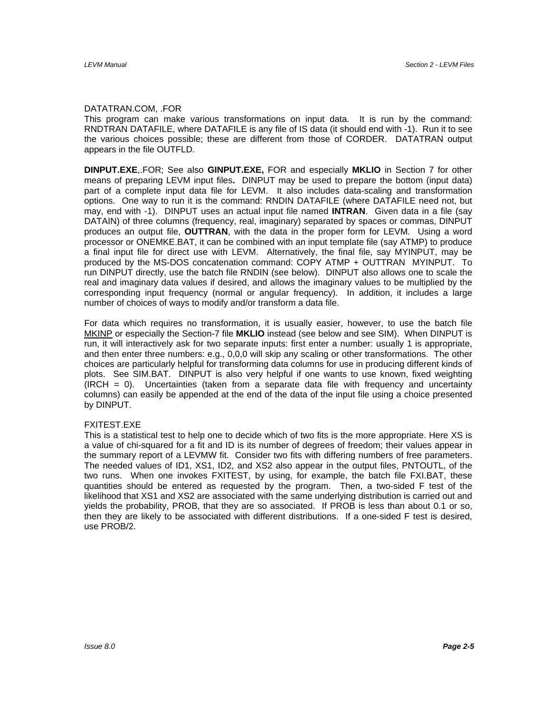#### DATATRAN.COM, .FOR

This program can make various transformations on input data. It is run by the command: RNDTRAN DATAFILE, where DATAFILE is any file of IS data (it should end with -1). Run it to see the various choices possible; these are different from those of CORDER. DATATRAN output appears in the file OUTFLD.

**DINPUT.EXE**,.FOR; See also **GINPUT.EXE,** FOR and especially **MKLIO** in Section 7 for other means of preparing LEVM input files**.** DINPUT may be used to prepare the bottom (input data) part of a complete input data file for LEVM. It also includes data-scaling and transformation options. One way to run it is the command: RNDIN DATAFILE (where DATAFILE need not, but may, end with -1). DINPUT uses an actual input file named **INTRAN**. Given data in a file (say DATAIN) of three columns (frequency, real, imaginary) separated by spaces or commas, DINPUT produces an output file, **OUTTRAN**, with the data in the proper form for LEVM. Using a word processor or ONEMKE.BAT, it can be combined with an input template file (say ATMP) to produce a final input file for direct use with LEVM. Alternatively, the final file, say MYINPUT, may be produced by the MS-DOS concatenation command: COPY ATMP + OUTTRAN MYINPUT. To run DINPUT directly, use the batch file RNDIN (see below). DINPUT also allows one to scale the real and imaginary data values if desired, and allows the imaginary values to be multiplied by the corresponding input frequency (normal or angular frequency). In addition, it includes a large number of choices of ways to modify and/or transform a data file.

For data which requires no transformation, it is usually easier, however, to use the batch file MKINP or especially the Section-7 file **MKLIO** instead (see below and see SIM). When DINPUT is run, it will interactively ask for two separate inputs: first enter a number: usually 1 is appropriate, and then enter three numbers: e.g., 0,0,0 will skip any scaling or other transformations. The other choices are particularly helpful for transforming data columns for use in producing different kinds of plots. See SIM.BAT. DINPUT is also very helpful if one wants to use known, fixed weighting  $(IRCH = 0)$ . Uncertainties (taken from a separate data file with frequency and uncertainty columns) can easily be appended at the end of the data of the input file using a choice presented by DINPUT.

# FXITEST.EXE

This is a statistical test to help one to decide which of two fits is the more appropriate. Here XS is a value of chi-squared for a fit and ID is its number of degrees of freedom; their values appear in the summary report of a LEVMW fit. Consider two fits with differing numbers of free parameters. The needed values of ID1, XS1, ID2, and XS2 also appear in the output files, PNTOUTL, of the two runs. When one invokes FXITEST, by using, for example, the batch file FXI.BAT, these quantities should be entered as requested by the program. Then, a two-sided F test of the likelihood that XS1 and XS2 are associated with the same underlying distribution is carried out and yields the probability, PROB, that they are so associated. If PROB is less than about 0.1 or so, then they are likely to be associated with different distributions. If a one-sided F test is desired, use PROB/2.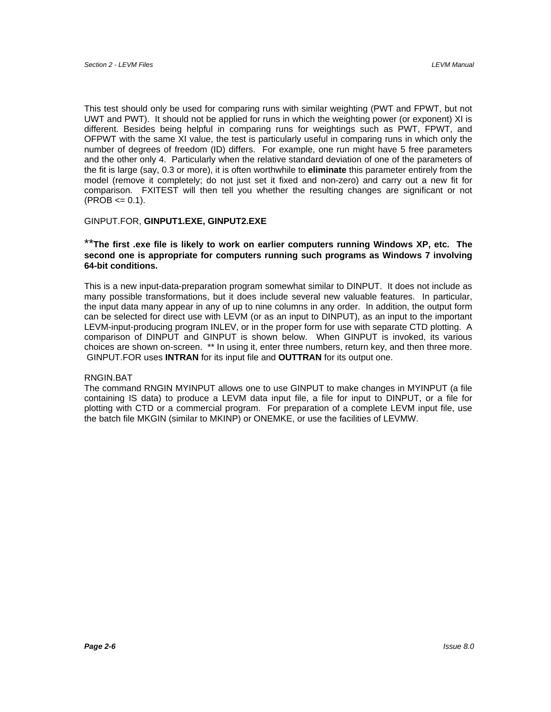This test should only be used for comparing runs with similar weighting (PWT and FPWT, but not UWT and PWT). It should not be applied for runs in which the weighting power (or exponent) XI is different. Besides being helpful in comparing runs for weightings such as PWT, FPWT, and OFPWT with the same XI value, the test is particularly useful in comparing runs in which only the number of degrees of freedom (ID) differs. For example, one run might have 5 free parameters and the other only 4. Particularly when the relative standard deviation of one of the parameters of the fit is large (say, 0.3 or more), it is often worthwhile to **eliminate** this parameter entirely from the model (remove it completely; do not just set it fixed and non-zero) and carry out a new fit for comparison. FXITEST will then tell you whether the resulting changes are significant or not  $(PROB \le 0.1)$ .

# GINPUT.FOR, **GINPUT1.EXE, GINPUT2.EXE**

# \*\***The first .exe file is likely to work on earlier computers running Windows XP, etc. The second one is appropriate for computers running such programs as Windows 7 involving 64-bit conditions.**

This is a new input-data-preparation program somewhat similar to DINPUT. It does not include as many possible transformations, but it does include several new valuable features. In particular, the input data many appear in any of up to nine columns in any order. In addition, the output form can be selected for direct use with LEVM (or as an input to DINPUT), as an input to the important LEVM-input-producing program INLEV, or in the proper form for use with separate CTD plotting. A comparison of DINPUT and GINPUT is shown below. When GINPUT is invoked, its various choices are shown on-screen. \*\* In using it, enter three numbers, return key, and then three more. GINPUT.FOR uses **INTRAN** for its input file and **OUTTRAN** for its output one.

#### RNGIN.BAT

The command RNGIN MYINPUT allows one to use GINPUT to make changes in MYINPUT (a file containing IS data) to produce a LEVM data input file, a file for input to DINPUT, or a file for plotting with CTD or a commercial program. For preparation of a complete LEVM input file, use the batch file MKGIN (similar to MKINP) or ONEMKE, or use the facilities of LEVMW.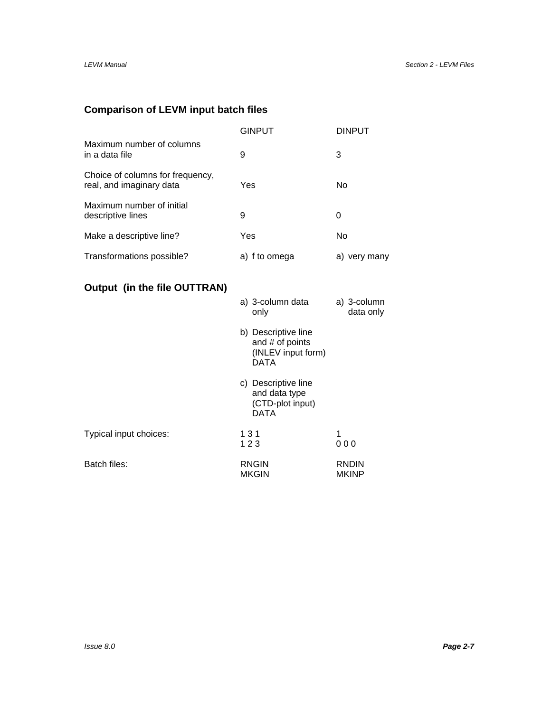# **Comparison of LEVM input batch files**

|                                                              | <b>GINPUT</b> | <b>DINPUT</b>   |
|--------------------------------------------------------------|---------------|-----------------|
| Maximum number of columns<br>in a data file                  | 9             | 3               |
| Choice of columns for frequency,<br>real, and imaginary data | Yes           | No              |
| Maximum number of initial<br>descriptive lines               | 9             | 0               |
| Make a descriptive line?                                     | Yes           | No              |
| Transformations possible?                                    | a) f to omega | very many<br>a) |

# **Output (in the file OUTTRAN)**

|                        | a) 3-column data<br>only                                                    | a) 3-column<br>data only     |
|------------------------|-----------------------------------------------------------------------------|------------------------------|
|                        | b) Descriptive line<br>and # of points<br>(INLEV input form)<br><b>DATA</b> |                              |
|                        | c) Descriptive line<br>and data type<br>(CTD-plot input)<br><b>DATA</b>     |                              |
| Typical input choices: | 131<br>123                                                                  | 1<br>000                     |
| Batch files:           | <b>RNGIN</b><br><b>MKGIN</b>                                                | <b>RNDIN</b><br><b>MKINP</b> |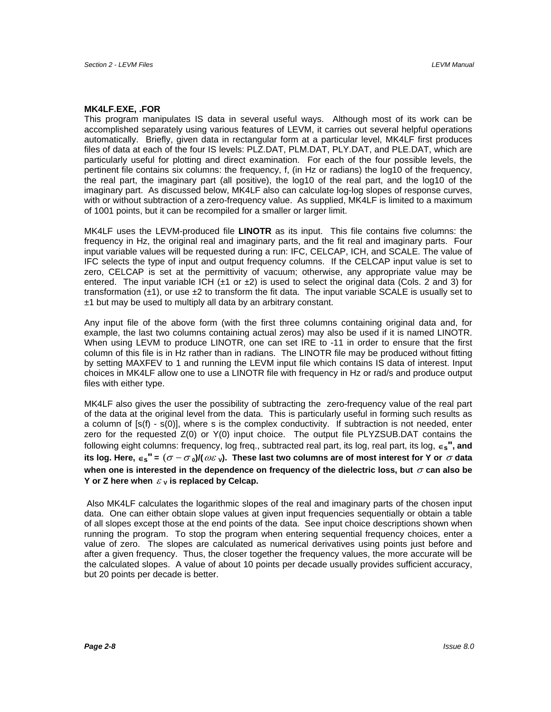#### **MK4LF.EXE, .FOR**

This program manipulates IS data in several useful ways. Although most of its work can be accomplished separately using various features of LEVM, it carries out several helpful operations automatically. Briefly, given data in rectangular form at a particular level, MK4LF first produces files of data at each of the four IS levels: PLZ.DAT, PLM.DAT, PLY.DAT, and PLE.DAT, which are particularly useful for plotting and direct examination. For each of the four possible levels, the pertinent file contains six columns: the frequency, f, (in Hz or radians) the log10 of the frequency, the real part, the imaginary part (all positive), the log10 of the real part, and the log10 of the imaginary part. As discussed below, MK4LF also can calculate log-log slopes of response curves, with or without subtraction of a zero-frequency value. As supplied, MK4LF is limited to a maximum of 1001 points, but it can be recompiled for a smaller or larger limit.

MK4LF uses the LEVM-produced file **LINOTR** as its input. This file contains five columns: the frequency in Hz, the original real and imaginary parts, and the fit real and imaginary parts. Four input variable values will be requested during a run: IFC, CELCAP, ICH, and SCALE. The value of IFC selects the type of input and output frequency columns. If the CELCAP input value is set to zero, CELCAP is set at the permittivity of vacuum; otherwise, any appropriate value may be entered. The input variable ICH  $(\pm 1 \text{ or } \pm 2)$  is used to select the original data (Cols. 2 and 3) for transformation  $(\pm 1)$ , or use  $\pm 2$  to transform the fit data. The input variable SCALE is usually set to ±1 but may be used to multiply all data by an arbitrary constant.

Any input file of the above form (with the first three columns containing original data and, for example, the last two columns containing actual zeros) may also be used if it is named LINOTR. When using LEVM to produce LINOTR, one can set IRE to -11 in order to ensure that the first column of this file is in Hz rather than in radians. The LINOTR file may be produced without fitting by setting MAXFEV to 1 and running the LEVM input file which contains IS data of interest. Input choices in MK4LF allow one to use a LINOTR file with frequency in Hz or rad/s and produce output files with either type.

MK4LF also gives the user the possibility of subtracting the zero-frequency value of the real part of the data at the original level from the data. This is particularly useful in forming such results as a column of [s(f) - s(0)], where s is the complex conductivity. If subtraction is not needed, enter zero for the requested Z(0) or Y(0) input choice. The output file PLYZSUB.DAT contains the following eight columns: frequency, log freq., subtracted real part, its log, real part, its log,  $\epsilon_s$ ", and its log. Here,  $\epsilon_s$ " =  $(\sigma - \sigma_o)$ /(  $\omega \varepsilon$  <sub>V</sub>). These last two columns are of most interest for Y or  $\sigma$  data when one is interested in the dependence on frequency of the dielectric loss, but  $\sigma$  can also be **Y** or Z here when  $\varepsilon$ <sub>V</sub> is replaced by Celcap.

 Also MK4LF calculates the logarithmic slopes of the real and imaginary parts of the chosen input data. One can either obtain slope values at given input frequencies sequentially or obtain a table of all slopes except those at the end points of the data. See input choice descriptions shown when running the program. To stop the program when entering sequential frequency choices, enter a value of zero. The slopes are calculated as numerical derivatives using points just before and after a given frequency. Thus, the closer together the frequency values, the more accurate will be the calculated slopes. A value of about 10 points per decade usually provides sufficient accuracy, but 20 points per decade is better.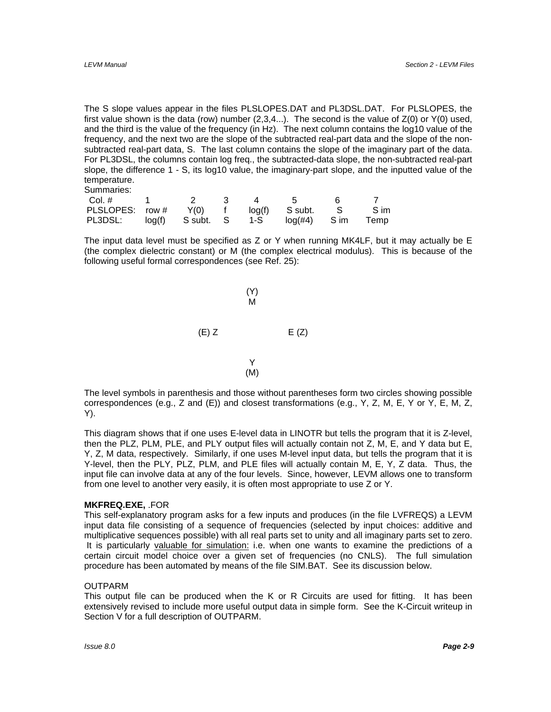The S slope values appear in the files PLSLOPES.DAT and PL3DSL.DAT. For PLSLOPES, the first value shown is the data (row) number  $(2,3,4...)$ . The second is the value of  $Z(0)$  or  $Y(0)$  used, and the third is the value of the frequency (in Hz). The next column contains the log10 value of the frequency, and the next two are the slope of the subtracted real-part data and the slope of the nonsubtracted real-part data, S. The last column contains the slope of the imaginary part of the data. For PL3DSL, the columns contain log freq., the subtracted-data slope, the non-subtracted real-part slope, the difference 1 - S, its log10 value, the imaginary-part slope, and the inputted value of the temperature.

| Summaries: |
|------------|
|            |

| -------------                                  |  |                |  |      |
|------------------------------------------------|--|----------------|--|------|
| Col. #                                         |  | $\overline{a}$ |  |      |
| PLSLOPES: row # Y(0) f log(f) S subt. S        |  |                |  | S im |
| PL3DSL: log(f) S subt. S 1-S log(#4) S im Temp |  |                |  |      |

The input data level must be specified as Z or Y when running MK4LF, but it may actually be E (the complex dielectric constant) or M (the complex electrical modulus). This is because of the following useful formal correspondences (see Ref. 25):



The level symbols in parenthesis and those without parentheses form two circles showing possible correspondences (e.g., Z and (E)) and closest transformations (e.g., Y, Z, M, E, Y or Y, E, M, Z, Y).

This diagram shows that if one uses E-level data in LINOTR but tells the program that it is Z-level, then the PLZ, PLM, PLE, and PLY output files will actually contain not Z, M, E, and Y data but E, Y, Z, M data, respectively. Similarly, if one uses M-level input data, but tells the program that it is Y-level, then the PLY, PLZ, PLM, and PLE files will actually contain M, E, Y, Z data. Thus, the input file can involve data at any of the four levels. Since, however, LEVM allows one to transform from one level to another very easily, it is often most appropriate to use Z or Y.

#### **MKFREQ.EXE,** .FOR

This self-explanatory program asks for a few inputs and produces (in the file LVFREQS) a LEVM input data file consisting of a sequence of frequencies (selected by input choices: additive and multiplicative sequences possible) with all real parts set to unity and all imaginary parts set to zero. It is particularly valuable for simulation: i.e. when one wants to examine the predictions of a certain circuit model choice over a given set of frequencies (no CNLS). The full simulation procedure has been automated by means of the file SIM.BAT. See its discussion below.

# OUTPARM

This output file can be produced when the K or R Circuits are used for fitting. It has been extensively revised to include more useful output data in simple form. See the K-Circuit writeup in Section V for a full description of OUTPARM.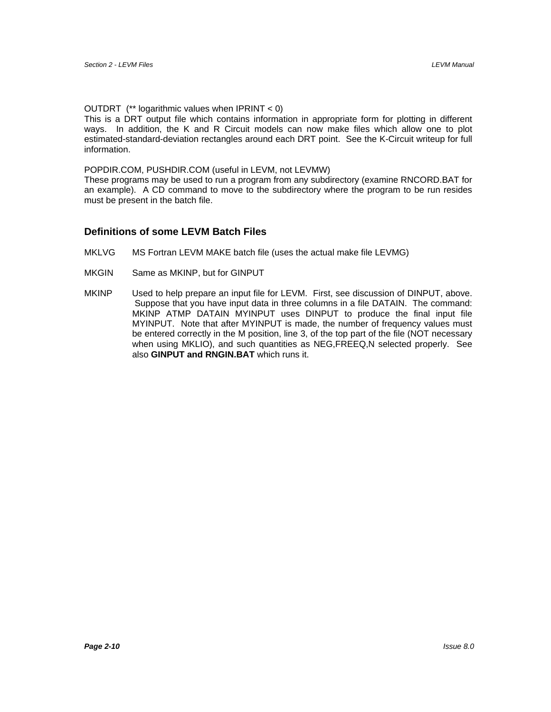OUTDRT (\*\* logarithmic values when IPRINT < 0)

This is a DRT output file which contains information in appropriate form for plotting in different ways. In addition, the K and R Circuit models can now make files which allow one to plot estimated-standard-deviation rectangles around each DRT point. See the K-Circuit writeup for full information.

POPDIR.COM, PUSHDIR.COM (useful in LEVM, not LEVMW)

These programs may be used to run a program from any subdirectory (examine RNCORD.BAT for an example). A CD command to move to the subdirectory where the program to be run resides must be present in the batch file.

# **Definitions of some LEVM Batch Files**

- MKLVG MS Fortran LEVM MAKE batch file (uses the actual make file LEVMG)
- MKGIN Same as MKINP, but for GINPUT
- MKINP Used to help prepare an input file for LEVM. First, see discussion of DINPUT, above. Suppose that you have input data in three columns in a file DATAIN. The command: MKINP ATMP DATAIN MYINPUT uses DINPUT to produce the final input file MYINPUT. Note that after MYINPUT is made, the number of frequency values must be entered correctly in the M position, line 3, of the top part of the file (NOT necessary when using MKLIO), and such quantities as NEG,FREEQ,N selected properly. See also **GINPUT and RNGIN.BAT** which runs it.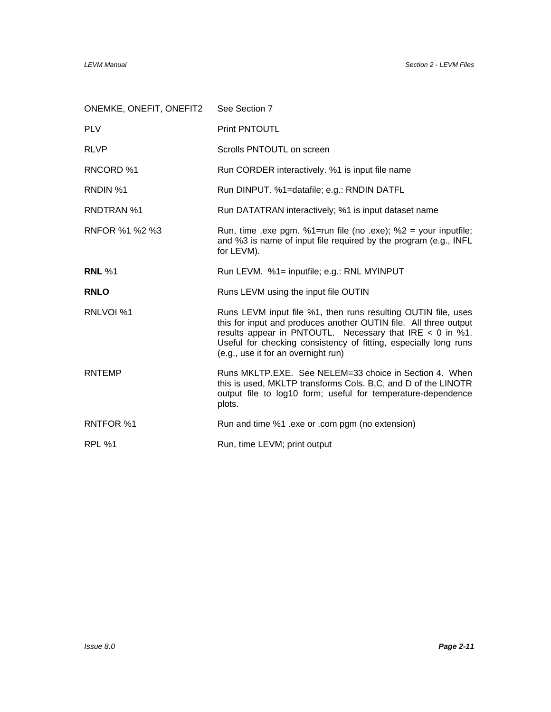| ONEMKE, ONEFIT, ONEFIT2 See Section 7 |                                                                                                                                                                                                                                                                                                            |
|---------------------------------------|------------------------------------------------------------------------------------------------------------------------------------------------------------------------------------------------------------------------------------------------------------------------------------------------------------|
| <b>PLV</b>                            | <b>Print PNTOUTL</b>                                                                                                                                                                                                                                                                                       |
| <b>RLVP</b>                           | Scrolls PNTOUTL on screen                                                                                                                                                                                                                                                                                  |
| RNCORD %1                             | Run CORDER interactively. %1 is input file name                                                                                                                                                                                                                                                            |
| RNDIN %1                              | Run DINPUT. %1=datafile; e.g.: RNDIN DATFL                                                                                                                                                                                                                                                                 |
| RNDTRAN %1                            | Run DATATRAN interactively; %1 is input dataset name                                                                                                                                                                                                                                                       |
| RNFOR %1 %2 %3                        | Run, time .exe pgm. %1=run file (no .exe); %2 = your inputfile;<br>and %3 is name of input file required by the program (e.g., INFL<br>for LEVM).                                                                                                                                                          |
| <b>RNL %1</b>                         | Run LEVM. %1= inputfile; e.g.: RNL MYINPUT                                                                                                                                                                                                                                                                 |
| <b>RNLO</b>                           | Runs LEVM using the input file OUTIN                                                                                                                                                                                                                                                                       |
| RNLVOI %1                             | Runs LEVM input file %1, then runs resulting OUTIN file, uses<br>this for input and produces another OUTIN file. All three output<br>results appear in PNTOUTL. Necessary that IRE $<$ 0 in %1.<br>Useful for checking consistency of fitting, especially long runs<br>(e.g., use it for an overnight run) |
| <b>RNTEMP</b>                         | Runs MKLTP.EXE. See NELEM=33 choice in Section 4. When<br>this is used, MKLTP transforms Cols. B,C, and D of the LINOTR<br>output file to log10 form; useful for temperature-dependence<br>plots.                                                                                                          |
| RNTFOR %1                             | Run and time %1 .exe or .com pgm (no extension)                                                                                                                                                                                                                                                            |
| <b>RPL %1</b>                         | Run, time LEVM; print output                                                                                                                                                                                                                                                                               |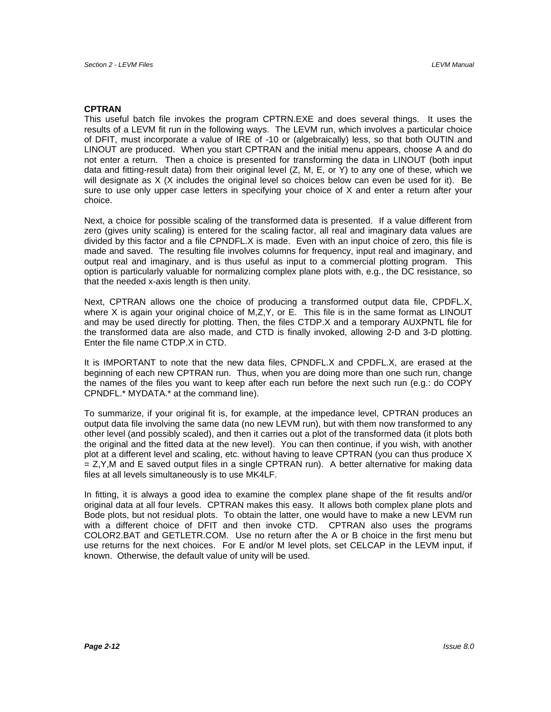# **CPTRAN**

This useful batch file invokes the program CPTRN.EXE and does several things. It uses the results of a LEVM fit run in the following ways. The LEVM run, which involves a particular choice of DFIT, must incorporate a value of IRE of -10 or (algebraically) less, so that both OUTIN and LINOUT are produced. When you start CPTRAN and the initial menu appears, choose A and do not enter a return. Then a choice is presented for transforming the data in LINOUT (both input data and fitting-result data) from their original level (Z, M, E, or Y) to any one of these, which we will designate as X (X includes the original level so choices below can even be used for it). Be sure to use only upper case letters in specifying your choice of X and enter a return after your choice.

Next, a choice for possible scaling of the transformed data is presented. If a value different from zero (gives unity scaling) is entered for the scaling factor, all real and imaginary data values are divided by this factor and a file CPNDFL.X is made. Even with an input choice of zero, this file is made and saved. The resulting file involves columns for frequency, input real and imaginary, and output real and imaginary, and is thus useful as input to a commercial plotting program. This option is particularly valuable for normalizing complex plane plots with, e.g., the DC resistance, so that the needed x-axis length is then unity.

Next, CPTRAN allows one the choice of producing a transformed output data file, CPDFL.X, where X is again your original choice of M,Z,Y, or E. This file is in the same format as LINOUT and may be used directly for plotting. Then, the files CTDP.X and a temporary AUXPNTL file for the transformed data are also made, and CTD is finally invoked, allowing 2-D and 3-D plotting. Enter the file name CTDP.X in CTD.

It is IMPORTANT to note that the new data files, CPNDFL.X and CPDFL.X, are erased at the beginning of each new CPTRAN run. Thus, when you are doing more than one such run, change the names of the files you want to keep after each run before the next such run (e.g.: do COPY CPNDFL.\* MYDATA.\* at the command line).

To summarize, if your original fit is, for example, at the impedance level, CPTRAN produces an output data file involving the same data (no new LEVM run), but with them now transformed to any other level (and possibly scaled), and then it carries out a plot of the transformed data (it plots both the original and the fitted data at the new level). You can then continue, if you wish, with another plot at a different level and scaling, etc. without having to leave CPTRAN (you can thus produce X  $=$  Z,Y,M and E saved output files in a single CPTRAN run). A better alternative for making data files at all levels simultaneously is to use MK4LF.

In fitting, it is always a good idea to examine the complex plane shape of the fit results and/or original data at all four levels. CPTRAN makes this easy. It allows both complex plane plots and Bode plots, but not residual plots. To obtain the latter, one would have to make a new LEVM run with a different choice of DFIT and then invoke CTD. CPTRAN also uses the programs COLOR2.BAT and GETLETR.COM. Use no return after the A or B choice in the first menu but use returns for the next choices. For E and/or M level plots, set CELCAP in the LEVM input, if known. Otherwise, the default value of unity will be used.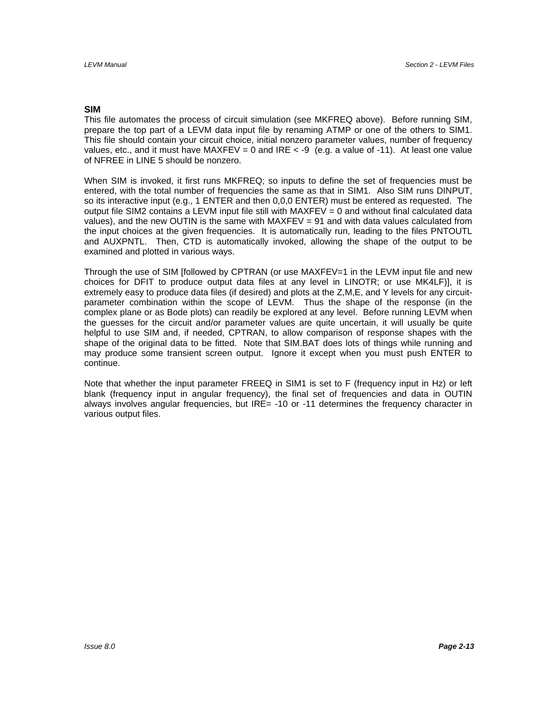#### **SIM**

This file automates the process of circuit simulation (see MKFREQ above). Before running SIM, prepare the top part of a LEVM data input file by renaming ATMP or one of the others to SIM1. This file should contain your circuit choice, initial nonzero parameter values, number of frequency values, etc., and it must have MAXFEV = 0 and IRE  $\lt$  -9 (e.g. a value of -11). At least one value of NFREE in LINE 5 should be nonzero.

When SIM is invoked, it first runs MKFREQ; so inputs to define the set of frequencies must be entered, with the total number of frequencies the same as that in SIM1. Also SIM runs DINPUT, so its interactive input (e.g., 1 ENTER and then 0,0,0 ENTER) must be entered as requested. The output file SIM2 contains a LEVM input file still with MAXFEV = 0 and without final calculated data values), and the new OUTIN is the same with  $MAXFEV = 91$  and with data values calculated from the input choices at the given frequencies. It is automatically run, leading to the files PNTOUTL and AUXPNTL. Then, CTD is automatically invoked, allowing the shape of the output to be examined and plotted in various ways.

Through the use of SIM [followed by CPTRAN (or use MAXFEV=1 in the LEVM input file and new choices for DFIT to produce output data files at any level in LINOTR; or use MK4LF)], it is extremely easy to produce data files (if desired) and plots at the Z,M,E, and Y levels for any circuitparameter combination within the scope of LEVM. Thus the shape of the response (in the complex plane or as Bode plots) can readily be explored at any level. Before running LEVM when the guesses for the circuit and/or parameter values are quite uncertain, it will usually be quite helpful to use SIM and, if needed, CPTRAN, to allow comparison of response shapes with the shape of the original data to be fitted. Note that SIM.BAT does lots of things while running and may produce some transient screen output. Ignore it except when you must push ENTER to continue.

Note that whether the input parameter FREEQ in SIM1 is set to F (frequency input in Hz) or left blank (frequency input in angular frequency), the final set of frequencies and data in OUTIN always involves angular frequencies, but IRE= -10 or -11 determines the frequency character in various output files.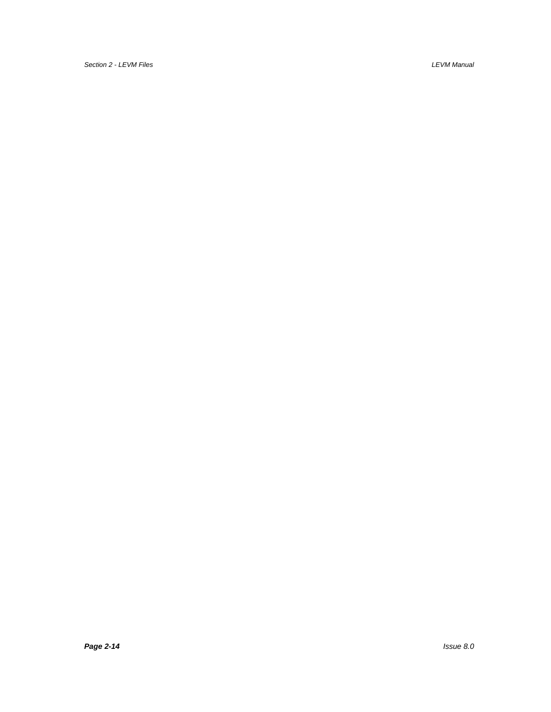*Section 2 - LEVM Files LEVM Manual*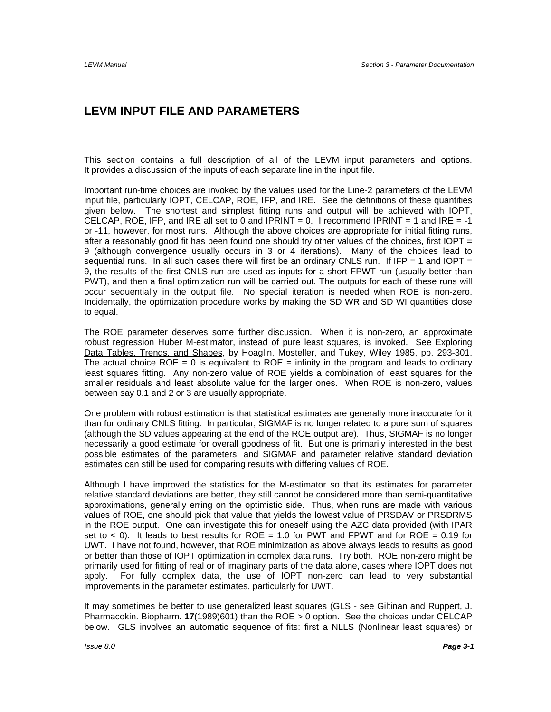# **LEVM INPUT FILE AND PARAMETERS**

This section contains a full description of all of the LEVM input parameters and options. It provides a discussion of the inputs of each separate line in the input file.

Important run-time choices are invoked by the values used for the Line-2 parameters of the LEVM input file, particularly IOPT, CELCAP, ROE, IFP, and IRE. See the definitions of these quantities given below. The shortest and simplest fitting runs and output will be achieved with IOPT, CELCAP, ROE, IFP, and IRE all set to 0 and IPRINT = 0. I recommend IPRINT = 1 and IRE = -1 or -11, however, for most runs. Although the above choices are appropriate for initial fitting runs, after a reasonably good fit has been found one should try other values of the choices, first IOPT = 9 (although convergence usually occurs in 3 or 4 iterations). Many of the choices lead to sequential runs. In all such cases there will first be an ordinary CNLS run. If IFP = 1 and IOPT = 9, the results of the first CNLS run are used as inputs for a short FPWT run (usually better than PWT), and then a final optimization run will be carried out. The outputs for each of these runs will occur sequentially in the output file. No special iteration is needed when ROE is non-zero. Incidentally, the optimization procedure works by making the SD WR and SD WI quantities close to equal.

The ROE parameter deserves some further discussion. When it is non-zero, an approximate robust regression Huber M-estimator, instead of pure least squares, is invoked. See Exploring Data Tables, Trends, and Shapes, by Hoaglin, Mosteller, and Tukey, Wiley 1985, pp. 293-301. The actual choice ROE = 0 is equivalent to ROE = infinity in the program and leads to ordinary least squares fitting. Any non-zero value of ROE yields a combination of least squares for the smaller residuals and least absolute value for the larger ones. When ROE is non-zero, values between say 0.1 and 2 or 3 are usually appropriate.

One problem with robust estimation is that statistical estimates are generally more inaccurate for it than for ordinary CNLS fitting. In particular, SIGMAF is no longer related to a pure sum of squares (although the SD values appearing at the end of the ROE output are). Thus, SIGMAF is no longer necessarily a good estimate for overall goodness of fit. But one is primarily interested in the best possible estimates of the parameters, and SIGMAF and parameter relative standard deviation estimates can still be used for comparing results with differing values of ROE.

Although I have improved the statistics for the M-estimator so that its estimates for parameter relative standard deviations are better, they still cannot be considered more than semi-quantitative approximations, generally erring on the optimistic side. Thus, when runs are made with various values of ROE, one should pick that value that yields the lowest value of PRSDAV or PRSDRMS in the ROE output. One can investigate this for oneself using the AZC data provided (with IPAR set to  $<$  0). It leads to best results for ROE = 1.0 for PWT and FPWT and for ROE = 0.19 for UWT. I have not found, however, that ROE minimization as above always leads to results as good or better than those of IOPT optimization in complex data runs. Try both. ROE non-zero might be primarily used for fitting of real or of imaginary parts of the data alone, cases where IOPT does not apply. For fully complex data, the use of IOPT non-zero can lead to very substantial improvements in the parameter estimates, particularly for UWT.

It may sometimes be better to use generalized least squares (GLS - see Giltinan and Ruppert, J. Pharmacokin. Biopharm. **17**(1989)601) than the ROE > 0 option. See the choices under CELCAP below. GLS involves an automatic sequence of fits: first a NLLS (Nonlinear least squares) or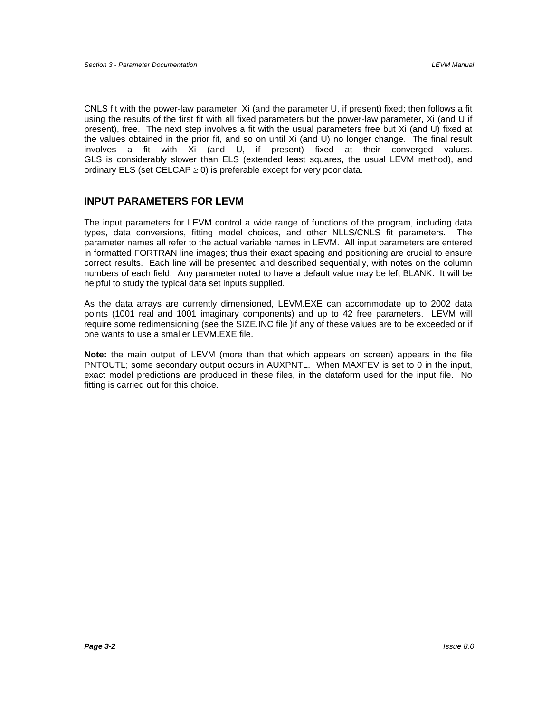CNLS fit with the power-law parameter, Xi (and the parameter U, if present) fixed; then follows a fit using the results of the first fit with all fixed parameters but the power-law parameter, Xi (and U if present), free. The next step involves a fit with the usual parameters free but Xi (and U) fixed at the values obtained in the prior fit, and so on until Xi (and U) no longer change. The final result involves a fit with Xi (and U, if present) fixed at their converged values. GLS is considerably slower than ELS (extended least squares, the usual LEVM method), and ordinary ELS (set CELCAP  $\geq$  0) is preferable except for very poor data.

# **INPUT PARAMETERS FOR LEVM**

The input parameters for LEVM control a wide range of functions of the program, including data types, data conversions, fitting model choices, and other NLLS/CNLS fit parameters. The parameter names all refer to the actual variable names in LEVM. All input parameters are entered in formatted FORTRAN line images; thus their exact spacing and positioning are crucial to ensure correct results. Each line will be presented and described sequentially, with notes on the column numbers of each field. Any parameter noted to have a default value may be left BLANK. It will be helpful to study the typical data set inputs supplied.

As the data arrays are currently dimensioned, LEVM.EXE can accommodate up to 2002 data points (1001 real and 1001 imaginary components) and up to 42 free parameters. LEVM will require some redimensioning (see the SIZE.INC file )if any of these values are to be exceeded or if one wants to use a smaller LEVM.EXE file.

**Note:** the main output of LEVM (more than that which appears on screen) appears in the file PNTOUTL; some secondary output occurs in AUXPNTL. When MAXFEV is set to 0 in the input, exact model predictions are produced in these files, in the dataform used for the input file. No fitting is carried out for this choice.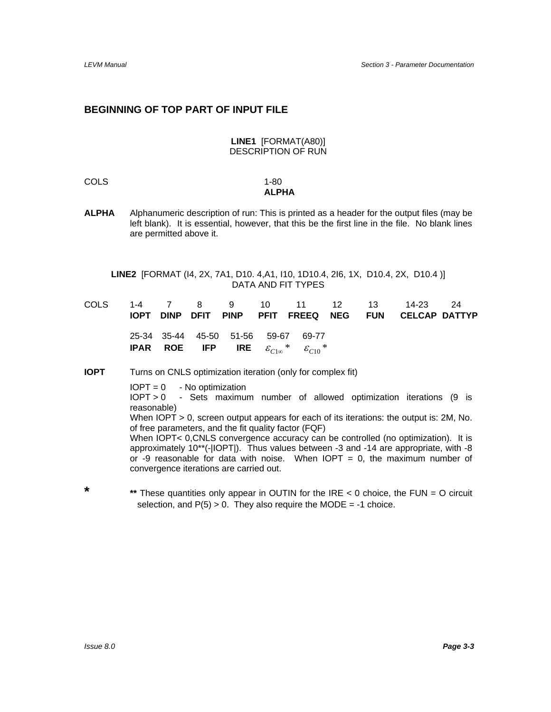# **BEGINNING OF TOP PART OF INPUT FILE**

#### **LINE1** [FORMAT(A80)] DESCRIPTION OF RUN

COLS 1-80

# **ALPHA**

**ALPHA** Alphanumeric description of run: This is printed as a header for the output files (may be left blank). It is essential, however, that this be the first line in the file. No blank lines are permitted above it.

#### **LINE2** [FORMAT (I4, 2X, 7A1, D10. 4,A1, I10, 1D10.4, 2I6, 1X, D10.4, 2X, D10.4 )] DATA AND FIT TYPES

|  |  |  |                                                                                                |  | COLS 1-4 7 8 9 10 11 12 13 14-23 24                  |  |
|--|--|--|------------------------------------------------------------------------------------------------|--|------------------------------------------------------|--|
|  |  |  |                                                                                                |  | IOPT DINP DFIT PINP PFIT FREEQ NEG FUN CELCAP DATTYP |  |
|  |  |  | 25-34 35-44 45-50 51-56 59-67 69-77                                                            |  |                                                      |  |
|  |  |  | <b>IPAR ROE IFP IRE</b> $\varepsilon_{C1\infty}$ <sup>*</sup> $\varepsilon_{C10}$ <sup>*</sup> |  |                                                      |  |

**IOPT** Turns on CNLS optimization iteration (only for complex fit)

 $IOPT = 0 - No$  optimization

 IOPT > 0 - Sets maximum number of allowed optimization iterations (9 is reasonable)

When IOPT > 0, screen output appears for each of its iterations: the output is: 2M, No. of free parameters, and the fit quality factor (FQF)

When IOPT< 0, CNLS convergence accuracy can be controlled (no optimization). It is approximately 10\*\*(-|IOPT|). Thus values between -3 and -14 are appropriate, with -8 or -9 reasonable for data with noise. When  $IOPT = 0$ , the maximum number of convergence iterations are carried out.

**\* \*\*** These quantities only appear in OUTIN for the IRE < 0 choice, the FUN = O circuit selection, and  $P(5) > 0$ . They also require the MODE = -1 choice.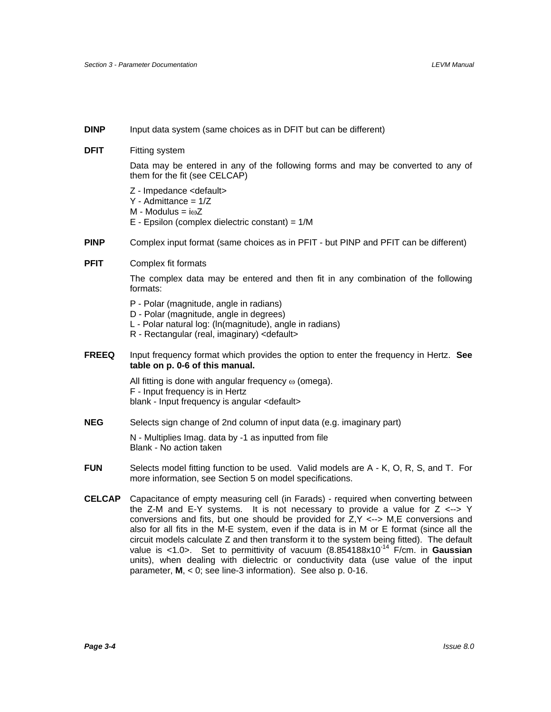**DINP** Input data system (same choices as in DFIT but can be different)

**DFIT** Fitting system

 Data may be entered in any of the following forms and may be converted to any of them for the fit (see CELCAP)

- Z Impedance <default>
- Y Admittance = 1/Z
- $M Modulus = i\omega Z$
- E Epsilon (complex dielectric constant) = 1/M
- **PINP** Complex input format (same choices as in PFIT but PINP and PFIT can be different)
- **PFIT** Complex fit formats

 The complex data may be entered and then fit in any combination of the following formats:

P - Polar (magnitude, angle in radians)

- D Polar (magnitude, angle in degrees)
- L Polar natural log: (ln(magnitude), angle in radians)
- R Rectangular (real, imaginary) <default>
- **FREEQ** Input frequency format which provides the option to enter the frequency in Hertz. **See table on p. 0-6 of this manual.**

All fitting is done with angular frequency  $\omega$  (omega). F - Input frequency is in Hertz blank - Input frequency is angular <default>

**NEG** Selects sign change of 2nd column of input data (e.g. imaginary part)

 N - Multiplies Imag. data by -1 as inputted from file Blank - No action taken

- **FUN** Selects model fitting function to be used. Valid models are A K, O, R, S, and T. For more information, see Section 5 on model specifications.
- **CELCAP** Capacitance of empty measuring cell (in Farads) required when converting between the Z-M and E-Y systems. It is not necessary to provide a value for  $Z \leftarrow Y$ conversions and fits, but one should be provided for  $Z, Y \le -2$  M, E conversions and also for all fits in the M-E system, even if the data is in M or E format (since all the circuit models calculate Z and then transform it to the system being fitted). The default value is <1.0>. Set to permittivity of vacuum (8.854188x10<sup>-14</sup> F/cm. in **Gaussian** units), when dealing with dielectric or conductivity data (use value of the input parameter, **M**, < 0; see line-3 information). See also p. 0-16.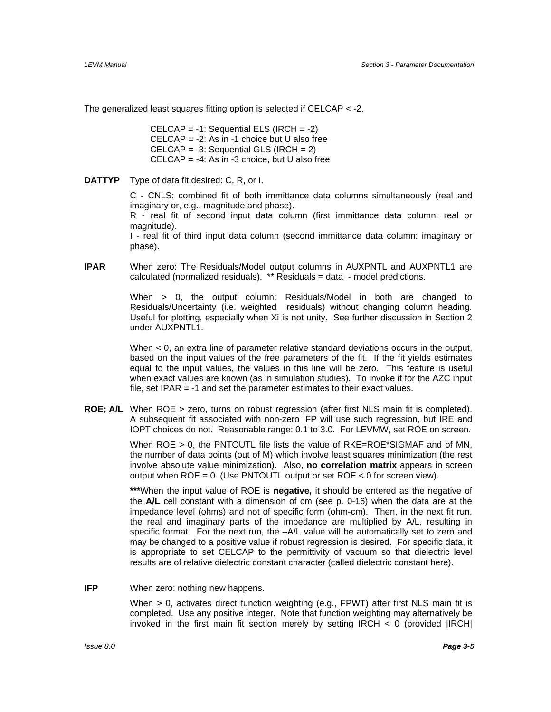The generalized least squares fitting option is selected if CELCAP < -2.

CELCAP = -1: Sequential ELS (IRCH = -2)  $CELCAP = -2$ : As in -1 choice but U also free CELCAP = -3: Sequential GLS (IRCH = 2) CELCAP = -4: As in -3 choice, but U also free

**DATTYP** Type of data fit desired: C, R, or I.

 C - CNLS: combined fit of both immittance data columns simultaneously (real and imaginary or, e.g., magnitude and phase).

 R - real fit of second input data column (first immittance data column: real or magnitude).

 I - real fit of third input data column (second immittance data column: imaginary or phase).

**IPAR** When zero: The Residuals/Model output columns in AUXPNTL and AUXPNTL1 are calculated (normalized residuals). \*\* Residuals = data - model predictions.

> When > 0, the output column: Residuals/Model in both are changed to Residuals/Uncertainty (i.e. weighted residuals) without changing column heading. Useful for plotting, especially when Xi is not unity. See further discussion in Section 2 under AUXPNTL1.

> When < 0, an extra line of parameter relative standard deviations occurs in the output, based on the input values of the free parameters of the fit. If the fit yields estimates equal to the input values, the values in this line will be zero. This feature is useful when exact values are known (as in simulation studies). To invoke it for the AZC input file, set IPAR = -1 and set the parameter estimates to their exact values.

**ROE; A/L** When ROE > zero, turns on robust regression (after first NLS main fit is completed). A subsequent fit associated with non-zero IFP will use such regression, but IRE and IOPT choices do not. Reasonable range: 0.1 to 3.0. For LEVMW, set ROE on screen.

> When ROE > 0, the PNTOUTL file lists the value of RKE=ROE\*SIGMAF and of MN, the number of data points (out of M) which involve least squares minimization (the rest involve absolute value minimization). Also, **no correlation matrix** appears in screen output when  $ROE = 0$ . (Use PNTOUTL output or set  $ROE < 0$  for screen view).

> **\*\*\***When the input value of ROE is **negative,** it should be entered as the negative of the **A/L** cell constant with a dimension of cm (see p. 0-16) when the data are at the impedance level (ohms) and not of specific form (ohm-cm). Then, in the next fit run, the real and imaginary parts of the impedance are multiplied by A/L, resulting in specific format. For the next run, the  $-A/L$  value will be automatically set to zero and may be changed to a positive value if robust regression is desired. For specific data, it is appropriate to set CELCAP to the permittivity of vacuum so that dielectric level results are of relative dielectric constant character (called dielectric constant here).

**IFP** When zero: nothing new happens.

When > 0, activates direct function weighting (e.g., FPWT) after first NLS main fit is completed. Use any positive integer. Note that function weighting may alternatively be invoked in the first main fit section merely by setting IRCH < 0 (provided |IRCH|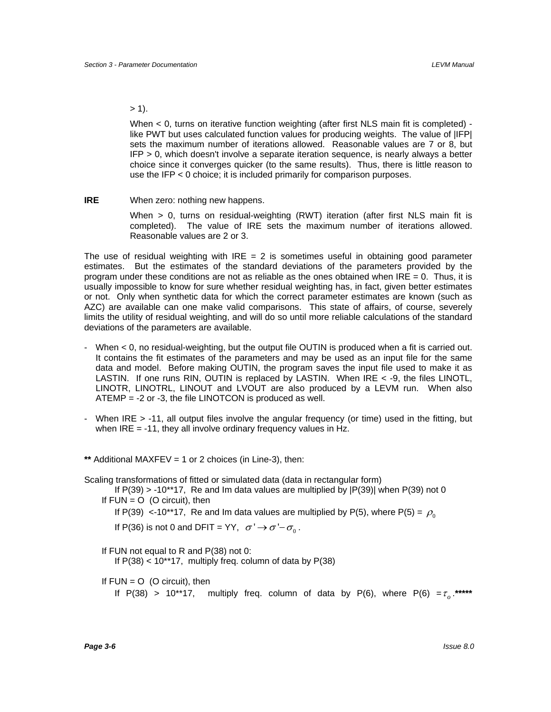$> 1$ ).

When < 0, turns on iterative function weighting (after first NLS main fit is completed) like PWT but uses calculated function values for producing weights. The value of |IFP| sets the maximum number of iterations allowed. Reasonable values are 7 or 8, but IFP > 0, which doesn't involve a separate iteration sequence, is nearly always a better choice since it converges quicker (to the same results). Thus, there is little reason to use the IFP < 0 choice; it is included primarily for comparison purposes.

**IRE** When zero: nothing new happens.

When > 0, turns on residual-weighting (RWT) iteration (after first NLS main fit is completed). The value of IRE sets the maximum number of iterations allowed. Reasonable values are 2 or 3.

The use of residual weighting with  $IRE = 2$  is sometimes useful in obtaining good parameter estimates. But the estimates of the standard deviations of the parameters provided by the program under these conditions are not as reliable as the ones obtained when IRE = 0. Thus, it is usually impossible to know for sure whether residual weighting has, in fact, given better estimates or not. Only when synthetic data for which the correct parameter estimates are known (such as AZC) are available can one make valid comparisons. This state of affairs, of course, severely limits the utility of residual weighting, and will do so until more reliable calculations of the standard deviations of the parameters are available.

- When < 0, no residual-weighting, but the output file OUTIN is produced when a fit is carried out. It contains the fit estimates of the parameters and may be used as an input file for the same data and model. Before making OUTIN, the program saves the input file used to make it as LASTIN. If one runs RIN, OUTIN is replaced by LASTIN. When IRE < -9, the files LINOTL, LINOTR, LINOTRL, LINOUT and LVOUT are also produced by a LEVM run. When also ATEMP = -2 or -3, the file LINOTCON is produced as well.
- When IRE > -11, all output files involve the angular frequency (or time) used in the fitting, but when  $IRE = -11$ , they all involve ordinary frequency values in Hz.
- **\*\*** Additional MAXFEV = 1 or 2 choices (in Line-3), then:

Scaling transformations of fitted or simulated data (data in rectangular form)

If  $P(39) > -10^{**}$ 17, Re and Im data values are multiplied by  $|P(39)|$  when  $P(39)$  not 0 If  $FUN = O$  (O circuit), then

If P(39) <-10\*\*17, Re and Im data values are multiplied by P(5), where P(5) =  $\rho_0$ 

If P(36) is not 0 and DFIT = YY,  $\sigma' \rightarrow \sigma' - \sigma_0$ .

If FUN not equal to R and P(38) not 0:

If  $P(38) < 10^{**}$ 17, multiply freq. column of data by  $P(38)$ 

If  $FUN = O$  (O circuit), then

If P(38) > 10<sup>\*\*</sup>17, multiply freq. column of data by P(6), where P(6) =  $\tau_a$ .\*\*\*\*\*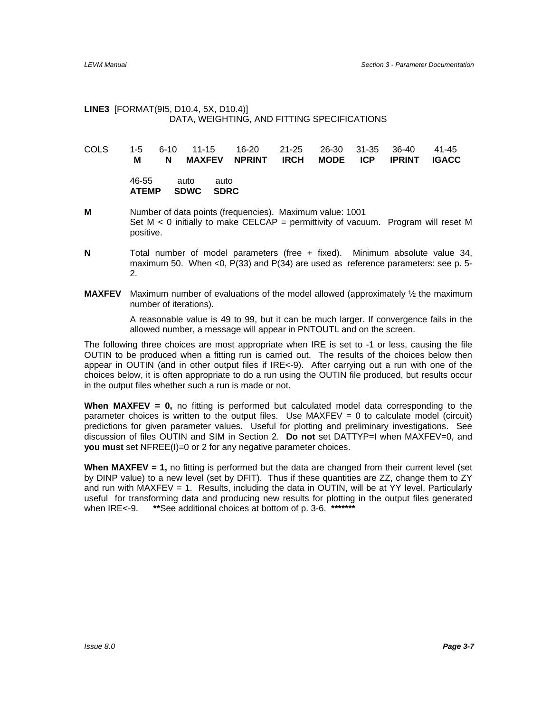## **LINE3** [FORMAT(9I5, D10.4, 5X, D10.4)] DATA, WEIGHTING, AND FITTING SPECIFICATIONS

COLS 1-5 6-10 11-15 16-20 21-25 26-30 31-35 36-40 41-45 **M N MAXFEV NPRINT IRCH MODE ICP IPRINT IGACC**  46-55 auto auto  **ATEMP SDWC SDRC** 

**M** Number of data points (frequencies). Maximum value: 1001 Set  $M < 0$  initially to make CELCAP = permittivity of vacuum. Program will reset M positive.

- **N** Total number of model parameters (free + fixed). Minimum absolute value 34, maximum 50. When <0, P(33) and P(34) are used as reference parameters: see p. 5- 2.
- **MAXFEV** Maximum number of evaluations of the model allowed (approximately  $\frac{1}{2}$  the maximum number of iterations).

 A reasonable value is 49 to 99, but it can be much larger. If convergence fails in the allowed number, a message will appear in PNTOUTL and on the screen.

The following three choices are most appropriate when IRE is set to -1 or less, causing the file OUTIN to be produced when a fitting run is carried out. The results of the choices below then appear in OUTIN (and in other output files if IRE<-9). After carrying out a run with one of the choices below, it is often appropriate to do a run using the OUTIN file produced, but results occur in the output files whether such a run is made or not.

**When MAXFEV = 0,** no fitting is performed but calculated model data corresponding to the parameter choices is written to the output files. Use  $MAXFEV = 0$  to calculate model (circuit) predictions for given parameter values. Useful for plotting and preliminary investigations. See discussion of files OUTIN and SIM in Section 2. **Do not** set DATTYP=I when MAXFEV=0, and **you must** set NFREE(I)=0 or 2 for any negative parameter choices.

**When MAXFEV = 1,** no fitting is performed but the data are changed from their current level (set by DINP value) to a new level (set by DFIT). Thus if these quantities are ZZ, change them to ZY and run with  $MAXFEV = 1$ . Results, including the data in OUTIN, will be at YY level. Particularly useful for transforming data and producing new results for plotting in the output files generated when IRE<-9. **\*\***See additional choices at bottom of p. 3-6. **\*\*\*\*\*\*\***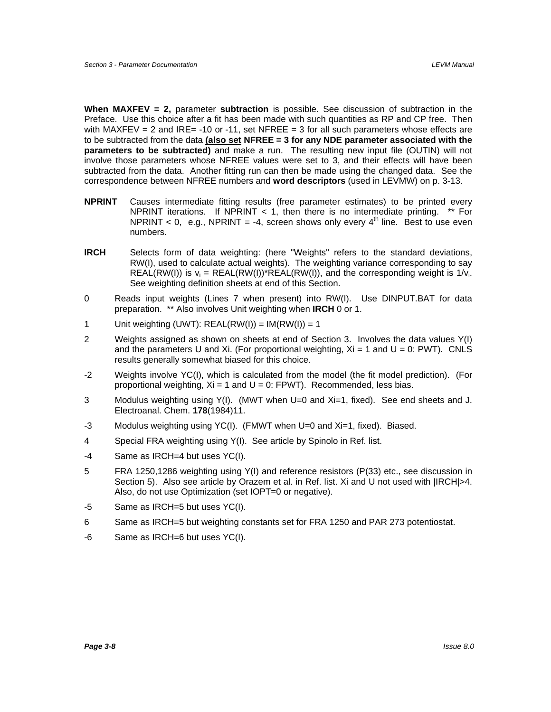**When MAXFEV = 2,** parameter **subtraction** is possible. See discussion of subtraction in the Preface. Use this choice after a fit has been made with such quantities as RP and CP free. Then with MAXFEV = 2 and IRE= -10 or -11, set NFREE = 3 for all such parameters whose effects are to be subtracted from the data **(also set NFREE = 3 for any NDE parameter associated with the parameters to be subtracted)** and make a run. The resulting new input file (OUTIN) will not involve those parameters whose NFREE values were set to 3, and their effects will have been subtracted from the data. Another fitting run can then be made using the changed data. See the correspondence between NFREE numbers and **word descriptors** (used in LEVMW) on p. 3-13.

- **NPRINT** Causes intermediate fitting results (free parameter estimates) to be printed every NPRINT iterations. If NPRINT < 1, then there is no intermediate printing. \*\* For NPRINT < 0, e.g., NPRINT = -4, screen shows only every  $4<sup>th</sup>$  line. Best to use even numbers.
- **IRCH** Selects form of data weighting: (here "Weights" refers to the standard deviations, RW(I), used to calculate actual weights). The weighting variance corresponding to say REAL(RW(I)) is  $v_i = REAL(RW(I))^*REAL(RW(I)),$  and the corresponding weight is  $1/v_i$ . See weighting definition sheets at end of this Section.
- 0 Reads input weights (Lines 7 when present) into RW(I). Use DINPUT.BAT for data preparation. \*\* Also involves Unit weighting when **IRCH** 0 or 1.
- 1 Unit weighting (UWT):  $REAL(RW(I)) = IM(RW(I)) = 1$
- 2 Weights assigned as shown on sheets at end of Section 3. Involves the data values Y(I) and the parameters U and Xi. (For proportional weighting,  $Xi = 1$  and  $U = 0$ : PWT). CNLS results generally somewhat biased for this choice.
- -2 Weights involve YC(I), which is calculated from the model (the fit model prediction). (For proportional weighting,  $Xi = 1$  and  $U = 0$ : FPWT). Recommended, less bias.
- 3 Modulus weighting using Y(I). (MWT when U=0 and Xi=1, fixed). See end sheets and J. Electroanal. Chem. **178**(1984)11.
- -3 Modulus weighting using YC(I). (FMWT when U=0 and Xi=1, fixed). Biased.
- 4 Special FRA weighting using Y(I). See article by Spinolo in Ref. list.
- -4 Same as IRCH=4 but uses YC(I).
- 5 FRA 1250,1286 weighting using Y(I) and reference resistors (P(33) etc., see discussion in Section 5). Also see article by Orazem et al. in Ref. list. Xi and U not used with |IRCH|>4. Also, do not use Optimization (set IOPT=0 or negative).
- -5 Same as IRCH=5 but uses YC(I).
- 6 Same as IRCH=5 but weighting constants set for FRA 1250 and PAR 273 potentiostat.
- -6 Same as IRCH=6 but uses YC(I).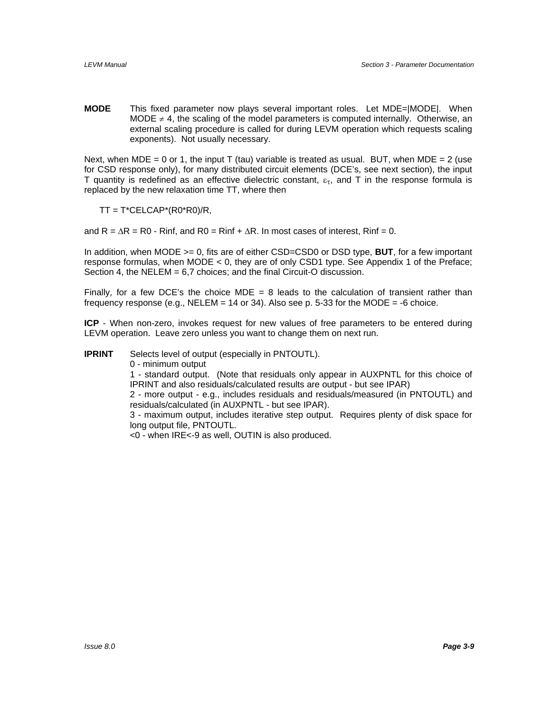**MODE** This fixed parameter now plays several important roles. Let MDE=|MODE|. When MODE  $\neq$  4, the scaling of the model parameters is computed internally. Otherwise, an external scaling procedure is called for during LEVM operation which requests scaling exponents). Not usually necessary.

Next, when MDE = 0 or 1, the input T (tau) variable is treated as usual. BUT, when MDE = 2 (use for CSD response only), for many distributed circuit elements (DCE's, see next section), the input T quantity is redefined as an effective dielectric constant,  $\varepsilon_{\tau}$ , and T in the response formula is replaced by the new relaxation time TT, where then

 $TT = T^*CELCAP^*(R0^*R0)/R$ ,

and  $R = \Delta R = R0$  - Rinf, and  $R0 = Rinf + \Delta R$ . In most cases of interest, Rinf = 0.

In addition, when MODE >= 0, fits are of either CSD=CSD0 or DSD type, **BUT**, for a few important response formulas, when MODE < 0, they are of only CSD1 type. See Appendix 1 of the Preface; Section 4, the NELEM = 6,7 choices; and the final Circuit-O discussion.

Finally, for a few DCE's the choice MDE = 8 leads to the calculation of transient rather than frequency response (e.g., NELEM =  $14$  or  $34$ ). Also see p. 5-33 for the MODE =  $-6$  choice.

**ICP** - When non-zero, invokes request for new values of free parameters to be entered during LEVM operation. Leave zero unless you want to change them on next run.

**IPRINT** Selects level of output (especially in PNTOUTL).

0 - minimum output

 1 - standard output. (Note that residuals only appear in AUXPNTL for this choice of IPRINT and also residuals/calculated results are output - but see IPAR)

 2 - more output - e.g., includes residuals and residuals/measured (in PNTOUTL) and residuals/calculated (in AUXPNTL - but see IPAR).

 3 - maximum output, includes iterative step output. Requires plenty of disk space for long output file, PNTOUTL.

<0 - when IRE<-9 as well, OUTIN is also produced.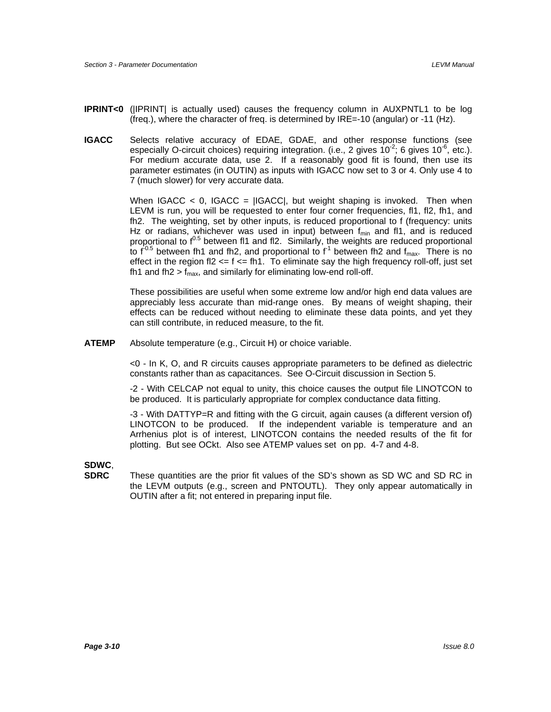- **IPRINT<0** (IIPRINT) is actually used) causes the frequency column in AUXPNTL1 to be log (freq.), where the character of freq. is determined by IRE=-10 (angular) or -11 (Hz).
- **IGACC** Selects relative accuracy of EDAE, GDAE, and other response functions (see especially O-circuit choices) requiring integration. (i.e., 2 gives  $10^{-2}$ ; 6 gives  $10^{-6}$ , etc.). For medium accurate data, use 2. If a reasonably good fit is found, then use its parameter estimates (in OUTIN) as inputs with IGACC now set to 3 or 4. Only use 4 to 7 (much slower) for very accurate data.

When IGACC  $\lt$  0, IGACC = |IGACC|, but weight shaping is invoked. Then when LEVM is run, you will be requested to enter four corner frequencies, fl1, fl2, fh1, and fh2. The weighting, set by other inputs, is reduced proportional to f (frequency: units Hz or radians, whichever was used in input) between  $f_{min}$  and fl1, and is reduced proportional to  $f^{0.5}$  between fl1 and fl2. Similarly, the weights are reduced proportional to  $f<sup>0.5</sup>$  between fh1 and fh2, and proportional to  $f<sup>1</sup>$  between fh2 and  $f<sub>max</sub>$ . There is no effect in the region fl2  $\leq$  f  $\leq$  fh1. To eliminate say the high frequency roll-off, just set fh1 and fh2 >  $f_{max}$ , and similarly for eliminating low-end roll-off.

 These possibilities are useful when some extreme low and/or high end data values are appreciably less accurate than mid-range ones. By means of weight shaping, their effects can be reduced without needing to eliminate these data points, and yet they can still contribute, in reduced measure, to the fit.

**ATEMP** Absolute temperature (e.g., Circuit H) or choice variable.

<0 - In K, O, and R circuits causes appropriate parameters to be defined as dielectric constants rather than as capacitances. See O-Circuit discussion in Section 5.

-2 - With CELCAP not equal to unity, this choice causes the output file LINOTCON to be produced. It is particularly appropriate for complex conductance data fitting.

-3 - With DATTYP=R and fitting with the G circuit, again causes (a different version of) LINOTCON to be produced. If the independent variable is temperature and an Arrhenius plot is of interest, LINOTCON contains the needed results of the fit for plotting. But see OCkt. Also see ATEMP values set on pp. 4-7 and 4-8.

## **SDWC**,

**SDRC** These quantities are the prior fit values of the SD's shown as SD WC and SD RC in the LEVM outputs (e.g., screen and PNTOUTL). They only appear automatically in OUTIN after a fit; not entered in preparing input file.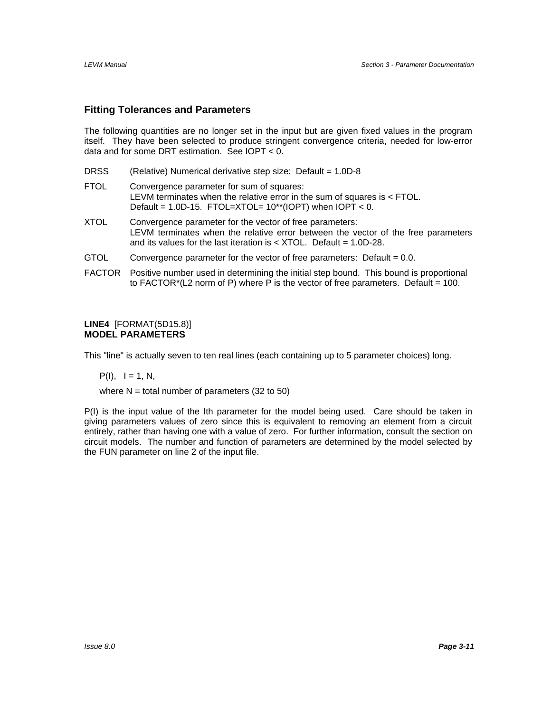## **Fitting Tolerances and Parameters**

The following quantities are no longer set in the input but are given fixed values in the program itself. They have been selected to produce stringent convergence criteria, needed for low-error data and for some DRT estimation. See IOPT < 0.

- DRSS (Relative) Numerical derivative step size: Default = 1.0D-8
- FTOL Convergence parameter for sum of squares: LEVM terminates when the relative error in the sum of squares is < FTOL. Default =  $1.0D-15$ . FTOL=XTOL=  $10**$ (IOPT) when IOPT < 0.
- XTOL Convergence parameter for the vector of free parameters: LEVM terminates when the relative error between the vector of the free parameters and its values for the last iteration is  $<$  XTOL. Default = 1.0D-28.
- GTOL Convergence parameter for the vector of free parameters: Default = 0.0.
- FACTOR Positive number used in determining the initial step bound. This bound is proportional to FACTOR $*(L2$  norm of P) where P is the vector of free parameters. Default = 100.

## **LINE4** [FORMAT(5D15.8)] **MODEL PARAMETERS**

This "line" is actually seven to ten real lines (each containing up to 5 parameter choices) long.

 $P(I), I = 1, N,$ 

where  $N =$  total number of parameters (32 to 50)

P(I) is the input value of the Ith parameter for the model being used. Care should be taken in giving parameters values of zero since this is equivalent to removing an element from a circuit entirely, rather than having one with a value of zero. For further information, consult the section on circuit models. The number and function of parameters are determined by the model selected by the FUN parameter on line 2 of the input file.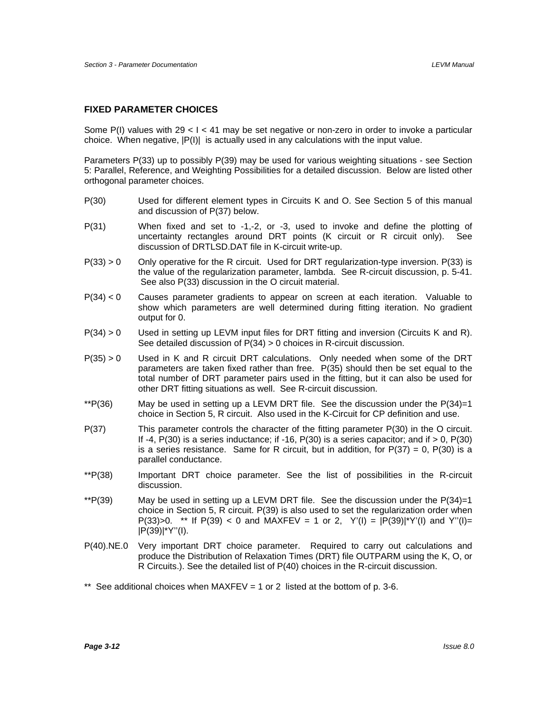#### **FIXED PARAMETER CHOICES**

Some  $P(1)$  values with 29 < I < 41 may be set negative or non-zero in order to invoke a particular choice. When negative, |P(I)| is actually used in any calculations with the input value.

Parameters P(33) up to possibly P(39) may be used for various weighting situations - see Section 5: Parallel, Reference, and Weighting Possibilities for a detailed discussion. Below are listed other orthogonal parameter choices.

- P(30) Used for different element types in Circuits K and O. See Section 5 of this manual and discussion of P(37) below.
- P(31) When fixed and set to -1,-2, or -3, used to invoke and define the plotting of uncertainty rectangles around DRT points (K circuit or R circuit only). See discussion of DRTLSD.DAT file in K-circuit write-up.
- P(33) > 0 Only operative for the R circuit. Used for DRT regularization-type inversion. P(33) is the value of the regularization parameter, lambda. See R-circuit discussion, p. 5-41. See also P(33) discussion in the O circuit material.
- $P(34) < 0$  Causes parameter gradients to appear on screen at each iteration. Valuable to show which parameters are well determined during fitting iteration. No gradient output for 0.
- P(34) > 0 Used in setting up LEVM input files for DRT fitting and inversion (Circuits K and R). See detailed discussion of P(34) > 0 choices in R-circuit discussion.
- $P(35) > 0$  Used in K and R circuit DRT calculations. Only needed when some of the DRT parameters are taken fixed rather than free. P(35) should then be set equal to the total number of DRT parameter pairs used in the fitting, but it can also be used for other DRT fitting situations as well. See R-circuit discussion.
- \*\*P(36) May be used in setting up a LEVM DRT file. See the discussion under the P(34)=1 choice in Section 5, R circuit. Also used in the K-Circuit for CP definition and use.
- P(37) This parameter controls the character of the fitting parameter P(30) in the O circuit. If -4,  $P(30)$  is a series inductance; if -16,  $P(30)$  is a series capacitor; and if  $> 0$ ,  $P(30)$ is a series resistance. Same for R circuit, but in addition, for  $P(37) = 0$ ,  $P(30)$  is a parallel conductance.
- \*\*P(38) Important DRT choice parameter. See the list of possibilities in the R-circuit discussion.
- \*\*P(39) May be used in setting up a LEVM DRT file. See the discussion under the  $P(34)=1$ choice in Section 5, R circuit. P(39) is also used to set the regularization order when P(33)>0. \*\* If P(39) < 0 and MAXFEV = 1 or 2, Y'(I) =  $|P(39)|^{\ast}$ Y'(I) and Y''(I)= |P(39)|\*Y''(I).
- P(40).NE.0 Very important DRT choice parameter. Required to carry out calculations and produce the Distribution of Relaxation Times (DRT) file OUTPARM using the K, O, or R Circuits.). See the detailed list of P(40) choices in the R-circuit discussion.
- \*\* See additional choices when MAXFEV = 1 or 2 listed at the bottom of p. 3-6.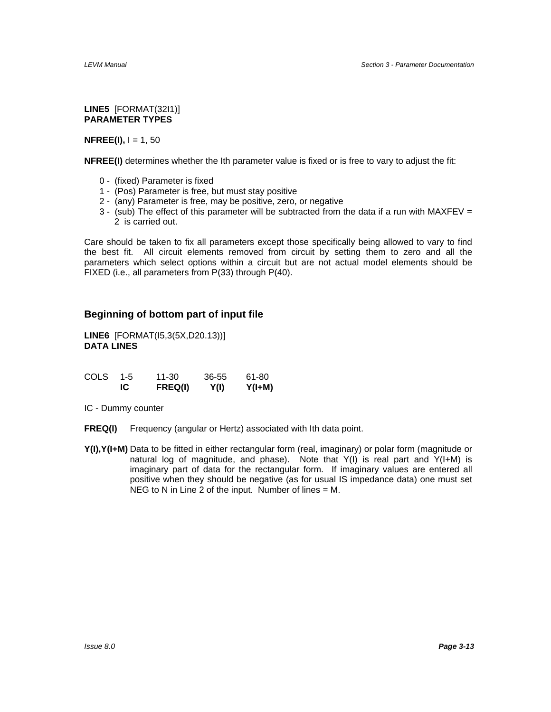#### **LINE5** [FORMAT(32I1)] **PARAMETER TYPES**

**NFREE(I),**  $I = 1, 50$ 

**NFREE(I)** determines whether the Ith parameter value is fixed or is free to vary to adjust the fit:

- 0 (fixed) Parameter is fixed
- 1 (Pos) Parameter is free, but must stay positive
- 2 (any) Parameter is free, may be positive, zero, or negative
- 3 (sub) The effect of this parameter will be subtracted from the data if a run with MAXFEV = 2 is carried out.

Care should be taken to fix all parameters except those specifically being allowed to vary to find the best fit. All circuit elements removed from circuit by setting them to zero and all the parameters which select options within a circuit but are not actual model elements should be FIXED (i.e., all parameters from P(33) through P(40).

# **Beginning of bottom part of input file**

**LINE6** [FORMAT(I5,3(5X,D20.13))] **DATA LINES** 

|      | IC      | FREQ(I) | Y(I)  | $Y(1+M)$ |
|------|---------|---------|-------|----------|
| COLS | $1 - 5$ | 11-30   | 36-55 | 61-80    |

IC - Dummy counter

- **FREQ(I)** Frequency (angular or Hertz) associated with Ith data point.
- **Y(I),Y(I+M)** Data to be fitted in either rectangular form (real, imaginary) or polar form (magnitude or natural log of magnitude, and phase). Note that Y(I) is real part and Y(I+M) is imaginary part of data for the rectangular form. If imaginary values are entered all positive when they should be negative (as for usual IS impedance data) one must set NEG to N in Line 2 of the input. Number of lines  $= M$ .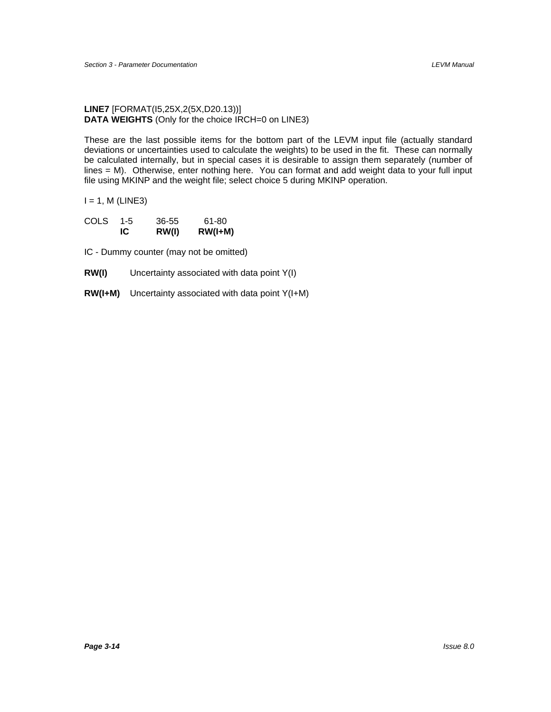### **LINE7** [FORMAT(I5,25X,2(5X,D20.13))] **DATA WEIGHTS** (Only for the choice IRCH=0 on LINE3)

These are the last possible items for the bottom part of the LEVM input file (actually standard deviations or uncertainties used to calculate the weights) to be used in the fit. These can normally be calculated internally, but in special cases it is desirable to assign them separately (number of lines = M). Otherwise, enter nothing here. You can format and add weight data to your full input file using MKINP and the weight file; select choice 5 during MKINP operation.

 $I = 1$ , M (LINE3)

- COLS 1-5 36-55 61-80 **IC RW(I) RW(I+M)**
- IC Dummy counter (may not be omitted)
- **RW(I)** Uncertainty associated with data point Y(I)
- **RW(I+M)** Uncertainty associated with data point Y(I+M)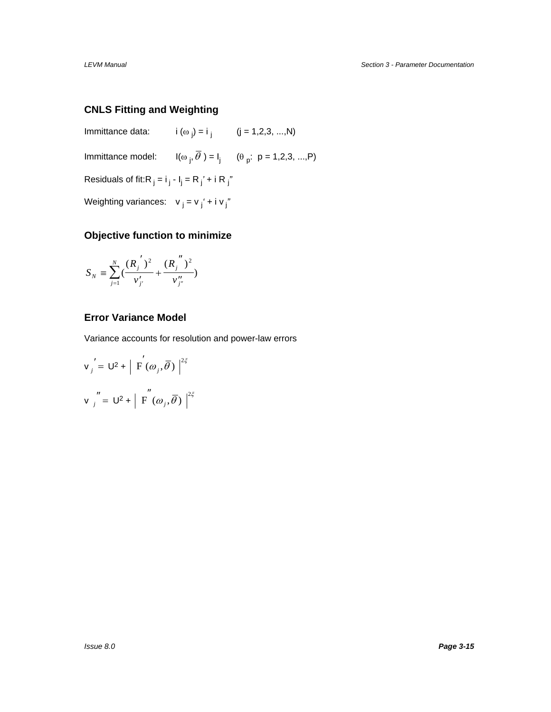# **CNLS Fitting and Weighting**

Immittance data:  $) = i_j$   $(j = 1, 2, 3, ..., N)$ Immittance model:  $I(\omega_j, \theta) = I_j$   $(\theta_p: p = 1, 2, 3, ..., P)$ Residuals of fit:R<sub>j</sub> = i<sub>j</sub> - I<sub>j</sub> = R<sub>j</sub>'+ i R<sub>j</sub>' Weighting variances:  $v_j = v_j' + iv_j'$ 

# **Objective function to minimize**

$$
S_N \equiv \sum_{j=1}^N \Bigl(\frac{(R_j^{'})^2}{v'_{j'}} + \frac{(R_j^{''})^2}{v''_{j''}}\Bigr)
$$

# **Error Variance Model**

Variance accounts for resolution and power-law errors

$$
v_j' = U^2 + |F'(\omega_j, \overline{\theta})|^{2\xi}
$$
  

$$
v_j'' = U^2 + |F'(\omega_j, \overline{\theta})|^{2\xi}
$$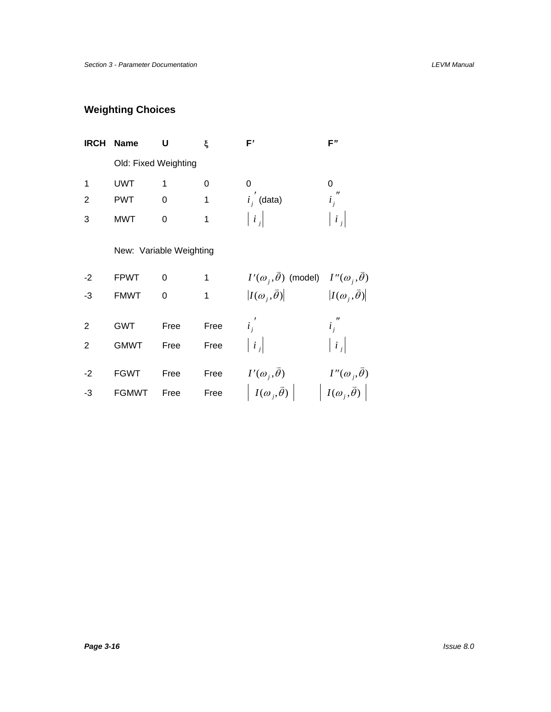# **Weighting Choices**

| <b>IRCH</b>    | <b>Name</b>             | U           | ξ           | F'                                                                                | F''                           |
|----------------|-------------------------|-------------|-------------|-----------------------------------------------------------------------------------|-------------------------------|
|                | Old: Fixed Weighting    |             |             |                                                                                   |                               |
| $\mathbf{1}$   | <b>UWT</b>              | $\mathbf 1$ | 0           | 0                                                                                 | 0                             |
| $\overline{2}$ | <b>PWT</b>              | $\pmb{0}$   | 1           | $i_j$ (data)                                                                      | $i_j$                         |
| 3              | <b>MWT</b>              | 0           | 1           | $\left  i_{j}\right $                                                             | $\left  i_{j}\right $         |
|                | New: Variable Weighting |             |             |                                                                                   |                               |
| $-2$           | <b>FPWT</b>             | 0           | 1           | $I'(\omega_i, \vec{\theta})$ (model) $I''(\omega_i, \vec{\theta})$                |                               |
| $-3$           | <b>FMWT</b>             | 0           | $\mathbf 1$ | $ I(\omega_i, \vec{\theta}) $                                                     | $ I(\omega_i, \vec{\theta}) $ |
| $\overline{2}$ | <b>GWT</b>              | Free        | Free        | $i_i$                                                                             | $i_j$ "                       |
| $\overline{2}$ | <b>GMWT</b>             | Free        | Free        | $\left  i \right $                                                                | $\left  i_{j}\right $         |
| $-2$           | <b>FGWT</b>             | Free        | Free        | $I^{\prime}(\omega_{j},\bar{\theta})$ $I^{\prime\prime}(\omega_{j},\bar{\theta})$ |                               |
| $-3$           | <b>FGMWT</b>            | Free        | Free        | $I(\omega_j,\vec{\theta})$                                                        | $I(\omega_i, \vec{\theta})$   |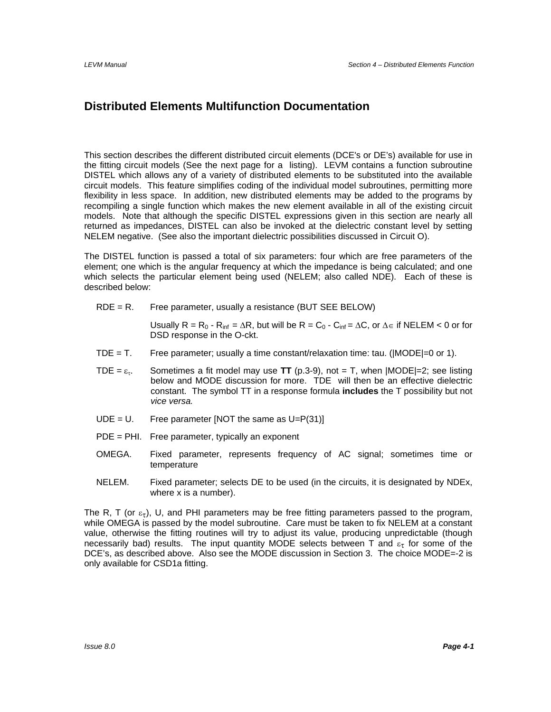# **Distributed Elements Multifunction Documentation**

This section describes the different distributed circuit elements (DCE's or DE's) available for use in the fitting circuit models (See the next page for a listing). LEVM contains a function subroutine DISTEL which allows any of a variety of distributed elements to be substituted into the available circuit models. This feature simplifies coding of the individual model subroutines, permitting more flexibility in less space. In addition, new distributed elements may be added to the programs by recompiling a single function which makes the new element available in all of the existing circuit models. Note that although the specific DISTEL expressions given in this section are nearly all returned as impedances, DISTEL can also be invoked at the dielectric constant level by setting NELEM negative. (See also the important dielectric possibilities discussed in Circuit O).

The DISTEL function is passed a total of six parameters: four which are free parameters of the element; one which is the angular frequency at which the impedance is being calculated; and one which selects the particular element being used (NELEM; also called NDE). Each of these is described below:

RDE = R. Free parameter, usually a resistance (BUT SEE BELOW)

Usually R =  $R_0$  -  $R_{inf}$  =  $\Delta R$ , but will be R =  $C_0$  -  $C_{inf}$  =  $\Delta C$ , or  $\Delta \in$  if NELEM < 0 or for DSD response in the O-ckt.

- TDE  $=$  T. Free parameter; usually a time constant/relaxation time: tau. ( $|MODE|=0$  or 1).
- TDE =  $\varepsilon_{\rm r}$ . Sometimes a fit model may use **TT** (p.3-9), not = T, when  $|{\rm MODEL}|=2$ ; see listing below and MODE discussion for more. TDE will then be an effective dielectric constant. The symbol TT in a response formula **includes** the T possibility but not *vice versa.*
- $UDE = U$ . Free parameter [NOT the same as  $U=P(31)$ ]
- PDE = PHI. Free parameter, typically an exponent
- OMEGA. Fixed parameter, represents frequency of AC signal; sometimes time or temperature
- NELEM. Fixed parameter; selects DE to be used (in the circuits, it is designated by NDEx, where x is a number).

The R, T (or  $\varepsilon_{\tau}$ ), U, and PHI parameters may be free fitting parameters passed to the program, while OMEGA is passed by the model subroutine. Care must be taken to fix NELEM at a constant value, otherwise the fitting routines will try to adjust its value, producing unpredictable (though necessarily bad) results. The input quantity MODE selects between T and  $\epsilon_{\tau}$  for some of the DCE's, as described above. Also see the MODE discussion in Section 3. The choice MODE=-2 is only available for CSD1a fitting.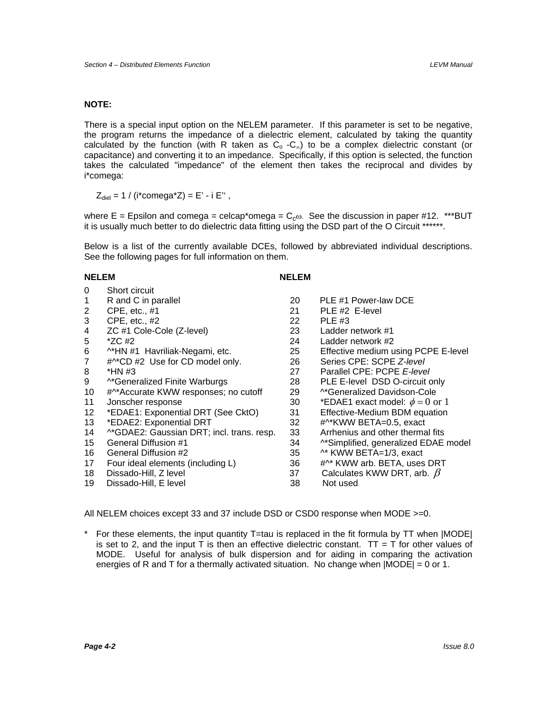#### **NOTE:**

There is a special input option on the NELEM parameter. If this parameter is set to be negative, the program returns the impedance of a dielectric element, calculated by taking the quantity calculated by the function (with R taken as  $C_0$  -C<sub> $\infty$ </sub>) to be a complex dielectric constant (or capacitance) and converting it to an impedance. Specifically, if this option is selected, the function takes the calculated "impedance" of the element then takes the reciprocal and divides by i\*comega:

 $Z_{diel} = 1 / (i * \text{compga} * Z) = E' - i E''$ ,

where E = Epsilon and comega = celcap\*omega =  $C_{c} \omega$ . See the discussion in paper #12. \*\*\*BUT it is usually much better to do dielectric data fitting using the DSD part of the O Circuit \*\*\*\*\*\*.

Below is a list of the currently available DCEs, followed by abbreviated individual descriptions. See the following pages for full information on them.

#### **NELEM NELEM**

| $\Omega$ | Short circuit                              |           |                                         |
|----------|--------------------------------------------|-----------|-----------------------------------------|
| 1        | R and C in parallel                        | <b>20</b> | PLE #1 Power-law DCE                    |
| 2        | CPE, etc., #1                              | 21        | PLE #2 E-level                          |
| 3        | CPE, etc., #2                              | 22        | <b>PLE #3</b>                           |
| 4        | ZC #1 Cole-Cole (Z-level)                  | 23        | Ladder network #1                       |
| 5        | *ZC #2                                     | 24        | Ladder network #2                       |
| 6        | <sup>A*</sup> HN #1 Havriliak-Negami, etc. | 25        | Effective medium using PCPE E-level     |
| 7        | #^*CD #2 Use for CD model only.            | 26        | Series CPE: SCPE Z-level                |
| 8        | *HN #3                                     | 27        | Parallel CPE: PCPE E-level              |
| 9        | <sup>A*</sup> Generalized Finite Warburgs  | 28        | PLE E-level DSD O-circuit only          |
| 10       | #^*Accurate KWW responses; no cutoff       | 29        | <sup>A*</sup> Generalized Davidson-Cole |
| 11       | Jonscher response                          | 30        | *EDAE1 exact model: $\phi = 0$ or 1     |
| $12 \,$  | *EDAE1: Exponential DRT (See CktO)         | 31        | Effective-Medium BDM equation           |
| 13       | *EDAE2: Exponential DRT                    | 32        | #^*KWW BETA=0.5, exact                  |
| 14       | ^*GDAE2: Gaussian DRT; incl. trans. resp.  | 33        | Arrhenius and other thermal fits        |
| 15       | General Diffusion #1                       | 34        | A*Simplified, generalized EDAE model    |
| 16       | General Diffusion #2                       | 35        | ^* KWW BETA=1/3, exact                  |
| 17       | Four ideal elements (including L)          | 36        | #^* KWW arb. BETA, uses DRT             |
| 18       | Dissado-Hill, Z level                      | 37        | Calculates KWW DRT, arb. $\beta$        |
| 19       | Dissado-Hill, E level                      | 38        | Not used                                |
|          |                                            |           |                                         |

All NELEM choices except 33 and 37 include DSD or CSD0 response when MODE >=0.

For these elements, the input quantity T=tau is replaced in the fit formula by TT when |MODE| is set to 2, and the input T is then an effective dielectric constant.  $TT = T$  for other values of MODE. Useful for analysis of bulk dispersion and for aiding in comparing the activation energies of R and T for a thermally activated situation. No change when  $|MODE| = 0$  or 1.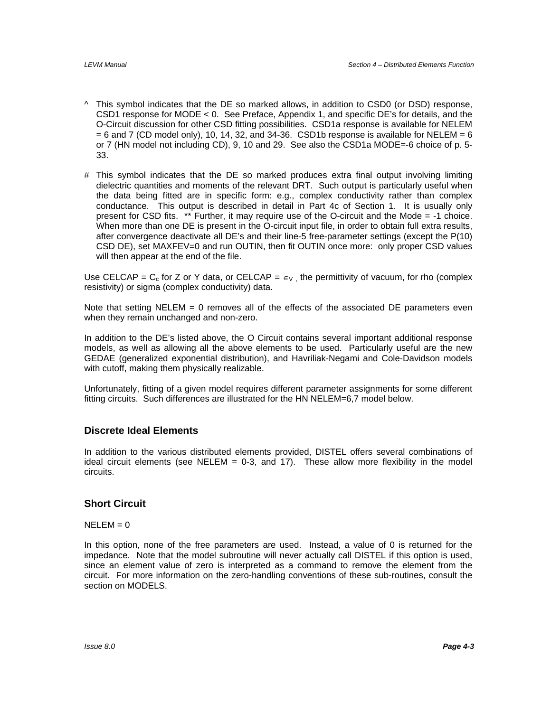- ^ This symbol indicates that the DE so marked allows, in addition to CSD0 (or DSD) response, CSD1 response for MODE < 0. See Preface, Appendix 1, and specific DE's for details, and the O-Circuit discussion for other CSD fitting possibilities. CSD1a response is available for NELEM  $= 6$  and 7 (CD model only), 10, 14, 32, and 34-36. CSD1b response is available for NELEM  $= 6$ or 7 (HN model not including CD), 9, 10 and 29. See also the CSD1a MODE=-6 choice of p. 5- 33.
- # This symbol indicates that the DE so marked produces extra final output involving limiting dielectric quantities and moments of the relevant DRT. Such output is particularly useful when the data being fitted are in specific form: e.g., complex conductivity rather than complex conductance. This output is described in detail in Part 4c of Section 1. It is usually only present for CSD fits. \*\* Further, it may require use of the O-circuit and the Mode = -1 choice. When more than one DE is present in the O-circuit input file, in order to obtain full extra results, after convergence deactivate all DE's and their line-5 free-parameter settings (except the P(10) CSD DE), set MAXFEV=0 and run OUTIN, then fit OUTIN once more: only proper CSD values will then appear at the end of the file.

Use CELCAP =  $C_c$  for Z or Y data, or CELCAP =  $\epsilon_V$ , the permittivity of vacuum, for rho (complex resistivity) or sigma (complex conductivity) data.

Note that setting NELEM = 0 removes all of the effects of the associated DE parameters even when they remain unchanged and non-zero.

In addition to the DE's listed above, the O Circuit contains several important additional response models, as well as allowing all the above elements to be used. Particularly useful are the new GEDAE (generalized exponential distribution), and Havriliak-Negami and Cole-Davidson models with cutoff, making them physically realizable.

Unfortunately, fitting of a given model requires different parameter assignments for some different fitting circuits. Such differences are illustrated for the HN NELEM=6,7 model below.

# **Discrete Ideal Elements**

In addition to the various distributed elements provided, DISTEL offers several combinations of ideal circuit elements (see NELEM  $= 0.3$ , and 17). These allow more flexibility in the model circuits.

# **Short Circuit**

#### $NELEM = 0$

In this option, none of the free parameters are used. Instead, a value of 0 is returned for the impedance. Note that the model subroutine will never actually call DISTEL if this option is used, since an element value of zero is interpreted as a command to remove the element from the circuit. For more information on the zero-handling conventions of these sub-routines, consult the section on MODELS.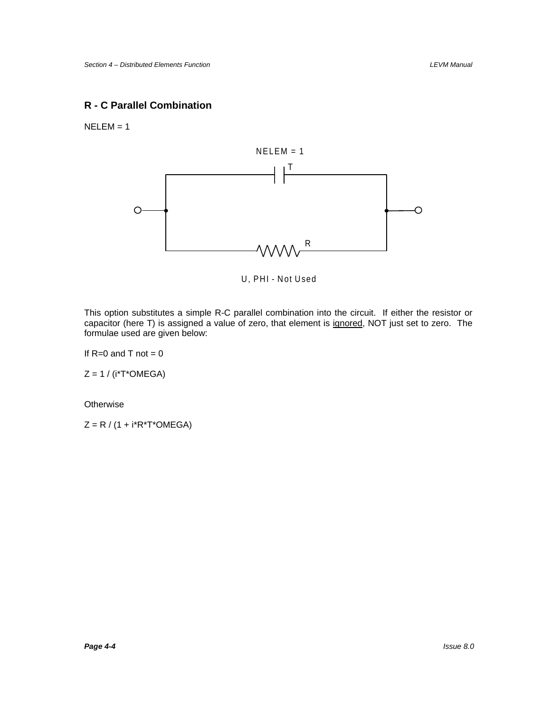# **R - C Parallel Combination**

 $NELEM = 1$ 



U, PHI - Not Used

This option substitutes a simple R-C parallel combination into the circuit. If either the resistor or capacitor (here T) is assigned a value of zero, that element is ignored, NOT just set to zero. The formulae used are given below:

If  $R=0$  and  $T$  not  $= 0$ 

 $Z = 1 / (i * T * OMEGA)$ 

**Otherwise** 

 $Z = R / (1 + i*R*T*OMEGA)$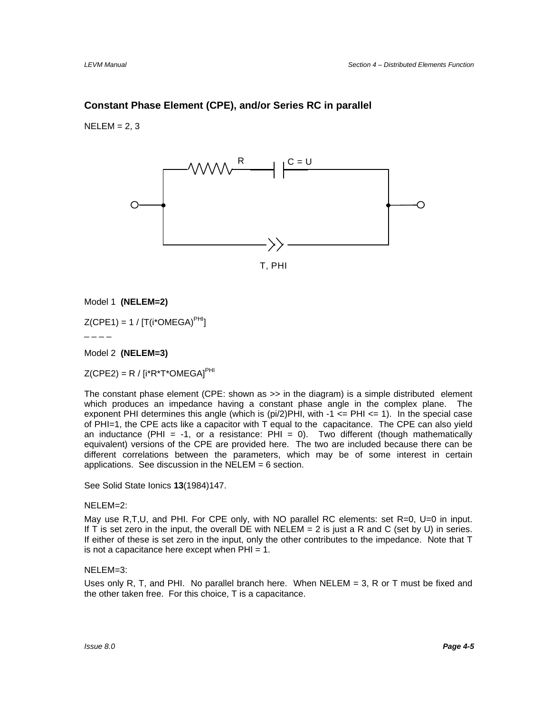# **Constant Phase Element (CPE), and/or Series RC in parallel**

 $NELEM = 2, 3$ 





 $Z(CPE1) = 1 / [T(i*OMEGA)<sup>PHI</sup>]$ 

 $-$ 

Model 2 **(NELEM=3)**

 $Z(CPE2) = R / [i*R*T*OMEGA]^{PHI}$ 

The constant phase element (CPE: shown as >> in the diagram) is a simple distributed element which produces an impedance having a constant phase angle in the complex plane. The exponent PHI determines this angle (which is ( $pi/2$ )PHI, with -1  $\lt$  PHI  $\lt$  = 1). In the special case of PHI=1, the CPE acts like a capacitor with T equal to the capacitance. The CPE can also yield an inductance (PHI = -1, or a resistance: PHI = 0). Two different (though mathematically equivalent) versions of the CPE are provided here. The two are included because there can be different correlations between the parameters, which may be of some interest in certain applications. See discussion in the NELEM = 6 section.

See Solid State Ionics **13**(1984)147.

#### NELEM=2:

May use R,T,U, and PHI. For CPE only, with NO parallel RC elements: set R=0, U=0 in input. If T is set zero in the input, the overall DE with NELEM  $= 2$  is just a R and C (set by U) in series. If either of these is set zero in the input, only the other contributes to the impedance. Note that T is not a capacitance here except when  $PHI = 1$ .

#### NELEM=3:

Uses only R, T, and PHI. No parallel branch here. When  $NELEM = 3$ , R or T must be fixed and the other taken free. For this choice, T is a capacitance.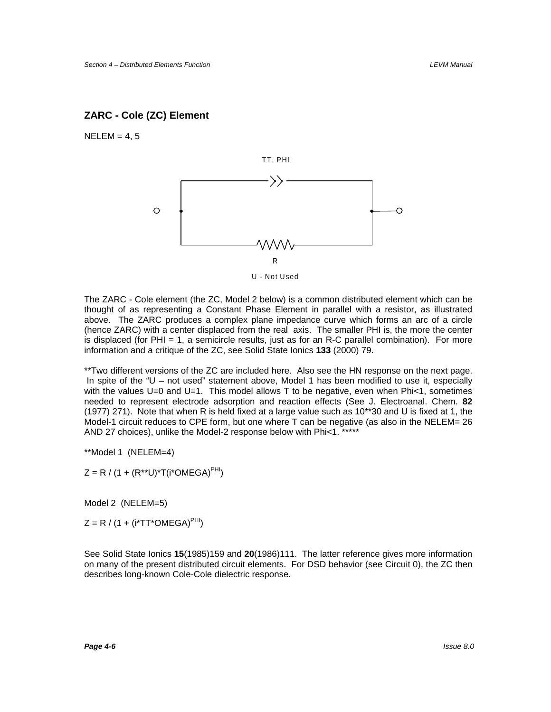# **ZARC - Cole (ZC) Element**

 $NELEM = 4, 5$ 





The ZARC - Cole element (the ZC, Model 2 below) is a common distributed element which can be thought of as representing a Constant Phase Element in parallel with a resistor, as illustrated above. The ZARC produces a complex plane impedance curve which forms an arc of a circle (hence ZARC) with a center displaced from the real axis. The smaller PHI is, the more the center is displaced (for PHI = 1, a semicircle results, just as for an R-C parallel combination). For more information and a critique of the ZC, see Solid State Ionics **133** (2000) 79.

\*\*Two different versions of the ZC are included here. Also see the HN response on the next page. In spite of the "U – not used" statement above, Model 1 has been modified to use it, especially with the values U=0 and U=1. This model allows T to be negative, even when Phi<1, sometimes needed to represent electrode adsorption and reaction effects (See J. Electroanal. Chem. **82** (1977) 271). Note that when R is held fixed at a large value such as 10\*\*30 and U is fixed at 1, the Model-1 circuit reduces to CPE form, but one where T can be negative (as also in the NELEM= 26 AND 27 choices), unlike the Model-2 response below with Phi<1. \*\*\*\*\*

\*\*Model 1 (NELEM=4)

 $Z = R / (1 + (R^{**}U)^*T(i^*OMEGA)^{PHI})$ 

Model 2 (NELEM=5)

 $Z = R / (1 + (i*TT*OMEGA)^{PHI})$ 

See Solid State Ionics **15**(1985)159 and **20**(1986)111. The latter reference gives more information on many of the present distributed circuit elements. For DSD behavior (see Circuit 0), the ZC then describes long-known Cole-Cole dielectric response.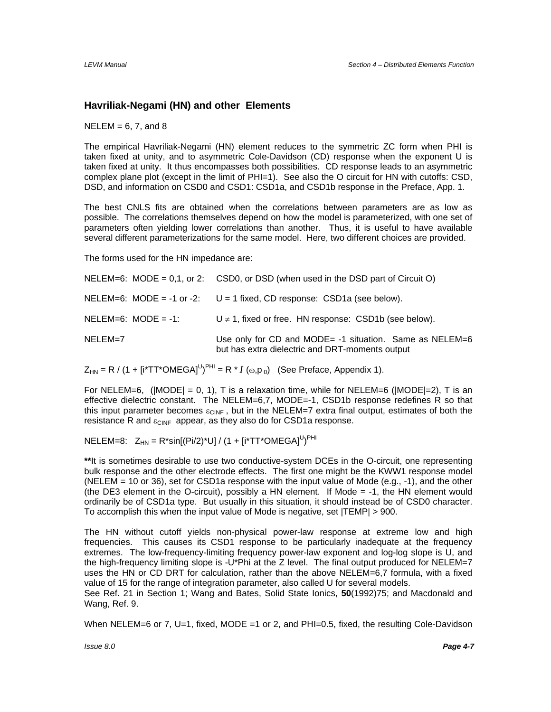# **Havriliak-Negami (HN) and other Elements**

 $NELEM = 6, 7, and 8$ 

The empirical Havriliak-Negami (HN) element reduces to the symmetric ZC form when PHI is taken fixed at unity, and to asymmetric Cole-Davidson (CD) response when the exponent U is taken fixed at unity. It thus encompasses both possibilities. CD response leads to an asymmetric complex plane plot (except in the limit of PHI=1). See also the O circuit for HN with cutoffs: CSD, DSD, and information on CSD0 and CSD1: CSD1a, and CSD1b response in the Preface, App. 1.

The best CNLS fits are obtained when the correlations between parameters are as low as possible. The correlations themselves depend on how the model is parameterized, with one set of parameters often yielding lower correlations than another. Thus, it is useful to have available several different parameterizations for the same model. Here, two different choices are provided.

The forms used for the HN impedance are:

|                       | NELEM=6: MODE = $0,1$ , or 2: CSD0, or DSD (when used in the DSD part of Circuit O)                          |  |  |
|-----------------------|--------------------------------------------------------------------------------------------------------------|--|--|
|                       | NELEM=6: MODE = -1 or -2: $U = 1$ fixed, CD response: CSD1a (see below).                                     |  |  |
| $NELEM=6: MODE = -1:$ | $U \neq 1$ , fixed or free. HN response: CSD1b (see below).                                                  |  |  |
| NELEM=7               | Use only for CD and MODE= $-1$ situation. Same as NELEM=6<br>but has extra dielectric and DRT-moments output |  |  |

 $Z_{HN} = R / (1 + [i^*TT^*OMEGA]^U)^{PHI} = R * I(\omega, p_0)$  (See Preface, Appendix 1).

For NELEM=6, ( $[MODE] = 0, 1$ ), T is a relaxation time, while for NELEM=6 ( $[MODE]=2$ ), T is an effective dielectric constant. The NELEM=6,7, MODE=-1, CSD1b response redefines R so that this input parameter becomes  $\varepsilon_{CINF}$ , but in the NELEM=7 extra final output, estimates of both the resistance R and  $\epsilon_{CINF}$  appear, as they also do for CSD1a response.

 $\mathsf{NELEM}\text{=}8\text{: } \mathsf{Z}_{\mathsf{HN}} = \mathsf{R}^*\mathsf{sin}[(\mathsf{Pi}/2)^*\mathsf{U}] \mathbin{/} (\mathsf{1} + [\mathsf{i}^*\mathsf{T}\mathsf{T}^*\mathsf{OMEGA}]^\mathsf{U})^\mathsf{PHI}$ 

**\*\***It is sometimes desirable to use two conductive-system DCEs in the O-circuit, one representing bulk response and the other electrode effects. The first one might be the KWW1 response model (NELEM = 10 or 36), set for CSD1a response with the input value of Mode (e.g., -1), and the other (the DE3 element in the O-circuit), possibly a HN element. If Mode = -1, the HN element would ordinarily be of CSD1a type. But usually in this situation, it should instead be of CSD0 character. To accomplish this when the input value of Mode is negative, set |TEMP| > 900.

The HN without cutoff yields non-physical power-law response at extreme low and high frequencies. This causes its CSD1 response to be particularly inadequate at the frequency extremes. The low-frequency-limiting frequency power-law exponent and log-log slope is U, and the high-frequency limiting slope is -U\*Phi at the Z level. The final output produced for NELEM=7 uses the HN or CD DRT for calculation, rather than the above NELEM=6,7 formula, with a fixed value of 15 for the range of integration parameter, also called U for several models.

See Ref. 21 in Section 1; Wang and Bates, Solid State Ionics, **50**(1992)75; and Macdonald and Wang, Ref. 9.

When NELEM=6 or 7, U=1, fixed, MODE =1 or 2, and PHI=0.5, fixed, the resulting Cole-Davidson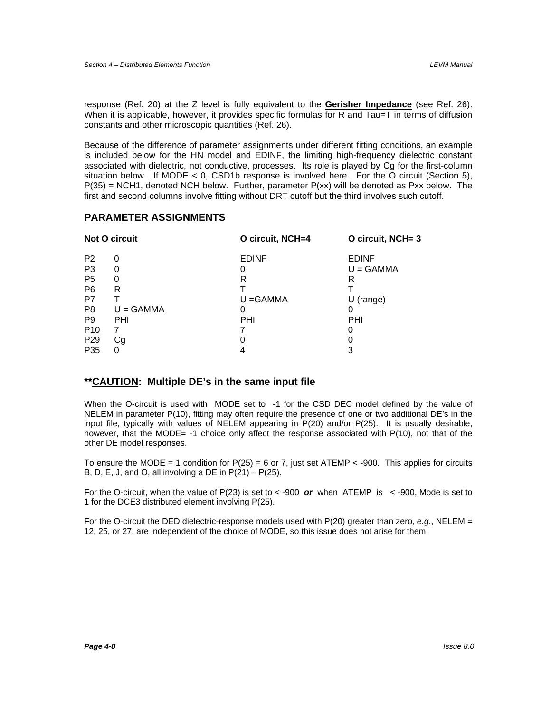response (Ref. 20) at the Z level is fully equivalent to the **Gerisher Impedance** (see Ref. 26). When it is applicable, however, it provides specific formulas for R and Tau=T in terms of diffusion constants and other microscopic quantities (Ref. 26).

Because of the difference of parameter assignments under different fitting conditions, an example is included below for the HN model and EDINF, the limiting high-frequency dielectric constant associated with dielectric, not conductive, processes. Its role is played by Cg for the first-column situation below. If MODE  $< 0$ , CSD1b response is involved here. For the O circuit (Section 5),  $P(35)$  = NCH1, denoted NCH below. Further, parameter  $P(xx)$  will be denoted as Pxx below. The first and second columns involve fitting without DRT cutoff but the third involves such cutoff.

## **PARAMETER ASSIGNMENTS**

| <b>Not O circuit</b> |             | O circuit, NCH=4 | O circuit, NCH= 3 |
|----------------------|-------------|------------------|-------------------|
| P <sub>2</sub>       | 0           | <b>EDINF</b>     | <b>EDINF</b>      |
| P <sub>3</sub>       | 0           | 0                | $U = GAMMA$       |
| P <sub>5</sub>       | 0           | R                | R                 |
| P <sub>6</sub>       | R           |                  |                   |
| P7                   |             | U =GAMMA         | $U$ (range)       |
| P <sub>8</sub>       | $U = GAMMA$ | 0                | 0                 |
| P <sub>9</sub>       | <b>PHI</b>  | PHI              | PHI               |
| P <sub>10</sub>      |             |                  | 0                 |
| P <sub>29</sub>      | Cg          | 0                | 0                 |
| P35                  | 0           | 4                | 3                 |

# **\*\*CAUTION: Multiple DE's in the same input file**

When the O-circuit is used with MODE set to -1 for the CSD DEC model defined by the value of NELEM in parameter P(10), fitting may often require the presence of one or two additional DE's in the input file, typically with values of NELEM appearing in P(20) and/or P(25). It is usually desirable, however, that the MODE= -1 choice only affect the response associated with P(10), not that of the other DE model responses.

To ensure the MODE = 1 condition for  $P(25) = 6$  or 7, just set ATEMP < -900. This applies for circuits B, D, E, J, and O, all involving a DE in  $P(21) - P(25)$ .

For the O-circuit, when the value of P(23) is set to < -900 *or* when ATEMP is < -900, Mode is set to 1 for the DCE3 distributed element involving P(25).

For the O-circuit the DED dielectric-response models used with P(20) greater than zero, *e.g*., NELEM = 12, 25, or 27, are independent of the choice of MODE, so this issue does not arise for them.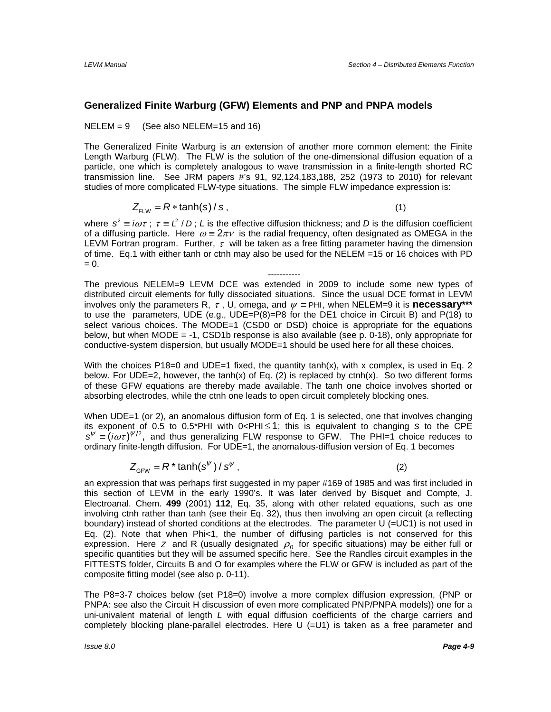# **Generalized Finite Warburg (GFW) Elements and PNP and PNPA models**

#### $NELEM = 9$  (See also NELEM=15 and 16)

The Generalized Finite Warburg is an extension of another more common element: the Finite Length Warburg (FLW). The FLW is the solution of the one-dimensional diffusion equation of a particle, one which is completely analogous to wave transmission in a finite-length shorted RC transmission line. See JRM papers #'s 91, 92,124,183,188, 252 (1973 to 2010) for relevant studies of more complicated FLW-type situations. The simple FLW impedance expression is:

$$
Z_{FLW} = R * \tanh(s) / s, \qquad (1)
$$

where  $s^2 \equiv i\omega \tau$ ;  $\tau \equiv L^2/D$ ; *L* is the effective diffusion thickness; and *D* is the diffusion coefficient of a diffusing particle. Here  $\omega = 2\pi v$  is the radial frequency, often designated as OMEGA in the LEVM Fortran program. Further,  $\tau$  will be taken as a free fitting parameter having the dimension of time. Eq.1 with either tanh or ctnh may also be used for the NELEM =15 or 16 choices with PD  $= 0.$ 

----------- The previous NELEM=9 LEVM DCE was extended in 2009 to include some new types of distributed circuit elements for fully dissociated situations. Since the usual DCE format in LEVM involves only the parameters R,  $\tau$ , U, omega, and  $\psi \equiv$  PHI, when NELEM=9 it is **necessary\*\*\*** to use the parameters, UDE (e.g.,  $UDE = P(8) = P8$  for the DE1 choice in Circuit B) and P(18) to select various choices. The MODE=1 (CSD0 or DSD) choice is appropriate for the equations below, but when MODE = -1, CSD1b response is also available (see p. 0-18), only appropriate for conductive-system dispersion, but usually MODE=1 should be used here for all these choices.

With the choices P18=0 and UDE=1 fixed, the quantity  $tanh(x)$ , with x complex, is used in Eq. 2 below. For UDE=2, however, the tanh(x) of Eq. (2) is replaced by  $ctnh(x)$ . So two different forms of these GFW equations are thereby made available. The tanh one choice involves shorted or absorbing electrodes, while the ctnh one leads to open circuit completely blocking ones.

When UDE=1 (or 2), an anomalous diffusion form of Eq. 1 is selected, one that involves changing its exponent of 0.5 to 0.5<sup>\*</sup>PHI with  $0 <$ PHI $\leq$ 1; this is equivalent to changing *s* to the CPE  $s^{\psi} = (i\omega\tau)^{\psi/2}$ , and thus generalizing FLW response to GFW. The PHI=1 choice reduces to ordinary finite-length diffusion. For UDE=1, the anomalous-diffusion version of Eq. 1 becomes

 $Z_{\text{GFW}} = R^* \tanh(s^{\psi}) / s^{\psi}$ , (2)

an expression that was perhaps first suggested in my paper #169 of 1985 and was first included in this section of LEVM in the early 1990's. It was later derived by Bisquet and Compte, J. Electroanal. Chem. **499** (2001) **112**, Eq. 35, along with other related equations, such as one involving ctnh rather than tanh (see their Eq. 32), thus then involving an open circuit (a reflecting boundary) instead of shorted conditions at the electrodes. The parameter U (=UC1) is not used in Eq.  $(2)$ . Note that when Phi<1, the number of diffusing particles is not conserved for this expression. Here  $Z$  and R (usually designated  $\rho_{0}$  for specific situations) may be either full or specific quantities but they will be assumed specific here. See the Randles circuit examples in the FITTESTS folder, Circuits B and O for examples where the FLW or GFW is included as part of the composite fitting model (see also p. 0-11).

The P8=3-7 choices below (set P18=0) involve a more complex diffusion expression, (PNP or PNPA: see also the Circuit H discussion of even more complicated PNP/PNPA models)) one for a uni-univalent material of length *L* with equal diffusion coefficients of the charge carriers and completely blocking plane-parallel electrodes. Here U (=U1) is taken as a free parameter and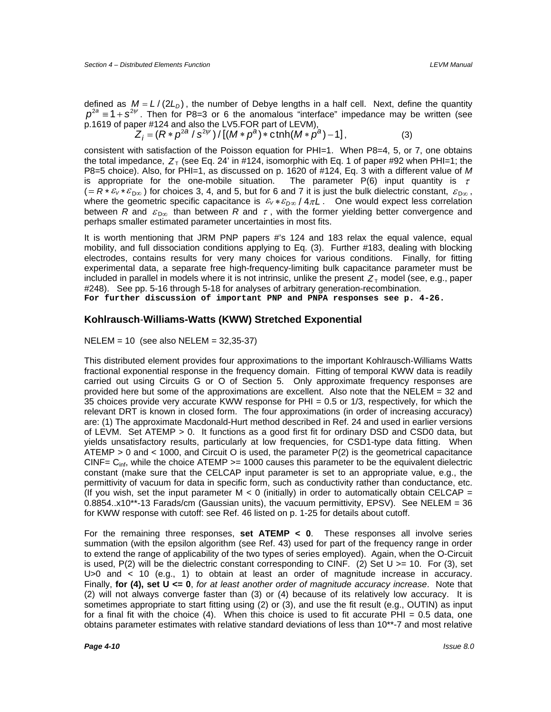defined as  $M = L / (2L_D)$ , the number of Debye lengths in a half cell. Next, define the quantity  $p^{2a} \equiv 1 + s^{2\psi}$ . Then for P8=3 or 6 the anomalous "interface" impedance may be written (see p.1619 of paper #124 and also the LV5.FOR part of LEVM),

$$
Z_i = (R * p^{2a} / s^{2\psi}) / [(M * p^a) * \operatorname{ctnh}(M * p^a) - 1], \qquad (3)
$$

consistent with satisfaction of the Poisson equation for PHI=1. When P8=4, 5, or 7, one obtains the total impedance,  $Z_T$  (see Eq. 24' in #124, isomorphic with Eq. 1 of paper #92 when PHI=1; the P8=5 choice). Also, for PHI=1, as discussed on p. 1620 of #124, Eq. 3 with a different value of *M* is appropriate for the one-mobile situation. The parameter  $P(6)$  input quantity is  $\tau$  $(= R * \mathcal{E}_V * \mathcal{E}_{D\infty})$  for choices 3, 4, and 5, but for 6 and 7 it is just the bulk dielectric constant,  $\mathcal{E}_{D\infty}$ , where the geometric specific capacitance is  $\varepsilon_V * \varepsilon_{D\infty} / 4\pi L$ . One would expect less correlation between *R* and  $\varepsilon_{D\infty}$  than between *R* and  $\tau$ , with the former yielding better convergence and perhaps smaller estimated parameter uncertainties in most fits.

It is worth mentioning that JRM PNP papers #'s 124 and 183 relax the equal valence, equal mobility, and full dissociation conditions applying to Eq. (3). Further #183, dealing with blocking electrodes, contains results for very many choices for various conditions. Finally, for fitting experimental data, a separate free high-frequency-limiting bulk capacitance parameter must be included in parallel in models where it is not intrinsic, unlike the present  $Z<sub>T</sub>$  model (see, e.g., paper #248). See pp. 5-16 through 5-18 for analyses of arbitrary generation-recombination.

### **For further discussion of important PNP and PNPA responses see p. 4-26.**

### **Kohlrausch**-**Williams-Watts (KWW) Stretched Exponential**

NELEM = 10 (see also NELEM = 32,35-37)

This distributed element provides four approximations to the important Kohlrausch-Williams Watts fractional exponential response in the frequency domain. Fitting of temporal KWW data is readily carried out using Circuits G or O of Section 5. Only approximate frequency responses are provided here but some of the approximations are excellent. Also note that the NELEM = 32 and 35 choices provide very accurate KWW response for PHI = 0.5 or 1/3, respectively, for which the relevant DRT is known in closed form. The four approximations (in order of increasing accuracy) are: (1) The approximate Macdonald-Hurt method described in Ref. 24 and used in earlier versions of LEVM. Set ATEMP > 0. It functions as a good first fit for ordinary DSD and CSD0 data, but yields unsatisfactory results, particularly at low frequencies, for CSD1-type data fitting. When ATEMP  $> 0$  and  $< 1000$ , and Circuit O is used, the parameter P(2) is the geometrical capacitance CINF=  $C<sub>inf</sub>$ , while the choice ATEMP  $>= 1000$  causes this parameter to be the equivalent dielectric constant (make sure that the CELCAP input parameter is set to an appropriate value, e.g., the permittivity of vacuum for data in specific form, such as conductivity rather than conductance, etc. (If you wish, set the input parameter  $M < 0$  (initially) in order to automatically obtain CELCAP = 0.8854..x10\*\*-13 Farads/cm (Gaussian units), the vacuum permittivity, EPSV). See NELEM = 36 for KWW response with cutoff: see Ref. 46 listed on p. 1-25 for details about cutoff.

For the remaining three responses, **set ATEMP < 0**. These responses all involve series summation (with the epsilon algorithm (see Ref. 43) used for part of the frequency range in order to extend the range of applicability of the two types of series employed). Again, when the O-Circuit is used,  $P(2)$  will be the dielectric constant corresponding to CINF. (2) Set  $U \geq 10$ . For (3), set U>0 and < 10 (e.g., 1) to obtain at least an order of magnitude increase in accuracy. Finally, **for (4), set U <= 0**, *for at least another order of magnitude accuracy increase*. Note that (2) will not always converge faster than (3) or (4) because of its relatively low accuracy. It is sometimes appropriate to start fitting using (2) or (3), and use the fit result (e.g., OUTIN) as input for a final fit with the choice  $(4)$ . When this choice is used to fit accurate PHI = 0.5 data, one obtains parameter estimates with relative standard deviations of less than 10\*\*-7 and most relative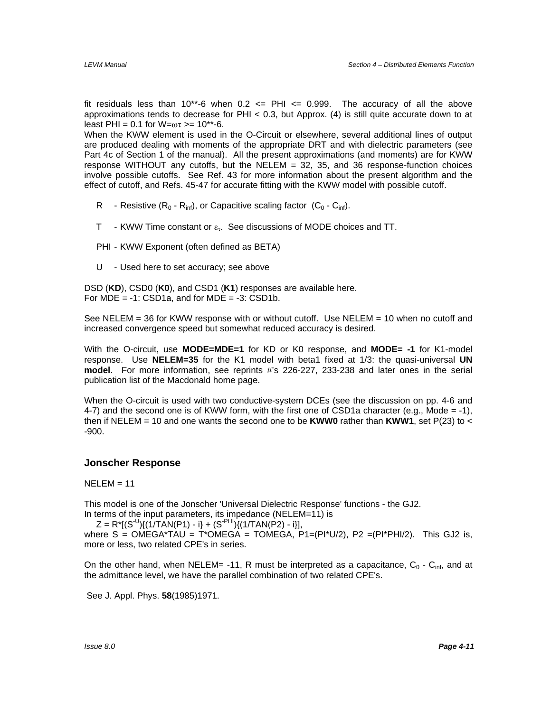fit residuals less than  $10^{**}$ -6 when 0.2 <= PHI <= 0.999. The accuracy of all the above approximations tends to decrease for PHI < 0.3, but Approx. (4) is still quite accurate down to at least PHI = 0.1 for  $W = \omega \tau$  >= 10\*\*-6.

When the KWW element is used in the O-Circuit or elsewhere, several additional lines of output are produced dealing with moments of the appropriate DRT and with dielectric parameters (see Part 4c of Section 1 of the manual). All the present approximations (and moments) are for KWW response WITHOUT any cutoffs, but the NELEM = 32, 35, and 36 response-function choices involve possible cutoffs. See Ref. 43 for more information about the present algorithm and the effect of cutoff, and Refs. 45-47 for accurate fitting with the KWW model with possible cutoff.

- R Resistive ( $R_0$   $R_{\text{inf}}$ ), or Capacitive scaling factor ( $C_0$   $C_{\text{inf}}$ ).
- T KWW Time constant or  $\varepsilon_{\tau}$ . See discussions of MODE choices and TT.
- PHI KWW Exponent (often defined as BETA)
- U Used here to set accuracy; see above

DSD (**KD**), CSD0 (**K0**), and CSD1 (**K1**) responses are available here. For MDE =  $-1$ : CSD1a, and for MDE =  $-3$ : CSD1b.

See NELEM = 36 for KWW response with or without cutoff. Use NELEM = 10 when no cutoff and increased convergence speed but somewhat reduced accuracy is desired.

With the O-circuit, use **MODE=MDE=1** for KD or K0 response, and **MODE= -1** for K1-model response. Use **NELEM=35** for the K1 model with beta1 fixed at 1/3: the quasi-universal **UN model**. For more information, see reprints #'s 226-227, 233-238 and later ones in the serial publication list of the Macdonald home page.

When the O-circuit is used with two conductive-system DCEs (see the discussion on pp. 4-6 and 4-7) and the second one is of KWW form, with the first one of CSD1a character (e.g., Mode = -1), then if NELEM = 10 and one wants the second one to be **KWW0** rather than **KWW1**, set  $P(23)$  to < -900.

### **Jonscher Response**

 $NELEM = 11$ 

This model is one of the Jonscher 'Universal Dielectric Response' functions - the GJ2. In terms of the input parameters, its impedance (NELEM=11) is

 $Z = R^*[S^{-1}]\{(1/TAN(P1) - i\} + (S^{-PHI})\{(1/TAN(P2) - i\}],$ where  $S = OMEGA*TAU = T*OMEGA = TOMEGA, P1=(PI*U/2), P2 = (PI*PHI/2).$  This GJ2 is, more or less, two related CPE's in series.

On the other hand, when NELEM= -11, R must be interpreted as a capacitance,  $C_0$  -  $C_{\text{inf}}$ , and at the admittance level, we have the parallel combination of two related CPE's.

See J. Appl. Phys. **58**(1985)1971.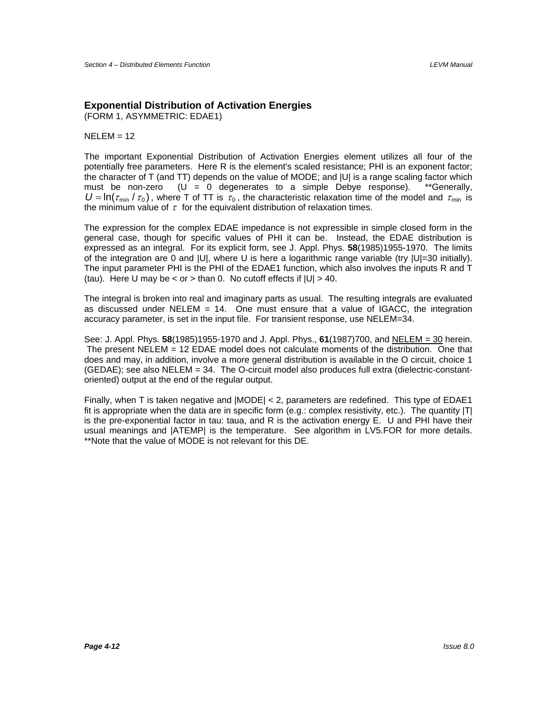## **Exponential Distribution of Activation Energies**

(FORM 1, ASYMMETRIC: EDAE1)

 $NELEM = 12$ 

The important Exponential Distribution of Activation Energies element utilizes all four of the potentially free parameters. Here R is the element's scaled resistance; PHI is an exponent factor; the character of T (and TT) depends on the value of MODE; and |U| is a range scaling factor which must be non-zero  $(U = 0$  degenerates to a simple Debye response). \*\*Generally,  $U = \ln(\tau_{\min} / \tau_0)$ , where T of TT is  $\tau_0$ , the characteristic relaxation time of the model and  $\tau_{\min}$  is the minimum value of  $\tau$  for the equivalent distribution of relaxation times.

The expression for the complex EDAE impedance is not expressible in simple closed form in the general case, though for specific values of PHI it can be. Instead, the EDAE distribution is expressed as an integral. For its explicit form, see J. Appl. Phys. **58**(1985)1955-1970. The limits of the integration are 0 and |U|, where U is here a logarithmic range variable (try |U|=30 initially). The input parameter PHI is the PHI of the EDAE1 function, which also involves the inputs R and T (tau). Here U may be  $\lt$  or  $>$  than 0. No cutoff effects if  $|U| > 40$ .

The integral is broken into real and imaginary parts as usual. The resulting integrals are evaluated as discussed under  $NELEM = 14$ . One must ensure that a value of IGACC, the integration accuracy parameter, is set in the input file. For transient response, use NELEM=34.

See: J. Appl. Phys. **58**(1985)1955-1970 and J. Appl. Phys., **61**(1987)700, and NELEM = 30 herein. The present NELEM = 12 EDAE model does not calculate moments of the distribution. One that does and may, in addition, involve a more general distribution is available in the O circuit, choice 1 (GEDAE); see also NELEM = 34. The O-circuit model also produces full extra (dielectric-constantoriented) output at the end of the regular output.

Finally, when T is taken negative and |MODE| < 2, parameters are redefined. This type of EDAE1 fit is appropriate when the data are in specific form  $(e.g., z$  complex resistivity, etc.). The quantity  $|T|$ is the pre-exponential factor in tau: taua, and R is the activation energy E. U and PHI have their usual meanings and |ATEMP| is the temperature. See algorithm in LV5.FOR for more details. \*\*Note that the value of MODE is not relevant for this DE.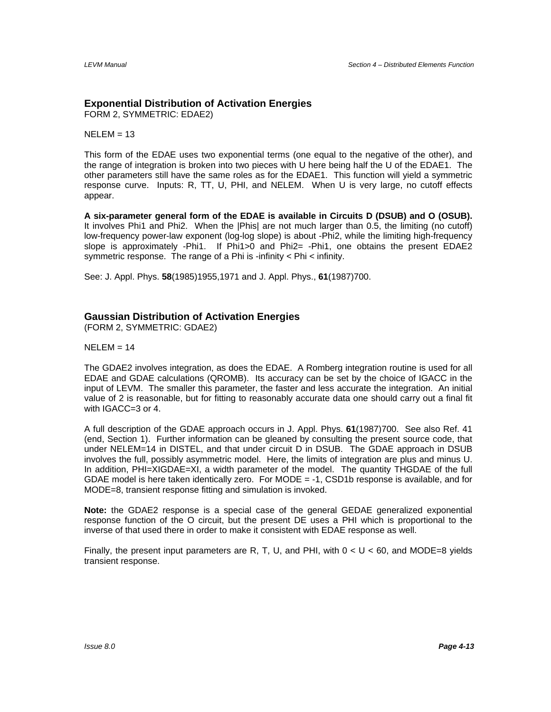# **Exponential Distribution of Activation Energies**

FORM 2, SYMMETRIC: EDAE2)

 $NELEM = 13$ 

This form of the EDAE uses two exponential terms (one equal to the negative of the other), and the range of integration is broken into two pieces with U here being half the U of the EDAE1. The other parameters still have the same roles as for the EDAE1. This function will yield a symmetric response curve. Inputs: R, TT, U, PHI, and NELEM. When U is very large, no cutoff effects appear.

**A six-parameter general form of the EDAE is available in Circuits D (DSUB) and O (OSUB).**  It involves Phi1 and Phi2. When the |Phis| are not much larger than 0.5, the limiting (no cutoff) low-frequency power-law exponent (log-log slope) is about -Phi2, while the limiting high-frequency slope is approximately -Phi1. If Phi1>0 and Phi2= -Phi1, one obtains the present EDAE2 symmetric response. The range of a Phi is -infinity < Phi < infinity.

See: J. Appl. Phys. **58**(1985)1955,1971 and J. Appl. Phys., **61**(1987)700.

# **Gaussian Distribution of Activation Energies**

(FORM 2, SYMMETRIC: GDAE2)

 $NELEM = 14$ 

The GDAE2 involves integration, as does the EDAE. A Romberg integration routine is used for all EDAE and GDAE calculations (QROMB). Its accuracy can be set by the choice of IGACC in the input of LEVM. The smaller this parameter, the faster and less accurate the integration. An initial value of 2 is reasonable, but for fitting to reasonably accurate data one should carry out a final fit with IGACC=3 or 4.

A full description of the GDAE approach occurs in J. Appl. Phys. **61**(1987)700. See also Ref. 41 (end, Section 1). Further information can be gleaned by consulting the present source code, that under NELEM=14 in DISTEL, and that under circuit D in DSUB. The GDAE approach in DSUB involves the full, possibly asymmetric model. Here, the limits of integration are plus and minus U. In addition, PHI=XIGDAE=XI, a width parameter of the model. The quantity THGDAE of the full GDAE model is here taken identically zero. For MODE = -1, CSD1b response is available, and for MODE=8, transient response fitting and simulation is invoked.

**Note:** the GDAE2 response is a special case of the general GEDAE generalized exponential response function of the O circuit, but the present DE uses a PHI which is proportional to the inverse of that used there in order to make it consistent with EDAE response as well.

Finally, the present input parameters are R, T, U, and PHI, with  $0 < U < 60$ , and MODE=8 yields transient response.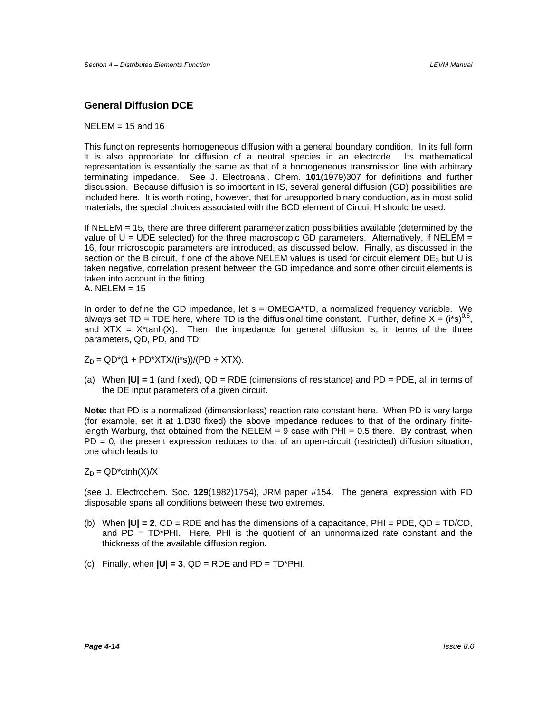## **General Diffusion DCE**

 $NELEM = 15$  and 16

This function represents homogeneous diffusion with a general boundary condition. In its full form it is also appropriate for diffusion of a neutral species in an electrode. Its mathematical representation is essentially the same as that of a homogeneous transmission line with arbitrary terminating impedance. See J. Electroanal. Chem. **101**(1979)307 for definitions and further discussion. Because diffusion is so important in IS, several general diffusion (GD) possibilities are included here. It is worth noting, however, that for unsupported binary conduction, as in most solid materials, the special choices associated with the BCD element of Circuit H should be used.

If NELEM = 15, there are three different parameterization possibilities available (determined by the value of  $U = UDE$  selected) for the three macroscopic GD parameters. Alternatively, if NELEM = 16, four microscopic parameters are introduced, as discussed below. Finally, as discussed in the section on the B circuit, if one of the above NELEM values is used for circuit element  $DE<sub>3</sub>$  but U is taken negative, correlation present between the GD impedance and some other circuit elements is taken into account in the fitting. A. NELEM  $= 15$ 

In order to define the GD impedance, let  $s = OMEGA<sup>*</sup>TD$ , a normalized frequency variable. We always set TD = TDE here, where TD is the diffusional time constant. Further, define  $X = (i^*s)^{0.5}$ , and  $XTX = X<sup>*</sup>tanh(X)$ . Then, the impedance for general diffusion is, in terms of the three parameters, QD, PD, and TD:

 $Z_D = QD^*(1 + PD^*XY/(i^*s))/(PD + XTX)$ .

(a) When **|U| = 1** (and fixed), QD = RDE (dimensions of resistance) and PD = PDE, all in terms of the DE input parameters of a given circuit.

**Note:** that PD is a normalized (dimensionless) reaction rate constant here. When PD is very large (for example, set it at 1.D30 fixed) the above impedance reduces to that of the ordinary finitelength Warburg, that obtained from the NELEM  $= 9$  case with PHI  $= 0.5$  there. By contrast, when  $PD = 0$ , the present expression reduces to that of an open-circuit (restricted) diffusion situation, one which leads to

 $Z_D = QD^*ctnh(X)/X$ 

(see J. Electrochem. Soc. **129**(1982)1754), JRM paper #154. The general expression with PD disposable spans all conditions between these two extremes.

- (b) When  $|U| = 2$ , CD = RDE and has the dimensions of a capacitance, PHI = PDE, QD = TD/CD, and  $PD = TD^*PHI$ . Here,  $PHI$  is the quotient of an unnormalized rate constant and the thickness of the available diffusion region.
- (c) Finally, when **|U| = 3**, QD = RDE and PD = TD\*PHI.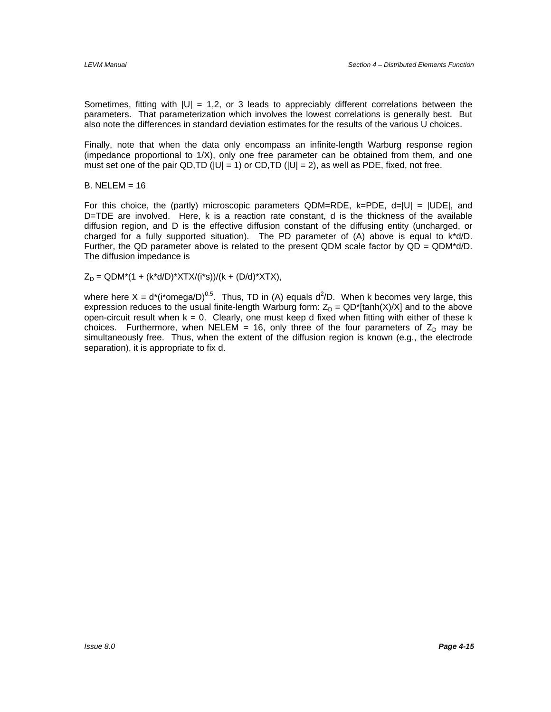Sometimes, fitting with  $|U| = 1,2$ , or 3 leads to appreciably different correlations between the parameters. That parameterization which involves the lowest correlations is generally best. But also note the differences in standard deviation estimates for the results of the various U choices.

Finally, note that when the data only encompass an infinite-length Warburg response region (impedance proportional to 1/X), only one free parameter can be obtained from them, and one must set one of the pair QD,TD ( $|U| = 1$ ) or CD,TD ( $|U| = 2$ ), as well as PDE, fixed, not free.

 $B.$  NELEM = 16

For this choice, the (partly) microscopic parameters  $QDM=RDE$ ,  $k=PDE$ ,  $d=|U|=$   $|UDE|$ , and D=TDE are involved. Here, k is a reaction rate constant, d is the thickness of the available diffusion region, and D is the effective diffusion constant of the diffusing entity (uncharged, or charged for a fully supported situation). The PD parameter of (A) above is equal to k\*d/D. Further, the QD parameter above is related to the present QDM scale factor by  $QD = QDM^*d/D$ . The diffusion impedance is

 $Z_D = QDM^*(1 + (k^*d/D)^*XTX/(i^*s))/(k + (D/d)^*XTX),$ 

where here X = d\*(i\*omega/D)<sup>0.5</sup>. Thus, TD in (A) equals  $d^2/D$ . When k becomes very large, this expression reduces to the usual finite-length Warburg form:  $Z_D = QD^*[tanh(X)/X]$  and to the above open-circuit result when  $k = 0$ . Clearly, one must keep d fixed when fitting with either of these k choices. Furthermore, when NELEM = 16, only three of the four parameters of  $Z_D$  may be simultaneously free. Thus, when the extent of the diffusion region is known (e.g., the electrode separation), it is appropriate to fix d.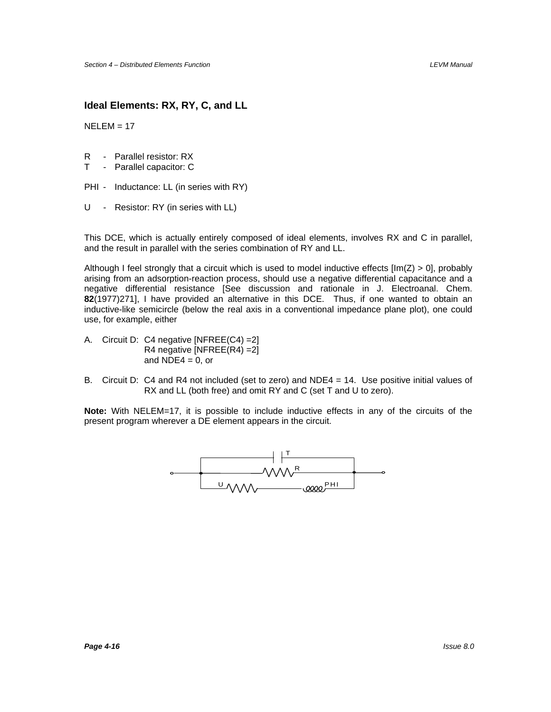# **Ideal Elements: RX, RY, C, and LL**

 $NELEM = 17$ 

- R Parallel resistor: RX
- T Parallel capacitor: C
- PHI Inductance: LL (in series with RY)
- U Resistor: RY (in series with LL)

This DCE, which is actually entirely composed of ideal elements, involves RX and C in parallel, and the result in parallel with the series combination of RY and LL.

Although I feel strongly that a circuit which is used to model inductive effects  $[Im(Z) > 0]$ , probably arising from an adsorption-reaction process, should use a negative differential capacitance and a negative differential resistance [See discussion and rationale in J. Electroanal. Chem. **82**(1977)271], I have provided an alternative in this DCE. Thus, if one wanted to obtain an inductive-like semicircle (below the real axis in a conventional impedance plane plot), one could use, for example, either

- A. Circuit D: C4 negative [NFREE(C4) =2] R4 negative [NFREE(R4) =2] and NDE4  $= 0$ , or
- B. Circuit D: C4 and R4 not included (set to zero) and NDE4 = 14. Use positive initial values of RX and LL (both free) and omit RY and C (set T and U to zero).

**Note:** With NELEM=17, it is possible to include inductive effects in any of the circuits of the present program wherever a DE element appears in the circuit.

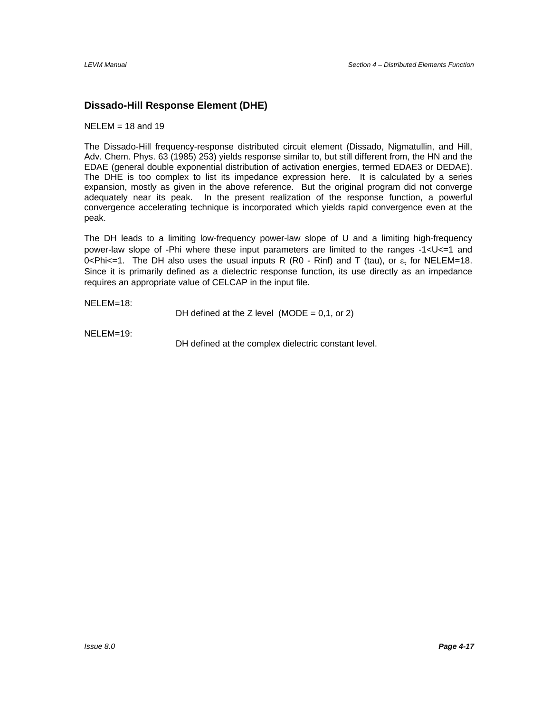# **Dissado-Hill Response Element (DHE)**

 $NELEM = 18$  and 19

The Dissado-Hill frequency-response distributed circuit element (Dissado, Nigmatullin, and Hill, Adv. Chem. Phys. 63 (1985) 253) yields response similar to, but still different from, the HN and the EDAE (general double exponential distribution of activation energies, termed EDAE3 or DEDAE). The DHE is too complex to list its impedance expression here. It is calculated by a series expansion, mostly as given in the above reference. But the original program did not converge adequately near its peak. In the present realization of the response function, a powerful convergence accelerating technique is incorporated which yields rapid convergence even at the peak.

The DH leads to a limiting low-frequency power-law slope of U and a limiting high-frequency power-law slope of -Phi where these input parameters are limited to the ranges -1<U<=1 and 0<Phi<=1. The DH also uses the usual inputs R (R0 - Rinf) and T (tau), or  $\varepsilon_{\rm r}$  for NELEM=18. Since it is primarily defined as a dielectric response function, its use directly as an impedance requires an appropriate value of CELCAP in the input file.

NELEM=18:

DH defined at the Z level (MODE =  $0.1$ , or 2)

NELEM=19:

DH defined at the complex dielectric constant level.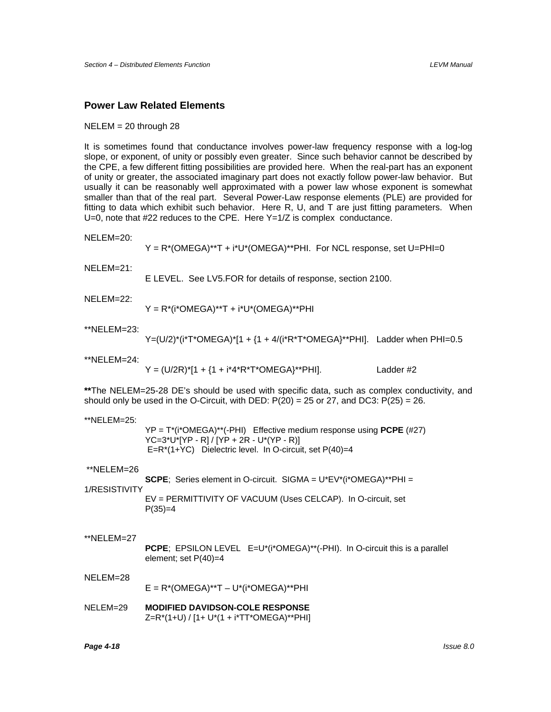#### **Power Law Related Elements**

#### $NELEM = 20$  through 28

It is sometimes found that conductance involves power-law frequency response with a log-log slope, or exponent, of unity or possibly even greater. Since such behavior cannot be described by the CPE, a few different fitting possibilities are provided here. When the real-part has an exponent of unity or greater, the associated imaginary part does not exactly follow power-law behavior. But usually it can be reasonably well approximated with a power law whose exponent is somewhat smaller than that of the real part. Several Power-Law response elements (PLE) are provided for fitting to data which exhibit such behavior. Here R, U, and T are just fitting parameters. When U=0, note that #22 reduces to the CPE. Here Y=1/Z is complex conductance.

NELEM=20:

 $Y = R^*(OMEGA)*T + i^*U*(OMEGA)*PHI$ . For NCL response, set U=PHI=0

NELEM=21:

E LEVEL. See LV5.FOR for details of response, section 2100.

NELEM=22:

Y = R\*(i\*OMEGA)\*\*T + i\*U\*(OMEGA)\*\*PHI

\*\*NELEM=23:

Y=(U/2)\*(i\*T\*OMEGA)\*[1 + {1 + 4/(i\*R\*T\*OMEGA}\*\*PHI]. Ladder when PHI=0.5

\*\*NELEM=24:

 $Y = (U/2R)^*[1 + {1 + i*4*R*T*OMEGA}*PH1]$ . Ladder #2

**\*\***The NELEM=25-28 DE's should be used with specific data, such as complex conductivity, and should only be used in the O-Circuit, with DED:  $P(20) = 25$  or 27, and DC3:  $P(25) = 26$ .

#### \*\*NELEM=25:

YP = T\*(i\*OMEGA)\*\*(-PHI) Effective medium response using **PCPE** (#27) YC=3\*U\*[YP - R] / [YP + 2R - U\*(YP - R)] E=R\*(1+YC) Dielectric level. In O-circuit, set P(40)=4

#### \*\*NELEM=26

**SCPE**; Series element in O-circuit. SIGMA = U\*EV\*(i\*OMEGA)\*\*PHI =

1/RESISTIVITY

EV = PERMITTIVITY OF VACUUM (Uses CELCAP). In O-circuit, set  $P(35)=4$ 

#### \*\*NELEM=27

**PCPE**; EPSILON LEVEL E=U<sup>\*</sup>(i<sup>\*</sup>OMEGA)<sup>\*\*</sup>(-PHI). In O-circuit this is a parallel element; set P(40)=4

NELEM=28

 $E = R^*(OMEGA)*T - U*(i*OMEGA)**PHI$ 

NELEM=29 **MODIFIED DAVIDSON-COLE RESPONSE** Z=R\*(1+U) / [1+ U\*(1 + i\*TT\*OMEGA)\*\*PHI]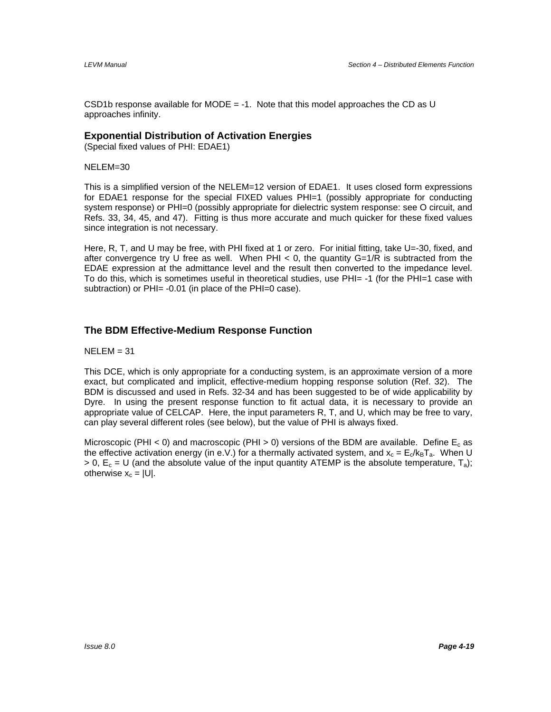CSD1b response available for MODE  $= -1$ . Note that this model approaches the CD as U approaches infinity.

# **Exponential Distribution of Activation Energies**

(Special fixed values of PHI: EDAE1)

NELEM=30

This is a simplified version of the NELEM=12 version of EDAE1. It uses closed form expressions for EDAE1 response for the special FIXED values PHI=1 (possibly appropriate for conducting system response) or PHI=0 (possibly appropriate for dielectric system response: see O circuit, and Refs. 33, 34, 45, and 47). Fitting is thus more accurate and much quicker for these fixed values since integration is not necessary.

Here, R, T, and U may be free, with PHI fixed at 1 or zero. For initial fitting, take U=-30, fixed, and after convergence try U free as well. When  $PHI < 0$ , the quantity  $G=1/R$  is subtracted from the EDAE expression at the admittance level and the result then converted to the impedance level. To do this, which is sometimes useful in theoretical studies, use PHI= -1 (for the PHI=1 case with subtraction) or PHI= -0.01 (in place of the PHI=0 case).

# **The BDM Effective-Medium Response Function**

#### $NELEM = 31$

This DCE, which is only appropriate for a conducting system, is an approximate version of a more exact, but complicated and implicit, effective-medium hopping response solution (Ref. 32). The BDM is discussed and used in Refs. 32-34 and has been suggested to be of wide applicability by Dyre. In using the present response function to fit actual data, it is necessary to provide an appropriate value of CELCAP. Here, the input parameters R, T, and U, which may be free to vary, can play several different roles (see below), but the value of PHI is always fixed.

Microscopic (PHI < 0) and macroscopic (PHI > 0) versions of the BDM are available. Define  $E_c$  as the effective activation energy (in e.V.) for a thermally activated system, and  $x_c = E_c/k_B T_a$ . When U  $> 0$ ,  $E_c = U$  (and the absolute value of the input quantity ATEMP is the absolute temperature,  $T_a$ ); otherwise  $x_c = |U|$ .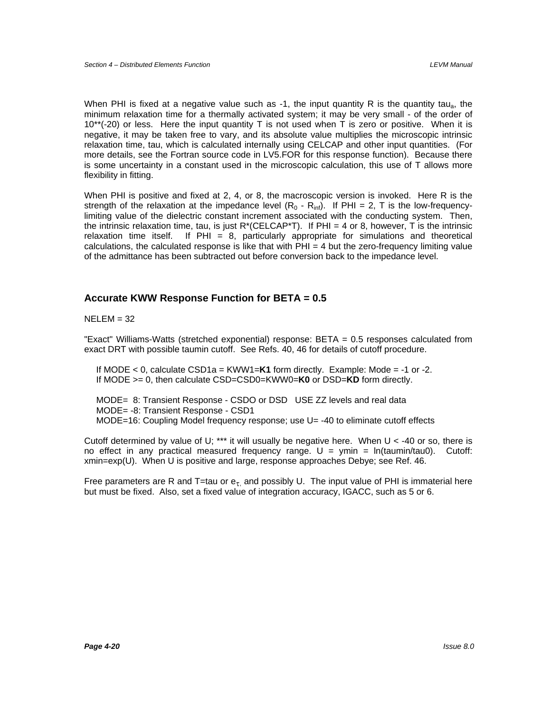When PHI is fixed at a negative value such as  $-1$ , the input quantity R is the quantity tau<sub>a</sub>, the minimum relaxation time for a thermally activated system; it may be very small - of the order of  $10^{**}$ (-20) or less. Here the input quantity T is not used when T is zero or positive. When it is negative, it may be taken free to vary, and its absolute value multiplies the microscopic intrinsic relaxation time, tau, which is calculated internally using CELCAP and other input quantities. (For more details, see the Fortran source code in LV5.FOR for this response function). Because there is some uncertainty in a constant used in the microscopic calculation, this use of T allows more flexibility in fitting.

When PHI is positive and fixed at 2, 4, or 8, the macroscopic version is invoked. Here R is the strength of the relaxation at the impedance level  $(R_0 - R_{\text{inf}})$ . If PHI = 2, T is the low-frequencylimiting value of the dielectric constant increment associated with the conducting system. Then, the intrinsic relaxation time, tau, is just  $R^*(CELCAP^*T)$ . If PHI = 4 or 8, however, T is the intrinsic relaxation time itself. If  $PHI = 8$ , particularly appropriate for simulations and theoretical calculations, the calculated response is like that with  $PHI = 4$  but the zero-frequency limiting value of the admittance has been subtracted out before conversion back to the impedance level.

### **Accurate KWW Response Function for BETA = 0.5**

 $NELEM = 32$ 

"Exact" Williams-Watts (stretched exponential) response: BETA = 0.5 responses calculated from exact DRT with possible taumin cutoff. See Refs. 40, 46 for details of cutoff procedure.

If MODE < 0, calculate CSD1a = KWW1=**K1** form directly. Example: Mode = -1 or -2. If MODE >= 0, then calculate CSD=CSD0=KWW0=**K0** or DSD=**KD** form directly.

MODE= 8: Transient Response - CSDO or DSD USE ZZ levels and real data MODE= -8: Transient Response - CSD1 MODE=16: Coupling Model frequency response; use U= -40 to eliminate cutoff effects

Cutoff determined by value of U; \*\*\* it will usually be negative here. When  $U < -40$  or so, there is no effect in any practical measured frequency range.  $U = ymin = ln(taumin/tau)$ . Cutoff: xmin=exp(U). When U is positive and large, response approaches Debye; see Ref. 46.

Free parameters are R and T=tau or  $e<sub>\tau</sub>$  and possibly U. The input value of PHI is immaterial here but must be fixed. Also, set a fixed value of integration accuracy, IGACC, such as 5 or 6.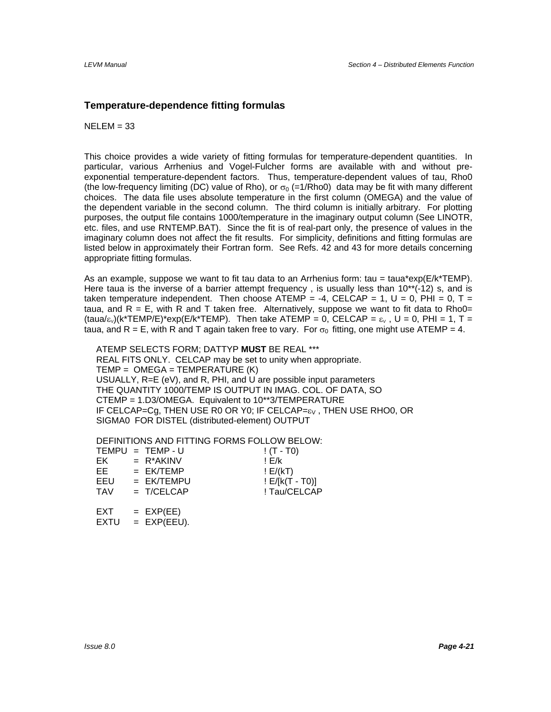## **Temperature-dependence fitting formulas**

 $NELEM = 33$ 

This choice provides a wide variety of fitting formulas for temperature-dependent quantities. In particular, various Arrhenius and Vogel-Fulcher forms are available with and without preexponential temperature-dependent factors. Thus, temperature-dependent values of tau, Rho0 (the low-frequency limiting (DC) value of Rho), or  $\sigma_0$  (=1/Rho0) data may be fit with many different choices. The data file uses absolute temperature in the first column (OMEGA) and the value of the dependent variable in the second column. The third column is initially arbitrary. For plotting purposes, the output file contains 1000/temperature in the imaginary output column (See LINOTR, etc. files, and use RNTEMP.BAT). Since the fit is of real-part only, the presence of values in the imaginary column does not affect the fit results. For simplicity, definitions and fitting formulas are listed below in approximately their Fortran form. See Refs. 42 and 43 for more details concerning appropriate fitting formulas.

As an example, suppose we want to fit tau data to an Arrhenius form: tau = taua\*exp( $E/k$ \*TEMP). Here taua is the inverse of a barrier attempt frequency, is usually less than  $10^{**}(-12)$  s, and is taken temperature independent. Then choose ATEMP = -4, CELCAP = 1,  $U = 0$ , PHI = 0, T = taua, and  $R = E$ , with R and T taken free. Alternatively, suppose we want to fit data to Rho0= (taua/ $\varepsilon$ v)(k\*TEMP/E)\*exp(E/k\*TEMP). Then take ATEMP = 0, CELCAP =  $\varepsilon$ v, U = 0, PHI = 1, T = taua, and R = E, with R and T again taken free to vary. For  $\sigma_0$  fitting, one might use ATEMP = 4.

ATEMP SELECTS FORM; DATTYP **MUST** BE REAL \*\*\* REAL FITS ONLY. CELCAP may be set to unity when appropriate. TEMP = OMEGA = TEMPERATURE (K) USUALLY, R=E (eV), and R, PHI, and U are possible input parameters THE QUANTITY 1000/TEMP IS OUTPUT IN IMAG. COL. OF DATA, SO CTEMP = 1.D3/OMEGA. Equivalent to 10\*\*3/TEMPERATURE IF CELCAP=Cg, THEN USE R0 OR Y0; IF CELCAP= $\varepsilon_V$ , THEN USE RHO0, OR SIGMA0 FOR DISTEL (distributed-element) OUTPUT

DEFINITIONS AND FITTING FORMS FOLLOW BELOW:

|     | TEMPU = TEMP-U | $!(T - T0)$       |
|-----|----------------|-------------------|
| EK  | $= R^*AKINV$   | ! $E/k$           |
| EE  | = EK/TEMP      | ! E/(kT)          |
| EEU | $=$ EK/TEMPU   | $! E/[k(T - T0)]$ |
| TAV | $= T/CELCAP$   | ! Tau/CELCAP      |
| EXT | $= EXP(EE)$    |                   |

| EXTU | EXP(EEU). |
|------|-----------|
|      |           |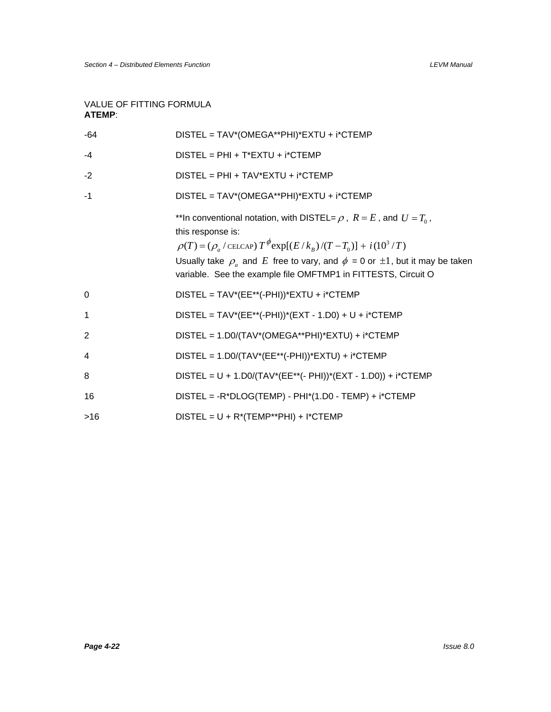# VALUE OF FITTING FORMULA **ATEMP**:

| $-64$          | $DISTEL = TAV*(OMEGA^{**}PHI)*EXTU + i*CTEMP$                                                                                                                                                                                                                                                                                                       |
|----------------|-----------------------------------------------------------------------------------------------------------------------------------------------------------------------------------------------------------------------------------------------------------------------------------------------------------------------------------------------------|
| $-4$           | $DISTEL = PHI + T*EXTU + i*CTEMP$                                                                                                                                                                                                                                                                                                                   |
| $-2$           | $DISTEL = PHI + TAV*EXTU + i*CTEMP$                                                                                                                                                                                                                                                                                                                 |
| $-1$           | DISTEL = TAV*(OMEGA**PHI)*EXTU + i*CTEMP                                                                                                                                                                                                                                                                                                            |
|                | **In conventional notation, with DISTEL= $\rho$ , $R = E$ , and $U = T_0$ ,<br>this response is:<br>$\rho(T) = (\rho_a / \text{CELCAP}) T^{\phi} \exp[(E/k_B)/(T - T_0)] + i(10^3/T)$<br>Usually take $\rho_a$ and E free to vary, and $\phi = 0$ or $\pm 1$ , but it may be taken<br>variable. See the example file OMFTMP1 in FITTESTS, Circuit O |
| $\Omega$       | $DISTEL = TAV*(EE**(-PHI))*EXTU + i*CTEMP)$                                                                                                                                                                                                                                                                                                         |
| $\mathbf{1}$   | DISTEL = TAV*(EE**(-PHI))*(EXT - 1.D0) + U + i*CTEMP                                                                                                                                                                                                                                                                                                |
| 2              | DISTEL = 1.D0/(TAV*(OMEGA**PHI)*EXTU) + i*CTEMP                                                                                                                                                                                                                                                                                                     |
| $\overline{4}$ | DISTEL = 1.D0/(TAV*(EE**(-PHI))*EXTU) + i*CTEMP                                                                                                                                                                                                                                                                                                     |
| 8              | DISTEL = U + 1.D0/(TAV*(EE**(- PHI))*(EXT - 1.D0)) + i*CTEMP                                                                                                                                                                                                                                                                                        |
| 16             | $DISTEL = -R^*DLOG(TEMP) - PHI^*(1.D0 - TEMP) + i*CTEMP$                                                                                                                                                                                                                                                                                            |
| $>16$          | $DISTEL = U + R*(TEMP**PHI) + I*CTEMP$                                                                                                                                                                                                                                                                                                              |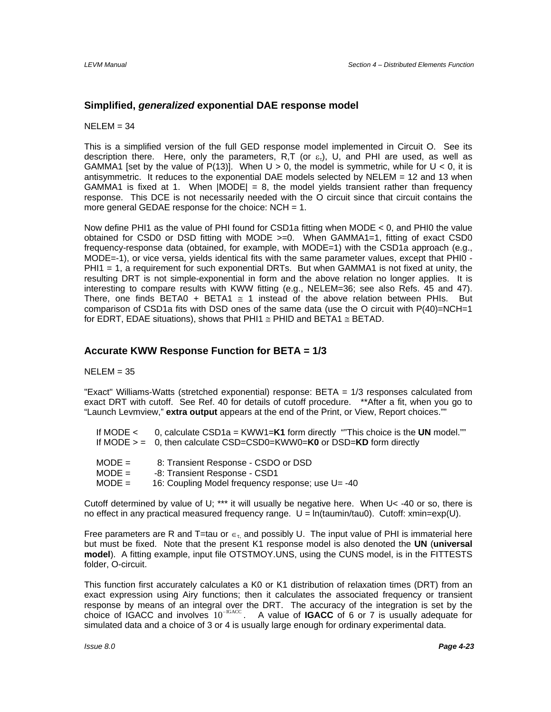# **Simplified,** *generalized* **exponential DAE response model**

#### $NELEM = 34$

This is a simplified version of the full GED response model implemented in Circuit O. See its description there. Here, only the parameters, R,T (or  $\varepsilon$ <sub>c</sub>), U, and PHI are used, as well as GAMMA1 [set by the value of P(13)]. When  $U > 0$ , the model is symmetric, while for  $U < 0$ , it is antisymmetric. It reduces to the exponential DAE models selected by NELEM = 12 and 13 when GAMMA1 is fixed at 1. When  $|MODE| = 8$ , the model yields transient rather than frequency response. This DCE is not necessarily needed with the O circuit since that circuit contains the more general GEDAE response for the choice: NCH = 1.

Now define PHI1 as the value of PHI found for CSD1a fitting when MODE  $<$  0, and PHI0 the value obtained for CSD0 or DSD fitting with MODE >=0. When GAMMA1=1, fitting of exact CSD0 frequency-response data (obtained, for example, with MODE=1) with the CSD1a approach (e.g., MODE=-1), or vice versa, yields identical fits with the same parameter values, except that PHI0 - PHI1 = 1, a requirement for such exponential DRTs. But when GAMMA1 is not fixed at unity, the resulting DRT is not simple-exponential in form and the above relation no longer applies. It is interesting to compare results with KWW fitting (e.g., NELEM=36; see also Refs. 45 and 47). There, one finds BETA0 + BETA1  $\approx$  1 instead of the above relation between PHIs. But comparison of CSD1a fits with DSD ones of the same data (use the O circuit with P(40)=NCH=1 for EDRT, EDAE situations), shows that PHI1  $\approx$  PHID and BETA1  $\approx$  BETAD.

# **Accurate KWW Response Function for BETA = 1/3**

### $NELEM = 35$

"Exact" Williams-Watts (stretched exponential) response: BETA = 1/3 responses calculated from exact DRT with cutoff. See Ref. 40 for details of cutoff procedure. \*\*After a fit, when you go to "Launch Levmview," **extra output** appears at the end of the Print, or View, Report choices.""

If MODE < 0, calculate CSD1a = KWW1=**K1** form directly ""This choice is the **UN** model."" If MODE > = 0, then calculate CSD=CSD0=KWW0=**K0** or DSD=**KD** form directly

- MODE = 8: Transient Response CSDO or DSD
- MODE = -8: Transient Response CSD1<br>MODE = 16: Coupling Model frequency re
- 16: Coupling Model frequency response; use  $U = -40$

Cutoff determined by value of U; \*\*\* it will usually be negative here. When U< -40 or so, there is no effect in any practical measured frequency range.  $U = \ln(\text{taumin/tau0})$ . Cutoff: xmin=exp(U).

Free parameters are R and T=tau or  $\epsilon_{\tau}$  and possibly U. The input value of PHI is immaterial here but must be fixed. Note that the present K1 response model is also denoted the **UN** (**universal model**). A fitting example, input file OTSTMOY.UNS, using the CUNS model, is in the FITTESTS folder, O-circuit.

This function first accurately calculates a K0 or K1 distribution of relaxation times (DRT) from an exact expression using Airy functions; then it calculates the associated frequency or transient response by means of an integral over the DRT. The accuracy of the integration is set by the choice of IGACC and involves  $10^{-1}$ <sup>GACC</sup>. A value of **IGACC** of 6 or 7 is usually adequate for simulated data and a choice of 3 or 4 is usually large enough for ordinary experimental data.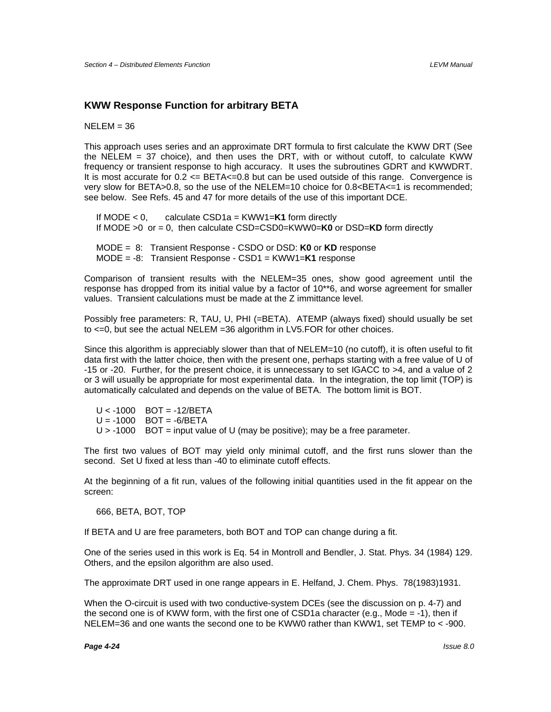#### **KWW Response Function for arbitrary BETA**

 $NELEM = 36$ 

This approach uses series and an approximate DRT formula to first calculate the KWW DRT (See the NELEM  $= 37$  choice), and then uses the DRT, with or without cutoff, to calculate KWW frequency or transient response to high accuracy. It uses the subroutines GDRT and KWWDRT. It is most accurate for  $0.2 \leq BETA \leq 0.8$  but can be used outside of this range. Convergence is very slow for BETA $>0.8$ , so the use of the NELEM=10 choice for  $0.8 < BETA \leq -1$  is recommended; see below. See Refs. 45 and 47 for more details of the use of this important DCE.

If MODE < 0, calculate CSD1a = KWW1=**K1** form directly If MODE >0 or = 0, then calculate CSD=CSD0=KWW0=**K0** or DSD=**KD** form directly

MODE = 8: Transient Response - CSDO or DSD: **K0** or **KD** response MODE = -8: Transient Response - CSD1 = KWW1=**K1** response

Comparison of transient results with the NELEM=35 ones, show good agreement until the response has dropped from its initial value by a factor of 10\*\*6, and worse agreement for smaller values. Transient calculations must be made at the Z immittance level.

Possibly free parameters: R, TAU, U, PHI (=BETA). ATEMP (always fixed) should usually be set to <=0, but see the actual NELEM =36 algorithm in LV5.FOR for other choices.

Since this algorithm is appreciably slower than that of NELEM=10 (no cutoff), it is often useful to fit data first with the latter choice, then with the present one, perhaps starting with a free value of U of -15 or -20. Further, for the present choice, it is unnecessary to set IGACC to >4, and a value of 2 or 3 will usually be appropriate for most experimental data. In the integration, the top limit (TOP) is automatically calculated and depends on the value of BETA. The bottom limit is BOT.

 $U < -1000$  BOT =  $-12/BETA$  $U = -1000$  BOT =  $-6/BETA$  $U > -1000$  BOT = input value of U (may be positive); may be a free parameter.

The first two values of BOT may yield only minimal cutoff, and the first runs slower than the second. Set U fixed at less than -40 to eliminate cutoff effects.

At the beginning of a fit run, values of the following initial quantities used in the fit appear on the screen:

666, BETA, BOT, TOP

If BETA and U are free parameters, both BOT and TOP can change during a fit.

One of the series used in this work is Eq. 54 in Montroll and Bendler, J. Stat. Phys. 34 (1984) 129. Others, and the epsilon algorithm are also used.

The approximate DRT used in one range appears in E. Helfand, J. Chem. Phys. 78(1983)1931.

When the O-circuit is used with two conductive-system DCEs (see the discussion on p. 4-7) and the second one is of KWW form, with the first one of CSD1a character (e.g., Mode  $= -1$ ), then if NELEM=36 and one wants the second one to be KWW0 rather than KWW1, set TEMP to < -900.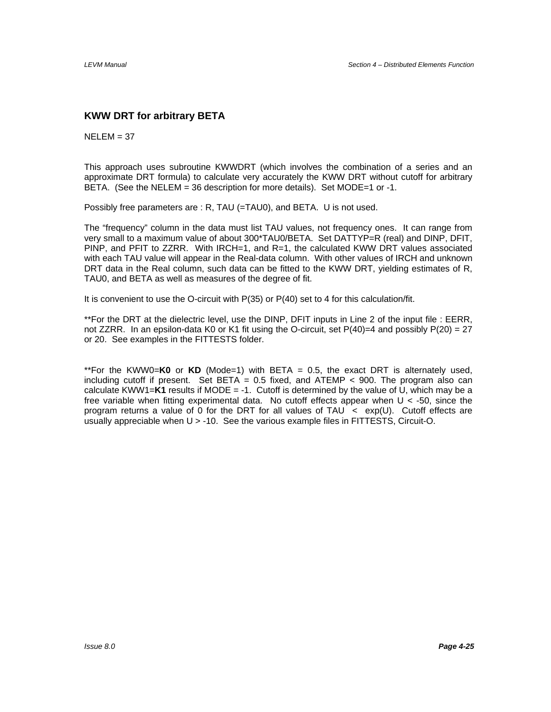# **KWW DRT for arbitrary BETA**

 $NELEM = 37$ 

This approach uses subroutine KWWDRT (which involves the combination of a series and an approximate DRT formula) to calculate very accurately the KWW DRT without cutoff for arbitrary BETA. (See the NELEM = 36 description for more details). Set MODE=1 or -1.

Possibly free parameters are : R, TAU (=TAU0), and BETA. U is not used.

The "frequency" column in the data must list TAU values, not frequency ones. It can range from very small to a maximum value of about 300\*TAU0/BETA. Set DATTYP=R (real) and DINP, DFIT, PINP, and PFIT to ZZRR. With IRCH=1, and R=1, the calculated KWW DRT values associated with each TAU value will appear in the Real-data column. With other values of IRCH and unknown DRT data in the Real column, such data can be fitted to the KWW DRT, yielding estimates of R, TAU0, and BETA as well as measures of the degree of fit.

It is convenient to use the O-circuit with P(35) or P(40) set to 4 for this calculation/fit.

\*\*For the DRT at the dielectric level, use the DINP, DFIT inputs in Line 2 of the input file : EERR, not ZZRR. In an epsilon-data K0 or K1 fit using the O-circuit, set  $P(40)=4$  and possibly  $P(20) = 27$ or 20. See examples in the FITTESTS folder.

\*\*For the KWW0= $K0$  or  $KD$  (Mode=1) with BETA = 0.5, the exact DRT is alternately used, including cutoff if present. Set BETA =  $0.5$  fixed, and ATEMP <  $900$ . The program also can calculate KWW1=**K1** results if MODE = -1. Cutoff is determined by the value of U, which may be a free variable when fitting experimental data. No cutoff effects appear when  $U < -50$ , since the program returns a value of 0 for the DRT for all values of TAU  $\lt$  exp(U). Cutoff effects are usually appreciable when U > -10. See the various example files in FITTESTS, Circuit-O.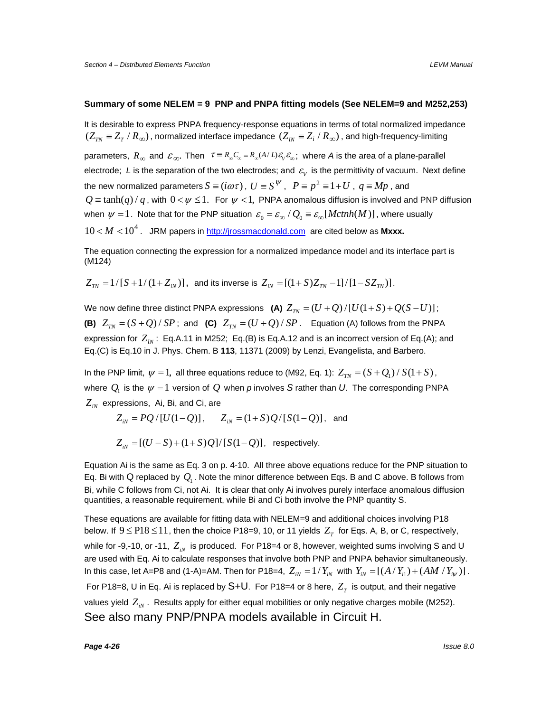#### **Summary of some NELEM = 9 PNP and PNPA fitting models (See NELEM=9 and M252,253)**

It is desirable to express PNPA frequency-response equations in terms of total normalized impedance  $(Z_{T_N} \equiv Z_T / R_\infty)$ , normalized interface impedance  $(Z_{iN} \equiv Z_i / R_\infty)$ , and high-frequency-limiting parameters,  $R_{\infty}$  and  $\varepsilon_{\infty}$ . Then  $\tau = R_{\infty} C_{\infty} = R_{\infty}(A/D \varepsilon_{\infty} \varepsilon_{\infty})$ ; where A is the area of a plane-parallel electrode; L is the separation of the two electrodes; and  $\varepsilon$ <sub>V</sub> is the permittivity of vacuum. Next define the new normalized parameters  $S = (i\omega\tau)$ ,  $U = S^{\Psi}$ ,  $P = p^2 = 1 + U$ ,  $q = Mp$ , and  $Q \equiv \tanh(q) / q$ , with  $0 \lt W \le 1$ . For  $W \le 1$ , PNPA anomalous diffusion is involved and PNP diffusion when  $\psi = 1$ . Note that for the PNP situation  $\varepsilon_0 = \varepsilon_{\infty} / Q_0 \equiv \varepsilon_{\infty} [Mctnh(M)]$ , where usually  $10 < M < 10<sup>4</sup>$ . JRM papers in http://jrossmacdonald.com are cited below as Mxxx.

The equation connecting the expression for a normalized impedance model and its interface part is (M124)

 $Z_{\text{rw}} = 1/ [S + 1/(1 + Z_{\text{rw}})]$ , and its inverse is  $Z_{\text{rw}} = [(1 + S)Z_{\text{rw}} - 1]/[1 - SZ_{\text{rw}})]$ .

We now define three distinct PNPA expressions **(A)**  $Z_{\tau N} = (U + Q)/[U(1+S) + Q(S-U)]$ ; **(B)**  $Z_{TN} = (S+Q)/SP$ ; and **(C)**  $Z_{TN} = (U+Q)/SP$ . Equation (A) follows from the PNPA expression for  $Z_{iN}$ : Eq.A.11 in M252; Eq.(B) is Eq.A.12 and is an incorrect version of Eq.(A); and Eq.(C) is Eq.10 in J. Phys. Chem. B **113**, 11371 (2009) by Lenzi, Evangelista, and Barbero.

In the PNP limit,  $\psi = 1$ , all three equations reduce to (M92, Eq. 1):  $Z_{T} = (S + Q_1) / S(1 + S)$ , where  $Q_{1}$  is the  $\psi$  =  $1$  version of  $Q$  when  $\rho$  involves  $S$  rather than  $U$ . The corresponding PNPA  $Z_{iN}$  expressions, Ai, Bi, and Ci, are

 $Z_{iN} = PQ/[U(1-Q)], \quad Z_{iN} = (1+S)Q/[S(1-Q)],$  and

 $Z_{iN} = [(U - S) + (1 + S)Q]/[S(1 - Q)]$ , respectively.

Equation Ai is the same as Eq. 3 on p. 4-10. All three above equations reduce for the PNP situation to Eq. Bi with Q replaced by *Q*<sup>1</sup> . Note the minor difference between Eqs. B and C above. B follows from Bi, while C follows from Ci, not Ai. It is clear that only Ai involves purely interface anomalous diffusion quantities, a reasonable requirement, while Bi and Ci both involve the PNP quantity S.

These equations are available for fitting data with NELEM=9 and additional choices involving P18 below. If  $9$   $\leq$   $\mathrm{P18}$   $\leq$   $11$  , then the choice P18=9, 10, or 11 yields  $\,Z_{_{T}}\,$  for Eqs. A, B, or C, respectively, while for -9,-10, or -11,  $Z_{iN}$  is produced. For P18=4 or 8, however, weighted sums involving S and U are used with Eq. Ai to calculate responses that involve both PNP and PNPA behavior simultaneously. In this case, let A=P8 and (1-A)=AM. Then for P18=4,  $Z_{iN} = 1/Y_{iN}$  with  $Y_{iN} = [(A/Y_{i1}) + (AM/Y_{iN})]$ . For P18=8, U in Eq. Ai is replaced by  $S+U$ . For P18=4 or 8 here,  $Z<sub>T</sub>$  is output, and their negative values yield  $Z_{iN}$ . Results apply for either equal mobilities or only negative charges mobile (M252). See also many PNP/PNPA models available in Circuit H.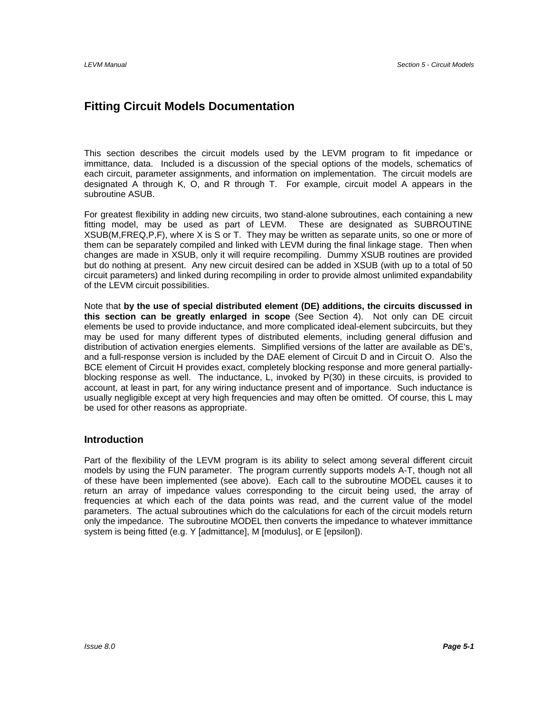# **Fitting Circuit Models Documentation**

This section describes the circuit models used by the LEVM program to fit impedance or immittance, data. Included is a discussion of the special options of the models, schematics of each circuit, parameter assignments, and information on implementation. The circuit models are designated A through K, O, and R through T. For example, circuit model A appears in the subroutine ASUB.

For greatest flexibility in adding new circuits, two stand-alone subroutines, each containing a new fitting model, may be used as part of LEVM. These are designated as SUBROUTINE XSUB(M,FREQ,P,F), where X is S or T. They may be written as separate units, so one or more of them can be separately compiled and linked with LEVM during the final linkage stage. Then when changes are made in XSUB, only it will require recompiling. Dummy XSUB routines are provided but do nothing at present. Any new circuit desired can be added in XSUB (with up to a total of 50 circuit parameters) and linked during recompiling in order to provide almost unlimited expandability of the LEVM circuit possibilities.

Note that **by the use of special distributed element (DE) additions, the circuits discussed in this section can be greatly enlarged in scope** (See Section 4). Not only can DE circuit elements be used to provide inductance, and more complicated ideal-element subcircuits, but they may be used for many different types of distributed elements, including general diffusion and distribution of activation energies elements. Simplified versions of the latter are available as DE's, and a full-response version is included by the DAE element of Circuit D and in Circuit O. Also the BCE element of Circuit H provides exact, completely blocking response and more general partiallyblocking response as well. The inductance, L, invoked by P(30) in these circuits, is provided to account, at least in part, for any wiring inductance present and of importance. Such inductance is usually negligible except at very high frequencies and may often be omitted. Of course, this L may be used for other reasons as appropriate.

## **Introduction**

Part of the flexibility of the LEVM program is its ability to select among several different circuit models by using the FUN parameter. The program currently supports models A-T, though not all of these have been implemented (see above). Each call to the subroutine MODEL causes it to return an array of impedance values corresponding to the circuit being used, the array of frequencies at which each of the data points was read, and the current value of the model parameters. The actual subroutines which do the calculations for each of the circuit models return only the impedance. The subroutine MODEL then converts the impedance to whatever immittance system is being fitted (e.g. Y [admittance], M [modulus], or E [epsilon]).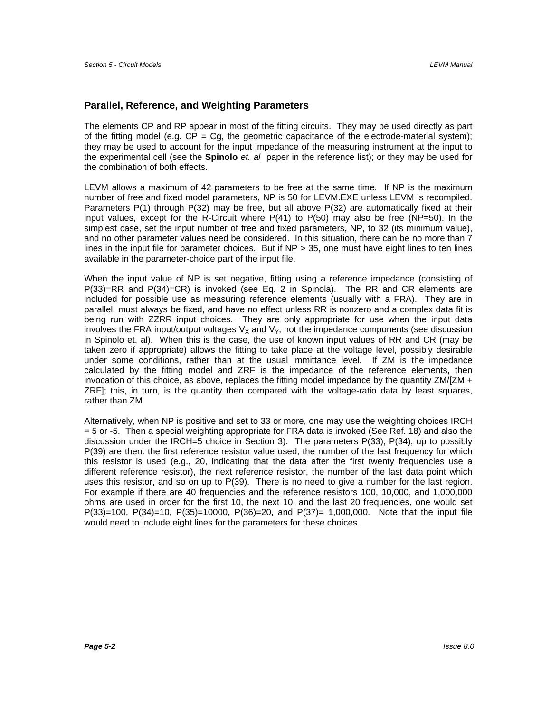## **Parallel, Reference, and Weighting Parameters**

The elements CP and RP appear in most of the fitting circuits. They may be used directly as part of the fitting model (e.g.  $CP = Cg$ , the geometric capacitance of the electrode-material system); they may be used to account for the input impedance of the measuring instrument at the input to the experimental cell (see the **Spinolo** *et. al* paper in the reference list); or they may be used for the combination of both effects.

LEVM allows a maximum of 42 parameters to be free at the same time. If NP is the maximum number of free and fixed model parameters, NP is 50 for LEVM.EXE unless LEVM is recompiled. Parameters P(1) through P(32) may be free, but all above P(32) are automatically fixed at their input values, except for the R-Circuit where  $P(41)$  to  $P(50)$  may also be free (NP=50). In the simplest case, set the input number of free and fixed parameters, NP, to 32 (its minimum value), and no other parameter values need be considered. In this situation, there can be no more than 7 lines in the input file for parameter choices. But if  $NP > 35$ , one must have eight lines to ten lines available in the parameter-choice part of the input file.

When the input value of NP is set negative, fitting using a reference impedance (consisting of P(33)=RR and P(34)=CR) is invoked (see Eq. 2 in Spinola). The RR and CR elements are included for possible use as measuring reference elements (usually with a FRA). They are in parallel, must always be fixed, and have no effect unless RR is nonzero and a complex data fit is being run with ZZRR input choices. They are only appropriate for use when the input data involves the FRA input/output voltages  $V_x$  and  $V_y$ , not the impedance components (see discussion in Spinolo et. al). When this is the case, the use of known input values of RR and CR (may be taken zero if appropriate) allows the fitting to take place at the voltage level, possibly desirable under some conditions, rather than at the usual immittance level. If ZM is the impedance calculated by the fitting model and ZRF is the impedance of the reference elements, then invocation of this choice, as above, replaces the fitting model impedance by the quantity ZM/[ZM + ZRF]; this, in turn, is the quantity then compared with the voltage-ratio data by least squares, rather than ZM.

Alternatively, when NP is positive and set to 33 or more, one may use the weighting choices IRCH = 5 or -5. Then a special weighting appropriate for FRA data is invoked (See Ref. 18) and also the discussion under the IRCH=5 choice in Section 3). The parameters P(33), P(34), up to possibly P(39) are then: the first reference resistor value used, the number of the last frequency for which this resistor is used (e.g., 20, indicating that the data after the first twenty frequencies use a different reference resistor), the next reference resistor, the number of the last data point which uses this resistor, and so on up to P(39). There is no need to give a number for the last region. For example if there are 40 frequencies and the reference resistors 100, 10,000, and 1,000,000 ohms are used in order for the first 10, the next 10, and the last 20 frequencies, one would set P(33)=100, P(34)=10, P(35)=10000, P(36)=20, and P(37)= 1,000,000. Note that the input file would need to include eight lines for the parameters for these choices.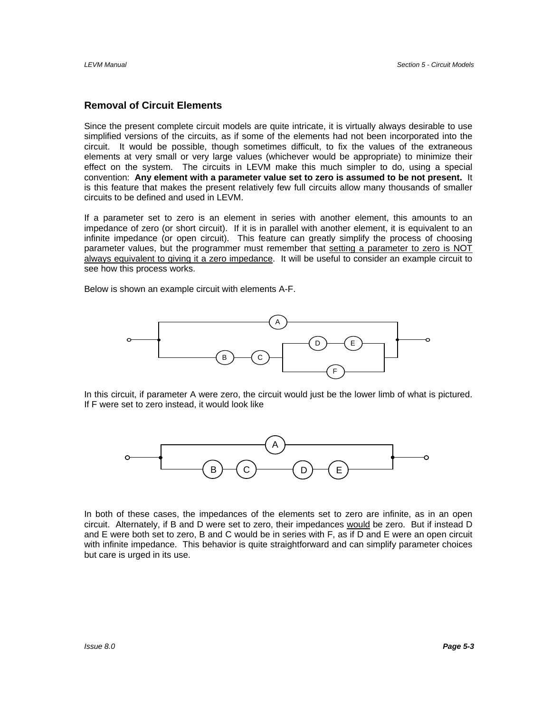## **Removal of Circuit Elements**

Since the present complete circuit models are quite intricate, it is virtually always desirable to use simplified versions of the circuits, as if some of the elements had not been incorporated into the circuit. It would be possible, though sometimes difficult, to fix the values of the extraneous elements at very small or very large values (whichever would be appropriate) to minimize their effect on the system. The circuits in LEVM make this much simpler to do, using a special convention: **Any element with a parameter value set to zero is assumed to be not present.** It is this feature that makes the present relatively few full circuits allow many thousands of smaller circuits to be defined and used in LEVM.

If a parameter set to zero is an element in series with another element, this amounts to an impedance of zero (or short circuit). If it is in parallel with another element, it is equivalent to an infinite impedance (or open circuit). This feature can greatly simplify the process of choosing parameter values, but the programmer must remember that setting a parameter to zero is NOT always equivalent to giving it a zero impedance. It will be useful to consider an example circuit to see how this process works.

Below is shown an example circuit with elements A-F.



In this circuit, if parameter A were zero, the circuit would just be the lower limb of what is pictured. If F were set to zero instead, it would look like



In both of these cases, the impedances of the elements set to zero are infinite, as in an open circuit. Alternately, if B and D were set to zero, their impedances would be zero. But if instead D and E were both set to zero, B and C would be in series with F, as if D and E were an open circuit with infinite impedance. This behavior is quite straightforward and can simplify parameter choices but care is urged in its use.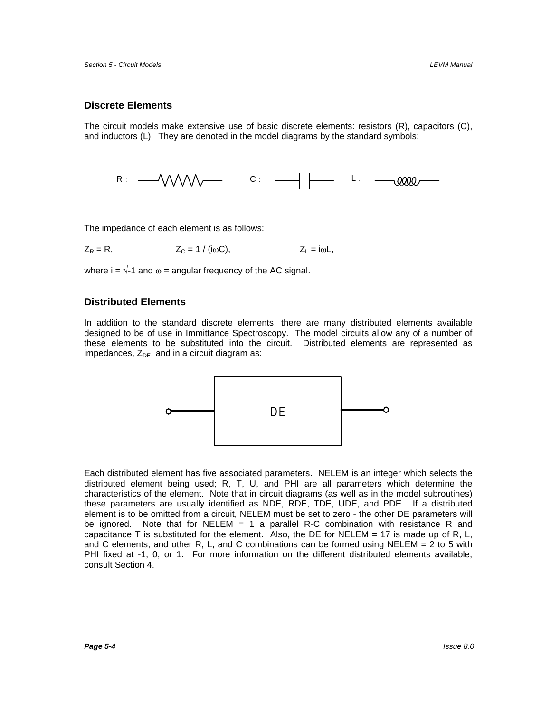## **Discrete Elements**

The circuit models make extensive use of basic discrete elements: resistors (R), capacitors (C), and inductors (L). They are denoted in the model diagrams by the standard symbols:

R : C : L :

The impedance of each element is as follows:

$$
Z_{R} = R, \qquad Z_{C} = 1 / (i\omega C), \qquad Z_{L} = i\omega L,
$$

where  $i = \sqrt{-1}$  and  $\omega =$  angular frequency of the AC signal.

## **Distributed Elements**

In addition to the standard discrete elements, there are many distributed elements available designed to be of use in Immittance Spectroscopy. The model circuits allow any of a number of these elements to be substituted into the circuit. Distributed elements are represented as impedances,  $Z_{DE}$ , and in a circuit diagram as:



Each distributed element has five associated parameters. NELEM is an integer which selects the distributed element being used; R, T, U, and PHI are all parameters which determine the characteristics of the element. Note that in circuit diagrams (as well as in the model subroutines) these parameters are usually identified as NDE, RDE, TDE, UDE, and PDE. If a distributed element is to be omitted from a circuit, NELEM must be set to zero - the other DE parameters will be ignored. Note that for  $NELEM = 1$  a parallel R-C combination with resistance R and capacitance T is substituted for the element. Also, the DE for NELEM = 17 is made up of R, L, and C elements, and other R, L, and C combinations can be formed using  $NELEM = 2$  to 5 with PHI fixed at -1, 0, or 1. For more information on the different distributed elements available, consult Section 4.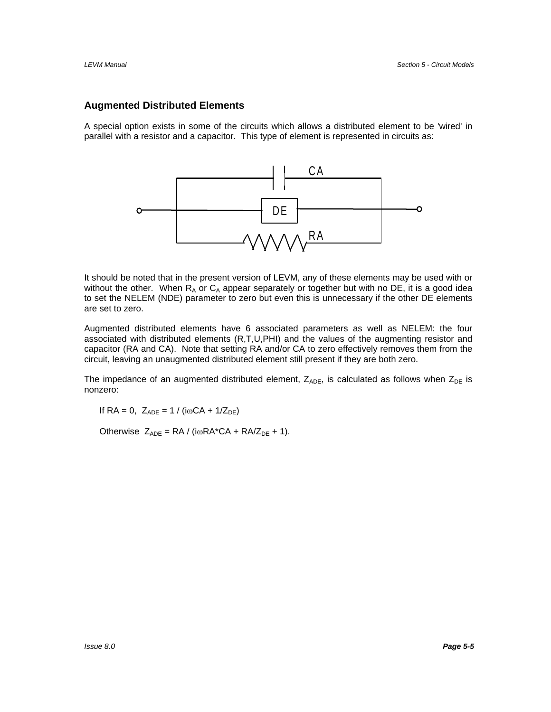## **Augmented Distributed Elements**

A special option exists in some of the circuits which allows a distributed element to be 'wired' in parallel with a resistor and a capacitor. This type of element is represented in circuits as:



It should be noted that in the present version of LEVM, any of these elements may be used with or without the other. When  $R_A$  or  $C_A$  appear separately or together but with no DE, it is a good idea to set the NELEM (NDE) parameter to zero but even this is unnecessary if the other DE elements are set to zero.

Augmented distributed elements have 6 associated parameters as well as NELEM: the four associated with distributed elements (R,T,U,PHI) and the values of the augmenting resistor and capacitor (RA and CA). Note that setting RA and/or CA to zero effectively removes them from the circuit, leaving an unaugmented distributed element still present if they are both zero.

The impedance of an augmented distributed element,  $Z_{ADE}$ , is calculated as follows when  $Z_{DE}$  is nonzero:

If RA = 0,  $Z_{ADE} = 1 / (i\omega CA + 1/Z_{DE})$ 

Otherwise  $Z_{ADE} = RA / (i\omega RA^*CA + RA/Z_{DE} + 1)$ .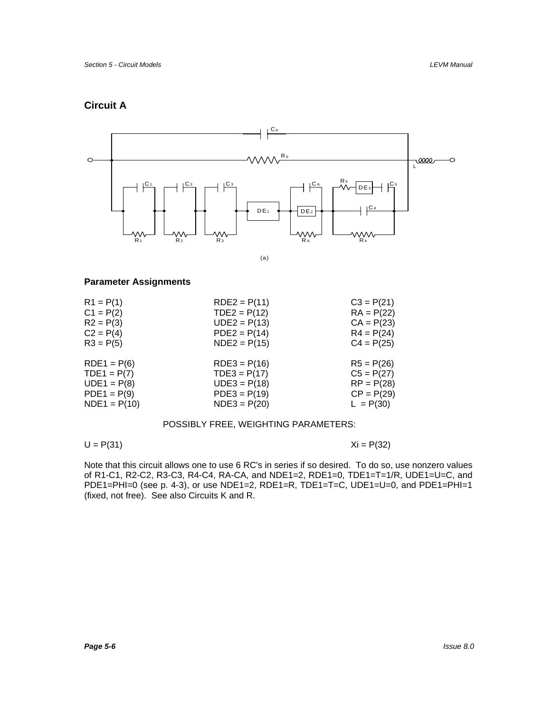## **Circuit A**



## **Parameter Assignments**

| $R1 = P(1)$    | $RDE2 = P(11)$ | $C3 = P(21)$ |
|----------------|----------------|--------------|
| $C1 = P(2)$    | $TDE2 = P(12)$ | $RA = P(22)$ |
| $R2 = P(3)$    | $UDE2 = P(13)$ | $CA = P(23)$ |
| $C2 = P(4)$    | $PDE2 = P(14)$ | $R4 = P(24)$ |
| $R3 = P(5)$    | $NDE2 = P(15)$ | $C4 = P(25)$ |
| $RDE1 = P(6)$  | $RDE3 = P(16)$ | $R5 = P(26)$ |
| $TDE1 = P(7)$  | $TDE3 = P(17)$ | $C5 = P(27)$ |
| $UDE1 = P(8)$  | $UDE3 = P(18)$ | $RP = P(28)$ |
| $PDE1 = P(9)$  | $PDE3 = P(19)$ | $CP = P(29)$ |
| $NDE1 = P(10)$ | $NDE3 = P(20)$ | $L = P(30)$  |

#### POSSIBLY FREE, WEIGHTING PARAMETERS:

 $U = P(31)$   $Xi = P(32)$ 

Note that this circuit allows one to use 6 RC's in series if so desired. To do so, use nonzero values of R1-C1, R2-C2, R3-C3, R4-C4, RA-CA, and NDE1=2, RDE1=0, TDE1=T=1/R, UDE1=U=C, and PDE1=PHI=0 (see p. 4-3), or use NDE1=2, RDE1=R, TDE1=T=C, UDE1=U=0, and PDE1=PHI=1 (fixed, not free). See also Circuits K and R.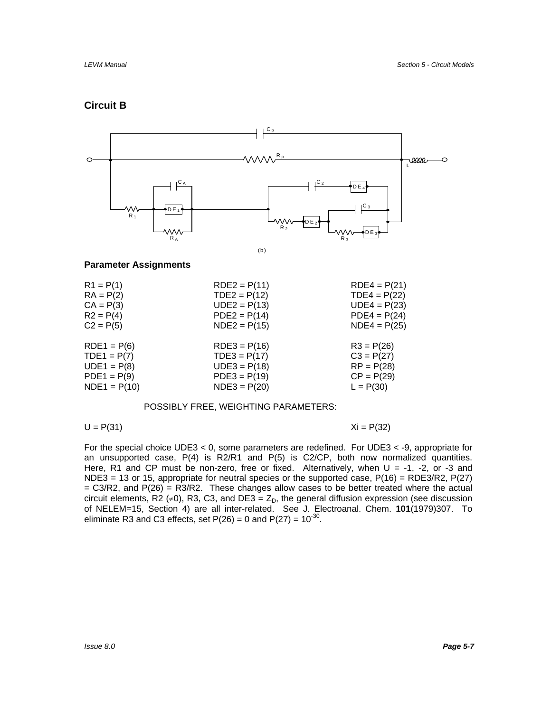## **Circuit B**



#### **Parameter Assignments**

| $R1 = P(1)$    | $RDE2 = P(11)$ | $RDE4 = P(21)$ |
|----------------|----------------|----------------|
| $RA = P(2)$    | $TDE2 = P(12)$ | $TDE4 = P(22)$ |
| $CA = P(3)$    | $UDE2 = P(13)$ | $UDE4 = P(23)$ |
| $R2 = P(4)$    | $PDE2 = P(14)$ | $PDE4 = P(24)$ |
| $C2 = P(5)$    | $NDE2 = P(15)$ | $NDE4 = P(25)$ |
| $RDE1 = P(6)$  | $RDE3 = P(16)$ | $R3 = P(26)$   |
| $TDE1 = P(7)$  | $TDE3 = P(17)$ | $C3 = P(27)$   |
| $UDE1 = P(8)$  | $UDE3 = P(18)$ | $RP = P(28)$   |
| $PDE1 = P(9)$  | $PDE3 = P(19)$ | $CP = P(29)$   |
| $NDE1 = P(10)$ | $NDE3 = P(20)$ | $L = P(30)$    |

## POSSIBLY FREE, WEIGHTING PARAMETERS:

 $U = P(31)$   $Xi = P(32)$ 

For the special choice UDE3  $<$  0, some parameters are redefined. For UDE3  $<$  -9, appropriate for an unsupported case,  $P(4)$  is R2/R1 and  $P(5)$  is C2/CP, both now normalized quantities. Here, R1 and CP must be non-zero, free or fixed. Alternatively, when  $U = -1$ ,  $-2$ , or  $-3$  and  $NDE3 = 13$  or 15, appropriate for neutral species or the supported case,  $P(16) = RDE3/R2$ ,  $P(27)$  $=$  C3/R2, and P(26)  $=$  R3/R2. These changes allow cases to be better treated where the actual circuit elements, R2 ( $\neq$ 0), R3, C3, and DE3 =  $Z<sub>D</sub>$ , the general diffusion expression (see discussion of NELEM=15, Section 4) are all inter-related. See J. Electroanal. Chem. **101**(1979)307. To eliminate R3 and C3 effects, set  $P(26) = 0$  and  $P(27) = 10^{-30}$ .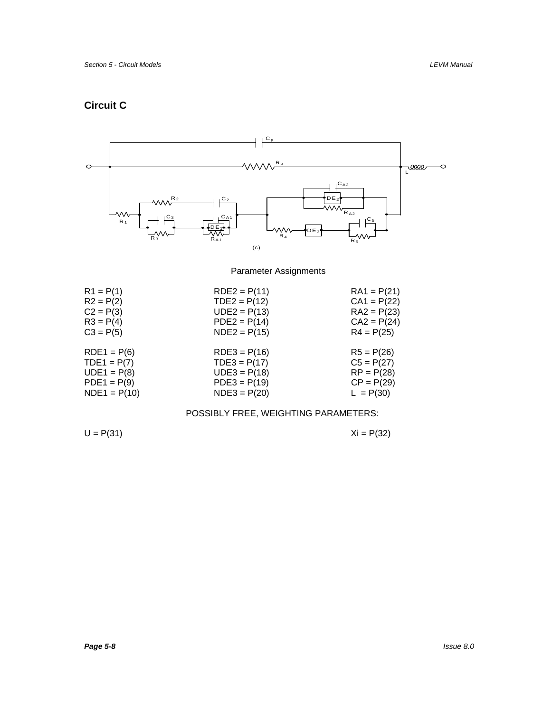# **Circuit C**



## Parameter Assignments

| $R1 = P(1)$    | $RDE2 = P(11)$ | $RA1 = P(21)$ |
|----------------|----------------|---------------|
| $R2 = P(2)$    | $TDE2 = P(12)$ | $CA1 = P(22)$ |
| $C2 = P(3)$    | $UDE2 = P(13)$ | $RA2 = P(23)$ |
| $R3 = P(4)$    | $PDE2 = P(14)$ | $CA2 = P(24)$ |
| $C3 = P(5)$    | $NDE2 = P(15)$ | $R4 = P(25)$  |
| $RDE1 = P(6)$  | $RDE3 = P(16)$ | $R5 = P(26)$  |
| $TDE1 = P(7)$  | $TDE3 = P(17)$ | $C5 = P(27)$  |
| $UDE1 = P(8)$  | $UDE3 = P(18)$ | $RP = P(28)$  |
| $PDE1 = P(9)$  | $PDE3 = P(19)$ | $CP = P(29)$  |
| $NDE1 = P(10)$ | $NDE3 = P(20)$ | $L = P(30)$   |

## POSSIBLY FREE, WEIGHTING PARAMETERS:

 $U = P(31)$   $Xi = P(32)$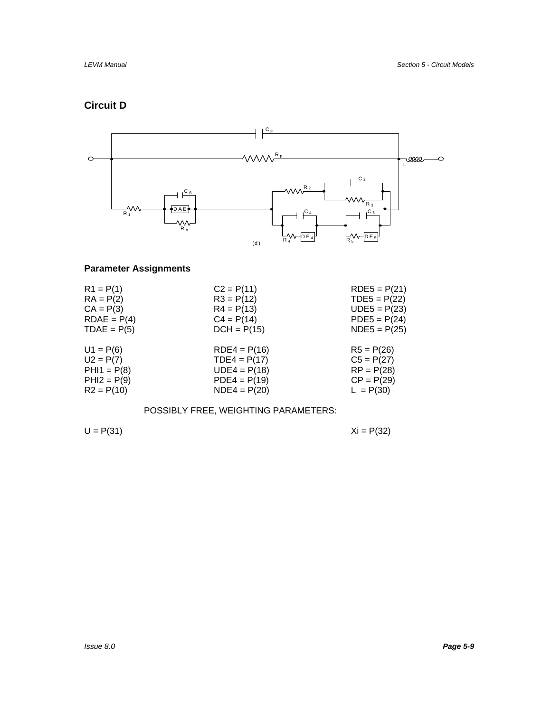# **Circuit D**



# **Parameter Assignments**

| $R1 = P(1)$   | $C2 = P(11)$   | $RDE5 = P(21)$ |
|---------------|----------------|----------------|
| $RA = P(2)$   | $R3 = P(12)$   | $TDE5 = P(22)$ |
| $CA = P(3)$   | $R4 = P(13)$   | $UDE5 = P(23)$ |
| $RDAE = P(4)$ | $C4 = P(14)$   | $PDE5 = P(24)$ |
| $TDAE = P(5)$ | $DCH = P(15)$  | $NDE5 = P(25)$ |
| $U1 = P(6)$   | $RDE4 = P(16)$ | $R5 = P(26)$   |
| $U2 = P(7)$   | $TDE4 = P(17)$ | $C5 = P(27)$   |
| $PHI = P(8)$  | $UDE4 = P(18)$ | $RP = P(28)$   |
| $PHI2 = P(9)$ | $PDE4 = P(19)$ | $CP = P(29)$   |
| $R2 = P(10)$  | $NDE4 = P(20)$ | $L = P(30)$    |

## POSSIBLY FREE, WEIGHTING PARAMETERS:

 $U = P(31)$   $Xi = P(32)$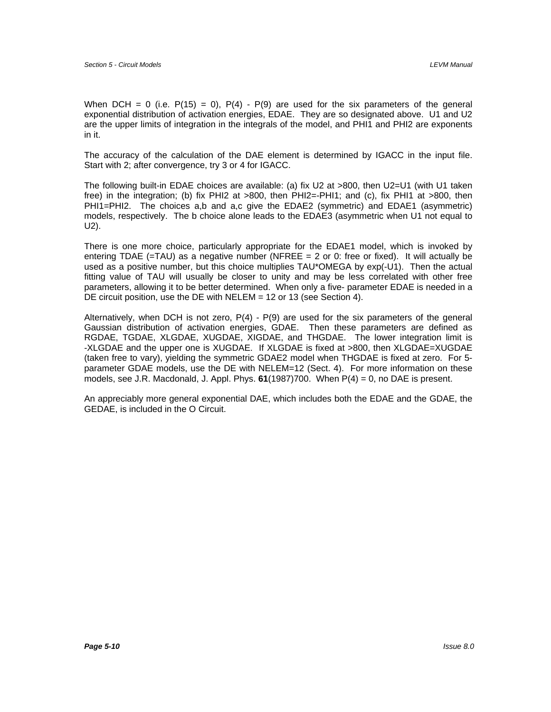When DCH = 0 (i.e.  $P(15) = 0$ ),  $P(4) - P(9)$  are used for the six parameters of the general exponential distribution of activation energies, EDAE. They are so designated above. U1 and U2 are the upper limits of integration in the integrals of the model, and PHI1 and PHI2 are exponents in it.

The accuracy of the calculation of the DAE element is determined by IGACC in the input file. Start with 2; after convergence, try 3 or 4 for IGACC.

The following built-in EDAE choices are available: (a) fix U2 at >800, then U2=U1 (with U1 taken free) in the integration; (b) fix PHI2 at >800, then PHI2=-PHI1; and (c), fix PHI1 at >800, then PHI1=PHI2. The choices a,b and a,c give the EDAE2 (symmetric) and EDAE1 (asymmetric) models, respectively. The b choice alone leads to the EDAE3 (asymmetric when U1 not equal to U2).

There is one more choice, particularly appropriate for the EDAE1 model, which is invoked by entering TDAE (=TAU) as a negative number (NFREE =  $2$  or 0: free or fixed). It will actually be used as a positive number, but this choice multiplies TAU\*OMEGA by exp(-U1). Then the actual fitting value of TAU will usually be closer to unity and may be less correlated with other free parameters, allowing it to be better determined. When only a five- parameter EDAE is needed in a DE circuit position, use the DE with NELEM = 12 or 13 (see Section 4).

Alternatively, when DCH is not zero, P(4) - P(9) are used for the six parameters of the general Gaussian distribution of activation energies, GDAE. Then these parameters are defined as RGDAE, TGDAE, XLGDAE, XUGDAE, XIGDAE, and THGDAE. The lower integration limit is -XLGDAE and the upper one is XUGDAE. If XLGDAE is fixed at >800, then XLGDAE=XUGDAE (taken free to vary), yielding the symmetric GDAE2 model when THGDAE is fixed at zero. For 5 parameter GDAE models, use the DE with NELEM=12 (Sect. 4). For more information on these models, see J.R. Macdonald, J. Appl. Phys. **61**(1987)700. When P(4) = 0, no DAE is present.

An appreciably more general exponential DAE, which includes both the EDAE and the GDAE, the GEDAE, is included in the O Circuit.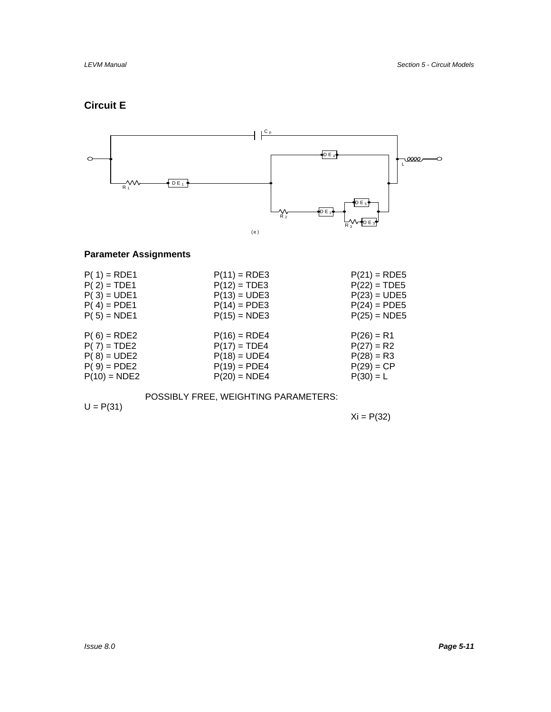# **Circuit E**



# **Parameter Assignments**

| $P(1) = RDE1$  | $P(11) = RDE3$ | $P(21) = RDE5$ |
|----------------|----------------|----------------|
| $P(2) = TDE1$  | $P(12) = TDE3$ | $P(22) = TDE5$ |
| $P(3) = UDE1$  | $P(13) = UDE3$ | $P(23) = UDE5$ |
| $P(4) = PDE1$  | $P(14) = PDE3$ | $P(24) = PDE5$ |
| $P(5) = NDE1$  | $P(15) = NDE3$ | $P(25) = NDE5$ |
| $P(6) = RDE2$  | $P(16) = RDE4$ | $P(26) = R1$   |
| $P(7) = TDE2$  | $P(17) = TDE4$ | $P(27) = R2$   |
| $P(8) = UDE2$  | $P(18) = UDE4$ | $P(28) = R3$   |
| $P(9) = PDE2$  | $P(19) = PDE4$ | $P(29) = CP$   |
| $P(10) = NDE2$ | $P(20) = NDE4$ | $P(30) = L$    |

## POSSIBLY FREE, WEIGHTING PARAMETERS:

 $U = P(31)$ 

 $Xi = P(32)$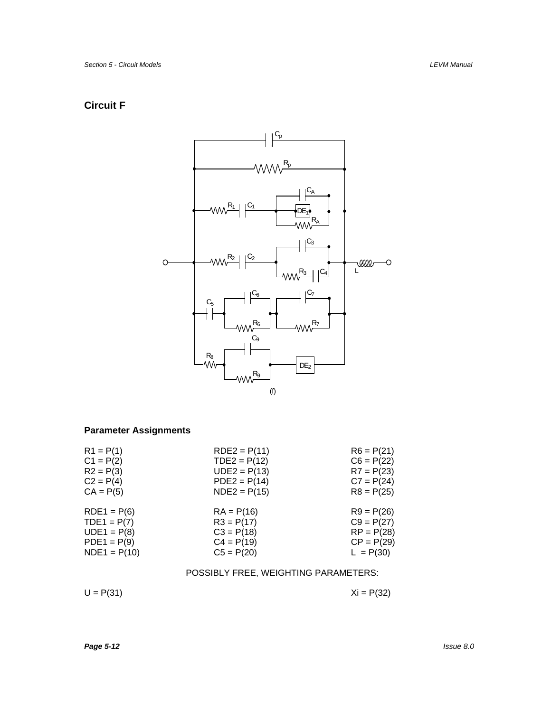# **Circuit F**



# **Parameter Assignments**

| $R1 = P(1)$    | $RDE2 = P(11)$ | $R6 = P(21)$ |
|----------------|----------------|--------------|
| $C1 = P(2)$    | $TDE2 = P(12)$ | $C6 = P(22)$ |
| $R2 = P(3)$    | $UDE2 = P(13)$ | $R7 = P(23)$ |
| $C2 = P(4)$    | $PDE2 = P(14)$ | $C7 = P(24)$ |
| $CA = P(5)$    | $NDE2 = P(15)$ | $R8 = P(25)$ |
| $RDE1 = P(6)$  | $RA = P(16)$   | $R9 = P(26)$ |
| $TDE1 = P(7)$  | $R3 = P(17)$   | $C9 = P(27)$ |
| $UDE1 = P(8)$  | $C3 = P(18)$   | $RP = P(28)$ |
| $PDE1 = P(9)$  | $C4 = P(19)$   | $CP = P(29)$ |
| $NDE1 = P(10)$ | $C5 = P(20)$   | $L = P(30)$  |

## POSSIBLY FREE, WEIGHTING PARAMETERS:

 $U = P(31)$   $Xi = P(32)$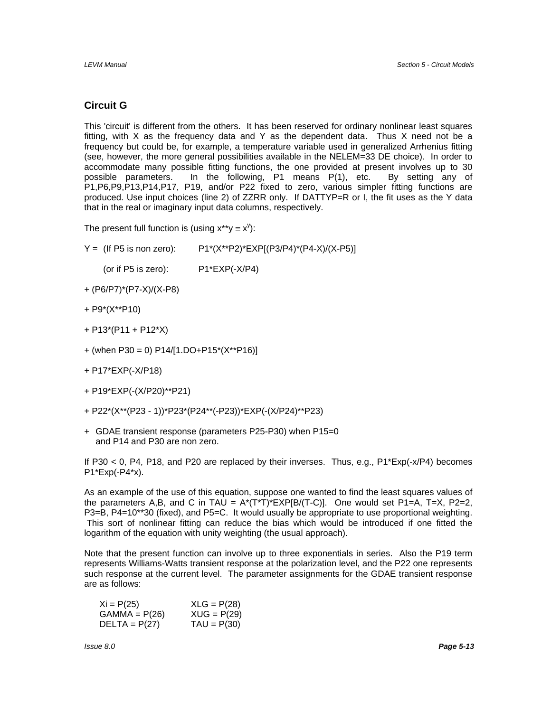## **Circuit G**

This 'circuit' is different from the others. It has been reserved for ordinary nonlinear least squares fitting, with X as the frequency data and Y as the dependent data. Thus X need not be a frequency but could be, for example, a temperature variable used in generalized Arrhenius fitting (see, however, the more general possibilities available in the NELEM=33 DE choice). In order to accommodate many possible fitting functions, the one provided at present involves up to 30 possible parameters. In the following, P1 means P(1), etc. By setting any of P1,P6,P9,P13,P14,P17, P19, and/or P22 fixed to zero, various simpler fitting functions are produced. Use input choices (line 2) of ZZRR only. If DATTYP=R or I, the fit uses as the Y data that in the real or imaginary input data columns, respectively.

The present full function is (using  $x^{**}y = x^y$ ):

 $Y = (If P5 is non zero): P1*(X**P2)*EXP[(P3/P4)*(P4-X)/(X-P5)]$ 

(or if P5 is zero): P1\*EXP(-X/P4)

- + (P6/P7)\*(P7-X)/(X-P8)
- + P9\*(X\*\*P10)
- + P13\*(P11 + P12\*X)
- + (when P30 = 0) P14/[1.DO+P15\*(X\*\*P16)]
- + P17\*EXP(-X/P18)
- + P19\*EXP(-(X/P20)\*\*P21)
- + P22\*(X\*\*(P23 1))\*P23\*(P24\*\*(-P23))\*EXP(-(X/P24)\*\*P23)
- + GDAE transient response (parameters P25-P30) when P15=0 and P14 and P30 are non zero.

If P30 < 0, P4, P18, and P20 are replaced by their inverses. Thus, e.g., P1\*Exp(-x/P4) becomes P1\*Exp(-P4\*x).

As an example of the use of this equation, suppose one wanted to find the least squares values of the parameters A,B, and C in TAU =  $A^*(T^*T)^*EXP[B/(T-C)]$ . One would set P1=A, T=X, P2=2, P3=B, P4=10\*\*30 (fixed), and P5=C. It would usually be appropriate to use proportional weighting. This sort of nonlinear fitting can reduce the bias which would be introduced if one fitted the logarithm of the equation with unity weighting (the usual approach).

Note that the present function can involve up to three exponentials in series. Also the P19 term represents Williams-Watts transient response at the polarization level, and the P22 one represents such response at the current level. The parameter assignments for the GDAE transient response are as follows:

 $Xi = P(25)$   $XLG = P(28)$  $GAMMA = P(26)$   $XUG = P(29)$  $DELTA = P(27)$   $TAU = P(30)$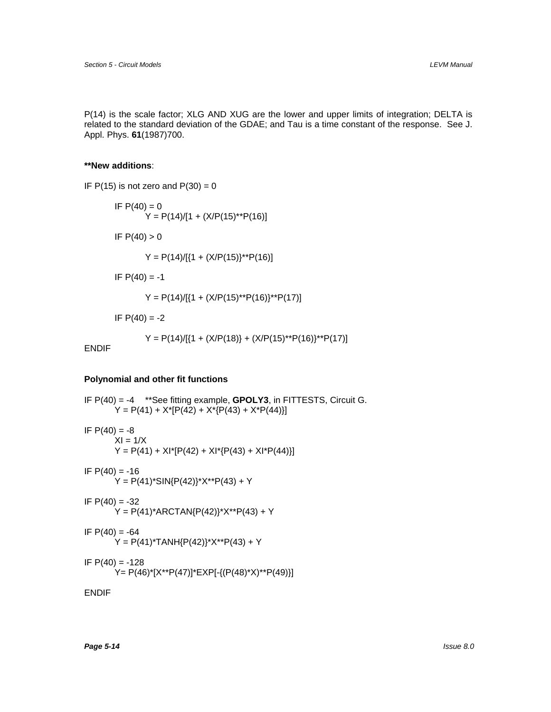P(14) is the scale factor; XLG AND XUG are the lower and upper limits of integration; DELTA is related to the standard deviation of the GDAE; and Tau is a time constant of the response. See J. Appl. Phys. **61**(1987)700.

#### **\*\*New additions**:

IF  $P(15)$  is not zero and  $P(30) = 0$ 

IF  $P(40) = 0$  $Y = P(14)/[1 + (X/P(15) * P(16)]$ IF  $P(40) > 0$  $Y = P(14)/[(1 + (X/P(15))^{**}P(16)]$ IF  $P(40) = -1$  $Y = P(14)/[(1 + (X/P(15) * P(16)) * P(17)]$ IF  $P(40) = -2$  $Y = P(14)/[(1 + (X/P(18)) + (X/P(15) * P(16)) * P(17)]$ ENDIF

## **Polynomial and other fit functions**

IF P(40) = -4 \*\*See fitting example, **GPOLY3**, in FITTESTS, Circuit G.  $Y = P(41) + X^*[P(42) + X^*[P(43) + X^*P(44)]$ IF  $P(40) = -8$  $X = 1/X$  $Y = P(41) + XI^*[P(42) + XI^*[P(43) + XI^*P(44)]$ IF P(40) = -16  $Y = P(41)^*SIN{P(42)}*X^{**}P(43) + Y$ IF  $P(40) = -32$  $Y = P(41)^*$ ARCTAN{ $P(42)$ }\* $X^*$  $P(43) + Y$ IF  $P(40) = -64$  $Y = P(41) * TANH(P(42)) * X^{**}P(43) + Y$ IF  $P(40) = -128$  Y= P(46)\*[X\*\*P(47)]\*EXP[-{(P(48)\*X)\*\*P(49)}] ENDIF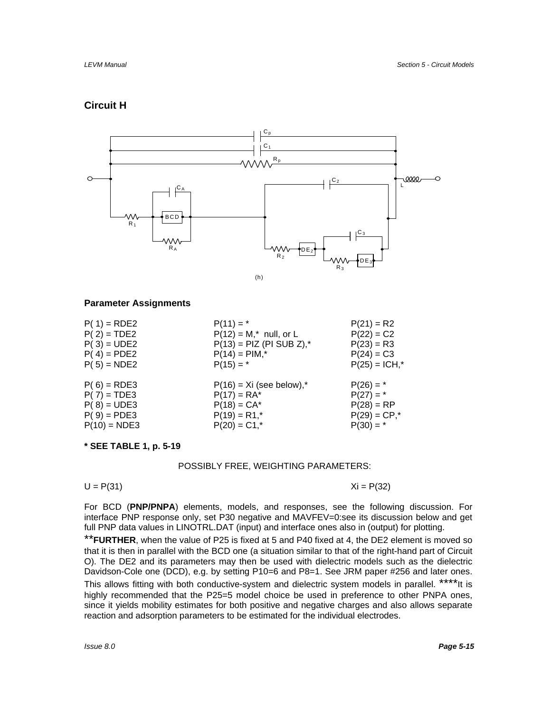## **Circuit H**



#### **Parameter Assignments**

| $P(1) = RDE2$  | $P(11) = *$                | $P(21) = R2$     |
|----------------|----------------------------|------------------|
| $P(2) = TDE2$  | $P(12) = M$ ,* null, or L  | $P(22) = C2$     |
| $P(3) = UDE2$  | $P(13) = PIZ$ (PI SUB Z),* | $P(23) = R3$     |
| $P(4) = PDE2$  | $P(14) = PIM$ ,*           | $P(24) = C3$     |
| $P(5) = NDE2$  | $P(15) = *$                | $P(25) = ICH$ ,* |
| $P(6) = RDE3$  | $P(16) = Xi$ (see below),* | $P(26) = *$      |
| $P(7) = TDE3$  | $P(17) = RA^*$             | $P(27) = *$      |
| $P(8) = UDE3$  | $P(18) = CA^*$             | $P(28) = RP$     |
| $P(9) = PDE3$  | $P(19) = R1.*$             | $P(29) = CP$ ,*  |
| $P(10) = NDE3$ | $P(20) = C1$ ,*            | $P(30) = *$      |

#### **\* SEE TABLE 1, p. 5-19**

## POSSIBLY FREE, WEIGHTING PARAMETERS:

$$
U = P(31)
$$

 $Xi = P(32)$ 

For BCD (**PNP/PNPA**) elements, models, and responses, see the following discussion. For interface PNP response only, set P30 negative and MAVFEV=0:see its discussion below and get full PNP data values in LINOTRL.DAT (input) and interface ones also in (output) for plotting.

\*\***FURTHER**, when the value of P25 is fixed at 5 and P40 fixed at 4, the DE2 element is moved so that it is then in parallel with the BCD one (a situation similar to that of the right-hand part of Circuit O). The DE2 and its parameters may then be used with dielectric models such as the dielectric Davidson-Cole one (DCD), e.g. by setting P10=6 and P8=1. See JRM paper #256 and later ones. This allows fitting with both conductive-system and dielectric system models in parallel. \*\*\*\*It is highly recommended that the P25=5 model choice be used in preference to other PNPA ones, since it yields mobility estimates for both positive and negative charges and also allows separate reaction and adsorption parameters to be estimated for the individual electrodes.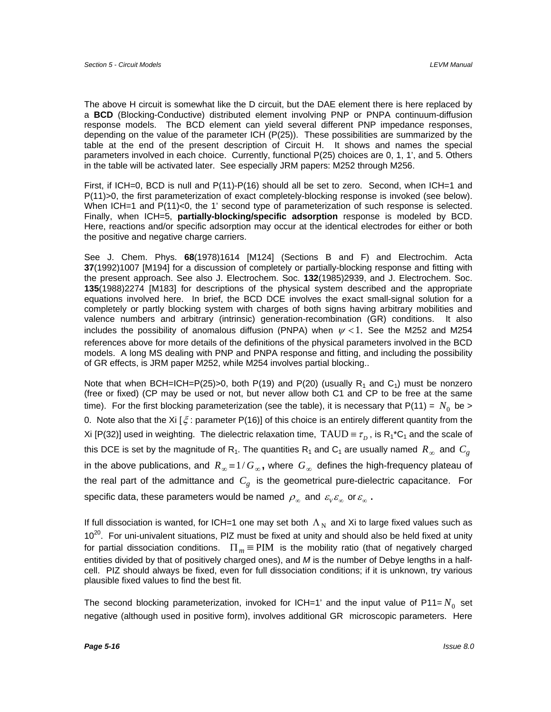The above H circuit is somewhat like the D circuit, but the DAE element there is here replaced by a **BCD** (Blocking-Conductive) distributed element involving PNP or PNPA continuum-diffusion response models. The BCD element can yield several different PNP impedance responses, depending on the value of the parameter ICH (P(25)). These possibilities are summarized by the table at the end of the present description of Circuit H. It shows and names the special parameters involved in each choice. Currently, functional P(25) choices are 0, 1, 1', and 5. Others in the table will be activated later. See especially JRM papers: M252 through M256.

First, if ICH=0, BCD is null and P(11)-P(16) should all be set to zero. Second, when ICH=1 and P(11)>0, the first parameterization of exact completely-blocking response is invoked (see below). When ICH=1 and P(11)<0, the 1' second type of parameterization of such response is selected. Finally, when ICH=5, **partially-blocking/specific adsorption** response is modeled by BCD. Here, reactions and/or specific adsorption may occur at the identical electrodes for either or both the positive and negative charge carriers.

See J. Chem. Phys. **68**(1978)1614 [M124] (Sections B and F) and Electrochim. Acta **37**(1992)1007 [M194] for a discussion of completely or partially-blocking response and fitting with the present approach. See also J. Electrochem. Soc. **132**(1985)2939, and J. Electrochem. Soc. **135**(1988)2274 [M183] for descriptions of the physical system described and the appropriate equations involved here. In brief, the BCD DCE involves the exact small-signal solution for a completely or partly blocking system with charges of both signs having arbitrary mobilities and valence numbers and arbitrary (intrinsic) generation-recombination (GR) conditions. It also includes the possibility of anomalous diffusion (PNPA) when  $\psi$  < 1. See the M252 and M254 references above for more details of the definitions of the physical parameters involved in the BCD models. A long MS dealing with PNP and PNPA response and fitting, and including the possibility of GR effects, is JRM paper M252, while M254 involves partial blocking..

Note that when BCH=ICH=P(25)>0, both P(19) and P(20) (usually  $R_1$  and  $C_1$ ) must be nonzero (free or fixed) (CP may be used or not, but never allow both C1 and CP to be free at the same time). For the first blocking parameterization (see the table), it is necessary that  $P(11) = N_0$  be > 0. Note also that the Xi [ $\xi$ : parameter P(16)] of this choice is an entirely different quantity from the Xi [P(32)] used in weighting. The dielectric relaxation time,  $\text{TALD} = \tau_D$ , is R<sub>1</sub><sup>\*</sup>C<sub>1</sub> and the scale of this DCE is set by the magnitude of R<sub>1</sub>. The quantities R<sub>1</sub> and C<sub>1</sub> are usually named  $R_{\infty}$  and  $C_{g}$ in the above publications, and  $R_{\infty} = 1/G_{\infty}$ , where  $G_{\infty}$  defines the high-frequency plateau of the real part of the admittance and  $C_g$  is the geometrical pure-dielectric capacitance. For specific data, these parameters would be named  $\rho_{\infty}$  and  $\varepsilon_{v} \varepsilon_{\infty}$  or  $\varepsilon_{\infty}$ .

If full dissociation is wanted, for ICH=1 one may set both  $\Lambda_N$  and Xi to large fixed values such as  $10^{20}$ . For uni-univalent situations, PIZ must be fixed at unity and should also be held fixed at unity for partial dissociation conditions.  $\Pi_m \equiv PIM$  is the mobility ratio (that of negatively charged entities divided by that of positively charged ones), and *M* is the number of Debye lengths in a halfcell. PIZ should always be fixed, even for full dissociation conditions; if it is unknown, try various plausible fixed values to find the best fit.

The second blocking parameterization, invoked for ICH=1' and the input value of P11=  $N_0$  set negative (although used in positive form), involves additional GR microscopic parameters. Here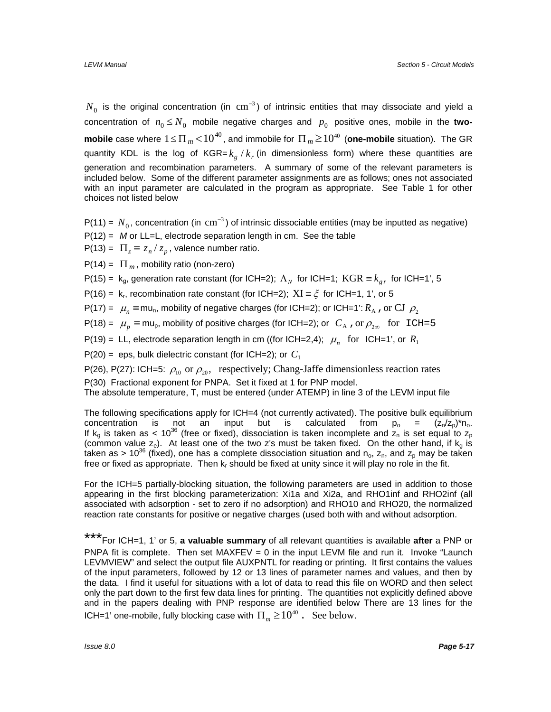$N_0$  is the original concentration (in  $cm^{-3}$ ) of intrinsic entities that may dissociate and yield a concentration of  $n_0 \leq N_0$  mobile negative charges and  $p_0$  positive ones, mobile in the two**mobile** case where  $1 \le \Pi_m < 10^{40}$ , and immobile for  $\Pi_m \ge 10^{40}$  (one-mobile situation). The GR quantity KDL is the log of KGR= $k_g / k_r$  (in dimensionless form) where these quantities are generation and recombination parameters. A summary of some of the relevant parameters is included below. Some of the different parameter assignments are as follows; ones not associated with an input parameter are calculated in the program as appropriate. See Table 1 for other choices not listed below

 $P(11) = N_0$ , concentration (in cm<sup>-3</sup>) of intrinsic dissociable entities (may be inputted as negative) P(12) = *M* or LL=L, electrode separation length in cm. See the table

 $P(13) = \Pi_z \equiv z_n / z_p$ , valence number ratio.

 $P(14) = \prod_m$ , mobility ratio (non-zero)

 $P(15) = k_g$ , generation rate constant (for ICH=2);  $\Lambda_N$  for ICH=1;  $KGR \equiv k_{gr}$  for ICH=1', 5

 $P(16) = k_f$ , recombination rate constant (for ICH=2);  $XI = \xi$  for ICH=1, 1', or 5

 $P(17) = \mu_n \equiv m u_n$ , mobility of negative charges (for ICH=2); or ICH=1':  $R_A$ , or CJ  $\rho_2$ 

 $P(18) = \mu_p \equiv m u_p$ , mobility of positive charges (for ICH=2); or  $C_A$ , or  $\rho_{2\infty}$  for ICH=5

P(19) = LL, electrode separation length in cm ((for ICH=2,4);  $\mu_n$  for ICH=1', or  $R_1$ 

 $P(20) =$  eps, bulk dielectric constant (for ICH=2); or  $C_1$ 

P(26), P(27): ICH=5:  $\rho_{10}$  or  $\rho_{20}$ , respectively; Chang-Jaffe dimensionless reaction rates

P(30) Fractional exponent for PNPA. Set it fixed at 1 for PNP model.

The absolute temperature, T, must be entered (under ATEMP) in line 3 of the LEVM input file

The following specifications apply for ICH=4 (not currently activated). The positive bulk equilibrium concentration is not an input but is calculated from  $p_o = (z_n/z_p)^* n_o$ . If k<sub>g</sub> is taken as < 10<sup>36</sup> (free or fixed), dissociation is taken incomplete and  $z_n$  is set equal to  $z_p$ (common value  $z_e$ ). At least one of the two z's must be taken fixed. On the other hand, if  $k_g$  is taken as > 10<sup>36</sup> (fixed), one has a complete dissociation situation and n<sub>o</sub>, z<sub>n</sub>, and z<sub>p</sub> may be taken free or fixed as appropriate. Then  $k<sub>r</sub>$  should be fixed at unity since it will play no role in the fit.

For the ICH=5 partially-blocking situation, the following parameters are used in addition to those appearing in the first blocking parameterization: Xi1a and Xi2a, and RHO1inf and RHO2inf (all associated with adsorption - set to zero if no adsorption) and RHO10 and RHO20, the normalized reaction rate constants for positive or negative charges (used both with and without adsorption.

<sup>\*\*\*</sup> For ICH=1, 1' or 5, **a valuable summary** of all relevant quantities is available **after** a PNP or PNPA fit is complete. Then set  $MAXFEV = 0$  in the input LEVM file and run it. Invoke "Launch" LEVMVIEW" and select the output file AUXPNTL for reading or printing. It first contains the values of the input parameters, followed by 12 or 13 lines of parameter names and values, and then by the data. I find it useful for situations with a lot of data to read this file on WORD and then select only the part down to the first few data lines for printing. The quantities not explicitly defined above and in the papers dealing with PNP response are identified below There are 13 lines for the ICH=1' one-mobile, fully blocking case with  $\Pi_m \ge 10^{40}$ . See below.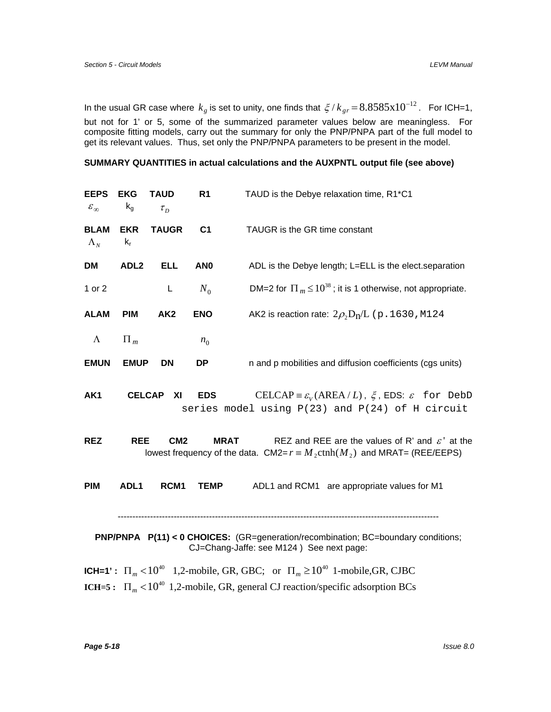In the usual GR case where  $k_g$  is set to unity, one finds that  $\zeta / k_{gr} = 8.8585 \times 10^{-12}$ . For ICH=1, but not for 1' or 5, some of the summarized parameter values below are meaningless. For composite fitting models, carry out the summary for only the PNP/PNPA part of the full model to get its relevant values. Thus, set only the PNP/PNPA parameters to be present in the model.

**SUMMARY QUANTITIES in actual calculations and the AUXPNTL output file (see above)** 

| <b>EEPS</b><br>$\mathcal{E}_\infty$ | <b>EKG</b><br>$k_{g}$ | <b>TAUD</b><br>$\tau_D$ | R <sub>1</sub>  | TAUD is the Debye relaxation time, R1*C1                                                                                                                                                 |
|-------------------------------------|-----------------------|-------------------------|-----------------|------------------------------------------------------------------------------------------------------------------------------------------------------------------------------------------|
| <b>BLAM</b><br>$\Lambda_N$          | <b>EKR</b><br>$k_{r}$ | <b>TAUGR</b>            | C <sub>1</sub>  | TAUGR is the GR time constant                                                                                                                                                            |
| DM                                  | ADL <sub>2</sub>      | <b>ELL</b>              | AN <sub>0</sub> | ADL is the Debye length; L=ELL is the elect.separation                                                                                                                                   |
| 1 or 2                              |                       | L                       | $N_0$           | DM=2 for $\Pi_m \le 10^{38}$ ; it is 1 otherwise, not appropriate.                                                                                                                       |
| <b>ALAM</b>                         | <b>PIM</b>            | AK <sub>2</sub>         | <b>ENO</b>      | AK2 is reaction rate: $2\rho_2D_n/L$ (p. 1630, M124                                                                                                                                      |
| $\Lambda$                           | $\Pi_m$               |                         | $n_0$           |                                                                                                                                                                                          |
| <b>EMUN</b>                         | <b>EMUP</b>           | <b>DN</b>               | <b>DP</b>       | n and p mobilities and diffusion coefficients (cgs units)                                                                                                                                |
| AK1                                 | <b>CELCAP</b>         | XI                      | <b>EDS</b>      | CELCAP $\equiv \varepsilon_v(AREA/L)$ , $\xi$ , EDS: $\varepsilon$ for DebD<br>series model using P(23) and P(24) of H circuit                                                           |
| <b>REZ</b>                          | <b>REE</b>            | CM <sub>2</sub>         | <b>MRAT</b>     | REZ and REE are the values of R' and $\varepsilon$ ' at the<br>lowest frequency of the data. $CM2 = r \equiv M_2 \text{cth}(M_2)$ and MRAT= (REE/EEPS)                                   |
| <b>PIM</b>                          | ADL1                  | RCM1                    | <b>TEMP</b>     | ADL1 and RCM1 are appropriate values for M1                                                                                                                                              |
|                                     |                       |                         |                 | PNP/PNPA P(11) < 0 CHOICES: (GR=generation/recombination; BC=boundary conditions;<br>CJ=Chang-Jaffe: see M124) See next page:                                                            |
|                                     |                       |                         |                 | <b>ICH=1'</b> : $\Pi_m < 10^{40}$ 1,2-mobile, GR, GBC; or $\Pi_m \ge 10^{40}$ 1-mobile, GR, CJBC<br>ICH=5: $\Pi_m < 10^{40}$ 1,2-mobile, GR, general CJ reaction/specific adsorption BCs |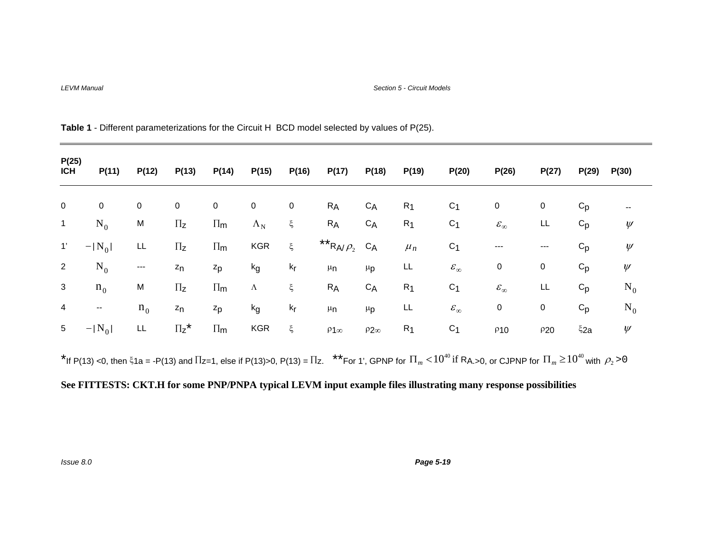#### *LEVM Manual Section 5 - Circuit Models*

| P(25)<br><b>ICH</b> | P(11)                    | P(12)                             | P(13)             | P(14)       | P(15)             | P(16)       | P(17)                                              | P(18)            | P(19)          | P(20)                  | P(26)                  | P(27)                  | P(29)            | P(30)  |
|---------------------|--------------------------|-----------------------------------|-------------------|-------------|-------------------|-------------|----------------------------------------------------|------------------|----------------|------------------------|------------------------|------------------------|------------------|--------|
| $\mathbf 0$         | $\overline{0}$           | $\mathbf 0$                       | $\mathbf 0$       | $\mathbf 0$ | $\boldsymbol{0}$  | $\pmb{0}$   | $R_{\rm A}$                                        | $C_A$            | R <sub>1</sub> | C <sub>1</sub>         | $\mathbf 0$            | $\pmb{0}$              | $C_{\mathsf{p}}$ | --     |
| $\mathbf{1}$        | $N_0$                    | M                                 | $\Pi$ z           | $\prod$ m   | $\Lambda_{\rm N}$ | $\xi$       | $R_{\rm A}$                                        | $C_A$            | R <sub>1</sub> | C <sub>1</sub>         | $\mathcal{E}_{\infty}$ | LL                     | $C_{p}$          | $\psi$ |
| 1'                  | $- N_0 $                 | LL                                | $\Pi$ z           | $\Pi$ m     | <b>KGR</b>        | $\xi$       | $\texttt{**}_{\mathsf{R}\mathsf{A}/\mathcal{P}_2}$ | $C_A$            | $\mu_n$        | C <sub>1</sub>         | $\qquad \qquad \cdots$ | $\qquad \qquad \cdots$ | $C_{p}$          | $\psi$ |
| 2                   | $N_0$                    | $\hspace{0.05cm} \dashrightarrow$ | $z_{n}$           | $z_p$       | $k_{g}$           | $k_{\rm r}$ | $\mu$ n                                            | $\mu$ p          | LL             | $\mathcal{E}_{\infty}$ | $\mathbf 0$            | $\pmb{0}$              | $C_{p}$          | $\psi$ |
| 3                   | $n_0$                    | M                                 | $\Pi$ z           | $\Pi$ m     | $\Lambda$         | ξ           | $R_{\rm A}$                                        | $C_A$            | R <sub>1</sub> | C <sub>1</sub>         | $\mathcal{E}_{\infty}$ | LL                     | $C_{p}$          | $N_0$  |
| 4                   | $\overline{\phantom{m}}$ | $n_0$                             | $z_n$             | $z_p$       | $k_{g}$           | $k_{\rm r}$ | $\mu$ n                                            | $\mu$ p          | LL             | $\varepsilon_{\infty}$ | $\mathbf 0$            | $\pmb{0}$              | $C_p$            | $N_0$  |
| 5                   | $- N_0 $                 | Щ                                 | $\Pi_{Z}^{\star}$ | $\Pi$ m     | <b>KGR</b>        | $\xi$       | $\rho$ 100                                         | $\rho_{2\infty}$ | $R_1$          | C <sub>1</sub>         | P10                    | P20                    | $\xi$ 2a         | $\psi$ |

**Table 1** - Different parameterizations for the Circuit H BCD model selected by values of P(25).

<sup>\*</sup>If P(13) <0, then  $\zeta$ 1a = -P(13) and  $\Pi$ z=1, else if P(13)>0, P(13) =  $\Pi$ z. \*\*For 1', GPNP for  $\Pi_m < 10^{40}$  if RA.>0, or CJPNP for  $\Pi_m \ge 10^{40}$  with  $\rho_2 > 0$ 

## **See FITTESTS: CKT.H for some PNP/PNPA typical LEVM input example files illustrating many response possibilities**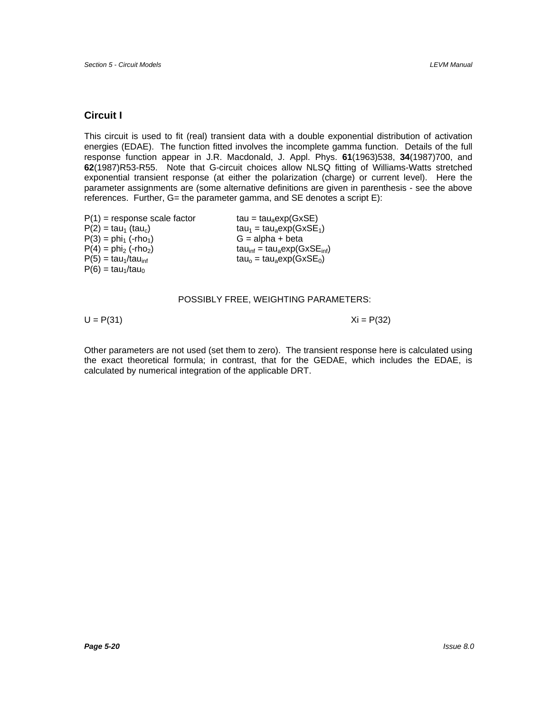## **Circuit I**

This circuit is used to fit (real) transient data with a double exponential distribution of activation energies (EDAE). The function fitted involves the incomplete gamma function. Details of the full response function appear in J.R. Macdonald, J. Appl. Phys. **61**(1963)538, **34**(1987)700, and **62**(1987)R53-R55. Note that G-circuit choices allow NLSQ fitting of Williams-Watts stretched exponential transient response (at either the polarization (charge) or current level). Here the parameter assignments are (some alternative definitions are given in parenthesis - see the above references. Further, G= the parameter gamma, and SE denotes a script E):

 $P(1)$  = response scale factor tau = tau<sub>a</sub>exp(GxSE)<br> $P(2)$  = tau<sub>1</sub> (tau<sub>c</sub>) tau<sub>1</sub> = tau<sub>a</sub>exp(GxSE)  $P(3) = phi_1 (-rho_1)$  $P(4) = \text{phi}_2$  (-rho<sub>2</sub>) tau<sub>inf</sub> = tau<sub>a</sub>exp(GxSE<sub>inf</sub>)<br>  $P(5) = \text{tau}_1/\text{tau}_1$  tau<sub>inf</sub> tau<sub>o</sub> = tau<sub>a</sub>exp(GxSE<sub>0</sub>)  $P(6) = \frac{tau_1}{tau_0}$ 

 $tau_1 = \tau \cdot \text{tau}_1(\text{GxSE}_1)$ <br>G = alpha + beta  $tau_0 = \tau \cdot \text{tau}_{\text{a}} \exp(GxSE_0)$ 

#### POSSIBLY FREE, WEIGHTING PARAMETERS:

 $U = P(31)$   $Xi = P(32)$ 

Other parameters are not used (set them to zero). The transient response here is calculated using the exact theoretical formula; in contrast, that for the GEDAE, which includes the EDAE, is calculated by numerical integration of the applicable DRT.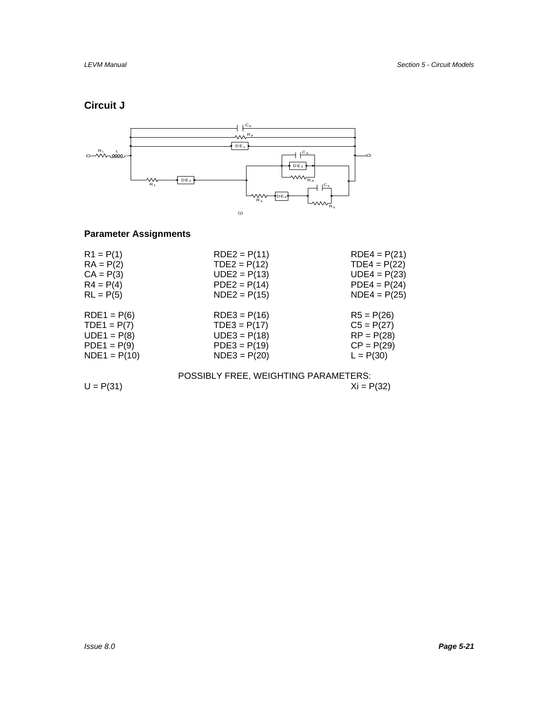# **Circuit J**



## **Parameter Assignments**

| $R1 = P(1)$    | $RDE2 = P(11)$ | $RDE4 = P(21)$ |
|----------------|----------------|----------------|
| $RA = P(2)$    | $TDE2 = P(12)$ | $TDE4 = P(22)$ |
| $CA = P(3)$    | $UDE2 = P(13)$ | $UDE4 = P(23)$ |
| $R4 = P(4)$    | $PDE2 = P(14)$ | $PDE4 = P(24)$ |
| $RL = P(5)$    | $NDE2 = P(15)$ | $NDE4 = P(25)$ |
|                |                |                |
| $RDE1 = P(6)$  | $RDE3 = P(16)$ | $R5 = P(26)$   |
| $TDE1 = P(7)$  | $TDE3 = P(17)$ | $C5 = P(27)$   |
| $UDE1 = P(8)$  | $UDE3 = P(18)$ | $RP = P(28)$   |
| $PDE1 = P(9)$  | $PDE3 = P(19)$ | $CP = P(29)$   |
| $NDE1 = P(10)$ | $NDE3 = P(20)$ | $L = P(30)$    |
|                |                |                |
|                |                |                |

POSSIBLY FREE, WEIGHTING PARAMETERS:<br>Xi = P(31)  $Xi = P(32)$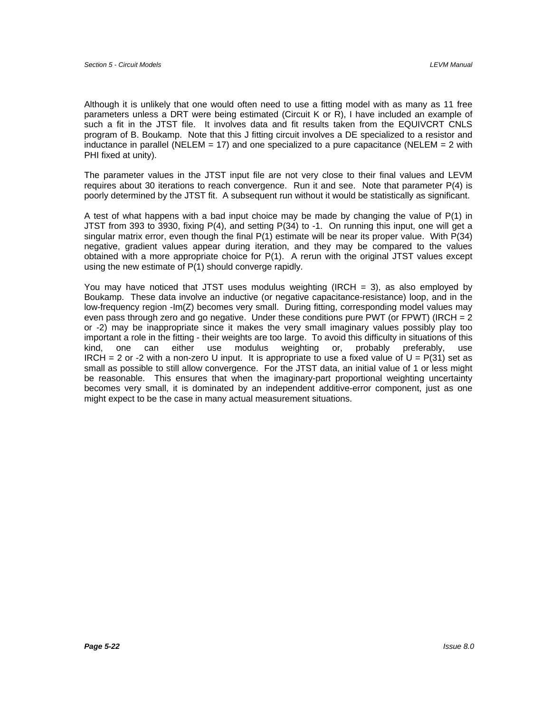Although it is unlikely that one would often need to use a fitting model with as many as 11 free parameters unless a DRT were being estimated (Circuit K or R), I have included an example of such a fit in the JTST file. It involves data and fit results taken from the EQUIVCRT CNLS program of B. Boukamp. Note that this J fitting circuit involves a DE specialized to a resistor and inductance in parallel (NELEM = 17) and one specialized to a pure capacitance (NELEM =  $2$  with PHI fixed at unity).

The parameter values in the JTST input file are not very close to their final values and LEVM requires about 30 iterations to reach convergence. Run it and see. Note that parameter P(4) is poorly determined by the JTST fit. A subsequent run without it would be statistically as significant.

A test of what happens with a bad input choice may be made by changing the value of P(1) in JTST from 393 to 3930, fixing P(4), and setting P(34) to -1. On running this input, one will get a singular matrix error, even though the final P(1) estimate will be near its proper value. With P(34) negative, gradient values appear during iteration, and they may be compared to the values obtained with a more appropriate choice for P(1). A rerun with the original JTST values except using the new estimate of P(1) should converge rapidly.

You may have noticed that JTST uses modulus weighting (IRCH  $=$  3), as also employed by Boukamp. These data involve an inductive (or negative capacitance-resistance) loop, and in the low-frequency region -Im(Z) becomes very small. During fitting, corresponding model values may even pass through zero and go negative. Under these conditions pure PWT (or FPWT) (IRCH  $= 2$ ) or -2) may be inappropriate since it makes the very small imaginary values possibly play too important a role in the fitting - their weights are too large. To avoid this difficulty in situations of this kind, one can either use modulus weighting or, probably preferably, use IRCH = 2 or -2 with a non-zero U input. It is appropriate to use a fixed value of  $U = P(31)$  set as small as possible to still allow convergence. For the JTST data, an initial value of 1 or less might be reasonable. This ensures that when the imaginary-part proportional weighting uncertainty becomes very small, it is dominated by an independent additive-error component, just as one might expect to be the case in many actual measurement situations.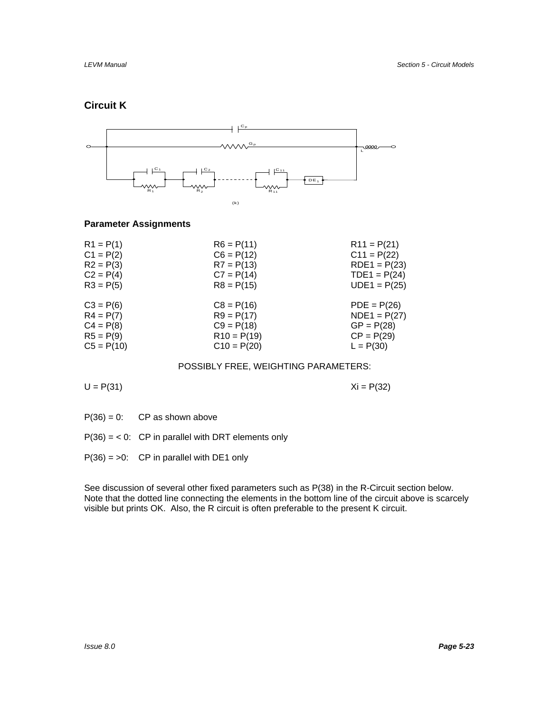## **Circuit K**



#### **Parameter Assignments**

| $R1 = P(1)$  | $R6 = P(11)$  | $R11 = P(21)$  |
|--------------|---------------|----------------|
| $C1 = P(2)$  | $C6 = P(12)$  | $C11 = P(22)$  |
| $R2 = P(3)$  | $R7 = P(13)$  | $RDE1 = P(23)$ |
| $C2 = P(4)$  | $C7 = P(14)$  | $TDE1 = P(24)$ |
| $R3 = P(5)$  | $R8 = P(15)$  | $UDE1 = P(25)$ |
| $C3 = P(6)$  | $C8 = P(16)$  | $PDE = P(26)$  |
| $R4 = P(7)$  | $R9 = P(17)$  | $NDE1 = P(27)$ |
| $C4 = P(8)$  | $C9 = P(18)$  | $GP = P(28)$   |
| $R5 = P(9)$  | $R10 = P(19)$ | $CP = P(29)$   |
| $C5 = P(10)$ | $C10 = P(20)$ | $L = P(30)$    |

## POSSIBLY FREE, WEIGHTING PARAMETERS:

 $Xi = P(32)$ 

| 73 |
|----|
|----|

 $P(36) = 0$ : CP as shown above

 $P(36) = 60$ : CP in parallel with DRT elements only

 $P(36) = 50$ : CP in parallel with DE1 only

See discussion of several other fixed parameters such as P(38) in the R-Circuit section below. Note that the dotted line connecting the elements in the bottom line of the circuit above is scarcely visible but prints OK. Also, the R circuit is often preferable to the present K circuit.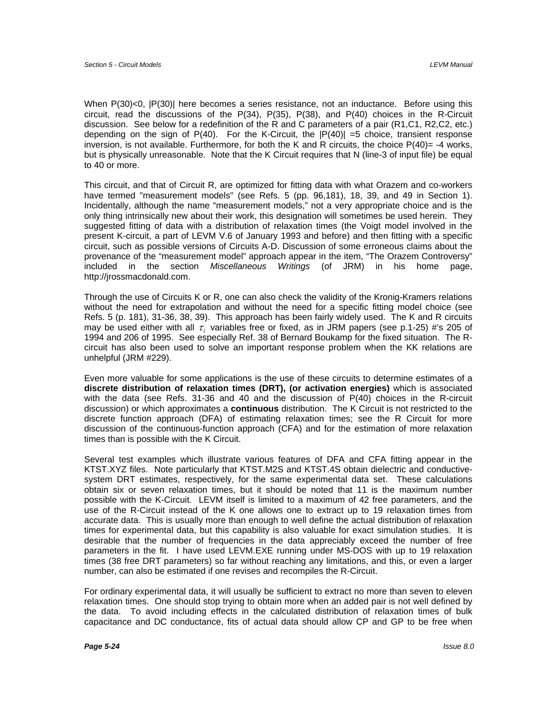When P(30)<0,  $|P(30)|$  here becomes a series resistance, not an inductance. Before using this circuit, read the discussions of the P(34), P(35), P(38), and P(40) choices in the R-Circuit discussion. See below for a redefinition of the R and C parameters of a pair (R1,C1, R2,C2, etc.) depending on the sign of  $P(40)$ . For the K-Circuit, the  $|P(40)| = 5$  choice, transient response inversion, is not available. Furthermore, for both the K and R circuits, the choice  $P(40) = -4$  works, but is physically unreasonable. Note that the K Circuit requires that N (line-3 of input file) be equal to 40 or more.

This circuit, and that of Circuit R, are optimized for fitting data with what Orazem and co-workers have termed "measurement models" (see Refs. 5 (pp. 96,181), 18, 39, and 49 in Section 1). Incidentally, although the name "measurement models," not a very appropriate choice and is the only thing intrinsically new about their work, this designation will sometimes be used herein. They suggested fitting of data with a distribution of relaxation times (the Voigt model involved in the present K-circuit, a part of LEVM V.6 of January 1993 and before) and then fitting with a specific circuit, such as possible versions of Circuits A-D. Discussion of some erroneous claims about the provenance of the "measurement model" approach appear in the item, "The Orazem Controversy" included in the section *Miscellaneous Writings* (of JRM) in his home page, http://jrossmacdonald.com.

Through the use of Circuits K or R, one can also check the validity of the Kronig-Kramers relations without the need for extrapolation and without the need for a specific fitting model choice (see Refs. 5 (p. 181), 31-36, 38, 39). This approach has been fairly widely used. The K and R circuits may be used either with all  $\tau$ , variables free or fixed, as in JRM papers (see p.1-25) #'s 205 of 1994 and 206 of 1995. See especially Ref. 38 of Bernard Boukamp for the fixed situation. The Rcircuit has also been used to solve an important response problem when the KK relations are unhelpful (JRM #229).

Even more valuable for some applications is the use of these circuits to determine estimates of a **discrete distribution of relaxation times (DRT), (or activation energies)** which is associated with the data (see Refs. 31-36 and 40 and the discussion of P(40) choices in the R-circuit discussion) or which approximates a **continuous** distribution. The K Circuit is not restricted to the discrete function approach (DFA) of estimating relaxation times; see the R Circuit for more discussion of the continuous-function approach (CFA) and for the estimation of more relaxation times than is possible with the K Circuit.

Several test examples which illustrate various features of DFA and CFA fitting appear in the KTST.XYZ files. Note particularly that KTST.M2S and KTST.4S obtain dielectric and conductivesystem DRT estimates, respectively, for the same experimental data set. These calculations obtain six or seven relaxation times, but it should be noted that 11 is the maximum number possible with the K-Circuit. LEVM itself is limited to a maximum of 42 free parameters, and the use of the R-Circuit instead of the K one allows one to extract up to 19 relaxation times from accurate data. This is usually more than enough to well define the actual distribution of relaxation times for experimental data, but this capability is also valuable for exact simulation studies. It is desirable that the number of frequencies in the data appreciably exceed the number of free parameters in the fit. I have used LEVM.EXE running under MS-DOS with up to 19 relaxation times (38 free DRT parameters) so far without reaching any limitations, and this, or even a larger number, can also be estimated if one revises and recompiles the R-Circuit.

For ordinary experimental data, it will usually be sufficient to extract no more than seven to eleven relaxation times. One should stop trying to obtain more when an added pair is not well defined by the data. To avoid including effects in the calculated distribution of relaxation times of bulk capacitance and DC conductance, fits of actual data should allow CP and GP to be free when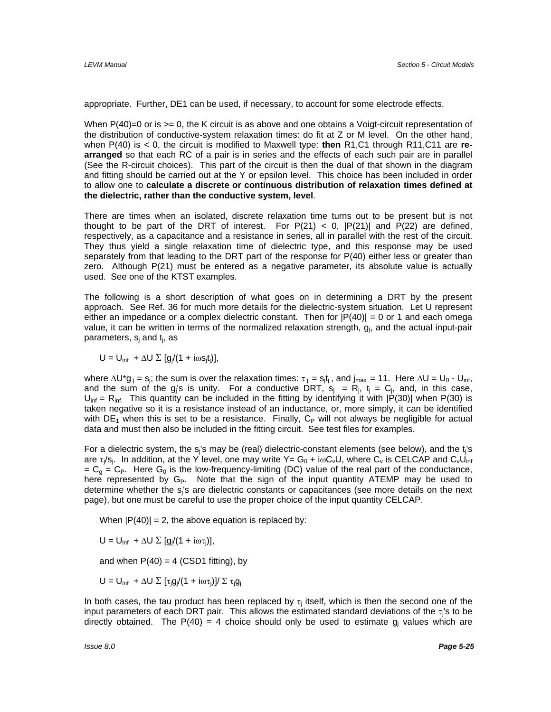appropriate. Further, DE1 can be used, if necessary, to account for some electrode effects.

When  $P(40)=0$  or is  $\geq 0$ , the K circuit is as above and one obtains a Voigt-circuit representation of the distribution of conductive-system relaxation times: do fit at Z or M level. On the other hand, when P(40) is < 0, the circuit is modified to Maxwell type: **then** R1,C1 through R11,C11 are **rearranged** so that each RC of a pair is in series and the effects of each such pair are in parallel (See the R-circuit choices). This part of the circuit is then the dual of that shown in the diagram and fitting should be carried out at the Y or epsilon level. This choice has been included in order to allow one to **calculate a discrete or continuous distribution of relaxation times defined at the dielectric, rather than the conductive system, level**.

There are times when an isolated, discrete relaxation time turns out to be present but is not thought to be part of the DRT of interest. For  $P(21) < 0$ ,  $|P(21)|$  and  $P(22)$  are defined, respectively, as a capacitance and a resistance in series, all in parallel with the rest of the circuit. They thus yield a single relaxation time of dielectric type, and this response may be used separately from that leading to the DRT part of the response for P(40) either less or greater than zero. Although P(21) must be entered as a negative parameter, its absolute value is actually used. See one of the KTST examples.

The following is a short description of what goes on in determining a DRT by the present approach. See Ref. 36 for much more details for the dielectric-system situation. Let U represent either an impedance or a complex dielectric constant. Then for  $|P(40)| = 0$  or 1 and each omega value, it can be written in terms of the normalized relaxation strength,  $q_i$ , and the actual input-pair parameters,  $s_i$  and  $t_i$ , as

$$
U = U_{\text{inf}} + \Delta U \Sigma [g_j/(1 + i\omega s_j t_j)],
$$

where  $\Delta U^*g_i = s_i$ ; the sum is over the relaxation times:  $\tau_i = s_i t_i$ , and  $j_{max} = 11$ . Here  $\Delta U = U_0 - U_{inf}$ , and the sum of the g<sub>i</sub>'s is unity. For a conductive DRT,  $s_i = R_i$ ,  $t_i = C_i$ , and, in this case,  $U_{\text{inf}}$  = R<sub>inf.</sub> This quantity can be included in the fitting by identifying it with  $|P(30)|$  when P(30) is taken negative so it is a resistance instead of an inductance, or, more simply, it can be identified with  $DE_1$  when this is set to be a resistance. Finally,  $C_P$  will not always be negligible for actual data and must then also be included in the fitting circuit. See test files for examples.

For a dielectric system, the sj's may be (real) dielectric-constant elements (see below), and the tj's are  $\tau_i/s_i$ . In addition, at the Y level, one may write Y= G<sub>0</sub> + i $\omega$ C<sub>v</sub>U, where C<sub>v</sub> is CELCAP and C<sub>v</sub>U<sub>inf</sub>  $C_{\rm g} = C_{\rm p}$ . Here G<sub>0</sub> is the low-frequency-limiting (DC) value of the real part of the conductance, here represented by  $G_P$ . Note that the sign of the input quantity ATEMP may be used to determine whether the sj's are dielectric constants or capacitances (see more details on the next page), but one must be careful to use the proper choice of the input quantity CELCAP.

When  $|P(40)| = 2$ , the above equation is replaced by:

 $U = U_{\text{inf}} + \Delta U \Sigma [g_i/(1 + i\omega \tau_i)],$ 

and when  $P(40) = 4$  (CSD1 fitting), by

 $U = U_{\text{inf}} + \Delta U \sum [\tau_{i} g_{i}/(1 + i\omega \tau_{i})]/\sum \tau_{i} g_{i}$ 

In both cases, the tau product has been replaced by  $\tau_i$  itself, which is then the second one of the input parameters of each DRT pair. This allows the estimated standard deviations of the  $\tau_i$ 's to be directly obtained. The P(40) = 4 choice should only be used to estimate  $g_i$  values which are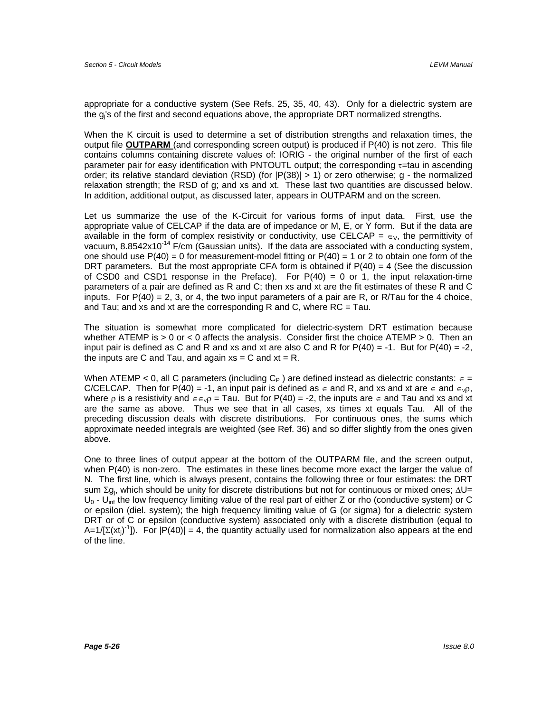appropriate for a conductive system (See Refs. 25, 35, 40, 43). Only for a dielectric system are the gj's of the first and second equations above, the appropriate DRT normalized strengths.

When the K circuit is used to determine a set of distribution strengths and relaxation times, the output file **OUTPARM** (and corresponding screen output) is produced if P(40) is not zero. This file contains columns containing discrete values of: IORIG - the original number of the first of each parameter pair for easy identification with PNTOUTL output; the corresponding  $\tau$ =tau in ascending order; its relative standard deviation (RSD) (for  $|P(38)| > 1$ ) or zero otherwise; q - the normalized relaxation strength; the RSD of g; and xs and xt. These last two quantities are discussed below. In addition, additional output, as discussed later, appears in OUTPARM and on the screen.

Let us summarize the use of the K-Circuit for various forms of input data. First, use the appropriate value of CELCAP if the data are of impedance or M, E, or Y form. But if the data are available in the form of complex resistivity or conductivity, use CELCAP =  $\epsilon$ <sub>V</sub>, the permittivity of vacuum, 8.8542x10-14 F/cm (Gaussian units). If the data are associated with a conducting system, one should use  $P(40) = 0$  for measurement-model fitting or  $P(40) = 1$  or 2 to obtain one form of the DRT parameters. But the most appropriate CFA form is obtained if  $P(40) = 4$  (See the discussion of CSD0 and CSD1 response in the Preface). For  $P(40) = 0$  or 1, the input relaxation-time parameters of a pair are defined as R and C; then xs and xt are the fit estimates of these R and C inputs. For  $P(40) = 2$ , 3, or 4, the two input parameters of a pair are R, or R/Tau for the 4 choice, and Tau; and xs and xt are the corresponding R and C, where  $RC = Tau$ .

The situation is somewhat more complicated for dielectric-system DRT estimation because whether ATEMP is  $> 0$  or  $< 0$  affects the analysis. Consider first the choice ATEMP  $> 0$ . Then an input pair is defined as C and R and xs and xt are also C and R for  $P(40) = -1$ . But for  $P(40) = -2$ , the inputs are C and Tau, and again  $xs = C$  and  $xt = R$ .

When ATEMP < 0, all C parameters (including  $C_P$ ) are defined instead as dielectric constants:  $\epsilon =$ C/CELCAP. Then for P(40) = -1, an input pair is defined as  $\epsilon$  and R, and xs and xt are  $\epsilon$  and  $\epsilon_{\nu}$ , where  $\rho$  is a resistivity and  $\epsilon \epsilon_{\gamma} \rho$  = Tau. But for P(40) = -2, the inputs are  $\epsilon$  and Tau and xs and xt are the same as above. Thus we see that in all cases, xs times xt equals Tau. All of the preceding discussion deals with discrete distributions. For continuous ones, the sums which approximate needed integrals are weighted (see Ref. 36) and so differ slightly from the ones given above.

One to three lines of output appear at the bottom of the OUTPARM file, and the screen output, when P(40) is non-zero. The estimates in these lines become more exact the larger the value of N. The first line, which is always present, contains the following three or four estimates: the DRT sum  $\Sigma g_i$ , which should be unity for discrete distributions but not for continuous or mixed ones;  $\Delta U=$  $U_0$  -  $U_{\text{inf}}$  the low frequency limiting value of the real part of either Z or rho (conductive system) or C or epsilon (diel. system); the high frequency limiting value of G (or sigma) for a dielectric system DRT or of C or epsilon (conductive system) associated only with a discrete distribution (equal to A=1/ $[\Sigma(x t_j)^{-1}]$ ). For  $[P(40)] = 4$ , the quantity actually used for normalization also appears at the end of the line.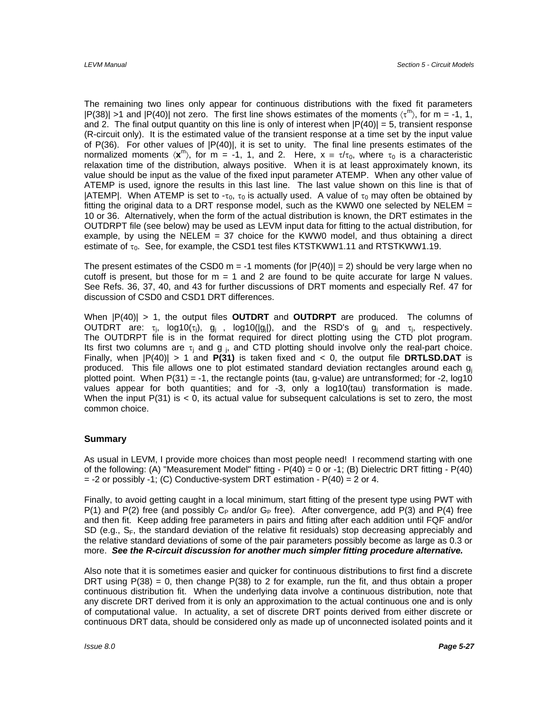The remaining two lines only appear for continuous distributions with the fixed fit parameters  $|P(38)| > 1$  and  $|P(40)|$  not zero. The first line shows estimates of the moments  $\langle \tau^m \rangle$ , for m = -1, 1, and 2. The final output quantity on this line is only of interest when  $|P(40)| = 5$ , transient response (R-circuit only). It is the estimated value of the transient response at a time set by the input value of  $P(36)$ . For other values of  $|P(40)|$ , it is set to unity. The final line presents estimates of the normalized moments  $\langle x^m \rangle$ , for m = -1, 1, and 2. Here,  $x = \tau/\tau_0$ , where  $\tau_0$  is a characteristic relaxation time of the distribution, always positive. When it is at least approximately known, its value should be input as the value of the fixed input parameter ATEMP. When any other value of ATEMP is used, ignore the results in this last line. The last value shown on this line is that of |ATEMP|. When ATEMP is set to  $-\tau_0$ ,  $\tau_0$  is actually used. A value of  $\tau_0$  may often be obtained by fitting the original data to a DRT response model, such as the KWW0 one selected by NELEM = 10 or 36. Alternatively, when the form of the actual distribution is known, the DRT estimates in the OUTDRPT file (see below) may be used as LEVM input data for fitting to the actual distribution, for example, by using the NELEM = 37 choice for the KWW0 model, and thus obtaining a direct estimate of  $\tau_0$ . See, for example, the CSD1 test files KTSTKWW1.11 and RTSTKWW1.19.

The present estimates of the CSD0 m = -1 moments (for  $|P(40)| = 2$ ) should be very large when no cutoff is present, but those for  $m = 1$  and 2 are found to be quite accurate for large N values. See Refs. 36, 37, 40, and 43 for further discussions of DRT moments and especially Ref. 47 for discussion of CSD0 and CSD1 DRT differences.

When |P(40)| > 1, the output files **OUTDRT** and **OUTDRPT** are produced. The columns of OUTDRT are:  $\tau_j$ , log10( $\tau_j$ ), g<sub>j</sub>, log10(|g<sub>j</sub>|), and the RSD's of g<sub>j</sub> and  $\tau_j$ , respectively. The OUTDRPT file is in the format required for direct plotting using the CTD plot program. Its first two columns are  $\tau_j$  and  $g_j$ , and CTD plotting should involve only the real-part choice. Finally, when |P(40)| > 1 and **P(31)** is taken fixed and < 0, the output file **DRTLSD.DAT** is produced. This file allows one to plot estimated standard deviation rectangles around each  $q_i$ plotted point. When  $P(31) = -1$ , the rectangle points (tau, g-value) are untransformed; for -2,  $log10$ values appear for both quantities; and for -3, only a log10(tau) transformation is made. When the input  $P(31)$  is  $\lt 0$ , its actual value for subsequent calculations is set to zero, the most common choice.

## **Summary**

As usual in LEVM, I provide more choices than most people need! I recommend starting with one of the following: (A) "Measurement Model" fitting - P(40) = 0 or -1; (B) Dielectric DRT fitting - P(40)  $= -2$  or possibly -1; (C) Conductive-system DRT estimation -  $P(40) = 2$  or 4.

Finally, to avoid getting caught in a local minimum, start fitting of the present type using PWT with  $P(1)$  and  $P(2)$  free (and possibly  $C_P$  and/or  $G_P$  free). After convergence, add  $P(3)$  and  $P(4)$  free and then fit. Keep adding free parameters in pairs and fitting after each addition until FQF and/or SD (e.g.,  $S_F$ , the standard deviation of the relative fit residuals) stop decreasing appreciably and the relative standard deviations of some of the pair parameters possibly become as large as 0.3 or more. *See the R-circuit discussion for another much simpler fitting procedure alternative.*

Also note that it is sometimes easier and quicker for continuous distributions to first find a discrete DRT using  $P(38) = 0$ , then change  $P(38)$  to 2 for example, run the fit, and thus obtain a proper continuous distribution fit. When the underlying data involve a continuous distribution, note that any discrete DRT derived from it is only an approximation to the actual continuous one and is only of computational value. In actuality, a set of discrete DRT points derived from either discrete or continuous DRT data, should be considered only as made up of unconnected isolated points and it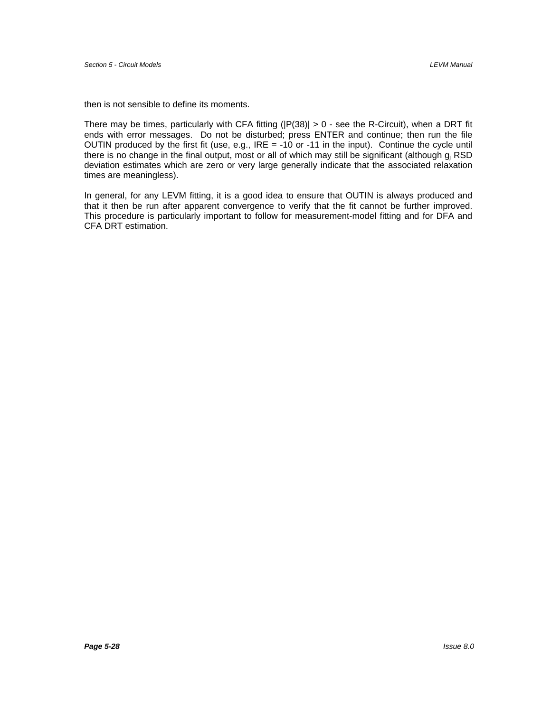then is not sensible to define its moments.

There may be times, particularly with CFA fitting ( $|P(38)| > 0$  - see the R-Circuit), when a DRT fit ends with error messages. Do not be disturbed; press ENTER and continue; then run the file OUTIN produced by the first fit (use, e.g., IRE = -10 or -11 in the input). Continue the cycle until there is no change in the final output, most or all of which may still be significant (although g<sub>i</sub> RSD deviation estimates which are zero or very large generally indicate that the associated relaxation times are meaningless).

In general, for any LEVM fitting, it is a good idea to ensure that OUTIN is always produced and that it then be run after apparent convergence to verify that the fit cannot be further improved. This procedure is particularly important to follow for measurement-model fitting and for DFA and CFA DRT estimation.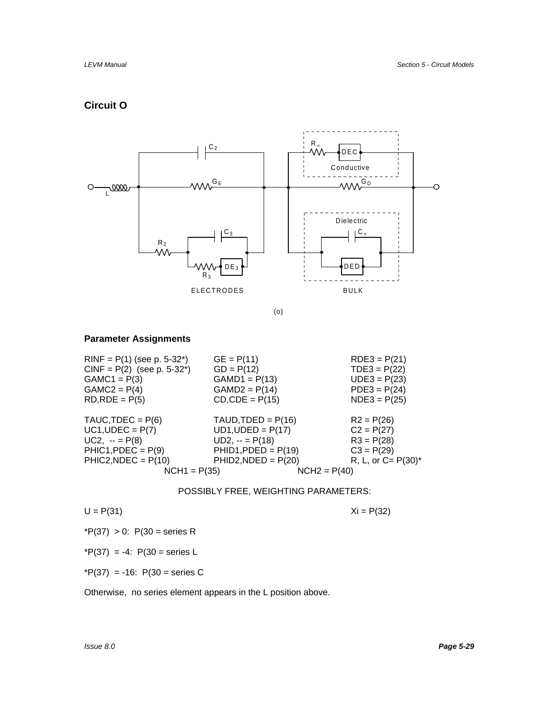# **Circuit O**



| RINF = $P(1)$ (see p. 5-32*) |                | $GE = P(11)$          |                | $RDE3 = P(21)$         |
|------------------------------|----------------|-----------------------|----------------|------------------------|
| $CINF = P(2)$ (see p. 5-32*) |                | $GD = P(12)$          |                | $TDE3 = P(22)$         |
| $GAMC1 = P(3)$               |                | $GAMD1 = P(13)$       |                | $UDE3 = P(23)$         |
| $GAMC2 = P(4)$               |                | $GAMD2 = P(14)$       |                | $PDE3 = P(24)$         |
| $RD, RDE = P(5)$             |                | $CD, CDE = P(15)$     |                | $NDE3 = P(25)$         |
|                              |                |                       |                |                        |
| $TAUC, TDEC = P(6)$          |                | $TAUD, TDED = P(16)$  |                | $R2 = P(26)$           |
| $UC1, UDEC = P(7)$           |                | $UD1, UDED = P(17)$   |                | $C2 = P(27)$           |
| $UC2, - = P(8)$              |                | $UD2, -- = P(18)$     |                | $R3 = P(28)$           |
| $PHIC1, PDEC = P(9)$         |                | $PHID1, PDED = P(19)$ |                | $C3 = P(29)$           |
| $PHIC2, NDEC = P(10)$        |                | $PHID2, NDED = P(20)$ |                | R, L, or $C = P(30)^*$ |
|                              | $NCH1 = P(35)$ |                       | $NCH2 = P(40)$ |                        |
|                              |                |                       |                |                        |

POSSIBLY FREE, WEIGHTING PARAMETERS:

 $U = P(31)$ 

 $Xi = P(32)$ 

\*P(37) > 0:  $P(30 = series R)$ 

\*P(37) = -4:  $P(30 = 1)$ 

\*P(37) = -16:  $P(30)$  = series C

Otherwise, no series element appears in the L position above.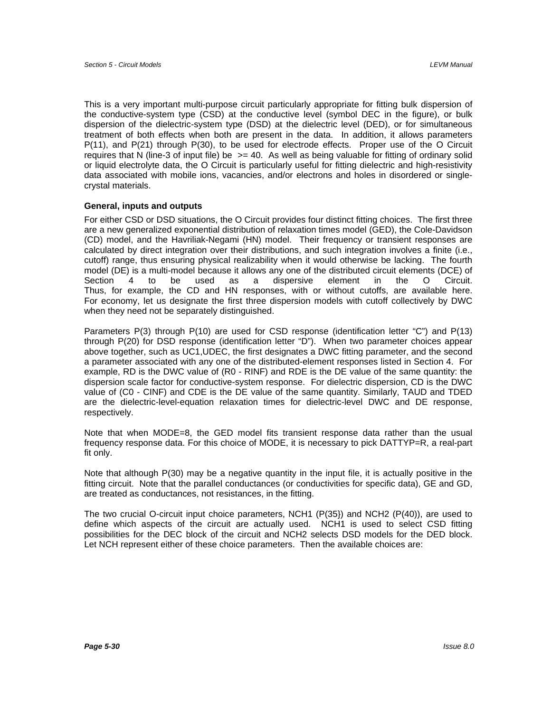This is a very important multi-purpose circuit particularly appropriate for fitting bulk dispersion of the conductive-system type (CSD) at the conductive level (symbol DEC in the figure), or bulk dispersion of the dielectric-system type (DSD) at the dielectric level (DED), or for simultaneous treatment of both effects when both are present in the data. In addition, it allows parameters P(11), and P(21) through P(30), to be used for electrode effects. Proper use of the O Circuit requires that N (line-3 of input file) be  $\geq$  = 40. As well as being valuable for fitting of ordinary solid or liquid electrolyte data, the O Circuit is particularly useful for fitting dielectric and high-resistivity data associated with mobile ions, vacancies, and/or electrons and holes in disordered or singlecrystal materials.

## **General, inputs and outputs**

For either CSD or DSD situations, the O Circuit provides four distinct fitting choices. The first three are a new generalized exponential distribution of relaxation times model (GED), the Cole-Davidson (CD) model, and the Havriliak-Negami (HN) model. Their frequency or transient responses are calculated by direct integration over their distributions, and such integration involves a finite (i.e., cutoff) range, thus ensuring physical realizability when it would otherwise be lacking. The fourth model (DE) is a multi-model because it allows any one of the distributed circuit elements (DCE) of Section 4 to be used as a dispersive element in the O Circuit. Thus, for example, the CD and HN responses, with or without cutoffs, are available here. For economy, let us designate the first three dispersion models with cutoff collectively by DWC when they need not be separately distinguished.

Parameters P(3) through P(10) are used for CSD response (identification letter "C") and P(13) through P(20) for DSD response (identification letter "D"). When two parameter choices appear above together, such as UC1,UDEC, the first designates a DWC fitting parameter, and the second a parameter associated with any one of the distributed-element responses listed in Section 4. For example, RD is the DWC value of (R0 - RINF) and RDE is the DE value of the same quantity: the dispersion scale factor for conductive-system response. For dielectric dispersion, CD is the DWC value of (C0 - CINF) and CDE is the DE value of the same quantity. Similarly, TAUD and TDED are the dielectric-level-equation relaxation times for dielectric-level DWC and DE response, respectively.

Note that when MODE=8, the GED model fits transient response data rather than the usual frequency response data. For this choice of MODE, it is necessary to pick DATTYP=R, a real-part fit only.

Note that although P(30) may be a negative quantity in the input file, it is actually positive in the fitting circuit. Note that the parallel conductances (or conductivities for specific data), GE and GD, are treated as conductances, not resistances, in the fitting.

The two crucial O-circuit input choice parameters, NCH1 (P(35}) and NCH2 (P(40)), are used to define which aspects of the circuit are actually used. NCH1 is used to select CSD fitting possibilities for the DEC block of the circuit and NCH2 selects DSD models for the DED block. Let NCH represent either of these choice parameters. Then the available choices are: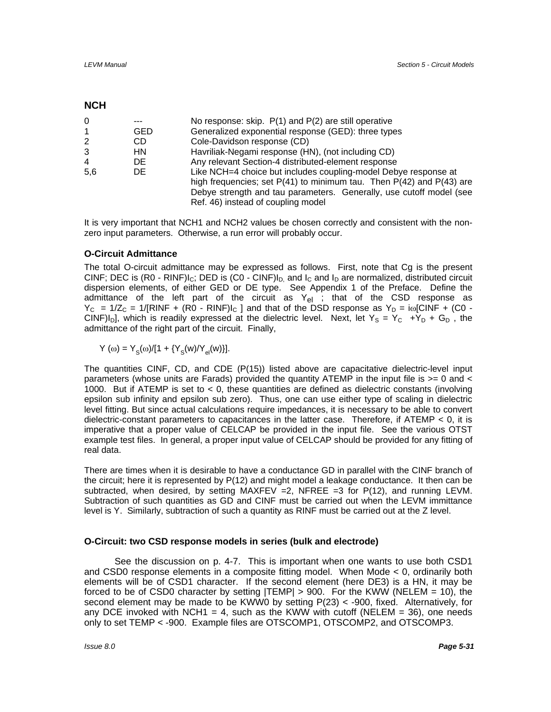## **NCH**

| 0   |                                                                       | No response: $skip. P(1)$ and $P(2)$ are still operative                   |  |  |  |  |
|-----|-----------------------------------------------------------------------|----------------------------------------------------------------------------|--|--|--|--|
| 1   | GED                                                                   | Generalized exponential response (GED): three types                        |  |  |  |  |
| 2   | CD.                                                                   | Cole-Davidson response (CD)                                                |  |  |  |  |
| 3   | HN.                                                                   | Havriliak-Negami response (HN), (not including CD)                         |  |  |  |  |
| 4   | DE                                                                    | Any relevant Section-4 distributed-element response                        |  |  |  |  |
| 5.6 | Like NCH=4 choice but includes coupling-model Debye response at<br>DE |                                                                            |  |  |  |  |
|     |                                                                       | high frequencies; set $P(41)$ to minimum tau. Then $P(42)$ and $P(43)$ are |  |  |  |  |
|     |                                                                       | Debye strength and tau parameters. Generally, use cutoff model (see        |  |  |  |  |
|     |                                                                       | Ref. 46) instead of coupling model                                         |  |  |  |  |

It is very important that NCH1 and NCH2 values be chosen correctly and consistent with the nonzero input parameters. Otherwise, a run error will probably occur.

## **O-Circuit Admittance**

The total O-circuit admittance may be expressed as follows. First, note that Cg is the present CINF; DEC is (R0 - RINF)I<sub>C</sub>; DED is (C0 - CINF)I<sub>D,</sub> and I<sub>C</sub> and I<sub>D</sub> are normalized, distributed circuit dispersion elements, of either GED or DE type. See Appendix 1 of the Preface. Define the admittance of the left part of the circuit as Y<sub>el</sub> ; that of the CSD response as  $Y_{C}$  = 1/Z<sub>C</sub> = 1/[RINF + (R0 - RINF)I<sub>C</sub>] and that of the DSD response as  $Y_{D}$  = i $\omega$ [CINF + (C0 -CINF)I<sub>D</sub>], which is readily expressed at the dielectric level. Next, let Y<sub>S</sub> = Y<sub>C</sub> +Y<sub>D</sub> + G<sub>D</sub>, the admittance of the right part of the circuit. Finally,

 $Y(\omega) = Y_{\rm s}(\omega)/[1 + {Y_{\rm s}(w)/Y_{\rm el}(w)}].$ 

The quantities CINF, CD, and CDE (P(15)) listed above are capacitative dielectric-level input parameters (whose units are Farads) provided the quantity ATEMP in the input file is >= 0 and < 1000. But if ATEMP is set to < 0, these quantities are defined as dielectric constants (involving epsilon sub infinity and epsilon sub zero). Thus, one can use either type of scaling in dielectric level fitting. But since actual calculations require impedances, it is necessary to be able to convert dielectric-constant parameters to capacitances in the latter case. Therefore, if ATEMP < 0, it is imperative that a proper value of CELCAP be provided in the input file. See the various OTST example test files. In general, a proper input value of CELCAP should be provided for any fitting of real data.

There are times when it is desirable to have a conductance GD in parallel with the CINF branch of the circuit; here it is represented by P(12) and might model a leakage conductance. It then can be subtracted, when desired, by setting MAXFEV = 2, NFREE = 3 for  $P(12)$ , and running LEVM. Subtraction of such quantities as GD and CINF must be carried out when the LEVM immittance level is Y. Similarly, subtraction of such a quantity as RINF must be carried out at the Z level.

## **O-Circuit: two CSD response models in series (bulk and electrode)**

 See the discussion on p. 4-7. This is important when one wants to use both CSD1 and CSD0 response elements in a composite fitting model. When Mode < 0, ordinarily both elements will be of CSD1 character. If the second element (here DE3) is a HN, it may be forced to be of CSD0 character by setting  $|TEMP| > 900$ . For the KWW (NELEM = 10), the second element may be made to be KWW0 by setting P(23) < -900, fixed. Alternatively, for any DCE invoked with NCH1 = 4, such as the KWW with cutoff (NELEM = 36), one needs only to set TEMP < -900. Example files are OTSCOMP1, OTSCOMP2, and OTSCOMP3.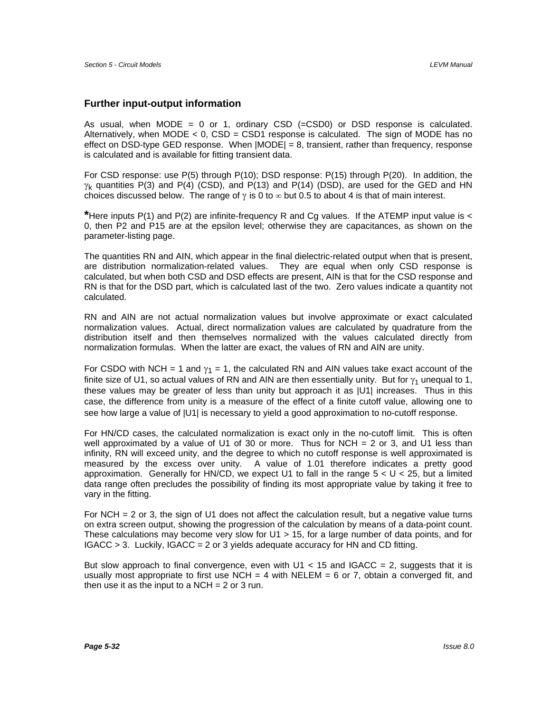## **Further input-output information**

As usual, when MODE = 0 or 1, ordinary CSD  $(=CSD0)$  or DSD response is calculated. Alternatively, when MODE  $<$  0, CSD = CSD1 response is calculated. The sign of MODE has no effect on DSD-type GED response. When  $|MODE| = 8$ , transient, rather than frequency, response is calculated and is available for fitting transient data.

For CSD response: use P(5) through P(10); DSD response: P(15) through P(20). In addition, the  $\gamma_k$  quantities P(3) and P(4) (CSD), and P(13) and P(14) (DSD), are used for the GED and HN choices discussed below. The range of  $\gamma$  is 0 to  $\infty$  but 0.5 to about 4 is that of main interest.

**\***Here inputs P(1) and P(2) are infinite-frequency R and Cg values. If the ATEMP input value is < 0, then P2 and P15 are at the epsilon level; otherwise they are capacitances, as shown on the parameter-listing page.

The quantities RN and AIN, which appear in the final dielectric-related output when that is present, are distribution normalization-related values. They are equal when only CSD response is calculated, but when both CSD and DSD effects are present, AIN is that for the CSD response and RN is that for the DSD part, which is calculated last of the two. Zero values indicate a quantity not calculated.

RN and AIN are not actual normalization values but involve approximate or exact calculated normalization values. Actual, direct normalization values are calculated by quadrature from the distribution itself and then themselves normalized with the values calculated directly from normalization formulas. When the latter are exact, the values of RN and AIN are unity.

For CSDO with NCH = 1 and  $\gamma_1$  = 1, the calculated RN and AIN values take exact account of the finite size of U1, so actual values of RN and AIN are then essentially unity. But for  $\gamma_1$  unequal to 1, these values may be greater of less than unity but approach it as |U1| increases. Thus in this case, the difference from unity is a measure of the effect of a finite cutoff value, allowing one to see how large a value of |U1| is necessary to yield a good approximation to no-cutoff response.

For HN/CD cases, the calculated normalization is exact only in the no-cutoff limit. This is often well approximated by a value of U1 of 30 or more. Thus for NCH  $= 2$  or 3, and U1 less than infinity, RN will exceed unity, and the degree to which no cutoff response is well approximated is measured by the excess over unity. A value of 1.01 therefore indicates a pretty good approximation. Generally for HN/CD, we expect U1 to fall in the range  $5 < U < 25$ , but a limited data range often precludes the possibility of finding its most appropriate value by taking it free to vary in the fitting.

For NCH  $=$  2 or 3, the sign of U1 does not affect the calculation result, but a negative value turns on extra screen output, showing the progression of the calculation by means of a data-point count. These calculations may become very slow for U1 > 15, for a large number of data points, and for  $IGACC > 3.$  Luckily,  $IGACC = 2$  or 3 yields adequate accuracy for HN and CD fitting.

But slow approach to final convergence, even with  $U1 < 15$  and IGACC = 2, suggests that it is usually most appropriate to first use NCH = 4 with NELEM = 6 or 7, obtain a converged fit, and then use it as the input to a  $NCH = 2$  or 3 run.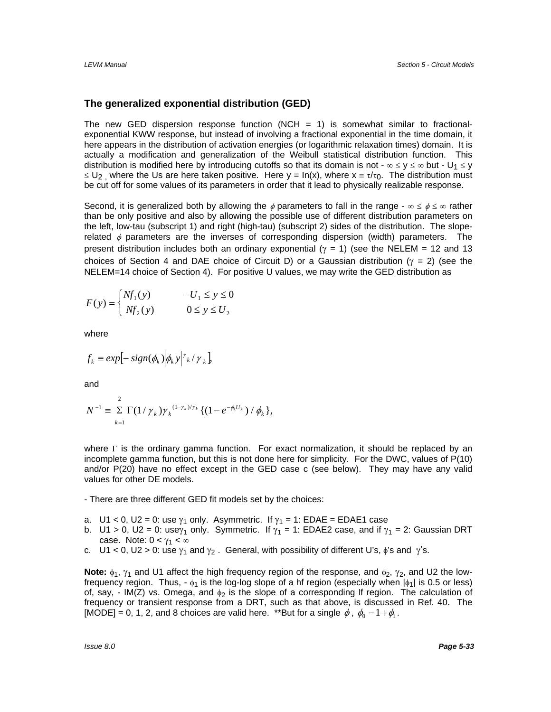#### **The generalized exponential distribution (GED)**

The new GED dispersion response function (NCH  $= 1$ ) is somewhat similar to fractionalexponential KWW response, but instead of involving a fractional exponential in the time domain, it here appears in the distribution of activation energies (or logarithmic relaxation times) domain. It is actually a modification and generalization of the Weibull statistical distribution function. This distribution is modified here by introducing cutoffs so that its domain is not -  $\infty \le y \le \infty$  but - U<sub>1</sub>  $\le y$  $\leq U_2$ , where the Us are here taken positive. Here y = In(x), where  $x \equiv \tau/\tau_0$ . The distribution must be cut off for some values of its parameters in order that it lead to physically realizable response.

Second, it is generalized both by allowing the  $\phi$  parameters to fall in the range -  $\infty \leq \phi \leq \infty$  rather than be only positive and also by allowing the possible use of different distribution parameters on the left, low-tau (subscript 1) and right (high-tau) (subscript 2) sides of the distribution. The sloperelated  $\phi$  parameters are the inverses of corresponding dispersion (width) parameters. The present distribution includes both an ordinary exponential ( $\gamma = 1$ ) (see the NELEM = 12 and 13 choices of Section 4 and DAE choice of Circuit D) or a Gaussian distribution ( $\gamma = 2$ ) (see the NELEM=14 choice of Section 4). For positive U values, we may write the GED distribution as

$$
F(y) = \begin{cases} Nf_1(y) & -U_1 \le y \le 0 \\ Nf_2(y) & 0 \le y \le U_2 \end{cases}
$$

where

$$
f_k \equiv exp[-sign(\phi_k)|\phi_k y|^{\gamma_k/\gamma_k}],
$$

and

$$
N^{-1} \equiv \sum_{k=1}^{2} \Gamma(1/\gamma_{k}) \gamma_{k}^{(1-\gamma_{k})/\gamma_{k}} \{ (1-e^{-\phi_{k}U_{k}})/\phi_{k} \},
$$

where  $\Gamma$  is the ordinary gamma function. For exact normalization, it should be replaced by an incomplete gamma function, but this is not done here for simplicity. For the DWC, values of P(10) and/or P(20) have no effect except in the GED case c (see below). They may have any valid values for other DE models.

- There are three different GED fit models set by the choices:

- a. U1 < 0, U2 = 0: use  $\gamma_1$  only. Asymmetric. If  $\gamma_1 = 1$ : EDAE = EDAE1 case
- b. U1 > 0, U2 = 0: use $\gamma_1$  only. Symmetric. If  $\gamma_1$  = 1: EDAE2 case, and if  $\gamma_1$  = 2: Gaussian DRT case. Note:  $0 < \gamma_1 < \infty$
- c. U1 < 0, U2 > 0: use  $\gamma_1$  and  $\gamma_2$ . General, with possibility of different U's,  $\phi$ 's and  $\gamma$ 's.

**Note:**  $\phi_1$ ,  $\gamma_1$  and U1 affect the high frequency region of the response, and  $\phi_2$ ,  $\gamma_2$ , and U2 the lowfrequency region. Thus, -  $\phi_1$  is the log-log slope of a hf region (especially when  $|\phi_1|$  is 0.5 or less) of, say, - IM(Z) vs. Omega, and  $\phi_2$  is the slope of a corresponding If region. The calculation of frequency or transient response from a DRT, such as that above, is discussed in Ref. 40. The [MODE] = 0, 1, 2, and 8 choices are valid here. \*\*But for a single  $\phi$ ,  $\phi_0 = 1 + \phi_1$ .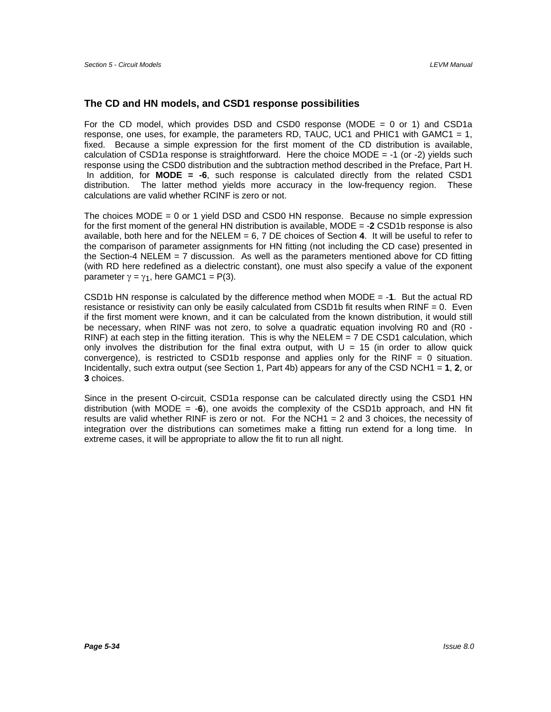## **The CD and HN models, and CSD1 response possibilities**

For the CD model, which provides DSD and CSD0 response (MODE  $= 0$  or 1) and CSD1a response, one uses, for example, the parameters RD, TAUC, UC1 and PHIC1 with GAMC1 = 1, fixed. Because a simple expression for the first moment of the CD distribution is available, calculation of CSD1a response is straightforward. Here the choice MODE = -1 (or -2) yields such response using the CSD0 distribution and the subtraction method described in the Preface, Part H. In addition, for **MODE = -6**, such response is calculated directly from the related CSD1 distribution. The latter method yields more accuracy in the low-frequency region. These calculations are valid whether RCINF is zero or not.

The choices  $MODE = 0$  or 1 yield DSD and CSD0 HN response. Because no simple expression for the first moment of the general HN distribution is available, MODE = -**2** CSD1b response is also available, both here and for the NELEM = 6, 7 DE choices of Section **4**. It will be useful to refer to the comparison of parameter assignments for HN fitting (not including the CD case) presented in the Section-4 NELEM  $= 7$  discussion. As well as the parameters mentioned above for CD fitting (with RD here redefined as a dielectric constant), one must also specify a value of the exponent parameter  $\gamma = \gamma_1$ , here GAMC1 = P(3).

CSD1b HN response is calculated by the difference method when MODE = -**1**. But the actual RD resistance or resistivity can only be easily calculated from CSD1b fit results when RINF = 0. Even if the first moment were known, and it can be calculated from the known distribution, it would still be necessary, when RINF was not zero, to solve a quadratic equation involving R0 and (R0 -  $RINF$ ) at each step in the fitting iteration. This is why the  $NELEM = 7 DE CSD1$  calculation, which only involves the distribution for the final extra output, with  $U = 15$  (in order to allow quick convergence), is restricted to CSD1b response and applies only for the RINF = 0 situation. Incidentally, such extra output (see Section 1, Part 4b) appears for any of the CSD NCH1 = **1**, **2**, or **3** choices.

Since in the present O-circuit, CSD1a response can be calculated directly using the CSD1 HN distribution (with MODE = -**6**), one avoids the complexity of the CSD1b approach, and HN fit results are valid whether RINF is zero or not. For the NCH1 = 2 and 3 choices, the necessity of integration over the distributions can sometimes make a fitting run extend for a long time. In extreme cases, it will be appropriate to allow the fit to run all night.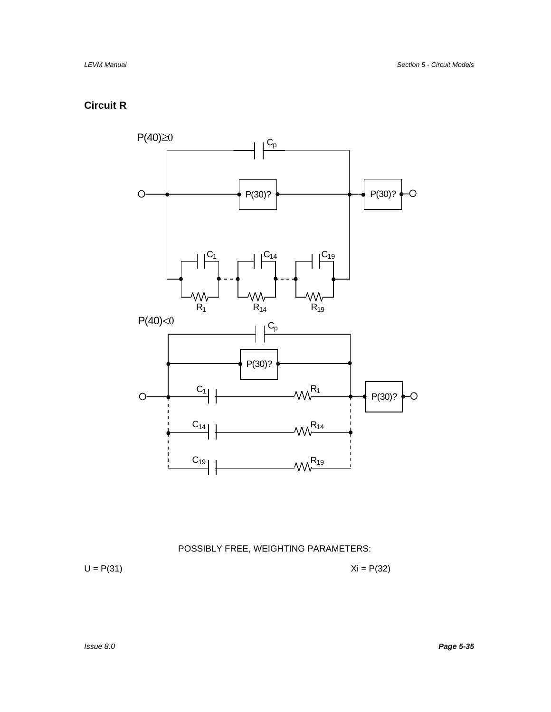# **Circuit R**



POSSIBLY FREE, WEIGHTING PARAMETERS:

 $U = P(31)$ 

 $Xi = P(32)$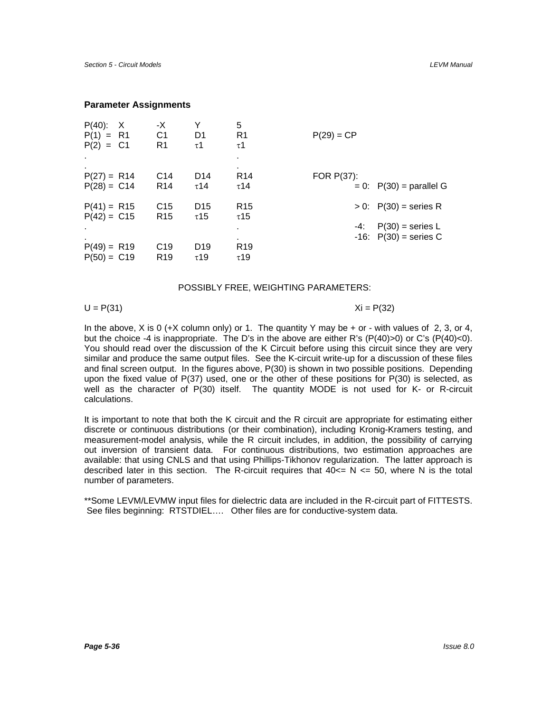#### **Parameter Assignments**

| P(40): X<br>$P(1) = R1$<br>$P(2) = C1$ | -Х<br>C1<br><b>R1</b> | Y<br>D1<br>$\tau$ 1 | 5<br>R <sub>1</sub><br>$\tau$ 1 | $P(29) = CP$ |                              |
|----------------------------------------|-----------------------|---------------------|---------------------------------|--------------|------------------------------|
|                                        |                       |                     | $\bullet$                       |              |                              |
| $P(27) = R14$                          | C14                   | D <sub>14</sub>     | R <sub>14</sub>                 | FOR P(37):   |                              |
| $P(28) = C14$                          | R14                   | $\tau$ 14           | $\tau$ 14                       |              | $= 0$ : $P(30) =$ parallel G |
|                                        |                       |                     |                                 |              |                              |
| $P(41) = R15$                          | C <sub>15</sub>       | D <sub>15</sub>     | R <sub>15</sub>                 |              | $> 0$ : $P(30) =$ series R   |
| $P(42) = C15$                          | R15                   | $\tau$ 15           | $\tau$ 15                       |              |                              |
|                                        |                       |                     | ٠                               | -4:          | $P(30)$ = series L           |
|                                        |                       |                     | ٠                               |              | $-16$ : $P(30) =$ series C   |
| $P(49) = R19$                          | C <sub>19</sub>       | D <sub>19</sub>     | R <sub>19</sub>                 |              |                              |
| $P(50) = C19$                          | R <sub>19</sub>       | $\tau$ 19           | $\tau$ 19                       |              |                              |
|                                        |                       |                     |                                 |              |                              |

#### POSSIBLY FREE, WEIGHTING PARAMETERS:

$$
U = P(31)
$$

 $Xi = P(32)$ 

In the above, X is 0 ( $+X$  column only) or 1. The quantity Y may be  $+$  or - with values of 2, 3, or 4, but the choice -4 is inappropriate. The D's in the above are either R's (P(40)>0) or C's (P(40)<0). You should read over the discussion of the K Circuit before using this circuit since they are very similar and produce the same output files. See the K-circuit write-up for a discussion of these files and final screen output. In the figures above, P(30) is shown in two possible positions. Depending upon the fixed value of P(37) used, one or the other of these positions for P(30) is selected, as well as the character of P(30) itself. The quantity MODE is not used for K- or R-circuit calculations.

It is important to note that both the K circuit and the R circuit are appropriate for estimating either discrete or continuous distributions (or their combination), including Kronig-Kramers testing, and measurement-model analysis, while the R circuit includes, in addition, the possibility of carrying out inversion of transient data. For continuous distributions, two estimation approaches are available: that using CNLS and that using Phillips-Tikhonov regularization. The latter approach is described later in this section. The R-circuit requires that  $40 \le N \le 50$ , where N is the total number of parameters.

\*\*Some LEVM/LEVMW input files for dielectric data are included in the R-circuit part of FITTESTS. See files beginning: RTSTDIEL.... Other files are for conductive-system data.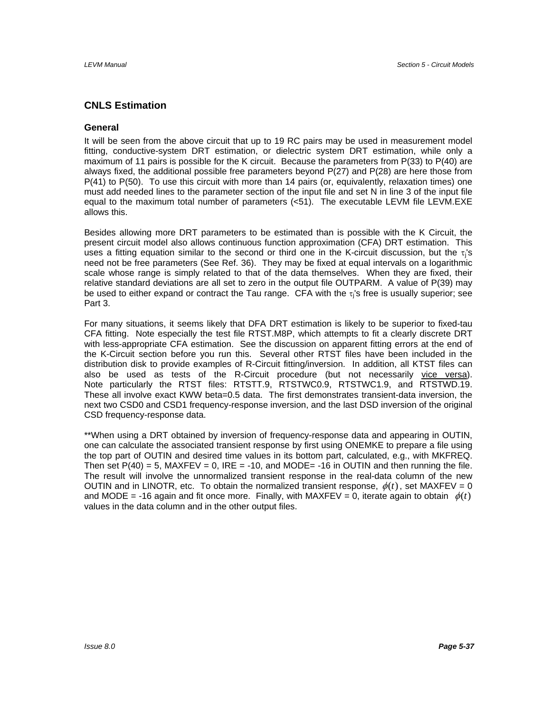# **CNLS Estimation**

## **General**

It will be seen from the above circuit that up to 19 RC pairs may be used in measurement model fitting, conductive-system DRT estimation, or dielectric system DRT estimation, while only a maximum of 11 pairs is possible for the K circuit. Because the parameters from P(33) to P(40) are always fixed, the additional possible free parameters beyond P(27) and P(28) are here those from P(41) to P(50). To use this circuit with more than 14 pairs (or, equivalently, relaxation times) one must add needed lines to the parameter section of the input file and set N in line 3 of the input file equal to the maximum total number of parameters (<51). The executable LEVM file LEVM.EXE allows this.

Besides allowing more DRT parameters to be estimated than is possible with the K Circuit, the present circuit model also allows continuous function approximation (CFA) DRT estimation. This uses a fitting equation similar to the second or third one in the K-circuit discussion, but the  $\tau_i$ 's need not be free parameters (See Ref. 36). They may be fixed at equal intervals on a logarithmic scale whose range is simply related to that of the data themselves. When they are fixed, their relative standard deviations are all set to zero in the output file OUTPARM. A value of P(39) may be used to either expand or contract the Tau range. CFA with the  $\tau_i$ 's free is usually superior; see Part 3.

For many situations, it seems likely that DFA DRT estimation is likely to be superior to fixed-tau CFA fitting. Note especially the test file RTST.M8P, which attempts to fit a clearly discrete DRT with less-appropriate CFA estimation. See the discussion on apparent fitting errors at the end of the K-Circuit section before you run this. Several other RTST files have been included in the distribution disk to provide examples of R-Circuit fitting/inversion. In addition, all KTST files can also be used as tests of the R-Circuit procedure (but not necessarily vice versa). Note particularly the RTST files: RTSTT.9, RTSTWC0.9, RTSTWC1.9, and RTSTWD.19. These all involve exact KWW beta=0.5 data. The first demonstrates transient-data inversion, the next two CSD0 and CSD1 frequency-response inversion, and the last DSD inversion of the original CSD frequency-response data.

\*\*When using a DRT obtained by inversion of frequency-response data and appearing in OUTIN, one can calculate the associated transient response by first using ONEMKE to prepare a file using the top part of OUTIN and desired time values in its bottom part, calculated, e.g., with MKFREQ. Then set  $P(40) = 5$ , MAXFEV = 0, IRE = -10, and MODE= -16 in OUTIN and then running the file. The result will involve the unnormalized transient response in the real-data column of the new OUTIN and in LINOTR, etc. To obtain the normalized transient response,  $\phi(t)$ , set MAXFEV = 0 and MODE = -16 again and fit once more. Finally, with MAXFEV = 0, iterate again to obtain  $\phi(t)$ values in the data column and in the other output files.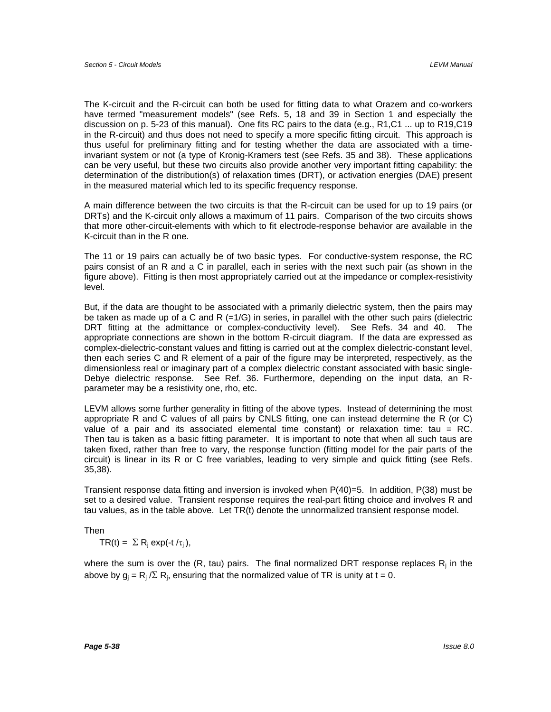The K-circuit and the R-circuit can both be used for fitting data to what Orazem and co-workers have termed "measurement models" (see Refs. 5, 18 and 39 in Section 1 and especially the discussion on p. 5-23 of this manual). One fits RC pairs to the data (e.g., R1,C1 ... up to R19,C19 in the R-circuit) and thus does not need to specify a more specific fitting circuit. This approach is thus useful for preliminary fitting and for testing whether the data are associated with a timeinvariant system or not (a type of Kronig-Kramers test (see Refs. 35 and 38). These applications can be very useful, but these two circuits also provide another very important fitting capability: the determination of the distribution(s) of relaxation times (DRT), or activation energies (DAE) present in the measured material which led to its specific frequency response.

A main difference between the two circuits is that the R-circuit can be used for up to 19 pairs (or DRTs) and the K-circuit only allows a maximum of 11 pairs. Comparison of the two circuits shows that more other-circuit-elements with which to fit electrode-response behavior are available in the K-circuit than in the R one.

The 11 or 19 pairs can actually be of two basic types. For conductive-system response, the RC pairs consist of an R and a C in parallel, each in series with the next such pair (as shown in the figure above). Fitting is then most appropriately carried out at the impedance or complex-resistivity level.

But, if the data are thought to be associated with a primarily dielectric system, then the pairs may be taken as made up of a C and R  $(=1/G)$  in series, in parallel with the other such pairs (dielectric DRT fitting at the admittance or complex-conductivity level). See Refs. 34 and 40. The appropriate connections are shown in the bottom R-circuit diagram. If the data are expressed as complex-dielectric-constant values and fitting is carried out at the complex dielectric-constant level, then each series C and R element of a pair of the figure may be interpreted, respectively, as the dimensionless real or imaginary part of a complex dielectric constant associated with basic single-Debye dielectric response. See Ref. 36. Furthermore, depending on the input data, an Rparameter may be a resistivity one, rho, etc.

LEVM allows some further generality in fitting of the above types. Instead of determining the most appropriate R and C values of all pairs by CNLS fitting, one can instead determine the R (or C) value of a pair and its associated elemental time constant) or relaxation time: tau = RC. Then tau is taken as a basic fitting parameter. It is important to note that when all such taus are taken fixed, rather than free to vary, the response function (fitting model for the pair parts of the circuit) is linear in its R or C free variables, leading to very simple and quick fitting (see Refs. 35,38).

Transient response data fitting and inversion is invoked when P(40)=5. In addition, P(38) must be set to a desired value. Transient response requires the real-part fitting choice and involves R and tau values, as in the table above. Let TR(t) denote the unnormalized transient response model.

Then

 $TR(t) = \sum R_i exp(-t/\tau_i),$ 

where the sum is over the (R, tau) pairs. The final normalized DRT response replaces  $R_i$  in the above by  $g_i = R_i / \Sigma R_i$ , ensuring that the normalized value of TR is unity at t = 0.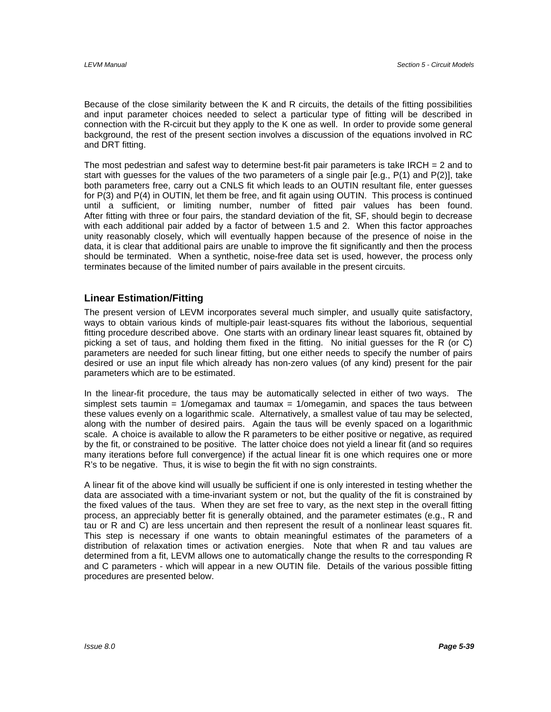Because of the close similarity between the K and R circuits, the details of the fitting possibilities and input parameter choices needed to select a particular type of fitting will be described in connection with the R-circuit but they apply to the K one as well. In order to provide some general background, the rest of the present section involves a discussion of the equations involved in RC and DRT fitting.

The most pedestrian and safest way to determine best-fit pair parameters is take IRCH = 2 and to start with guesses for the values of the two parameters of a single pair [e.g., P(1) and P(2)], take both parameters free, carry out a CNLS fit which leads to an OUTIN resultant file, enter guesses for P(3) and P(4) in OUTIN, let them be free, and fit again using OUTIN. This process is continued until a sufficient, or limiting number, number of fitted pair values has been found. After fitting with three or four pairs, the standard deviation of the fit, SF, should begin to decrease with each additional pair added by a factor of between 1.5 and 2. When this factor approaches unity reasonably closely, which will eventually happen because of the presence of noise in the data, it is clear that additional pairs are unable to improve the fit significantly and then the process should be terminated. When a synthetic, noise-free data set is used, however, the process only terminates because of the limited number of pairs available in the present circuits.

## **Linear Estimation/Fitting**

The present version of LEVM incorporates several much simpler, and usually quite satisfactory, ways to obtain various kinds of multiple-pair least-squares fits without the laborious, sequential fitting procedure described above. One starts with an ordinary linear least squares fit, obtained by picking a set of taus, and holding them fixed in the fitting. No initial guesses for the R (or C) parameters are needed for such linear fitting, but one either needs to specify the number of pairs desired or use an input file which already has non-zero values (of any kind) present for the pair parameters which are to be estimated.

In the linear-fit procedure, the taus may be automatically selected in either of two ways. The simplest sets taumin =  $1/m$ egamax and taumax =  $1/m$ egamin, and spaces the taus between these values evenly on a logarithmic scale. Alternatively, a smallest value of tau may be selected, along with the number of desired pairs. Again the taus will be evenly spaced on a logarithmic scale. A choice is available to allow the R parameters to be either positive or negative, as required by the fit, or constrained to be positive. The latter choice does not yield a linear fit (and so requires many iterations before full convergence) if the actual linear fit is one which requires one or more R's to be negative. Thus, it is wise to begin the fit with no sign constraints.

A linear fit of the above kind will usually be sufficient if one is only interested in testing whether the data are associated with a time-invariant system or not, but the quality of the fit is constrained by the fixed values of the taus. When they are set free to vary, as the next step in the overall fitting process, an appreciably better fit is generally obtained, and the parameter estimates (e.g., R and tau or R and C) are less uncertain and then represent the result of a nonlinear least squares fit. This step is necessary if one wants to obtain meaningful estimates of the parameters of a distribution of relaxation times or activation energies. Note that when R and tau values are determined from a fit, LEVM allows one to automatically change the results to the corresponding R and C parameters - which will appear in a new OUTIN file. Details of the various possible fitting procedures are presented below.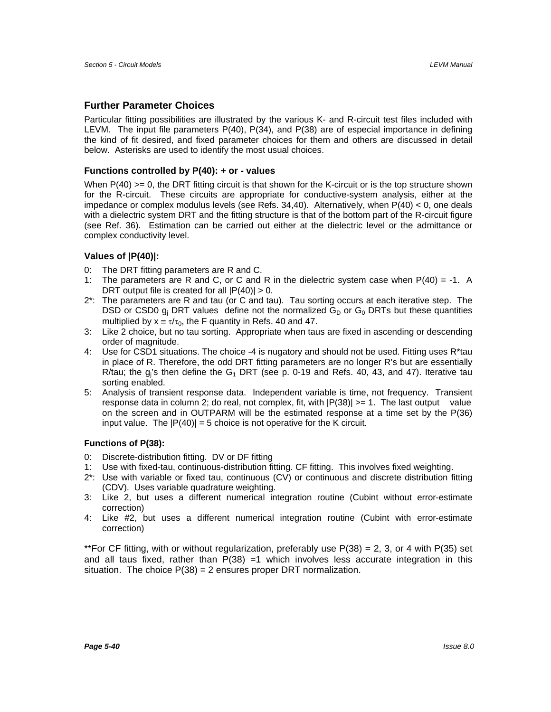## **Further Parameter Choices**

Particular fitting possibilities are illustrated by the various K- and R-circuit test files included with LEVM. The input file parameters P(40), P(34), and P(38) are of especial importance in defining the kind of fit desired, and fixed parameter choices for them and others are discussed in detail below. Asterisks are used to identify the most usual choices.

### **Functions controlled by P(40): + or - values**

When  $P(40) \geq 0$ , the DRT fitting circuit is that shown for the K-circuit or is the top structure shown for the R-circuit. These circuits are appropriate for conductive-system analysis, either at the impedance or complex modulus levels (see Refs.  $34,40$ ). Alternatively, when  $P(40) < 0$ , one deals with a dielectric system DRT and the fitting structure is that of the bottom part of the R-circuit figure (see Ref. 36). Estimation can be carried out either at the dielectric level or the admittance or complex conductivity level.

## **Values of |P(40)|:**

- 0: The DRT fitting parameters are R and C.
- 1: The parameters are R and C, or C and R in the dielectric system case when  $P(40) = -1$ . A DRT output file is created for all  $|P(40)| > 0$ .
- 2\*: The parameters are R and tau (or C and tau). Tau sorting occurs at each iterative step. The DSD or CSD0  $g_j$  DRT values define not the normalized  $G_D$  or  $G_0$  DRTs but these quantities multiplied by  $x = \tau/\tau_0$ , the F quantity in Refs. 40 and 47.
- 3: Like 2 choice, but no tau sorting. Appropriate when taus are fixed in ascending or descending order of magnitude.
- 4: Use for CSD1 situations. The choice -4 is nugatory and should not be used. Fitting uses R\*tau in place of R. Therefore, the odd DRT fitting parameters are no longer R's but are essentially R/tau; the g<sub>i</sub>'s then define the G<sub>1</sub> DRT (see p. 0-19 and Refs. 40, 43, and 47). Iterative tau sorting enabled.
- 5: Analysis of transient response data. Independent variable is time, not frequency. Transient response data in column 2; do real, not complex, fit, with  $|P(38)| \geq 1$ . The last output value on the screen and in OUTPARM will be the estimated response at a time set by the P(36) input value. The  $|P(40)| = 5$  choice is not operative for the K circuit.

## **Functions of P(38):**

- 0: Discrete-distribution fitting. DV or DF fitting
- 1: Use with fixed-tau, continuous-distribution fitting. CF fitting. This involves fixed weighting.
- 2\*: Use with variable or fixed tau, continuous (CV) or continuous and discrete distribution fitting (CDV). Uses variable quadrature weighting.
- 3: Like 2, but uses a different numerical integration routine (Cubint without error-estimate correction)
- 4: Like #2, but uses a different numerical integration routine (Cubint with error-estimate correction)

\*\*For CF fitting, with or without regularization, preferably use  $P(38) = 2$ , 3, or 4 with  $P(35)$  set and all taus fixed, rather than  $P(38) = 1$  which involves less accurate integration in this situation. The choice  $P(38) = 2$  ensures proper DRT normalization.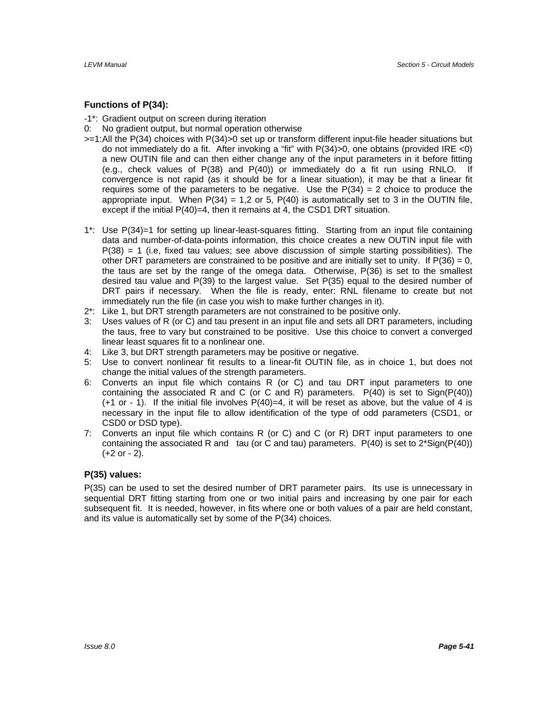## **Functions of P(34):**

- -1\*: Gradient output on screen during iteration
- 0: No gradient output, but normal operation otherwise
- >=1: All the P(34) choices with P(34)>0 set up or transform different input-file header situations but do not immediately do a fit. After invoking a "fit" with  $P(34)$ >0, one obtains (provided IRE <0) a new OUTIN file and can then either change any of the input parameters in it before fitting (e.g., check values of P(38) and P(40)) or immediately do a fit run using RNLO. If convergence is not rapid (as it should be for a linear situation), it may be that a linear fit requires some of the parameters to be negative. Use the  $P(34) = 2$  choice to produce the appropriate input. When  $P(34) = 1,2$  or 5,  $P(40)$  is automatically set to 3 in the OUTIN file, except if the initial P(40)=4, then it remains at 4, the CSD1 DRT situation.
- 1\*: Use P(34)=1 for setting up linear-least-squares fitting. Starting from an input file containing data and number-of-data-points information, this choice creates a new OUTIN input file with  $P(38) = 1$  (i.e, fixed tau values; see above discussion of simple starting possibilities). The other DRT parameters are constrained to be positive and are initially set to unity. If  $P(36) = 0$ , the taus are set by the range of the omega data. Otherwise, P(36) is set to the smallest desired tau value and P(39) to the largest value. Set P(35) equal to the desired number of DRT pairs if necessary. When the file is ready, enter: RNL filename to create but not immediately run the file (in case you wish to make further changes in it).
- 2\*: Like 1, but DRT strength parameters are not constrained to be positive only.
- 3: Uses values of R (or C) and tau present in an input file and sets all DRT parameters, including the taus, free to vary but constrained to be positive. Use this choice to convert a converged linear least squares fit to a nonlinear one.
- 4: Like 3, but DRT strength parameters may be positive or negative.
- 5: Use to convert nonlinear fit results to a linear-fit OUTIN file, as in choice 1, but does not change the initial values of the strength parameters.
- 6: Converts an input file which contains R (or C) and tau DRT input parameters to one containing the associated R and C (or C and R) parameters.  $P(40)$  is set to Sign( $P(40)$ )  $(+1 \text{ or } -1)$ . If the initial file involves  $P(40)=4$ , it will be reset as above, but the value of 4 is necessary in the input file to allow identification of the type of odd parameters (CSD1, or CSD0 or DSD type).
- 7: Converts an input file which contains R (or C) and C (or R) DRT input parameters to one containing the associated R and tau (or C and tau) parameters.  $P(40)$  is set to  $2*Sign(P(40))$  $(+2 or - 2)$ .

## **P(35) values:**

P(35) can be used to set the desired number of DRT parameter pairs. Its use is unnecessary in sequential DRT fitting starting from one or two initial pairs and increasing by one pair for each subsequent fit. It is needed, however, in fits where one or both values of a pair are held constant, and its value is automatically set by some of the P(34) choices.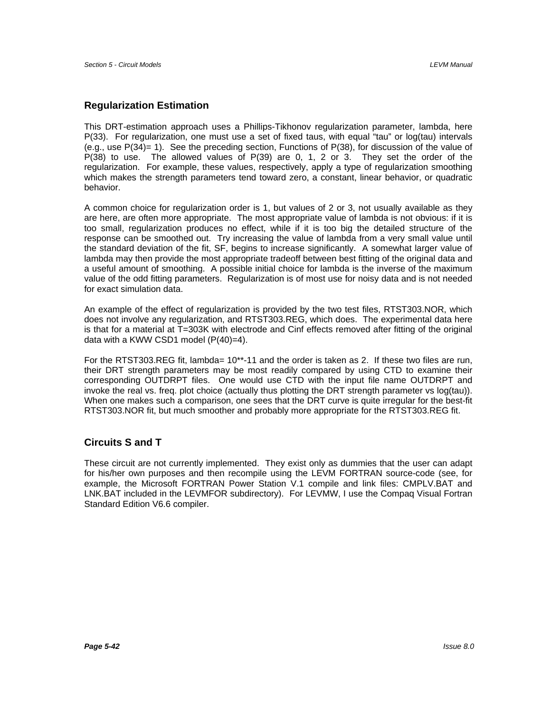## **Regularization Estimation**

This DRT-estimation approach uses a Phillips-Tikhonov regularization parameter, lambda, here P(33). For regularization, one must use a set of fixed taus, with equal "tau" or log(tau) intervals (e.g., use P(34)= 1). See the preceding section, Functions of P(38), for discussion of the value of P(38) to use. The allowed values of P(39) are 0, 1, 2 or 3. They set the order of the regularization. For example, these values, respectively, apply a type of regularization smoothing which makes the strength parameters tend toward zero, a constant, linear behavior, or quadratic behavior.

A common choice for regularization order is 1, but values of 2 or 3, not usually available as they are here, are often more appropriate. The most appropriate value of lambda is not obvious: if it is too small, regularization produces no effect, while if it is too big the detailed structure of the response can be smoothed out. Try increasing the value of lambda from a very small value until the standard deviation of the fit, SF, begins to increase significantly. A somewhat larger value of lambda may then provide the most appropriate tradeoff between best fitting of the original data and a useful amount of smoothing. A possible initial choice for lambda is the inverse of the maximum value of the odd fitting parameters. Regularization is of most use for noisy data and is not needed for exact simulation data.

An example of the effect of regularization is provided by the two test files, RTST303.NOR, which does not involve any regularization, and RTST303.REG, which does. The experimental data here is that for a material at T=303K with electrode and Cinf effects removed after fitting of the original data with a KWW CSD1 model (P(40)=4).

For the RTST303.REG fit, lambda= 10\*\*-11 and the order is taken as 2. If these two files are run, their DRT strength parameters may be most readily compared by using CTD to examine their corresponding OUTDRPT files. One would use CTD with the input file name OUTDRPT and invoke the real vs. freq. plot choice (actually thus plotting the DRT strength parameter vs log(tau)). When one makes such a comparison, one sees that the DRT curve is quite irregular for the best-fit RTST303.NOR fit, but much smoother and probably more appropriate for the RTST303.REG fit.

## **Circuits S and T**

These circuit are not currently implemented. They exist only as dummies that the user can adapt for his/her own purposes and then recompile using the LEVM FORTRAN source-code (see, for example, the Microsoft FORTRAN Power Station V.1 compile and link files: CMPLV.BAT and LNK.BAT included in the LEVMFOR subdirectory). For LEVMW, I use the Compaq Visual Fortran Standard Edition V6.6 compiler.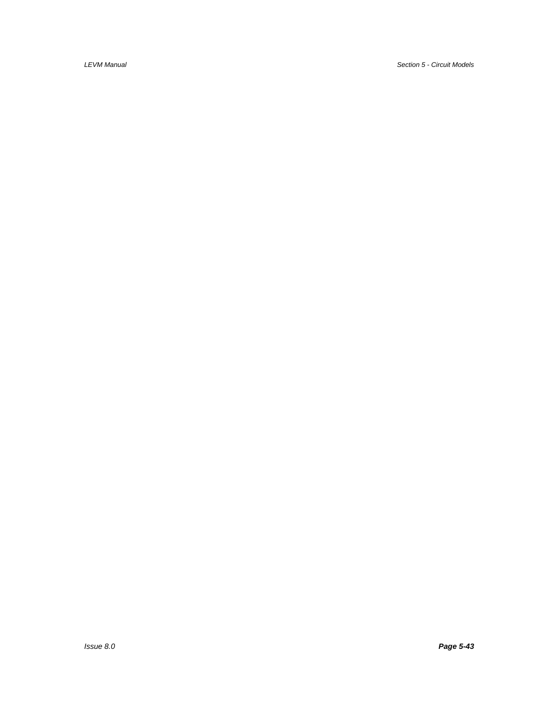*LEVM Manual Section 5 - Circuit Models*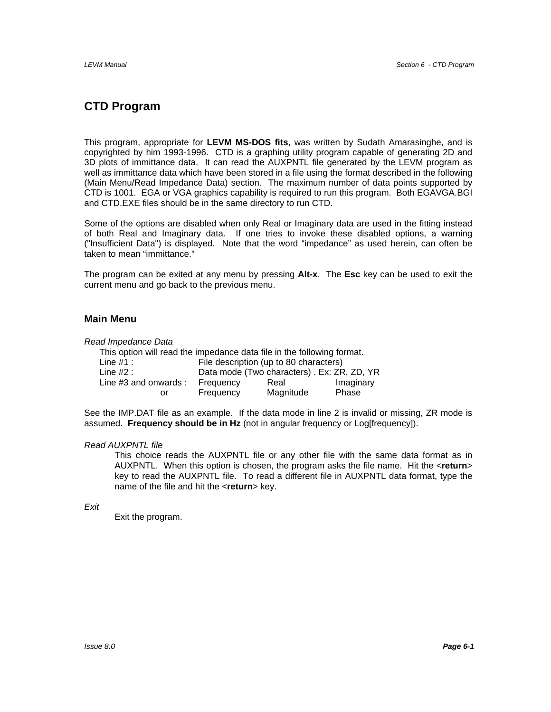# **CTD Program**

This program, appropriate for **LEVM MS-DOS fits**, was written by Sudath Amarasinghe, and is copyrighted by him 1993-1996. CTD is a graphing utility program capable of generating 2D and 3D plots of immittance data. It can read the AUXPNTL file generated by the LEVM program as well as immittance data which have been stored in a file using the format described in the following (Main Menu/Read Impedance Data) section. The maximum number of data points supported by CTD is 1001. EGA or VGA graphics capability is required to run this program. Both EGAVGA.BGI and CTD.EXE files should be in the same directory to run CTD.

Some of the options are disabled when only Real or Imaginary data are used in the fitting instead of both Real and Imaginary data. If one tries to invoke these disabled options, a warning ("Insufficient Data") is displayed. Note that the word "impedance" as used herein, can often be taken to mean "immittance."

The program can be exited at any menu by pressing **Alt-x**. The **Esc** key can be used to exit the current menu and go back to the previous menu.

## **Main Menu**

*Read Impedance Data* 

|                          |    | This option will read the impedance data file in the following format. |                                            |           |
|--------------------------|----|------------------------------------------------------------------------|--------------------------------------------|-----------|
| Line $#1$ :              |    |                                                                        | File description (up to 80 characters)     |           |
| Line $#2:$               |    |                                                                        | Data mode (Two characters). Ex: ZR, ZD, YR |           |
| Line $\#3$ and onwards : |    | Frequency                                                              | Real                                       | Imaginary |
|                          | or | Frequency                                                              | Magnitude                                  | Phase     |

See the IMP.DAT file as an example. If the data mode in line 2 is invalid or missing, ZR mode is assumed. **Frequency should be in Hz** (not in angular frequency or Log[frequency]).

#### *Read AUXPNTL file*

This choice reads the AUXPNTL file or any other file with the same data format as in AUXPNTL. When this option is chosen, the program asks the file name. Hit the <**return**> key to read the AUXPNTL file. To read a different file in AUXPNTL data format, type the name of the file and hit the <**return**> key.

*Exit* 

Exit the program.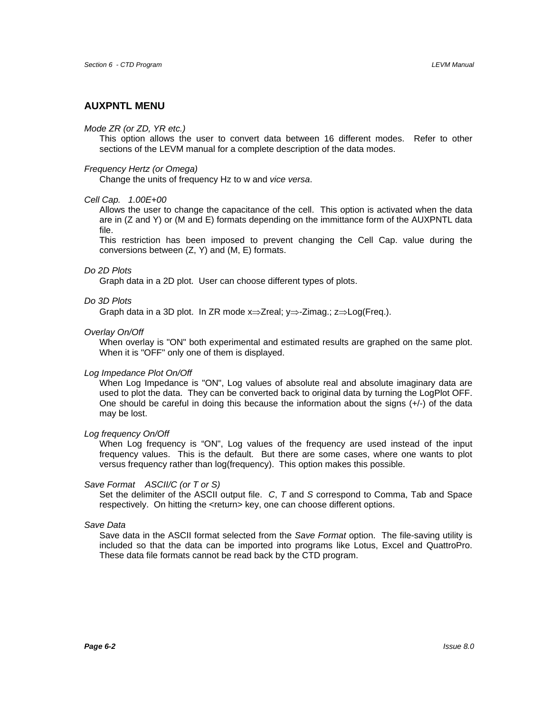## **AUXPNTL MENU**

#### *Mode ZR (or ZD, YR etc.)*

This option allows the user to convert data between 16 different modes. Refer to other sections of the LEVM manual for a complete description of the data modes.

#### *Frequency Hertz (or Omega)*

Change the units of frequency Hz to w and *vice versa*.

#### *Cell Cap. 1.00E+00*

Allows the user to change the capacitance of the cell. This option is activated when the data are in (Z and Y) or (M and E) formats depending on the immittance form of the AUXPNTL data file.

This restriction has been imposed to prevent changing the Cell Cap. value during the conversions between (Z, Y) and (M, E) formats.

#### *Do 2D Plots*

Graph data in a 2D plot. User can choose different types of plots.

#### *Do 3D Plots*

Graph data in a 3D plot. In ZR mode  $x \Rightarrow Z$ real;  $y \Rightarrow Z$ imag.;  $z \Rightarrow Log(Freq.)$ .

#### *Overlay On/Off*

When overlay is "ON" both experimental and estimated results are graphed on the same plot. When it is "OFF" only one of them is displayed.

#### *Log Impedance Plot On/Off*

When Log Impedance is "ON", Log values of absolute real and absolute imaginary data are used to plot the data. They can be converted back to original data by turning the LogPlot OFF. One should be careful in doing this because the information about the signs (+/-) of the data may be lost.

#### *Log frequency On/Off*

When Log frequency is "ON", Log values of the frequency are used instead of the input frequency values. This is the default. But there are some cases, where one wants to plot versus frequency rather than log(frequency). This option makes this possible.

#### *Save Format ASCII/C (or T or S)*

Set the delimiter of the ASCII output file. *C*, *T* and *S* correspond to Comma, Tab and Space respectively. On hitting the <return> key, one can choose different options.

#### *Save Data*

Save data in the ASCII format selected from the *Save Format* option. The file-saving utility is included so that the data can be imported into programs like Lotus, Excel and QuattroPro. These data file formats cannot be read back by the CTD program.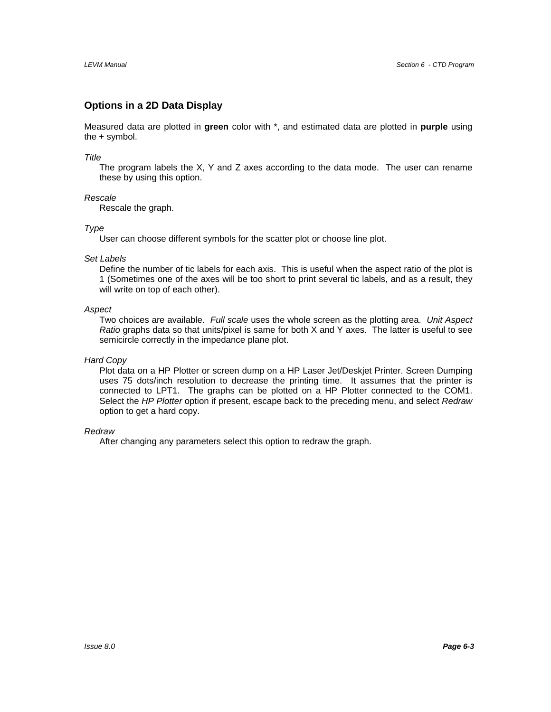# **Options in a 2D Data Display**

Measured data are plotted in **green** color with \*, and estimated data are plotted in **purple** using the + symbol.

#### *Title*

The program labels the X, Y and Z axes according to the data mode. The user can rename these by using this option.

#### *Rescale*

Rescale the graph.

#### *Type*

User can choose different symbols for the scatter plot or choose line plot.

#### *Set Labels*

Define the number of tic labels for each axis. This is useful when the aspect ratio of the plot is 1 (Sometimes one of the axes will be too short to print several tic labels, and as a result, they will write on top of each other).

#### *Aspect*

Two choices are available. *Full scale* uses the whole screen as the plotting area. *Unit Aspect Ratio* graphs data so that units/pixel is same for both X and Y axes. The latter is useful to see semicircle correctly in the impedance plane plot.

### *Hard Copy*

Plot data on a HP Plotter or screen dump on a HP Laser Jet/Deskjet Printer. Screen Dumping uses 75 dots/inch resolution to decrease the printing time. It assumes that the printer is connected to LPT1. The graphs can be plotted on a HP Plotter connected to the COM1. Select the *HP Plotter* option if present, escape back to the preceding menu, and select *Redraw* option to get a hard copy.

## *Redraw*

After changing any parameters select this option to redraw the graph.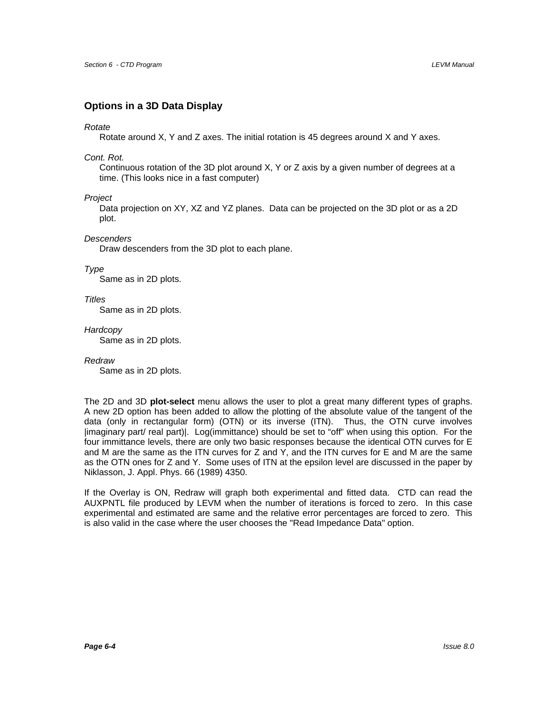# **Options in a 3D Data Display**

#### *Rotate*

Rotate around X, Y and Z axes. The initial rotation is 45 degrees around X and Y axes.

#### *Cont. Rot.*

Continuous rotation of the 3D plot around X, Y or Z axis by a given number of degrees at a time. (This looks nice in a fast computer)

#### *Project*

Data projection on XY, XZ and YZ planes. Data can be projected on the 3D plot or as a 2D plot.

#### *Descenders*

Draw descenders from the 3D plot to each plane.

#### *Type*

Same as in 2D plots.

*Titles* 

Same as in 2D plots.

#### *Hardcopy*

Same as in 2D plots.

#### *Redraw*

Same as in 2D plots.

The 2D and 3D **plot-select** menu allows the user to plot a great many different types of graphs. A new 2D option has been added to allow the plotting of the absolute value of the tangent of the data (only in rectangular form) (OTN) or its inverse (ITN). Thus, the OTN curve involves |imaginary part/ real part)|. Log(immittance) should be set to "off" when using this option. For the four immittance levels, there are only two basic responses because the identical OTN curves for E and M are the same as the ITN curves for Z and Y, and the ITN curves for E and M are the same as the OTN ones for Z and Y. Some uses of ITN at the epsilon level are discussed in the paper by Niklasson, J. Appl. Phys. 66 (1989) 4350.

If the Overlay is ON, Redraw will graph both experimental and fitted data. CTD can read the AUXPNTL file produced by LEVM when the number of iterations is forced to zero. In this case experimental and estimated are same and the relative error percentages are forced to zero. This is also valid in the case where the user chooses the "Read Impedance Data" option.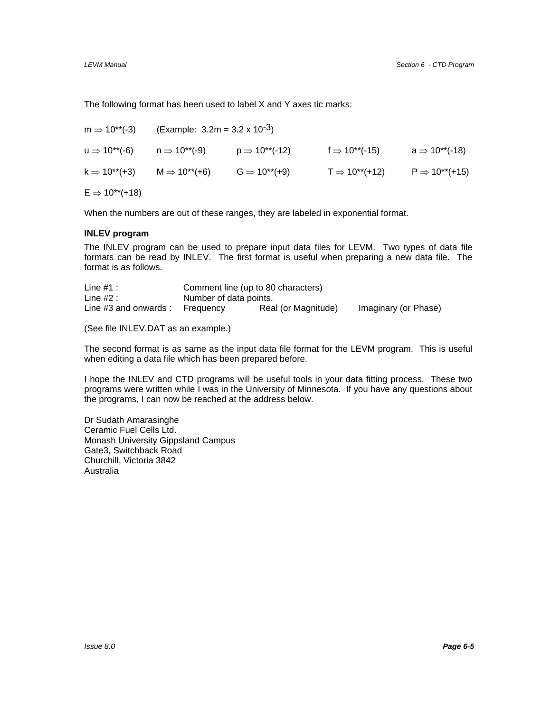The following format has been used to label X and Y axes tic marks:

 $m \Rightarrow 10^{**}$ (-3) (Example: 3.2m = 3.2 x 10<sup>-3</sup>)  $u \Rightarrow 10^{**}(-6)$  n  $\Rightarrow 10^{**}(-9)$  p  $\Rightarrow 10^{**}(-12)$  f  $\Rightarrow 10^{**}(-15)$  a  $\Rightarrow 10^{**}(-18)$  $k \Rightarrow 10^{**}(+3)$   $M \Rightarrow 10^{**}(+6)$   $G \Rightarrow 10^{**}(+9)$   $T \Rightarrow 10^{**}(+12)$   $P \Rightarrow 10^{**}(+15)$  $E \implies 10^{**}(+18)$ 

When the numbers are out of these ranges, they are labeled in exponential format.

#### **INLEV program**

The INLEV program can be used to prepare input data files for LEVM. Two types of data file formats can be read by INLEV. The first format is useful when preparing a new data file. The format is as follows.

| Line $#1$ :                     | Comment line (up to 80 characters) |                     |                      |  |
|---------------------------------|------------------------------------|---------------------|----------------------|--|
| Line $#2:$                      | Number of data points.             |                     |                      |  |
| Line #3 and onwards : Frequency |                                    | Real (or Magnitude) | Imaginary (or Phase) |  |

(See file INLEV.DAT as an example.)

The second format is as same as the input data file format for the LEVM program. This is useful when editing a data file which has been prepared before.

I hope the INLEV and CTD programs will be useful tools in your data fitting process. These two programs were written while I was in the University of Minnesota. If you have any questions about the programs, I can now be reached at the address below.

Dr Sudath Amarasinghe Ceramic Fuel Cells Ltd. Monash University Gippsland Campus Gate3, Switchback Road Churchill, Victoria 3842 Australia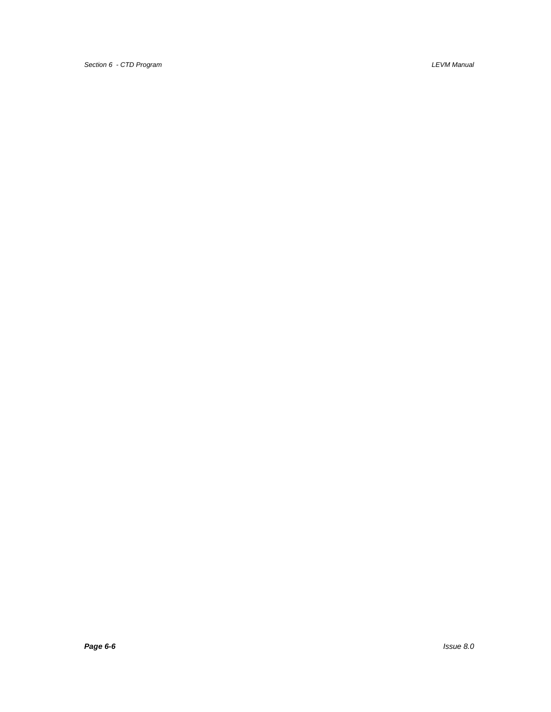*Section 6 - CTD Program LEVM Manual*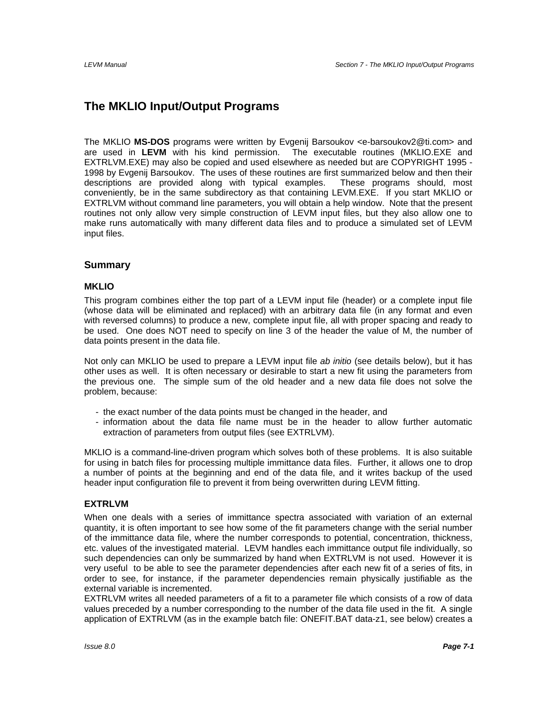# **The MKLIO Input/Output Programs**

The MKLIO **MS-DOS** programs were written by Evgenij Barsoukov <e-barsoukov2@ti.com> and are used in **LEVM** with his kind permission. The executable routines (MKLIO.EXE and EXTRLVM.EXE) may also be copied and used elsewhere as needed but are COPYRIGHT 1995 - 1998 by Evgenij Barsoukov. The uses of these routines are first summarized below and then their descriptions are provided along with typical examples. These programs should, most conveniently, be in the same subdirectory as that containing LEVM.EXE. If you start MKLIO or EXTRLVM without command line parameters, you will obtain a help window. Note that the present routines not only allow very simple construction of LEVM input files, but they also allow one to make runs automatically with many different data files and to produce a simulated set of LEVM input files.

## **Summary**

#### **MKLIO**

This program combines either the top part of a LEVM input file (header) or a complete input file (whose data will be eliminated and replaced) with an arbitrary data file (in any format and even with reversed columns) to produce a new, complete input file, all with proper spacing and ready to be used. One does NOT need to specify on line 3 of the header the value of M, the number of data points present in the data file.

Not only can MKLIO be used to prepare a LEVM input file *ab initio* (see details below), but it has other uses as well. It is often necessary or desirable to start a new fit using the parameters from the previous one. The simple sum of the old header and a new data file does not solve the problem, because:

- the exact number of the data points must be changed in the header, and
- information about the data file name must be in the header to allow further automatic extraction of parameters from output files (see EXTRLVM).

MKLIO is a command-line-driven program which solves both of these problems. It is also suitable for using in batch files for processing multiple immittance data files. Further, it allows one to drop a number of points at the beginning and end of the data file, and it writes backup of the used header input configuration file to prevent it from being overwritten during LEVM fitting.

## **EXTRLVM**

When one deals with a series of immittance spectra associated with variation of an external quantity, it is often important to see how some of the fit parameters change with the serial number of the immittance data file, where the number corresponds to potential, concentration, thickness, etc. values of the investigated material. LEVM handles each immittance output file individually, so such dependencies can only be summarized by hand when EXTRLVM is not used. However it is very useful to be able to see the parameter dependencies after each new fit of a series of fits, in order to see, for instance, if the parameter dependencies remain physically justifiable as the external variable is incremented.

EXTRLVM writes all needed parameters of a fit to a parameter file which consists of a row of data values preceded by a number corresponding to the number of the data file used in the fit. A single application of EXTRLVM (as in the example batch file: ONEFIT.BAT data-z1, see below) creates a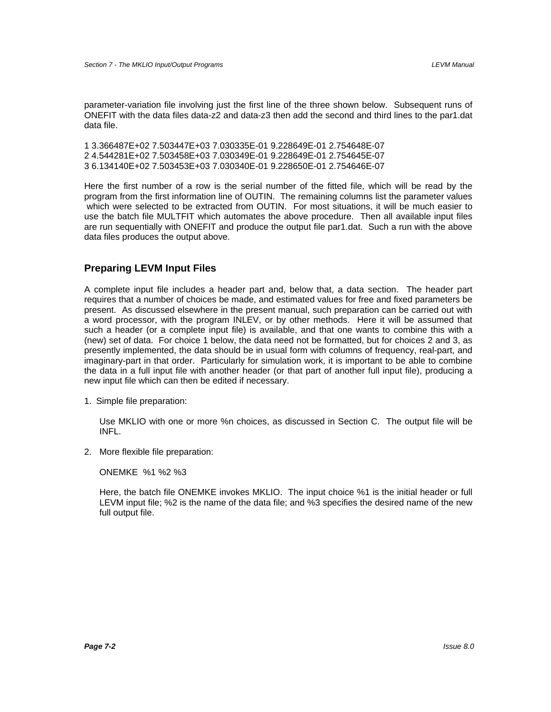parameter-variation file involving just the first line of the three shown below. Subsequent runs of ONEFIT with the data files data-z2 and data-z3 then add the second and third lines to the par1.dat data file.

```
1 3.366487E+02 7.503447E+03 7.030335E-01 9.228649E-01 2.754648E-07 
2 4.544281E+02 7.503458E+03 7.030349E-01 9.228649E-01 2.754645E-07 
3 6.134140E+02 7.503453E+03 7.030340E-01 9.228650E-01 2.754646E-07
```
Here the first number of a row is the serial number of the fitted file, which will be read by the program from the first information line of OUTIN. The remaining columns list the parameter values which were selected to be extracted from OUTIN. For most situations, it will be much easier to use the batch file MULTFIT which automates the above procedure. Then all available input files are run sequentially with ONEFIT and produce the output file par1.dat. Such a run with the above data files produces the output above.

## **Preparing LEVM Input Files**

A complete input file includes a header part and, below that, a data section. The header part requires that a number of choices be made, and estimated values for free and fixed parameters be present. As discussed elsewhere in the present manual, such preparation can be carried out with a word processor, with the program INLEV, or by other methods. Here it will be assumed that such a header (or a complete input file) is available, and that one wants to combine this with a (new) set of data. For choice 1 below, the data need not be formatted, but for choices 2 and 3, as presently implemented, the data should be in usual form with columns of frequency, real-part, and imaginary-part in that order. Particularly for simulation work, it is important to be able to combine the data in a full input file with another header (or that part of another full input file), producing a new input file which can then be edited if necessary.

1. Simple file preparation:

Use MKLIO with one or more %n choices, as discussed in Section C. The output file will be INFL.

2. More flexible file preparation:

ONEMKE %1 %2 %3

Here, the batch file ONEMKE invokes MKLIO. The input choice %1 is the initial header or full LEVM input file; %2 is the name of the data file; and %3 specifies the desired name of the new full output file.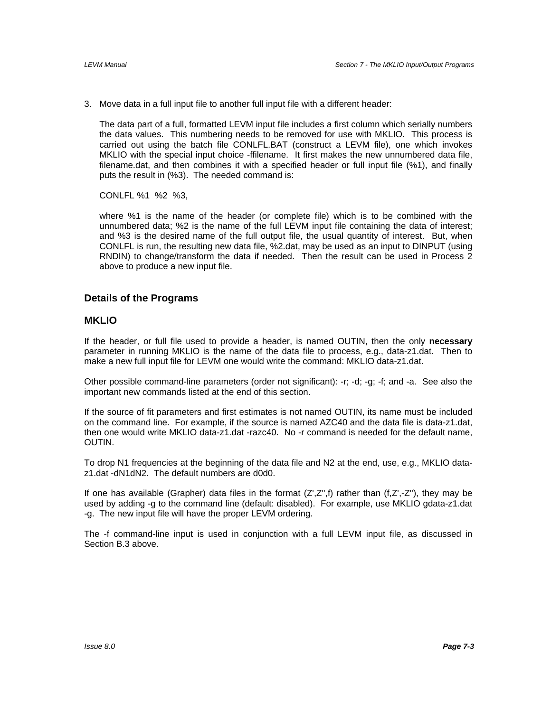3. Move data in a full input file to another full input file with a different header:

The data part of a full, formatted LEVM input file includes a first column which serially numbers the data values. This numbering needs to be removed for use with MKLIO. This process is carried out using the batch file CONLFL.BAT (construct a LEVM file), one which invokes MKLIO with the special input choice -ffilename. It first makes the new unnumbered data file, filename.dat, and then combines it with a specified header or full input file (%1), and finally puts the result in (%3). The needed command is:

CONLFL %1 %2 %3,

where %1 is the name of the header (or complete file) which is to be combined with the unnumbered data; %2 is the name of the full LEVM input file containing the data of interest; and %3 is the desired name of the full output file, the usual quantity of interest. But, when CONLFL is run, the resulting new data file, %2.dat, may be used as an input to DINPUT (using RNDIN) to change/transform the data if needed. Then the result can be used in Process 2 above to produce a new input file.

## **Details of the Programs**

## **MKLIO**

If the header, or full file used to provide a header, is named OUTIN, then the only **necessary** parameter in running MKLIO is the name of the data file to process, e.g., data-z1.dat. Then to make a new full input file for LEVM one would write the command: MKLIO data-z1.dat.

Other possible command-line parameters (order not significant): -r; -d; -g; -f; and -a. See also the important new commands listed at the end of this section.

If the source of fit parameters and first estimates is not named OUTIN, its name must be included on the command line. For example, if the source is named AZC40 and the data file is data-z1.dat, then one would write MKLIO data-z1.dat -razc40. No -r command is needed for the default name, OUTIN.

To drop N1 frequencies at the beginning of the data file and N2 at the end, use, e.g., MKLIO dataz1.dat -dN1dN2. The default numbers are d0d0.

If one has available (Grapher) data files in the format  $(Z',Z'',f)$  rather than  $(f,Z',Z'')$ , they may be used by adding -g to the command line (default: disabled). For example, use MKLIO gdata-z1.dat -g. The new input file will have the proper LEVM ordering.

The -f command-line input is used in conjunction with a full LEVM input file, as discussed in Section B.3 above.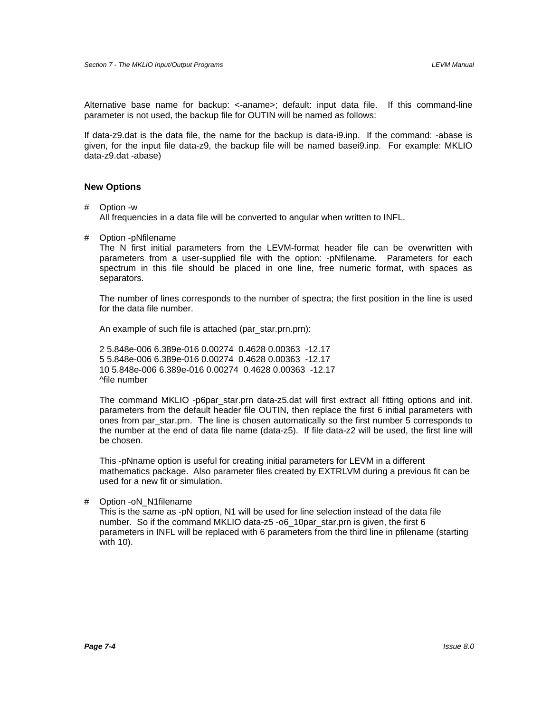Alternative base name for backup: <-aname>; default: input data file. If this command-line parameter is not used, the backup file for OUTIN will be named as follows:

If data-z9.dat is the data file, the name for the backup is data-i9.inp. If the command: -abase is given, for the input file data-z9, the backup file will be named basei9.inp. For example: MKLIO data-z9.dat -abase)

#### **New Options**

# Option -w All frequencies in a data file will be converted to angular when written to INFL.

# Option -pNfilename

The N first initial parameters from the LEVM-format header file can be overwritten with parameters from a user-supplied file with the option: -pNfilename. Parameters for each spectrum in this file should be placed in one line, free numeric format, with spaces as separators.

The number of lines corresponds to the number of spectra; the first position in the line is used for the data file number.

An example of such file is attached (par\_star.prn.prn):

2 5.848e-006 6.389e-016 0.00274 0.4628 0.00363 -12.17 5 5.848e-006 6.389e-016 0.00274 0.4628 0.00363 -12.17 10 5.848e-006 6.389e-016 0.00274 0.4628 0.00363 -12.17 ^file number

The command MKLIO -p6par\_star.prn data-z5.dat will first extract all fitting options and init. parameters from the default header file OUTIN, then replace the first 6 initial parameters with ones from par\_star.prn. The line is chosen automatically so the first number 5 corresponds to the number at the end of data file name (data-z5). If file data-z2 will be used, the first line will be chosen.

This -pNname option is useful for creating initial parameters for LEVM in a different mathematics package. Also parameter files created by EXTRLVM during a previous fit can be used for a new fit or simulation.

# Option -oN\_N1filename

This is the same as -pN option, N1 will be used for line selection instead of the data file number. So if the command MKLIO data-z5 -o6\_10par\_star.prn is given, the first 6 parameters in INFL will be replaced with 6 parameters from the third line in pfilename (starting with 10).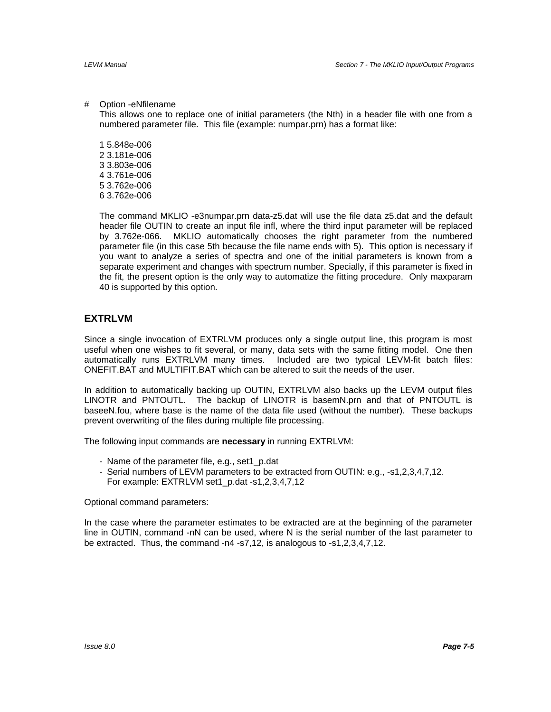# Option -eNfilename

This allows one to replace one of initial parameters (the Nth) in a header file with one from a numbered parameter file. This file (example: numpar.prn) has a format like:

1 5.848e-006 2 3.181e-006 3 3.803e-006 4 3.761e-006 5 3.762e-006 6 3.762e-006

The command MKLIO -e3numpar.prn data-z5.dat will use the file data z5.dat and the default header file OUTIN to create an input file infl, where the third input parameter will be replaced by 3.762e-066. MKLIO automatically chooses the right parameter from the numbered parameter file (in this case 5th because the file name ends with 5). This option is necessary if you want to analyze a series of spectra and one of the initial parameters is known from a separate experiment and changes with spectrum number. Specially, if this parameter is fixed in the fit, the present option is the only way to automatize the fitting procedure. Only maxparam 40 is supported by this option.

## **EXTRLVM**

Since a single invocation of EXTRLVM produces only a single output line, this program is most useful when one wishes to fit several, or many, data sets with the same fitting model. One then automatically runs EXTRLVM many times. Included are two typical LEVM-fit batch files: ONEFIT.BAT and MULTIFIT.BAT which can be altered to suit the needs of the user.

In addition to automatically backing up OUTIN, EXTRLVM also backs up the LEVM output files LINOTR and PNTOUTL. The backup of LINOTR is basemN.prn and that of PNTOUTL is baseeN.fou, where base is the name of the data file used (without the number). These backups prevent overwriting of the files during multiple file processing.

The following input commands are **necessary** in running EXTRLVM:

- Name of the parameter file, e.g., set1 p.dat
- Serial numbers of LEVM parameters to be extracted from OUTIN: e.g., -s1,2,3,4,7,12. For example: EXTRLVM set1 p.dat -s1,2,3,4,7,12

Optional command parameters:

In the case where the parameter estimates to be extracted are at the beginning of the parameter line in OUTIN, command -nN can be used, where N is the serial number of the last parameter to be extracted. Thus, the command -n4 -s7,12, is analogous to -s1,2,3,4,7,12.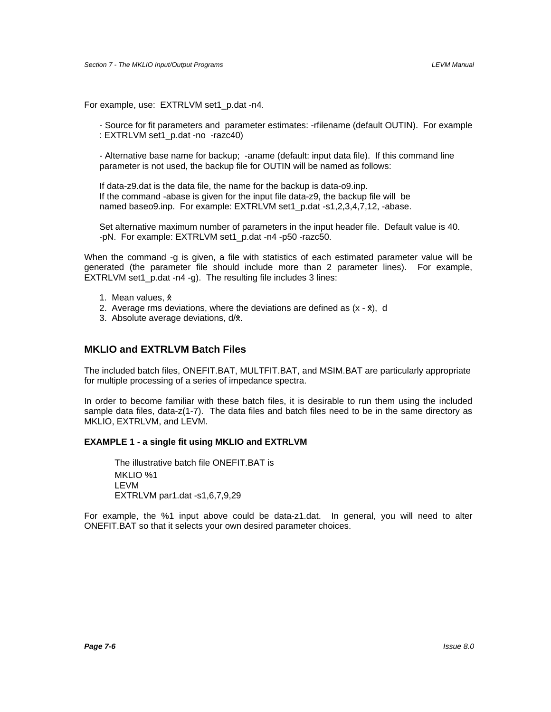For example, use: EXTRLVM set1 p.dat -n4.

- Source for fit parameters and parameter estimates: -rfilename (default OUTIN). For example : EXTRLVM set1\_p.dat -no -razc40)

- Alternative base name for backup; -aname (default: input data file). If this command line parameter is not used, the backup file for OUTIN will be named as follows:

If data-z9.dat is the data file, the name for the backup is data-o9.inp. If the command -abase is given for the input file data-z9, the backup file will be named baseo9.inp. For example: EXTRLVM set1\_p.dat -s1,2,3,4,7,12, -abase.

Set alternative maximum number of parameters in the input header file. Default value is 40. -pN. For example: EXTRLVM set1\_p.dat -n4 -p50 -razc50.

When the command -g is given, a file with statistics of each estimated parameter value will be generated (the parameter file should include more than 2 parameter lines). For example, EXTRLVM set1\_p.dat -n4 -g). The resulting file includes 3 lines:

- 1. Mean values,  $*$
- 2. Average rms deviations, where the deviations are defined as  $(x \hat{x})$ , d
- 3. Absolute average deviations, d/ $x$ .

## **MKLIO and EXTRLVM Batch Files**

The included batch files, ONEFIT.BAT, MULTFIT.BAT, and MSIM.BAT are particularly appropriate for multiple processing of a series of impedance spectra.

In order to become familiar with these batch files, it is desirable to run them using the included sample data files, data-z(1-7). The data files and batch files need to be in the same directory as MKLIO, EXTRLVM, and LEVM.

#### **EXAMPLE 1 - a single fit using MKLIO and EXTRLVM**

The illustrative batch file ONEFIT.BAT is MKLIO %1 LEVM EXTRLVM par1.dat -s1,6,7,9,29

For example, the %1 input above could be data-z1.dat. In general, you will need to alter ONEFIT.BAT so that it selects your own desired parameter choices.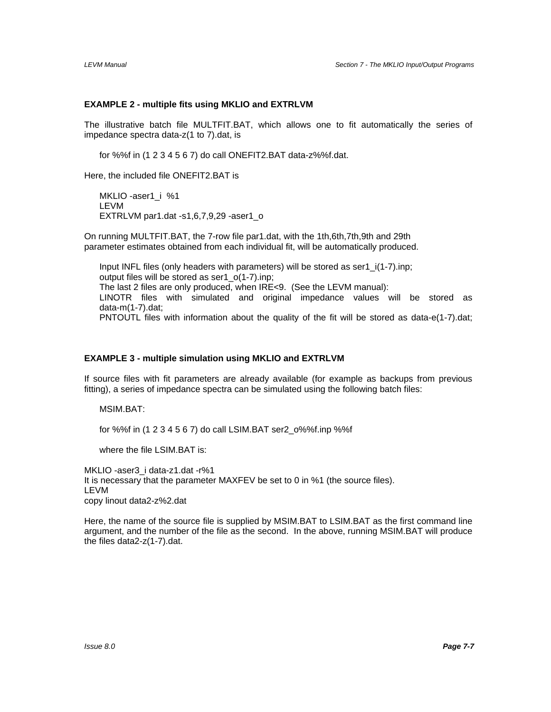#### **EXAMPLE 2 - multiple fits using MKLIO and EXTRLVM**

The illustrative batch file MULTFIT.BAT, which allows one to fit automatically the series of impedance spectra data-z(1 to 7).dat, is

for %%f in (1 2 3 4 5 6 7) do call ONEFIT2.BAT data-z%%f.dat.

Here, the included file ONEFIT2.BAT is

MKLIO -aser1 i %1 LEVM EXTRLVM par1.dat -s1,6,7,9,29 -aser1\_o

On running MULTFIT.BAT, the 7-row file par1.dat, with the 1th,6th,7th,9th and 29th parameter estimates obtained from each individual fit, will be automatically produced.

Input INFL files (only headers with parameters) will be stored as ser1\_i(1-7).inp; output files will be stored as ser1\_o(1-7).inp; The last 2 files are only produced, when IRE<9. (See the LEVM manual): LINOTR files with simulated and original impedance values will be stored as data-m(1-7).dat; PNTOUTL files with information about the quality of the fit will be stored as data-e(1-7).dat;

#### **EXAMPLE 3 - multiple simulation using MKLIO and EXTRLVM**

If source files with fit parameters are already available (for example as backups from previous fitting), a series of impedance spectra can be simulated using the following batch files:

MSIM.BAT:

for %%f in (1 2 3 4 5 6 7) do call LSIM.BAT ser2\_o%%f.inp %%f

where the file LSIM.BAT is:

MKLIO -aser3\_i data-z1.dat -r%1 It is necessary that the parameter MAXFEV be set to 0 in %1 (the source files). LEVM copy linout data2-z%2.dat

Here, the name of the source file is supplied by MSIM.BAT to LSIM.BAT as the first command line argument, and the number of the file as the second. In the above, running MSIM.BAT will produce the files data2-z(1-7).dat.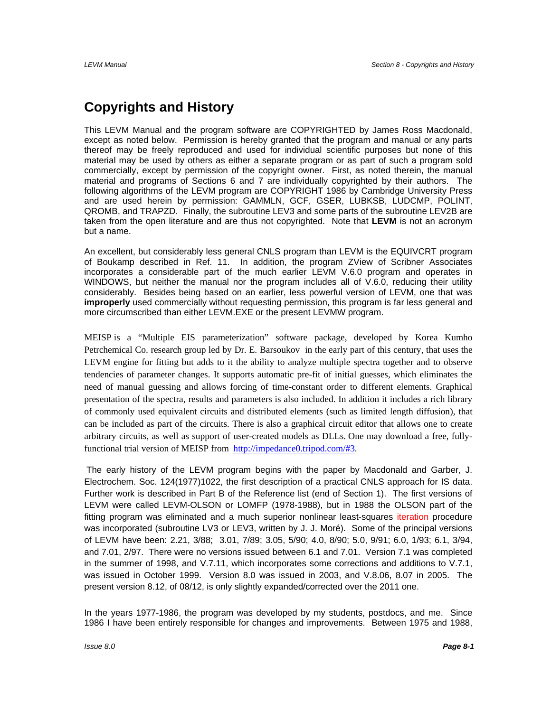# **Copyrights and History**

This LEVM Manual and the program software are COPYRIGHTED by James Ross Macdonald, except as noted below. Permission is hereby granted that the program and manual or any parts thereof may be freely reproduced and used for individual scientific purposes but none of this material may be used by others as either a separate program or as part of such a program sold commercially, except by permission of the copyright owner. First, as noted therein, the manual material and programs of Sections 6 and 7 are individually copyrighted by their authors. The following algorithms of the LEVM program are COPYRIGHT 1986 by Cambridge University Press and are used herein by permission: GAMMLN, GCF, GSER, LUBKSB, LUDCMP, POLINT, QROMB, and TRAPZD. Finally, the subroutine LEV3 and some parts of the subroutine LEV2B are taken from the open literature and are thus not copyrighted. Note that **LEVM** is not an acronym but a name.

An excellent, but considerably less general CNLS program than LEVM is the EQUIVCRT program of Boukamp described in Ref. 11. In addition, the program ZView of Scribner Associates incorporates a considerable part of the much earlier LEVM V.6.0 program and operates in WINDOWS, but neither the manual nor the program includes all of V.6.0, reducing their utility considerably. Besides being based on an earlier, less powerful version of LEVM, one that was **improperly** used commercially without requesting permission, this program is far less general and more circumscribed than either LEVM.EXE or the present LEVMW program.

MEISP is a "Multiple EIS parameterization" software package, developed by Korea Kumho Petrchemical Co. research group led by Dr. E. Barsoukov in the early part of this century, that uses the LEVM engine for fitting but adds to it the ability to analyze multiple spectra together and to observe tendencies of parameter changes. It supports automatic pre-fit of initial guesses, which eliminates the need of manual guessing and allows forcing of time-constant order to different elements. Graphical presentation of the spectra, results and parameters is also included. In addition it includes a rich library of commonly used equivalent circuits and distributed elements (such as limited length diffusion), that can be included as part of the circuits. There is also a graphical circuit editor that allows one to create arbitrary circuits, as well as support of user-created models as DLLs. One may download a free, fullyfunctional trial version of MEISP from http://impedance0.tripod.com/#3.

The early history of the LEVM program begins with the paper by Macdonald and Garber, J. Electrochem. Soc. 124(1977)1022, the first description of a practical CNLS approach for IS data. Further work is described in Part B of the Reference list (end of Section 1). The first versions of LEVM were called LEVM-OLSON or LOMFP (1978-1988), but in 1988 the OLSON part of the fitting program was eliminated and a much superior nonlinear least-squares iteration procedure was incorporated (subroutine LV3 or LEV3, written by J. J. Moré). Some of the principal versions of LEVM have been: 2.21, 3/88; 3.01, 7/89; 3.05, 5/90; 4.0, 8/90; 5.0, 9/91; 6.0, 1/93; 6.1, 3/94, and 7.01, 2/97. There were no versions issued between 6.1 and 7.01. Version 7.1 was completed in the summer of 1998, and V.7.11, which incorporates some corrections and additions to V.7.1, was issued in October 1999. Version 8.0 was issued in 2003, and V.8.06, 8.07 in 2005. The present version 8.12, of 08/12, is only slightly expanded/corrected over the 2011 one.

In the years 1977-1986, the program was developed by my students, postdocs, and me. Since 1986 I have been entirely responsible for changes and improvements. Between 1975 and 1988,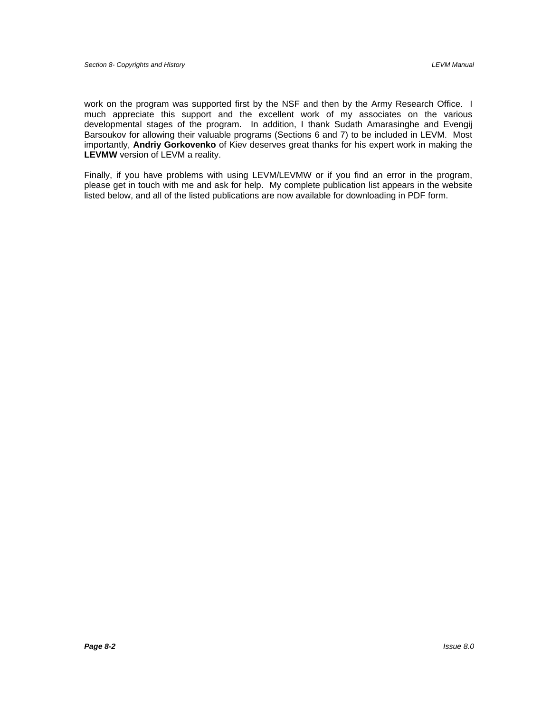work on the program was supported first by the NSF and then by the Army Research Office. I much appreciate this support and the excellent work of my associates on the various developmental stages of the program. In addition, I thank Sudath Amarasinghe and Evengij Barsoukov for allowing their valuable programs (Sections 6 and 7) to be included in LEVM. Most importantly, **Andriy Gorkovenko** of Kiev deserves great thanks for his expert work in making the **LEVMW** version of LEVM a reality.

Finally, if you have problems with using LEVM/LEVMW or if you find an error in the program, please get in touch with me and ask for help. My complete publication list appears in the website listed below, and all of the listed publications are now available for downloading in PDF form.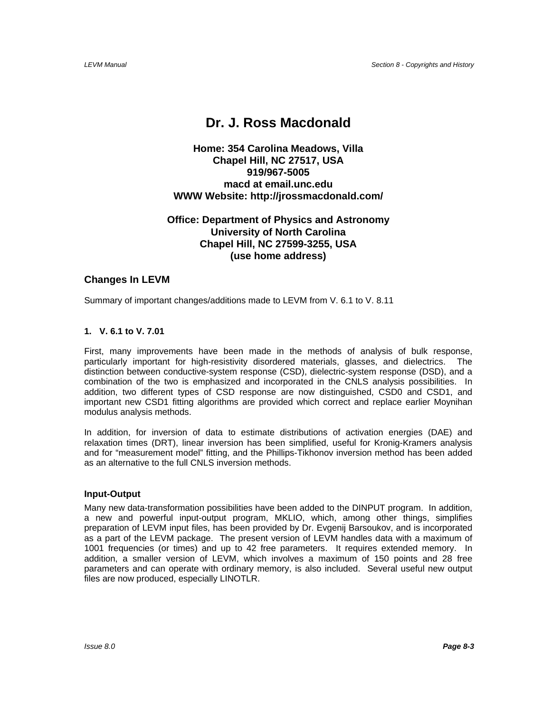*LEVM Manual Section 8 - Copyrights and History* 

# **Dr. J. Ross Macdonald**

# **Home: 354 Carolina Meadows, Villa Chapel Hill, NC 27517, USA 919/967-5005 macd at email.unc.edu WWW Website: http://jrossmacdonald.com/**

# **Office: Department of Physics and Astronomy University of North Carolina Chapel Hill, NC 27599-3255, USA (use home address)**

## **Changes In LEVM**

Summary of important changes/additions made to LEVM from V. 6.1 to V. 8.11

## **1. V. 6.1 to V. 7.01**

First, many improvements have been made in the methods of analysis of bulk response, particularly important for high-resistivity disordered materials, glasses, and dielectrics. The distinction between conductive-system response (CSD), dielectric-system response (DSD), and a combination of the two is emphasized and incorporated in the CNLS analysis possibilities. In addition, two different types of CSD response are now distinguished, CSD0 and CSD1, and important new CSD1 fitting algorithms are provided which correct and replace earlier Moynihan modulus analysis methods.

In addition, for inversion of data to estimate distributions of activation energies (DAE) and relaxation times (DRT), linear inversion has been simplified, useful for Kronig-Kramers analysis and for "measurement model" fitting, and the Phillips-Tikhonov inversion method has been added as an alternative to the full CNLS inversion methods.

## **Input-Output**

Many new data-transformation possibilities have been added to the DINPUT program. In addition, a new and powerful input-output program, MKLIO, which, among other things, simplifies preparation of LEVM input files, has been provided by Dr. Evgenij Barsoukov, and is incorporated as a part of the LEVM package. The present version of LEVM handles data with a maximum of 1001 frequencies (or times) and up to 42 free parameters. It requires extended memory. In addition, a smaller version of LEVM, which involves a maximum of 150 points and 28 free parameters and can operate with ordinary memory, is also included. Several useful new output files are now produced, especially LINOTLR.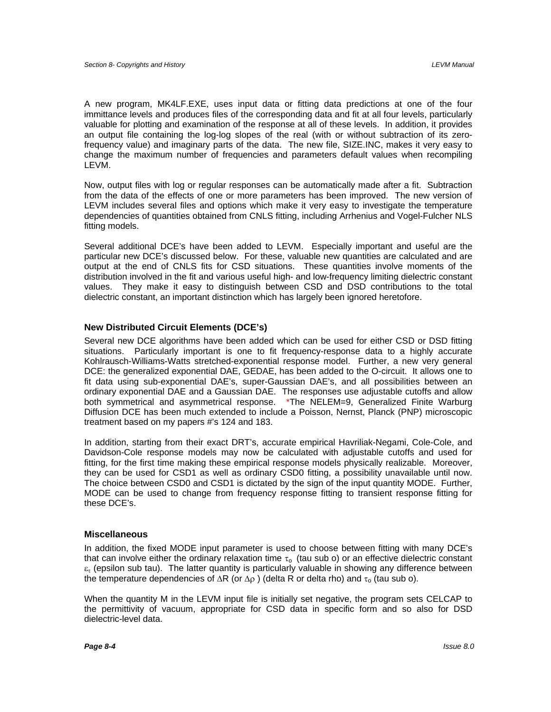A new program, MK4LF.EXE, uses input data or fitting data predictions at one of the four immittance levels and produces files of the corresponding data and fit at all four levels, particularly valuable for plotting and examination of the response at all of these levels. In addition, it provides an output file containing the log-log slopes of the real (with or without subtraction of its zerofrequency value) and imaginary parts of the data. The new file, SIZE.INC, makes it very easy to change the maximum number of frequencies and parameters default values when recompiling LEVM.

Now, output files with log or regular responses can be automatically made after a fit. Subtraction from the data of the effects of one or more parameters has been improved. The new version of LEVM includes several files and options which make it very easy to investigate the temperature dependencies of quantities obtained from CNLS fitting, including Arrhenius and Vogel-Fulcher NLS fitting models.

Several additional DCE's have been added to LEVM. Especially important and useful are the particular new DCE's discussed below. For these, valuable new quantities are calculated and are output at the end of CNLS fits for CSD situations. These quantities involve moments of the distribution involved in the fit and various useful high- and low-frequency limiting dielectric constant values. They make it easy to distinguish between CSD and DSD contributions to the total dielectric constant, an important distinction which has largely been ignored heretofore.

#### **New Distributed Circuit Elements (DCE's)**

Several new DCE algorithms have been added which can be used for either CSD or DSD fitting situations. Particularly important is one to fit frequency-response data to a highly accurate Kohlrausch-Williams-Watts stretched-exponential response model. Further, a new very general DCE: the generalized exponential DAE, GEDAE, has been added to the O-circuit. It allows one to fit data using sub-exponential DAE's, super-Gaussian DAE's, and all possibilities between an ordinary exponential DAE and a Gaussian DAE. The responses use adjustable cutoffs and allow both symmetrical and asymmetrical response. \*The NELEM=9, Generalized Finite Warburg Diffusion DCE has been much extended to include a Poisson, Nernst, Planck (PNP) microscopic treatment based on my papers #'s 124 and 183.

In addition, starting from their exact DRT's, accurate empirical Havriliak-Negami, Cole-Cole, and Davidson-Cole response models may now be calculated with adjustable cutoffs and used for fitting, for the first time making these empirical response models physically realizable. Moreover, they can be used for CSD1 as well as ordinary CSD0 fitting, a possibility unavailable until now. The choice between CSD0 and CSD1 is dictated by the sign of the input quantity MODE. Further, MODE can be used to change from frequency response fitting to transient response fitting for these DCE's.

#### **Miscellaneous**

In addition, the fixed MODE input parameter is used to choose between fitting with many DCE's that can involve either the ordinary relaxation time  $\tau_0$  (tau sub o) or an effective dielectric constant  $\varepsilon_{\tau}$  (epsilon sub tau). The latter quantity is particularly valuable in showing any difference between the temperature dependencies of  $\Delta R$  (or  $\Delta \rho$ ) (delta R or delta rho) and  $\tau_0$  (tau sub o).

When the quantity M in the LEVM input file is initially set negative, the program sets CELCAP to the permittivity of vacuum, appropriate for CSD data in specific form and so also for DSD dielectric-level data.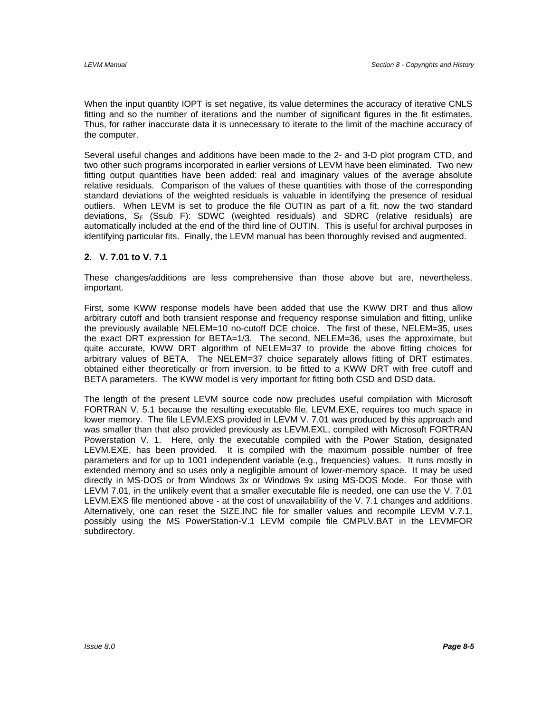When the input quantity IOPT is set negative, its value determines the accuracy of iterative CNLS fitting and so the number of iterations and the number of significant figures in the fit estimates. Thus, for rather inaccurate data it is unnecessary to iterate to the limit of the machine accuracy of the computer.

Several useful changes and additions have been made to the 2- and 3-D plot program CTD, and two other such programs incorporated in earlier versions of LEVM have been eliminated. Two new fitting output quantities have been added: real and imaginary values of the average absolute relative residuals. Comparison of the values of these quantities with those of the corresponding standard deviations of the weighted residuals is valuable in identifying the presence of residual outliers. When LEVM is set to produce the file OUTIN as part of a fit, now the two standard deviations,  $S_F$  (Ssub F): SDWC (weighted residuals) and SDRC (relative residuals) are automatically included at the end of the third line of OUTIN. This is useful for archival purposes in identifying particular fits. Finally, the LEVM manual has been thoroughly revised and augmented.

## **2. V. 7.01 to V. 7.1**

These changes/additions are less comprehensive than those above but are, nevertheless, important.

First, some KWW response models have been added that use the KWW DRT and thus allow arbitrary cutoff and both transient response and frequency response simulation and fitting, unlike the previously available NELEM=10 no-cutoff DCE choice. The first of these, NELEM=35, uses the exact DRT expression for BETA=1/3. The second, NELEM=36, uses the approximate, but quite accurate, KWW DRT algorithm of NELEM=37 to provide the above fitting choices for arbitrary values of BETA. The NELEM=37 choice separately allows fitting of DRT estimates, obtained either theoretically or from inversion, to be fitted to a KWW DRT with free cutoff and BETA parameters. The KWW model is very important for fitting both CSD and DSD data.

The length of the present LEVM source code now precludes useful compilation with Microsoft FORTRAN V. 5.1 because the resulting executable file, LEVM.EXE, requires too much space in lower memory. The file LEVM.EXS provided in LEVM V. 7.01 was produced by this approach and was smaller than that also provided previously as LEVM.EXL, compiled with Microsoft FORTRAN Powerstation V. 1. Here, only the executable compiled with the Power Station, designated LEVM.EXE, has been provided. It is compiled with the maximum possible number of free parameters and for up to 1001 independent variable (e.g., frequencies) values. It runs mostly in extended memory and so uses only a negligible amount of lower-memory space. It may be used directly in MS-DOS or from Windows 3x or Windows 9x using MS-DOS Mode. For those with LEVM 7.01, in the unlikely event that a smaller executable file is needed, one can use the V. 7.01 LEVM.EXS file mentioned above - at the cost of unavailability of the V. 7.1 changes and additions. Alternatively, one can reset the SIZE.INC file for smaller values and recompile LEVM V.7.1, possibly using the MS PowerStation-V.1 LEVM compile file CMPLV.BAT in the LEVMFOR subdirectory.